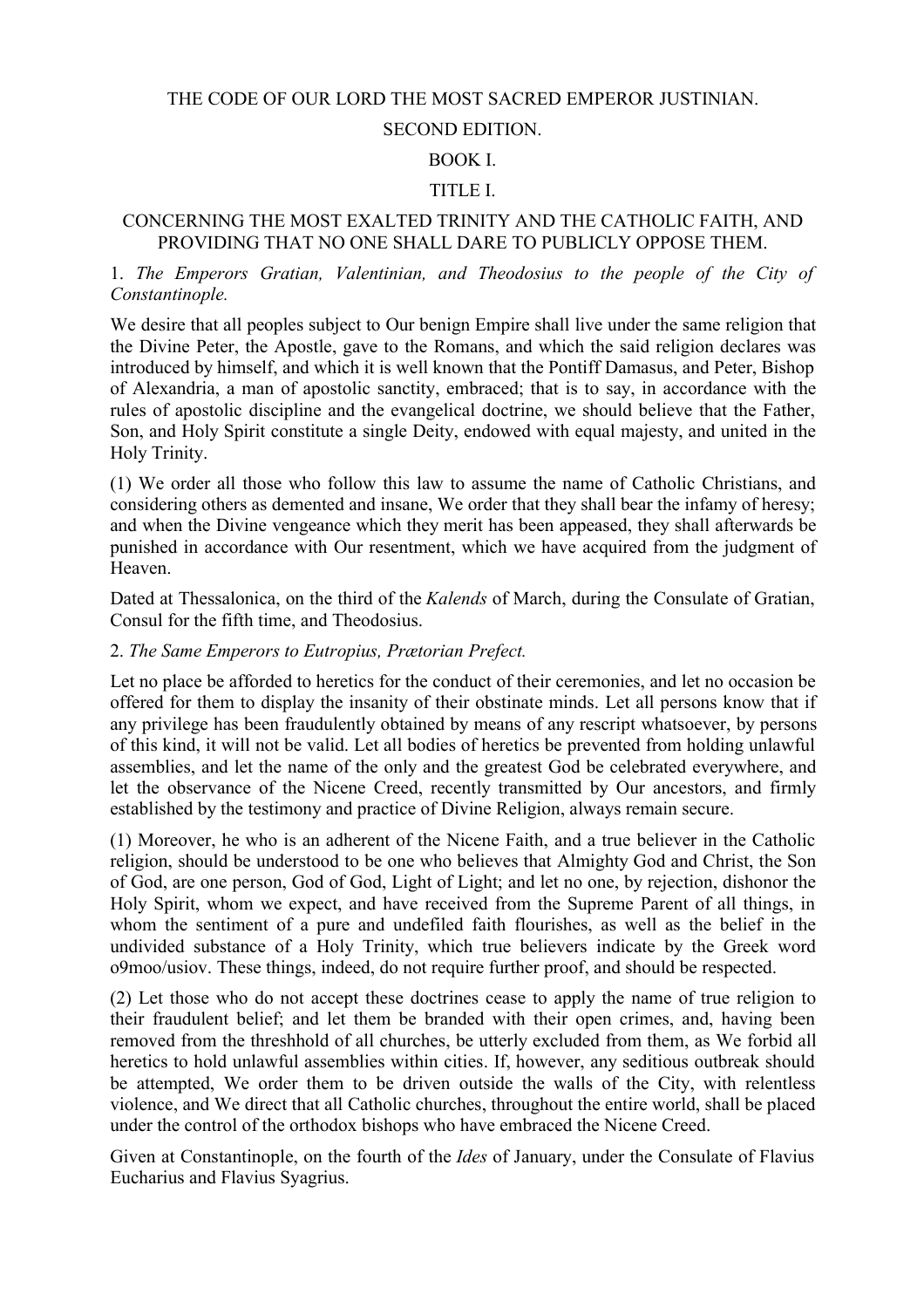#### THE CODE OF OUR LORD THE MOST SACRED EMPEROR JUSTINIAN.

#### SECOND EDITION.

#### BOOK I.

#### TITLE I.

#### CONCERNING THE MOST EXALTED TRINITY AND THE CATHOLIC FAITH, AND PROVIDING THAT NO ONE SHALL DARE TO PUBLICLY OPPOSE THEM.

#### 1. *The Emperors Gratian, Valentinian, and Theodosius to the people of the City of Constantinople.*

We desire that all peoples subject to Our benign Empire shall live under the same religion that the Divine Peter, the Apostle, gave to the Romans, and which the said religion declares was introduced by himself, and which it is well known that the Pontiff Damasus, and Peter, Bishop of Alexandria, a man of apostolic sanctity, embraced; that is to say, in accordance with the rules of apostolic discipline and the evangelical doctrine, we should believe that the Father, Son, and Holy Spirit constitute a single Deity, endowed with equal majesty, and united in the Holy Trinity.

(1) We order all those who follow this law to assume the name of Catholic Christians, and considering others as demented and insane, We order that they shall bear the infamy of heresy; and when the Divine vengeance which they merit has been appeased, they shall afterwards be punished in accordance with Our resentment, which we have acquired from the judgment of Heaven.

Dated at Thessalonica, on the third of the *Kalends* of March, during the Consulate of Gratian, Consul for the fifth time, and Theodosius.

#### 2. *The Same Emperors to Eutropius, Prætorian Prefect.*

Let no place be afforded to heretics for the conduct of their ceremonies, and let no occasion be offered for them to display the insanity of their obstinate minds. Let all persons know that if any privilege has been fraudulently obtained by means of any rescript whatsoever, by persons of this kind, it will not be valid. Let all bodies of heretics be prevented from holding unlawful assemblies, and let the name of the only and the greatest God be celebrated everywhere, and let the observance of the Nicene Creed, recently transmitted by Our ancestors, and firmly established by the testimony and practice of Divine Religion, always remain secure.

(1) Moreover, he who is an adherent of the Nicene Faith, and a true believer in the Catholic religion, should be understood to be one who believes that Almighty God and Christ, the Son of God, are one person, God of God, Light of Light; and let no one, by rejection, dishonor the Holy Spirit, whom we expect, and have received from the Supreme Parent of all things, in whom the sentiment of a pure and undefiled faith flourishes, as well as the belief in the undivided substance of a Holy Trinity, which true believers indicate by the Greek word o9moo/usiov. These things, indeed, do not require further proof, and should be respected.

(2) Let those who do not accept these doctrines cease to apply the name of true religion to their fraudulent belief; and let them be branded with their open crimes, and, having been removed from the threshhold of all churches, be utterly excluded from them, as We forbid all heretics to hold unlawful assemblies within cities. If, however, any seditious outbreak should be attempted, We order them to be driven outside the walls of the City, with relentless violence, and We direct that all Catholic churches, throughout the entire world, shall be placed under the control of the orthodox bishops who have embraced the Nicene Creed.

Given at Constantinople, on the fourth of the *Ides* of January, under the Consulate of Flavius Eucharius and Flavius Syagrius.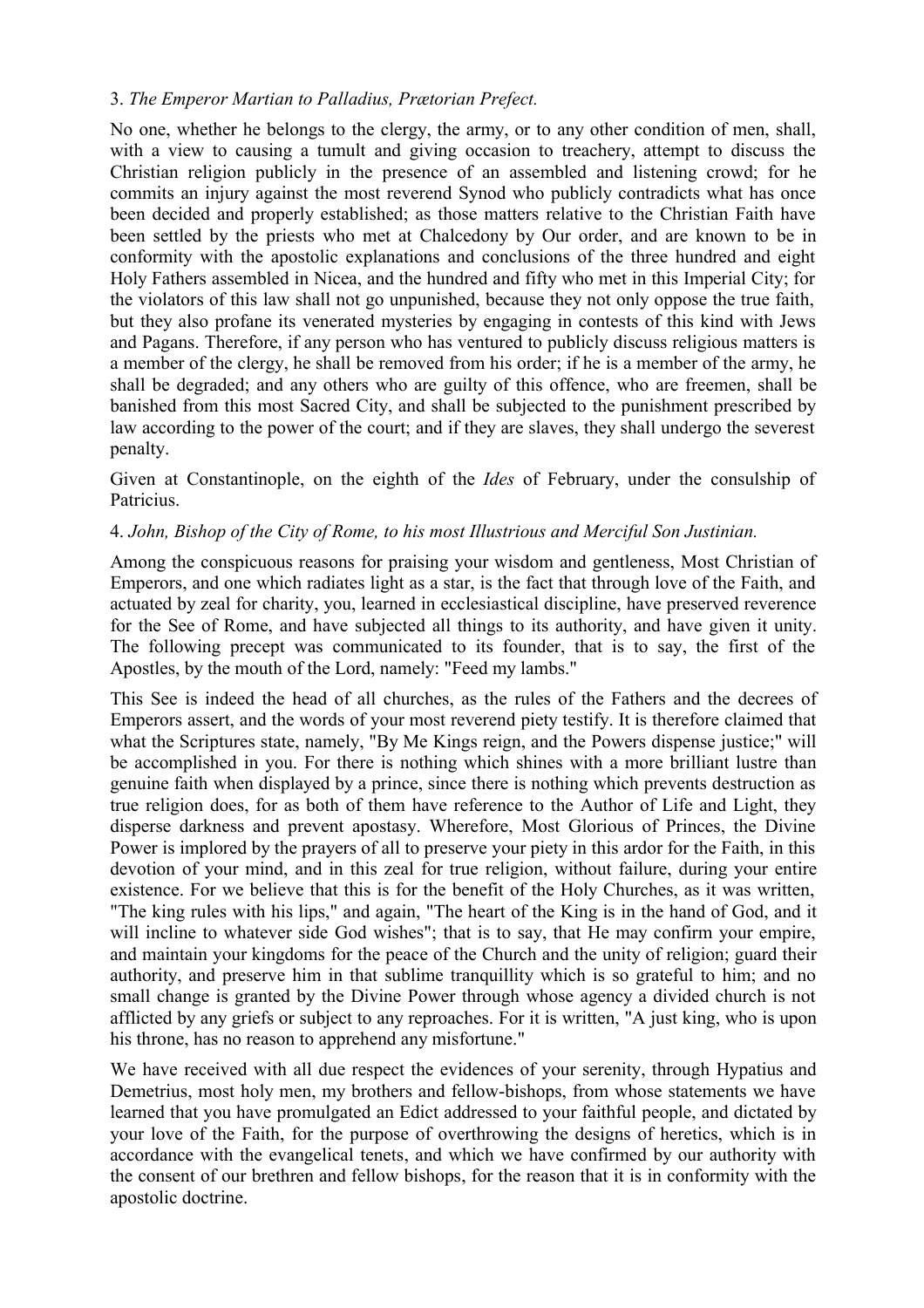### 3. *The Emperor Martian to Palladius, Prætorian Prefect.*

No one, whether he belongs to the clergy, the army, or to any other condition of men, shall, with a view to causing a tumult and giving occasion to treachery, attempt to discuss the Christian religion publicly in the presence of an assembled and listening crowd; for he commits an injury against the most reverend Synod who publicly contradicts what has once been decided and properly established; as those matters relative to the Christian Faith have been settled by the priests who met at Chalcedony by Our order, and are known to be in conformity with the apostolic explanations and conclusions of the three hundred and eight Holy Fathers assembled in Nicea, and the hundred and fifty who met in this Imperial City; for the violators of this law shall not go unpunished, because they not only oppose the true faith, but they also profane its venerated mysteries by engaging in contests of this kind with Jews and Pagans. Therefore, if any person who has ventured to publicly discuss religious matters is a member of the clergy, he shall be removed from his order; if he is a member of the army, he shall be degraded; and any others who are guilty of this offence, who are freemen, shall be banished from this most Sacred City, and shall be subjected to the punishment prescribed by law according to the power of the court; and if they are slaves, they shall undergo the severest penalty.

Given at Constantinople, on the eighth of the *Ides* of February, under the consulship of Patricius.

### 4. *John, Bishop of the City of Rome, to his most Illustrious and Merciful Son Justinian.*

Among the conspicuous reasons for praising your wisdom and gentleness, Most Christian of Emperors, and one which radiates light as a star, is the fact that through love of the Faith, and actuated by zeal for charity, you, learned in ecclesiastical discipline, have preserved reverence for the See of Rome, and have subjected all things to its authority, and have given it unity. The following precept was communicated to its founder, that is to say, the first of the Apostles, by the mouth of the Lord, namely: "Feed my lambs."

This See is indeed the head of all churches, as the rules of the Fathers and the decrees of Emperors assert, and the words of your most reverend piety testify. It is therefore claimed that what the Scriptures state, namely, "By Me Kings reign, and the Powers dispense justice;" will be accomplished in you. For there is nothing which shines with a more brilliant lustre than genuine faith when displayed by a prince, since there is nothing which prevents destruction as true religion does, for as both of them have reference to the Author of Life and Light, they disperse darkness and prevent apostasy. Wherefore, Most Glorious of Princes, the Divine Power is implored by the prayers of all to preserve your piety in this ardor for the Faith, in this devotion of your mind, and in this zeal for true religion, without failure, during your entire existence. For we believe that this is for the benefit of the Holy Churches, as it was written, "The king rules with his lips," and again, "The heart of the King is in the hand of God, and it will incline to whatever side God wishes"; that is to say, that He may confirm your empire, and maintain your kingdoms for the peace of the Church and the unity of religion; guard their authority, and preserve him in that sublime tranquillity which is so grateful to him; and no small change is granted by the Divine Power through whose agency a divided church is not afflicted by any griefs or subject to any reproaches. For it is written, "A just king, who is upon his throne, has no reason to apprehend any misfortune."

We have received with all due respect the evidences of your serenity, through Hypatius and Demetrius, most holy men, my brothers and fellow-bishops, from whose statements we have learned that you have promulgated an Edict addressed to your faithful people, and dictated by your love of the Faith, for the purpose of overthrowing the designs of heretics, which is in accordance with the evangelical tenets, and which we have confirmed by our authority with the consent of our brethren and fellow bishops, for the reason that it is in conformity with the apostolic doctrine.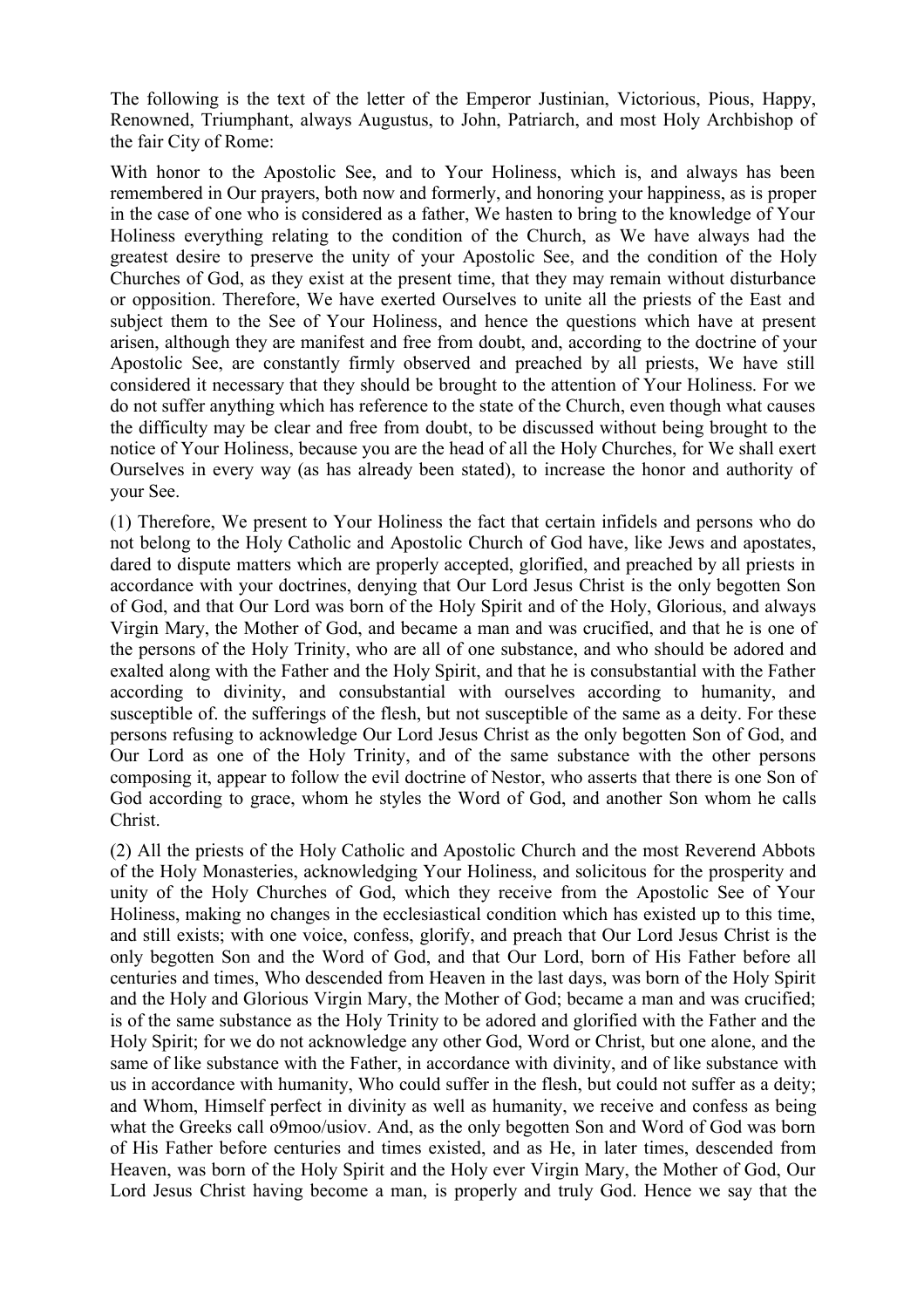The following is the text of the letter of the Emperor Justinian, Victorious, Pious, Happy, Renowned, Triumphant, always Augustus, to John, Patriarch, and most Holy Archbishop of the fair City of Rome:

With honor to the Apostolic See, and to Your Holiness, which is, and always has been remembered in Our prayers, both now and formerly, and honoring your happiness, as is proper in the case of one who is considered as a father, We hasten to bring to the knowledge of Your Holiness everything relating to the condition of the Church, as We have always had the greatest desire to preserve the unity of your Apostolic See, and the condition of the Holy Churches of God, as they exist at the present time, that they may remain without disturbance or opposition. Therefore, We have exerted Ourselves to unite all the priests of the East and subject them to the See of Your Holiness, and hence the questions which have at present arisen, although they are manifest and free from doubt, and, according to the doctrine of your Apostolic See, are constantly firmly observed and preached by all priests, We have still considered it necessary that they should be brought to the attention of Your Holiness. For we do not suffer anything which has reference to the state of the Church, even though what causes the difficulty may be clear and free from doubt, to be discussed without being brought to the notice of Your Holiness, because you are the head of all the Holy Churches, for We shall exert Ourselves in every way (as has already been stated), to increase the honor and authority of your See.

(1) Therefore, We present to Your Holiness the fact that certain infidels and persons who do not belong to the Holy Catholic and Apostolic Church of God have, like Jews and apostates, dared to dispute matters which are properly accepted, glorified, and preached by all priests in accordance with your doctrines, denying that Our Lord Jesus Christ is the only begotten Son of God, and that Our Lord was born of the Holy Spirit and of the Holy, Glorious, and always Virgin Mary, the Mother of God, and became a man and was crucified, and that he is one of the persons of the Holy Trinity, who are all of one substance, and who should be adored and exalted along with the Father and the Holy Spirit, and that he is consubstantial with the Father according to divinity, and consubstantial with ourselves according to humanity, and susceptible of. the sufferings of the flesh, but not susceptible of the same as a deity. For these persons refusing to acknowledge Our Lord Jesus Christ as the only begotten Son of God, and Our Lord as one of the Holy Trinity, and of the same substance with the other persons composing it, appear to follow the evil doctrine of Nestor, who asserts that there is one Son of God according to grace, whom he styles the Word of God, and another Son whom he calls Christ.

(2) All the priests of the Holy Catholic and Apostolic Church and the most Reverend Abbots of the Holy Monasteries, acknowledging Your Holiness, and solicitous for the prosperity and unity of the Holy Churches of God, which they receive from the Apostolic See of Your Holiness, making no changes in the ecclesiastical condition which has existed up to this time, and still exists; with one voice, confess, glorify, and preach that Our Lord Jesus Christ is the only begotten Son and the Word of God, and that Our Lord, born of His Father before all centuries and times, Who descended from Heaven in the last days, was born of the Holy Spirit and the Holy and Glorious Virgin Mary, the Mother of God; became a man and was crucified; is of the same substance as the Holy Trinity to be adored and glorified with the Father and the Holy Spirit; for we do not acknowledge any other God, Word or Christ, but one alone, and the same of like substance with the Father, in accordance with divinity, and of like substance with us in accordance with humanity, Who could suffer in the flesh, but could not suffer as a deity; and Whom, Himself perfect in divinity as well as humanity, we receive and confess as being what the Greeks call o9moo/usiov. And, as the only begotten Son and Word of God was born of His Father before centuries and times existed, and as He, in later times, descended from Heaven, was born of the Holy Spirit and the Holy ever Virgin Mary, the Mother of God, Our Lord Jesus Christ having become a man, is properly and truly God. Hence we say that the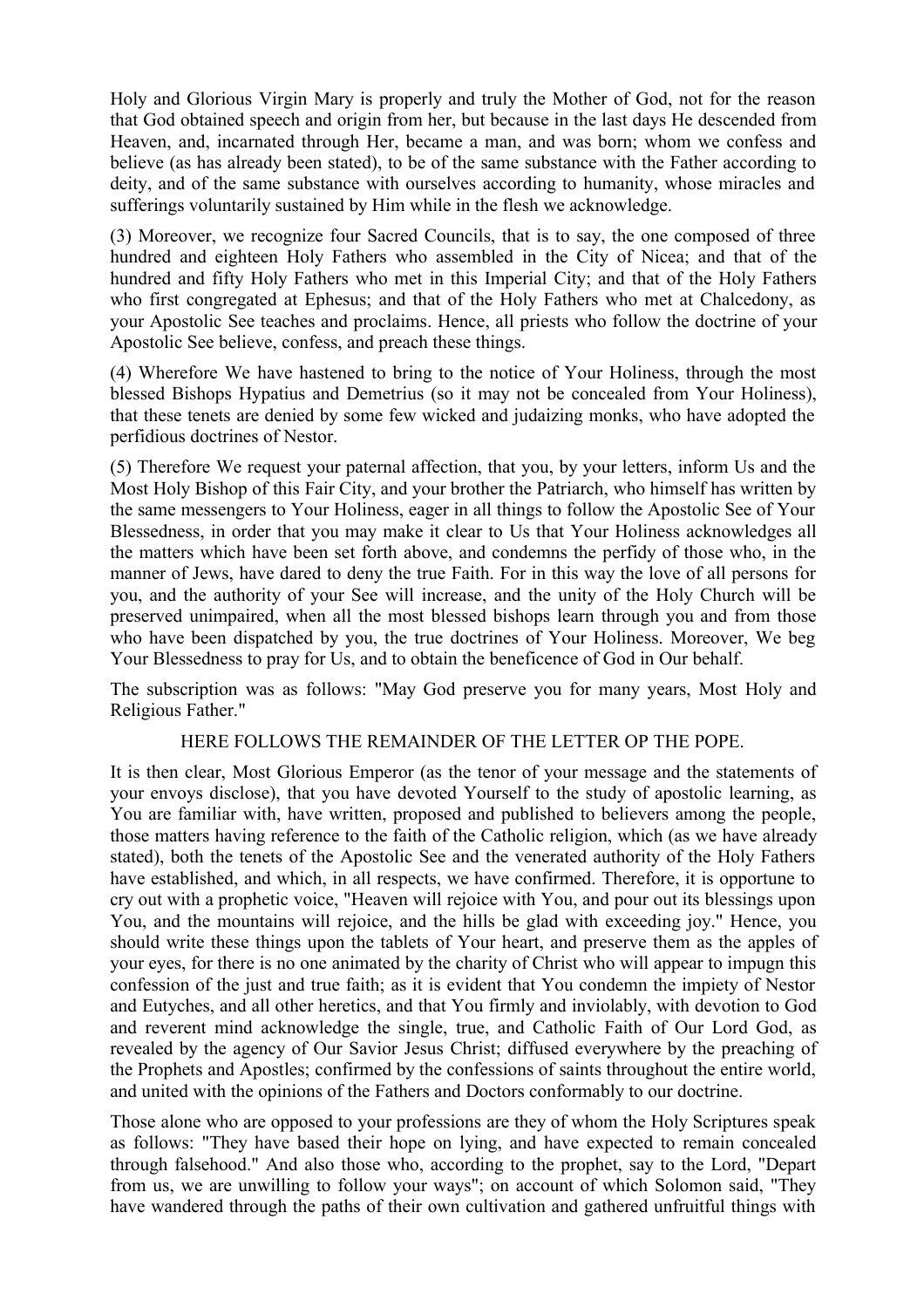Holy and Glorious Virgin Mary is properly and truly the Mother of God, not for the reason that God obtained speech and origin from her, but because in the last days He descended from Heaven, and, incarnated through Her, became a man, and was born; whom we confess and believe (as has already been stated), to be of the same substance with the Father according to deity, and of the same substance with ourselves according to humanity, whose miracles and sufferings voluntarily sustained by Him while in the flesh we acknowledge.

(3) Moreover, we recognize four Sacred Councils, that is to say, the one composed of three hundred and eighteen Holy Fathers who assembled in the City of Nicea; and that of the hundred and fifty Holy Fathers who met in this Imperial City; and that of the Holy Fathers who first congregated at Ephesus; and that of the Holy Fathers who met at Chalcedony, as your Apostolic See teaches and proclaims. Hence, all priests who follow the doctrine of your Apostolic See believe, confess, and preach these things.

(4) Wherefore We have hastened to bring to the notice of Your Holiness, through the most blessed Bishops Hypatius and Demetrius (so it may not be concealed from Your Holiness), that these tenets are denied by some few wicked and judaizing monks, who have adopted the perfidious doctrines of Nestor.

(5) Therefore We request your paternal affection, that you, by your letters, inform Us and the Most Holy Bishop of this Fair City, and your brother the Patriarch, who himself has written by the same messengers to Your Holiness, eager in all things to follow the Apostolic See of Your Blessedness, in order that you may make it clear to Us that Your Holiness acknowledges all the matters which have been set forth above, and condemns the perfidy of those who, in the manner of Jews, have dared to deny the true Faith. For in this way the love of all persons for you, and the authority of your See will increase, and the unity of the Holy Church will be preserved unimpaired, when all the most blessed bishops learn through you and from those who have been dispatched by you, the true doctrines of Your Holiness. Moreover, We beg Your Blessedness to pray for Us, and to obtain the beneficence of God in Our behalf.

The subscription was as follows: "May God preserve you for many years, Most Holy and Religious Father."

## HERE FOLLOWS THE REMAINDER OF THE LETTER OP THE POPE.

It is then clear, Most Glorious Emperor (as the tenor of your message and the statements of your envoys disclose), that you have devoted Yourself to the study of apostolic learning, as You are familiar with, have written, proposed and published to believers among the people, those matters having reference to the faith of the Catholic religion, which (as we have already stated), both the tenets of the Apostolic See and the venerated authority of the Holy Fathers have established, and which, in all respects, we have confirmed. Therefore, it is opportune to cry out with a prophetic voice, "Heaven will rejoice with You, and pour out its blessings upon You, and the mountains will rejoice, and the hills be glad with exceeding joy." Hence, you should write these things upon the tablets of Your heart, and preserve them as the apples of your eyes, for there is no one animated by the charity of Christ who will appear to impugn this confession of the just and true faith; as it is evident that You condemn the impiety of Nestor and Eutyches, and all other heretics, and that You firmly and inviolably, with devotion to God and reverent mind acknowledge the single, true, and Catholic Faith of Our Lord God, as revealed by the agency of Our Savior Jesus Christ; diffused everywhere by the preaching of the Prophets and Apostles; confirmed by the confessions of saints throughout the entire world, and united with the opinions of the Fathers and Doctors conformably to our doctrine.

Those alone who are opposed to your professions are they of whom the Holy Scriptures speak as follows: "They have based their hope on lying, and have expected to remain concealed through falsehood." And also those who, according to the prophet, say to the Lord, "Depart from us, we are unwilling to follow your ways"; on account of which Solomon said, "They have wandered through the paths of their own cultivation and gathered unfruitful things with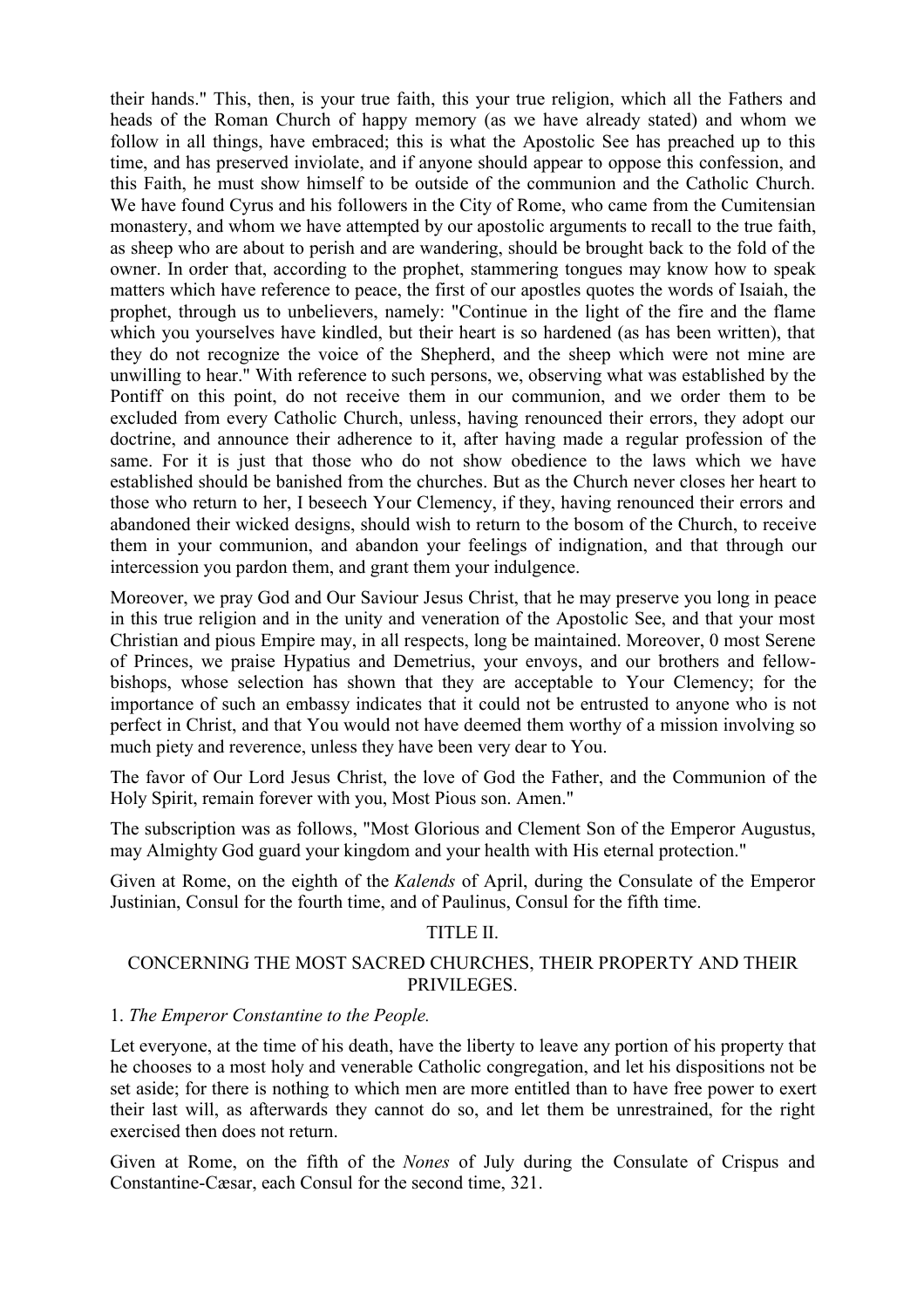their hands." This, then, is your true faith, this your true religion, which all the Fathers and heads of the Roman Church of happy memory (as we have already stated) and whom we follow in all things, have embraced; this is what the Apostolic See has preached up to this time, and has preserved inviolate, and if anyone should appear to oppose this confession, and this Faith, he must show himself to be outside of the communion and the Catholic Church. We have found Cyrus and his followers in the City of Rome, who came from the Cumitensian monastery, and whom we have attempted by our apostolic arguments to recall to the true faith, as sheep who are about to perish and are wandering, should be brought back to the fold of the owner. In order that, according to the prophet, stammering tongues may know how to speak matters which have reference to peace, the first of our apostles quotes the words of Isaiah, the prophet, through us to unbelievers, namely: "Continue in the light of the fire and the flame which you yourselves have kindled, but their heart is so hardened (as has been written), that they do not recognize the voice of the Shepherd, and the sheep which were not mine are unwilling to hear." With reference to such persons, we, observing what was established by the Pontiff on this point, do not receive them in our communion, and we order them to be excluded from every Catholic Church, unless, having renounced their errors, they adopt our doctrine, and announce their adherence to it, after having made a regular profession of the same. For it is just that those who do not show obedience to the laws which we have established should be banished from the churches. But as the Church never closes her heart to those who return to her, I beseech Your Clemency, if they, having renounced their errors and abandoned their wicked designs, should wish to return to the bosom of the Church, to receive them in your communion, and abandon your feelings of indignation, and that through our intercession you pardon them, and grant them your indulgence.

Moreover, we pray God and Our Saviour Jesus Christ, that he may preserve you long in peace in this true religion and in the unity and veneration of the Apostolic See, and that your most Christian and pious Empire may, in all respects, long be maintained. Moreover, 0 most Serene of Princes, we praise Hypatius and Demetrius, your envoys, and our brothers and fellowbishops, whose selection has shown that they are acceptable to Your Clemency; for the importance of such an embassy indicates that it could not be entrusted to anyone who is not perfect in Christ, and that You would not have deemed them worthy of a mission involving so much piety and reverence, unless they have been very dear to You.

The favor of Our Lord Jesus Christ, the love of God the Father, and the Communion of the Holy Spirit, remain forever with you, Most Pious son. Amen."

The subscription was as follows, "Most Glorious and Clement Son of the Emperor Augustus, may Almighty God guard your kingdom and your health with His eternal protection."

Given at Rome, on the eighth of the *Kalends* of April, during the Consulate of the Emperor Justinian, Consul for the fourth time, and of Paulinus, Consul for the fifth time.

## TITLE II.

### CONCERNING THE MOST SACRED CHURCHES, THEIR PROPERTY AND THEIR PRIVILEGES.

#### 1. *The Emperor Constantine to the People.*

Let everyone, at the time of his death, have the liberty to leave any portion of his property that he chooses to a most holy and venerable Catholic congregation, and let his dispositions not be set aside; for there is nothing to which men are more entitled than to have free power to exert their last will, as afterwards they cannot do so, and let them be unrestrained, for the right exercised then does not return.

Given at Rome, on the fifth of the *Nones* of July during the Consulate of Crispus and Constantine-Cæsar, each Consul for the second time, 321.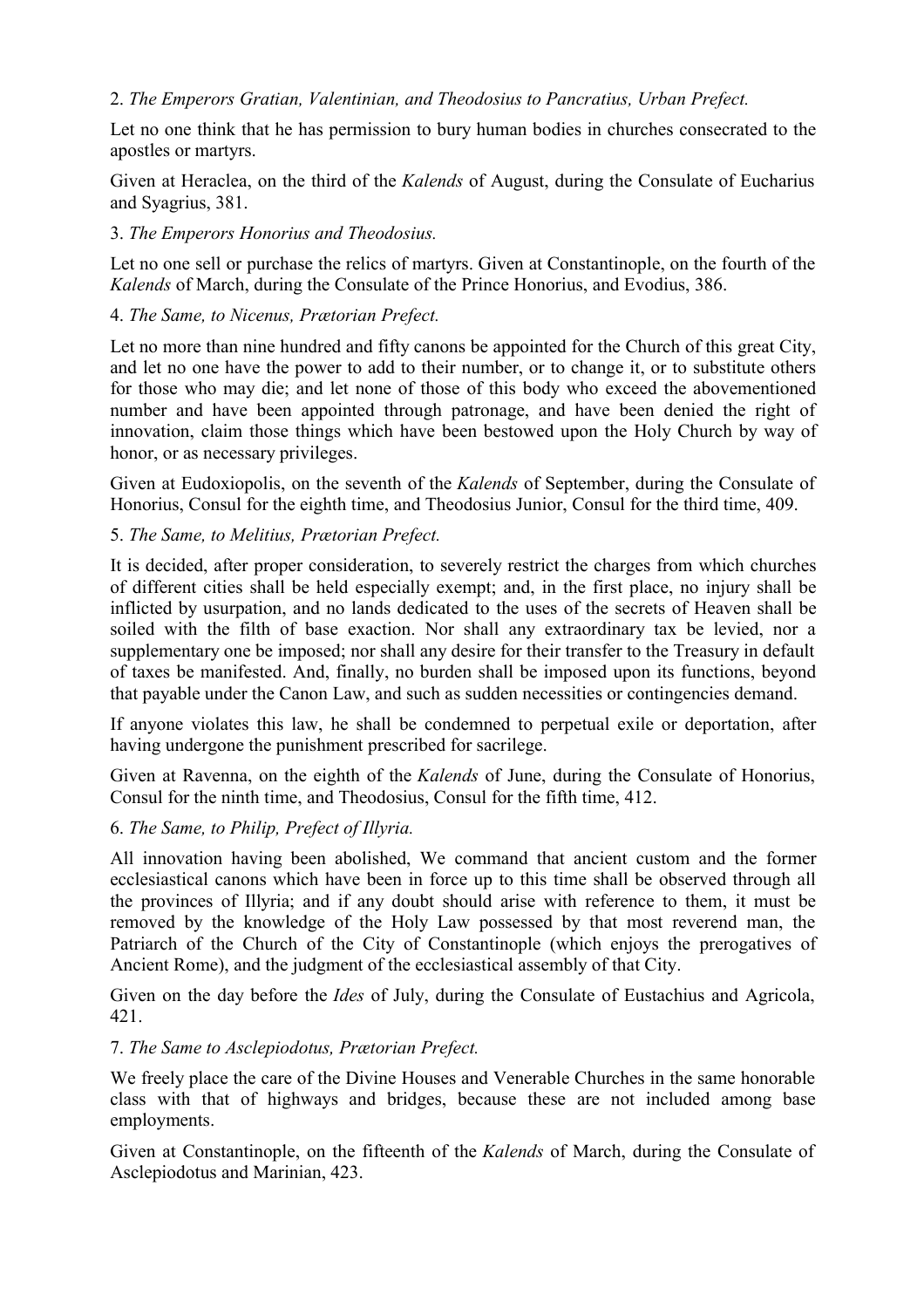### 2. *The Emperors Gratian, Valentinian, and Theodosius to Pancratius, Urban Prefect.*

Let no one think that he has permission to bury human bodies in churches consecrated to the apostles or martyrs.

Given at Heraclea, on the third of the *Kalends* of August, during the Consulate of Eucharius and Syagrius, 381.

#### 3. *The Emperors Honorius and Theodosius.*

Let no one sell or purchase the relics of martyrs. Given at Constantinople, on the fourth of the *Kalends* of March, during the Consulate of the Prince Honorius, and Evodius, 386.

#### 4. *The Same, to Nicenus, Prætorian Prefect.*

Let no more than nine hundred and fifty canons be appointed for the Church of this great City, and let no one have the power to add to their number, or to change it, or to substitute others for those who may die; and let none of those of this body who exceed the abovementioned number and have been appointed through patronage, and have been denied the right of innovation, claim those things which have been bestowed upon the Holy Church by way of honor, or as necessary privileges.

Given at Eudoxiopolis, on the seventh of the *Kalends* of September, during the Consulate of Honorius, Consul for the eighth time, and Theodosius Junior, Consul for the third time, 409.

### 5. *The Same, to Melitius, Prætorian Prefect.*

It is decided, after proper consideration, to severely restrict the charges from which churches of different cities shall be held especially exempt; and, in the first place, no injury shall be inflicted by usurpation, and no lands dedicated to the uses of the secrets of Heaven shall be soiled with the filth of base exaction. Nor shall any extraordinary tax be levied, nor a supplementary one be imposed; nor shall any desire for their transfer to the Treasury in default of taxes be manifested. And, finally, no burden shall be imposed upon its functions, beyond that payable under the Canon Law, and such as sudden necessities or contingencies demand.

If anyone violates this law, he shall be condemned to perpetual exile or deportation, after having undergone the punishment prescribed for sacrilege.

Given at Ravenna, on the eighth of the *Kalends* of June, during the Consulate of Honorius, Consul for the ninth time, and Theodosius, Consul for the fifth time, 412.

#### 6. *The Same, to Philip, Prefect of Illyria.*

All innovation having been abolished, We command that ancient custom and the former ecclesiastical canons which have been in force up to this time shall be observed through all the provinces of Illyria; and if any doubt should arise with reference to them, it must be removed by the knowledge of the Holy Law possessed by that most reverend man, the Patriarch of the Church of the City of Constantinople (which enjoys the prerogatives of Ancient Rome), and the judgment of the ecclesiastical assembly of that City.

Given on the day before the *Ides* of July, during the Consulate of Eustachius and Agricola, 421.

#### 7. *The Same to Asclepiodotus, Prætorian Prefect.*

We freely place the care of the Divine Houses and Venerable Churches in the same honorable class with that of highways and bridges, because these are not included among base employments.

Given at Constantinople, on the fifteenth of the *Kalends* of March, during the Consulate of Asclepiodotus and Marinian, 423.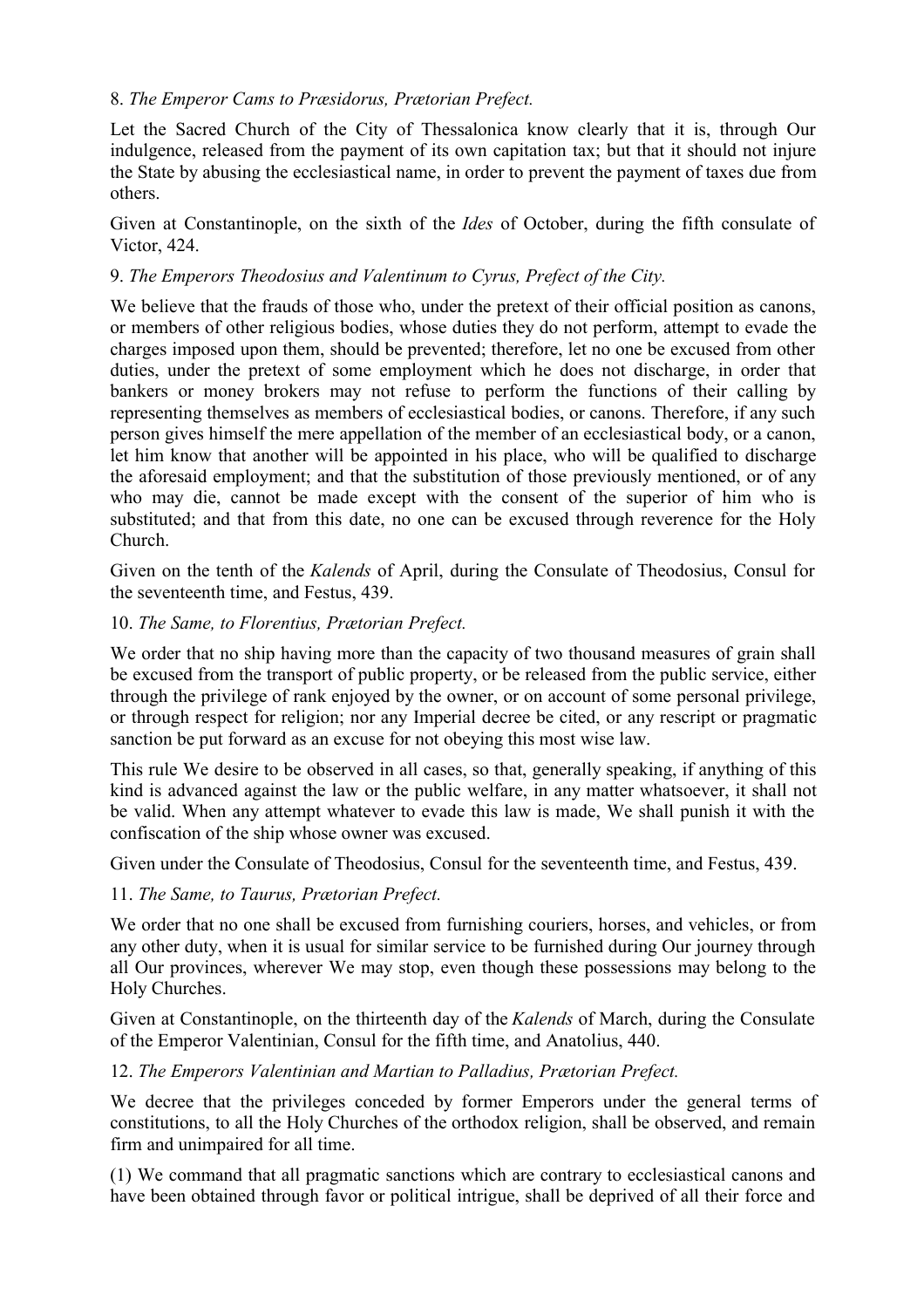## 8. *The Emperor Cams to Præsidorus, Prætorian Prefect.*

Let the Sacred Church of the City of Thessalonica know clearly that it is, through Our indulgence, released from the payment of its own capitation tax; but that it should not injure the State by abusing the ecclesiastical name, in order to prevent the payment of taxes due from others.

Given at Constantinople, on the sixth of the *Ides* of October, during the fifth consulate of Victor, 424.

### 9. *The Emperors Theodosius and Valentinum to Cyrus, Prefect of the City.*

We believe that the frauds of those who, under the pretext of their official position as canons, or members of other religious bodies, whose duties they do not perform, attempt to evade the charges imposed upon them, should be prevented; therefore, let no one be excused from other duties, under the pretext of some employment which he does not discharge, in order that bankers or money brokers may not refuse to perform the functions of their calling by representing themselves as members of ecclesiastical bodies, or canons. Therefore, if any such person gives himself the mere appellation of the member of an ecclesiastical body, or a canon, let him know that another will be appointed in his place, who will be qualified to discharge the aforesaid employment; and that the substitution of those previously mentioned, or of any who may die, cannot be made except with the consent of the superior of him who is substituted; and that from this date, no one can be excused through reverence for the Holy Church.

Given on the tenth of the *Kalends* of April, during the Consulate of Theodosius, Consul for the seventeenth time, and Festus, 439.

#### 10. *The Same, to Florentius, Prætorian Prefect.*

We order that no ship having more than the capacity of two thousand measures of grain shall be excused from the transport of public property, or be released from the public service, either through the privilege of rank enjoyed by the owner, or on account of some personal privilege, or through respect for religion; nor any Imperial decree be cited, or any rescript or pragmatic sanction be put forward as an excuse for not obeying this most wise law.

This rule We desire to be observed in all cases, so that, generally speaking, if anything of this kind is advanced against the law or the public welfare, in any matter whatsoever, it shall not be valid. When any attempt whatever to evade this law is made, We shall punish it with the confiscation of the ship whose owner was excused.

Given under the Consulate of Theodosius, Consul for the seventeenth time, and Festus, 439.

#### 11. *The Same, to Taurus, Prætorian Prefect.*

We order that no one shall be excused from furnishing couriers, horses, and vehicles, or from any other duty, when it is usual for similar service to be furnished during Our journey through all Our provinces, wherever We may stop, even though these possessions may belong to the Holy Churches.

Given at Constantinople, on the thirteenth day of the *Kalends* of March, during the Consulate of the Emperor Valentinian, Consul for the fifth time, and Anatolius, 440.

#### 12. *The Emperors Valentinian and Martian to Palladius, Prætorian Prefect.*

We decree that the privileges conceded by former Emperors under the general terms of constitutions, to all the Holy Churches of the orthodox religion, shall be observed, and remain firm and unimpaired for all time.

(1) We command that all pragmatic sanctions which are contrary to ecclesiastical canons and have been obtained through favor or political intrigue, shall be deprived of all their force and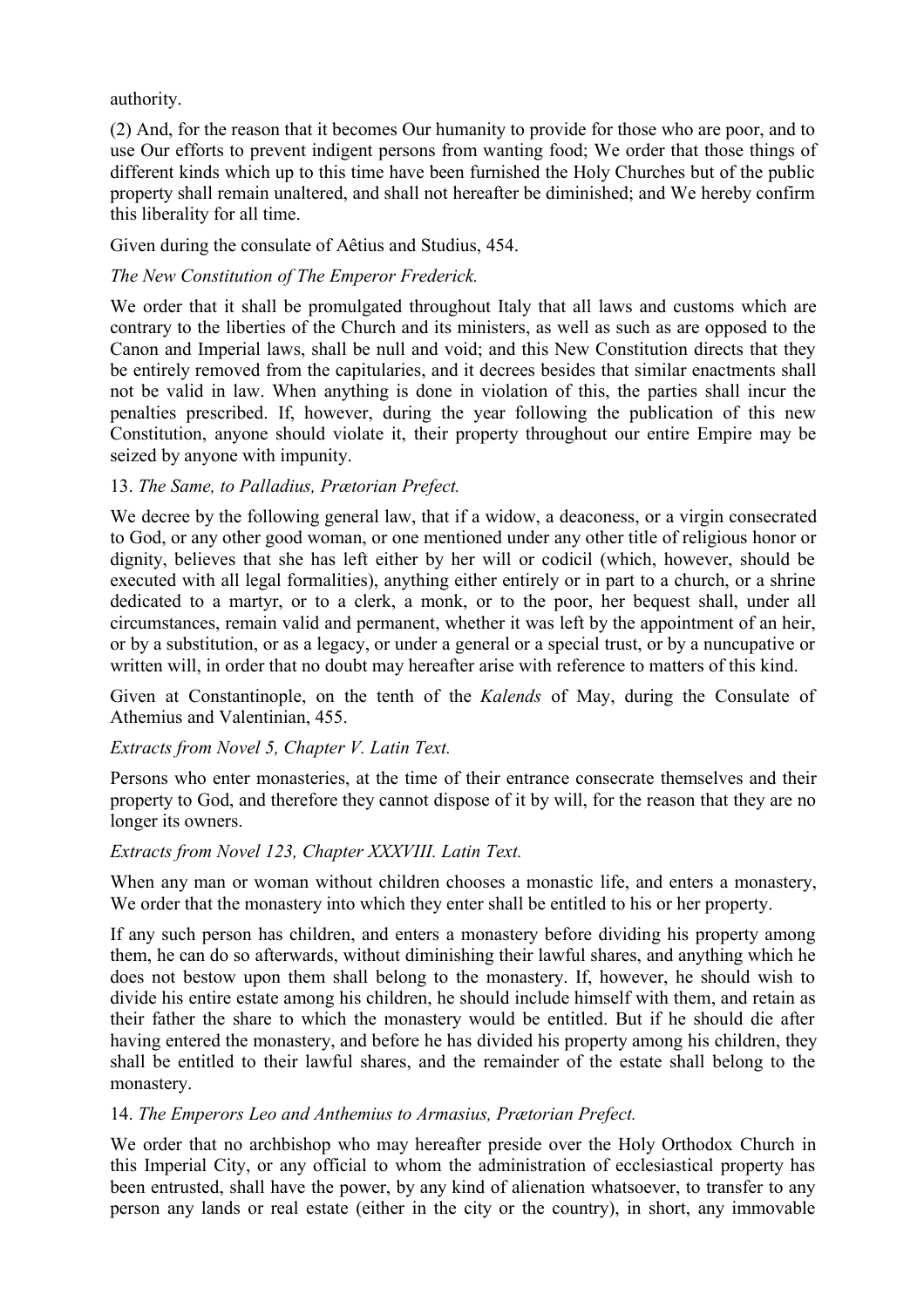authority.

(2) And, for the reason that it becomes Our humanity to provide for those who are poor, and to use Our efforts to prevent indigent persons from wanting food; We order that those things of different kinds which up to this time have been furnished the Holy Churches but of the public property shall remain unaltered, and shall not hereafter be diminished; and We hereby confirm this liberality for all time.

Given during the consulate of Aêtius and Studius, 454.

# *The New Constitution of The Emperor Frederick.*

We order that it shall be promulgated throughout Italy that all laws and customs which are contrary to the liberties of the Church and its ministers, as well as such as are opposed to the Canon and Imperial laws, shall be null and void; and this New Constitution directs that they be entirely removed from the capitularies, and it decrees besides that similar enactments shall not be valid in law. When anything is done in violation of this, the parties shall incur the penalties prescribed. If, however, during the year following the publication of this new Constitution, anyone should violate it, their property throughout our entire Empire may be seized by anyone with impunity.

## 13. *The Same, to Palladius, Prætorian Prefect.*

We decree by the following general law, that if a widow, a deaconess, or a virgin consecrated to God, or any other good woman, or one mentioned under any other title of religious honor or dignity, believes that she has left either by her will or codicil (which, however, should be executed with all legal formalities), anything either entirely or in part to a church, or a shrine dedicated to a martyr, or to a clerk, a monk, or to the poor, her bequest shall, under all circumstances, remain valid and permanent, whether it was left by the appointment of an heir, or by a substitution, or as a legacy, or under a general or a special trust, or by a nuncupative or written will, in order that no doubt may hereafter arise with reference to matters of this kind.

Given at Constantinople, on the tenth of the *Kalends* of May, during the Consulate of Athemius and Valentinian, 455.

*Extracts from Novel 5, Chapter V. Latin Text.*

Persons who enter monasteries, at the time of their entrance consecrate themselves and their property to God, and therefore they cannot dispose of it by will, for the reason that they are no longer its owners.

## *Extracts from Novel 123, Chapter XXXVIII. Latin Text.*

When any man or woman without children chooses a monastic life, and enters a monastery, We order that the monastery into which they enter shall be entitled to his or her property.

If any such person has children, and enters a monastery before dividing his property among them, he can do so afterwards, without diminishing their lawful shares, and anything which he does not bestow upon them shall belong to the monastery. If, however, he should wish to divide his entire estate among his children, he should include himself with them, and retain as their father the share to which the monastery would be entitled. But if he should die after having entered the monastery, and before he has divided his property among his children, they shall be entitled to their lawful shares, and the remainder of the estate shall belong to the monastery.

## 14. *The Emperors Leo and Anthemius to Armasius, Prætorian Prefect.*

We order that no archbishop who may hereafter preside over the Holy Orthodox Church in this Imperial City, or any official to whom the administration of ecclesiastical property has been entrusted, shall have the power, by any kind of alienation whatsoever, to transfer to any person any lands or real estate (either in the city or the country), in short, any immovable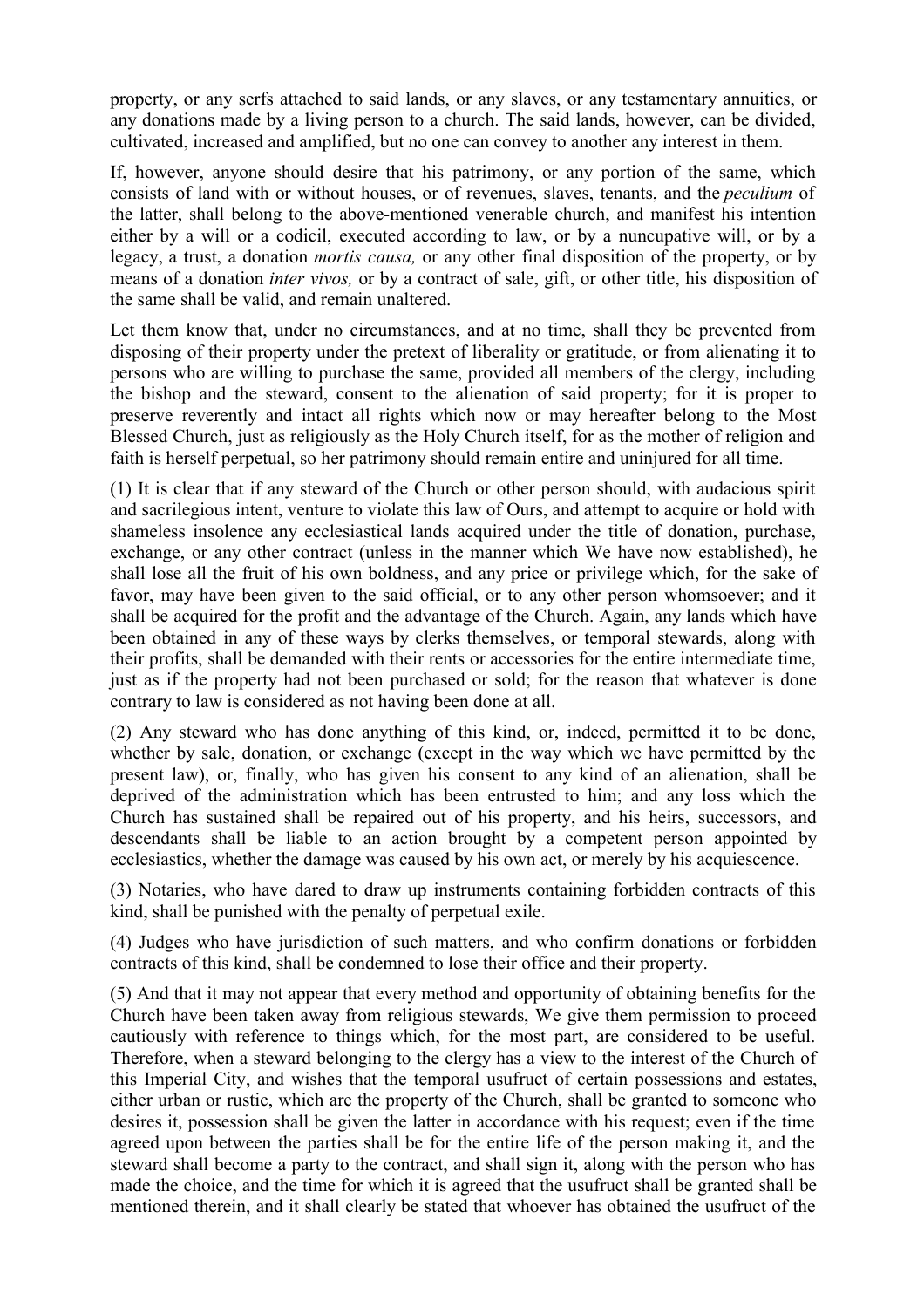property, or any serfs attached to said lands, or any slaves, or any testamentary annuities, or any donations made by a living person to a church. The said lands, however, can be divided, cultivated, increased and amplified, but no one can convey to another any interest in them.

If, however, anyone should desire that his patrimony, or any portion of the same, which consists of land with or without houses, or of revenues, slaves, tenants, and the *peculium* of the latter, shall belong to the above-mentioned venerable church, and manifest his intention either by a will or a codicil, executed according to law, or by a nuncupative will, or by a legacy, a trust, a donation *mortis causa,* or any other final disposition of the property, or by means of a donation *inter vivos,* or by a contract of sale, gift, or other title, his disposition of the same shall be valid, and remain unaltered.

Let them know that, under no circumstances, and at no time, shall they be prevented from disposing of their property under the pretext of liberality or gratitude, or from alienating it to persons who are willing to purchase the same, provided all members of the clergy, including the bishop and the steward, consent to the alienation of said property; for it is proper to preserve reverently and intact all rights which now or may hereafter belong to the Most Blessed Church, just as religiously as the Holy Church itself, for as the mother of religion and faith is herself perpetual, so her patrimony should remain entire and uninjured for all time.

(1) It is clear that if any steward of the Church or other person should, with audacious spirit and sacrilegious intent, venture to violate this law of Ours, and attempt to acquire or hold with shameless insolence any ecclesiastical lands acquired under the title of donation, purchase, exchange, or any other contract (unless in the manner which We have now established), he shall lose all the fruit of his own boldness, and any price or privilege which, for the sake of favor, may have been given to the said official, or to any other person whomsoever; and it shall be acquired for the profit and the advantage of the Church. Again, any lands which have been obtained in any of these ways by clerks themselves, or temporal stewards, along with their profits, shall be demanded with their rents or accessories for the entire intermediate time, just as if the property had not been purchased or sold; for the reason that whatever is done contrary to law is considered as not having been done at all.

(2) Any steward who has done anything of this kind, or, indeed, permitted it to be done, whether by sale, donation, or exchange (except in the way which we have permitted by the present law), or, finally, who has given his consent to any kind of an alienation, shall be deprived of the administration which has been entrusted to him; and any loss which the Church has sustained shall be repaired out of his property, and his heirs, successors, and descendants shall be liable to an action brought by a competent person appointed by ecclesiastics, whether the damage was caused by his own act, or merely by his acquiescence.

(3) Notaries, who have dared to draw up instruments containing forbidden contracts of this kind, shall be punished with the penalty of perpetual exile.

(4) Judges who have jurisdiction of such matters, and who confirm donations or forbidden contracts of this kind, shall be condemned to lose their office and their property.

(5) And that it may not appear that every method and opportunity of obtaining benefits for the Church have been taken away from religious stewards, We give them permission to proceed cautiously with reference to things which, for the most part, are considered to be useful. Therefore, when a steward belonging to the clergy has a view to the interest of the Church of this Imperial City, and wishes that the temporal usufruct of certain possessions and estates, either urban or rustic, which are the property of the Church, shall be granted to someone who desires it, possession shall be given the latter in accordance with his request; even if the time agreed upon between the parties shall be for the entire life of the person making it, and the steward shall become a party to the contract, and shall sign it, along with the person who has made the choice, and the time for which it is agreed that the usufruct shall be granted shall be mentioned therein, and it shall clearly be stated that whoever has obtained the usufruct of the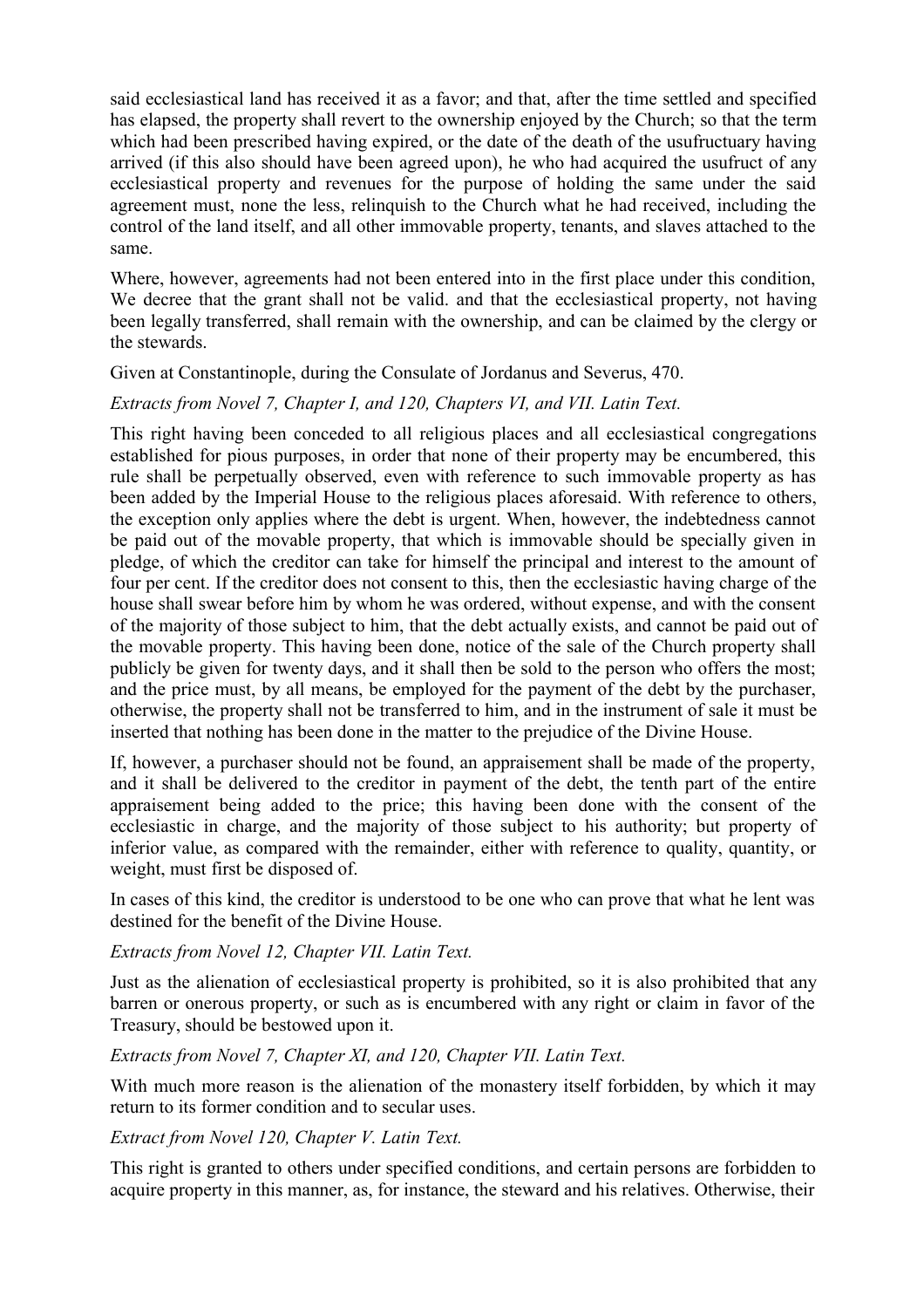said ecclesiastical land has received it as a favor; and that, after the time settled and specified has elapsed, the property shall revert to the ownership enjoyed by the Church; so that the term which had been prescribed having expired, or the date of the death of the usufructuary having arrived (if this also should have been agreed upon), he who had acquired the usufruct of any ecclesiastical property and revenues for the purpose of holding the same under the said agreement must, none the less, relinquish to the Church what he had received, including the control of the land itself, and all other immovable property, tenants, and slaves attached to the same.

Where, however, agreements had not been entered into in the first place under this condition, We decree that the grant shall not be valid, and that the ecclesiastical property, not having been legally transferred, shall remain with the ownership, and can be claimed by the clergy or the stewards.

Given at Constantinople, during the Consulate of Jordanus and Severus, 470.

## *Extracts from Novel 7, Chapter I, and 120, Chapters VI, and VII. Latin Text.*

This right having been conceded to all religious places and all ecclesiastical congregations established for pious purposes, in order that none of their property may be encumbered, this rule shall be perpetually observed, even with reference to such immovable property as has been added by the Imperial House to the religious places aforesaid. With reference to others, the exception only applies where the debt is urgent. When, however, the indebtedness cannot be paid out of the movable property, that which is immovable should be specially given in pledge, of which the creditor can take for himself the principal and interest to the amount of four per cent. If the creditor does not consent to this, then the ecclesiastic having charge of the house shall swear before him by whom he was ordered, without expense, and with the consent of the majority of those subject to him, that the debt actually exists, and cannot be paid out of the movable property. This having been done, notice of the sale of the Church property shall publicly be given for twenty days, and it shall then be sold to the person who offers the most; and the price must, by all means, be employed for the payment of the debt by the purchaser, otherwise, the property shall not be transferred to him, and in the instrument of sale it must be inserted that nothing has been done in the matter to the prejudice of the Divine House.

If, however, a purchaser should not be found, an appraisement shall be made of the property, and it shall be delivered to the creditor in payment of the debt, the tenth part of the entire appraisement being added to the price; this having been done with the consent of the ecclesiastic in charge, and the majority of those subject to his authority; but property of inferior value, as compared with the remainder, either with reference to quality, quantity, or weight, must first be disposed of.

In cases of this kind, the creditor is understood to be one who can prove that what he lent was destined for the benefit of the Divine House.

*Extracts from Novel 12, Chapter VII. Latin Text.*

Just as the alienation of ecclesiastical property is prohibited, so it is also prohibited that any barren or onerous property, or such as is encumbered with any right or claim in favor of the Treasury, should be bestowed upon it.

## *Extracts from Novel 7, Chapter XI, and 120, Chapter VII. Latin Text.*

With much more reason is the alienation of the monastery itself forbidden, by which it may return to its former condition and to secular uses.

## *Extract from Novel 120, Chapter V. Latin Text.*

This right is granted to others under specified conditions, and certain persons are forbidden to acquire property in this manner, as, for instance, the steward and his relatives. Otherwise, their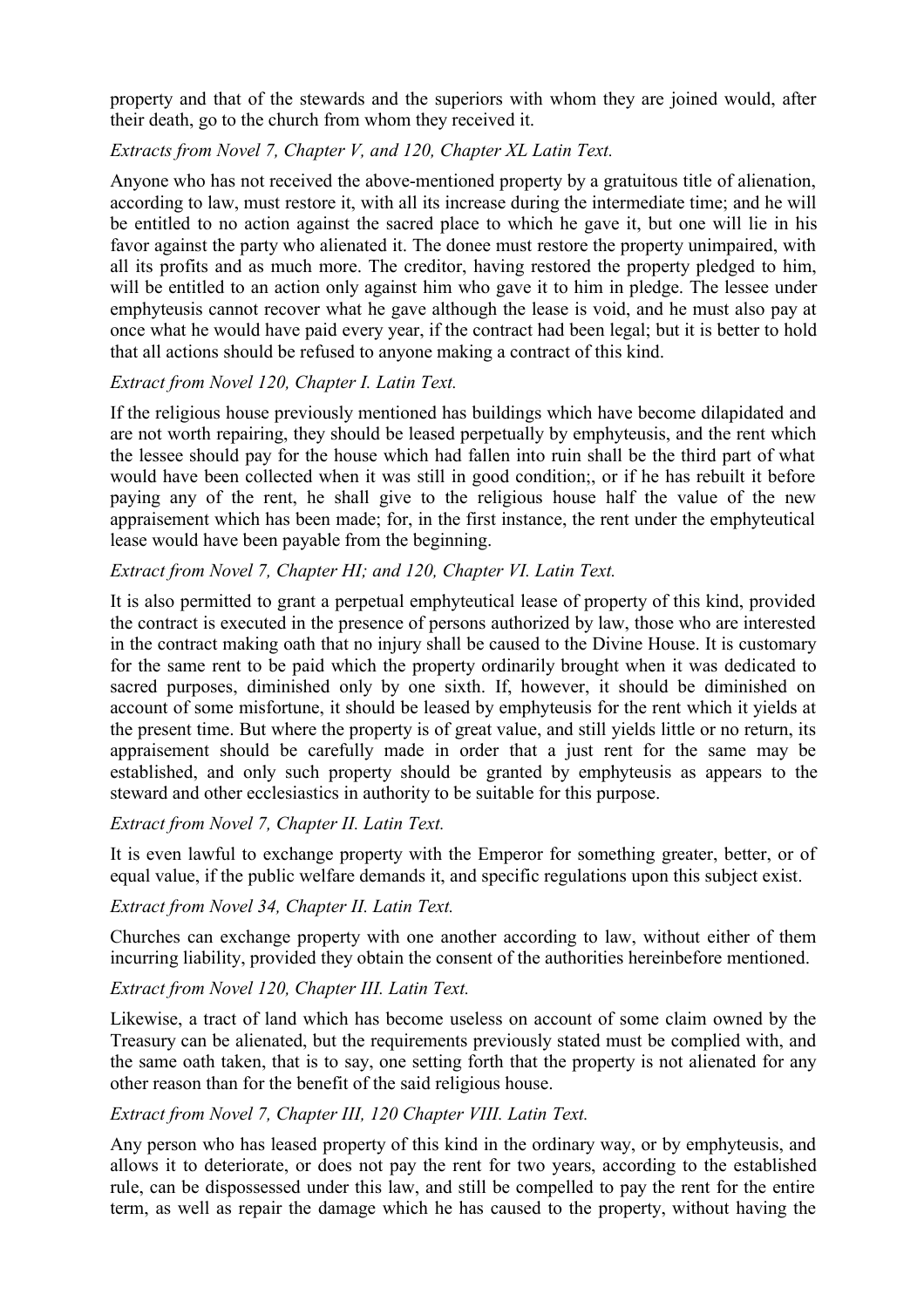property and that of the stewards and the superiors with whom they are joined would, after their death, go to the church from whom they received it.

## *Extracts from Novel 7, Chapter V, and 120, Chapter XL Latin Text.*

Anyone who has not received the above-mentioned property by a gratuitous title of alienation, according to law, must restore it, with all its increase during the intermediate time; and he will be entitled to no action against the sacred place to which he gave it, but one will lie in his favor against the party who alienated it. The donee must restore the property unimpaired, with all its profits and as much more. The creditor, having restored the property pledged to him, will be entitled to an action only against him who gave it to him in pledge. The lessee under emphyteusis cannot recover what he gave although the lease is void, and he must also pay at once what he would have paid every year, if the contract had been legal; but it is better to hold that all actions should be refused to anyone making a contract of this kind.

### *Extract from Novel 120, Chapter I. Latin Text.*

If the religious house previously mentioned has buildings which have become dilapidated and are not worth repairing, they should be leased perpetually by emphyteusis, and the rent which the lessee should pay for the house which had fallen into ruin shall be the third part of what would have been collected when it was still in good condition;, or if he has rebuilt it before paying any of the rent, he shall give to the religious house half the value of the new appraisement which has been made; for, in the first instance, the rent under the emphyteutical lease would have been payable from the beginning.

### *Extract from Novel 7, Chapter HI; and 120, Chapter VI. Latin Text.*

It is also permitted to grant a perpetual emphyteutical lease of property of this kind, provided the contract is executed in the presence of persons authorized by law, those who are interested in the contract making oath that no injury shall be caused to the Divine House. It is customary for the same rent to be paid which the property ordinarily brought when it was dedicated to sacred purposes, diminished only by one sixth. If, however, it should be diminished on account of some misfortune, it should be leased by emphyteusis for the rent which it yields at the present time. But where the property is of great value, and still yields little or no return, its appraisement should be carefully made in order that a just rent for the same may be established, and only such property should be granted by emphyteusis as appears to the steward and other ecclesiastics in authority to be suitable for this purpose.

#### *Extract from Novel 7, Chapter II. Latin Text.*

It is even lawful to exchange property with the Emperor for something greater, better, or of equal value, if the public welfare demands it, and specific regulations upon this subject exist.

#### *Extract from Novel 34, Chapter II. Latin Text.*

Churches can exchange property with one another according to law, without either of them incurring liability, provided they obtain the consent of the authorities hereinbefore mentioned.

#### *Extract from Novel 120, Chapter III. Latin Text.*

Likewise, a tract of land which has become useless on account of some claim owned by the Treasury can be alienated, but the requirements previously stated must be complied with, and the same oath taken, that is to say, one setting forth that the property is not alienated for any other reason than for the benefit of the said religious house.

#### *Extract from Novel 7, Chapter III, 120 Chapter VIII. Latin Text.*

Any person who has leased property of this kind in the ordinary way, or by emphyteusis, and allows it to deteriorate, or does not pay the rent for two years, according to the established rule, can be dispossessed under this law, and still be compelled to pay the rent for the entire term, as well as repair the damage which he has caused to the property, without having the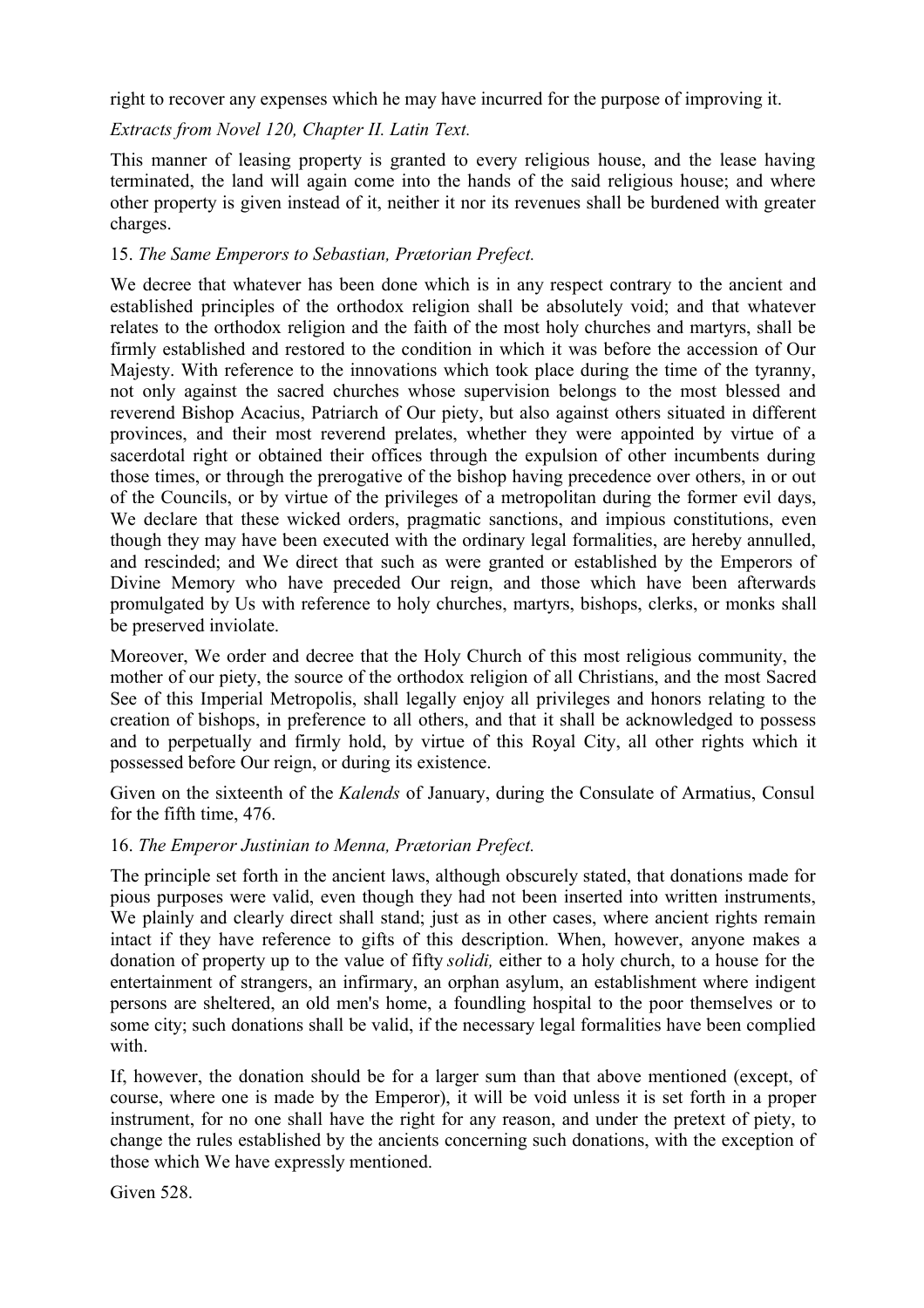right to recover any expenses which he may have incurred for the purpose of improving it.

## *Extracts from Novel 120, Chapter II. Latin Text.*

This manner of leasing property is granted to every religious house, and the lease having terminated, the land will again come into the hands of the said religious house; and where other property is given instead of it, neither it nor its revenues shall be burdened with greater charges.

## 15. *The Same Emperors to Sebastian, Prætorian Prefect.*

We decree that whatever has been done which is in any respect contrary to the ancient and established principles of the orthodox religion shall be absolutely void; and that whatever relates to the orthodox religion and the faith of the most holy churches and martyrs, shall be firmly established and restored to the condition in which it was before the accession of Our Majesty. With reference to the innovations which took place during the time of the tyranny, not only against the sacred churches whose supervision belongs to the most blessed and reverend Bishop Acacius, Patriarch of Our piety, but also against others situated in different provinces, and their most reverend prelates, whether they were appointed by virtue of a sacerdotal right or obtained their offices through the expulsion of other incumbents during those times, or through the prerogative of the bishop having precedence over others, in or out of the Councils, or by virtue of the privileges of a metropolitan during the former evil days, We declare that these wicked orders, pragmatic sanctions, and impious constitutions, even though they may have been executed with the ordinary legal formalities, are hereby annulled, and rescinded; and We direct that such as were granted or established by the Emperors of Divine Memory who have preceded Our reign, and those which have been afterwards promulgated by Us with reference to holy churches, martyrs, bishops, clerks, or monks shall be preserved inviolate.

Moreover, We order and decree that the Holy Church of this most religious community, the mother of our piety, the source of the orthodox religion of all Christians, and the most Sacred See of this Imperial Metropolis, shall legally enjoy all privileges and honors relating to the creation of bishops, in preference to all others, and that it shall be acknowledged to possess and to perpetually and firmly hold, by virtue of this Royal City, all other rights which it possessed before Our reign, or during its existence.

Given on the sixteenth of the *Kalends* of January, during the Consulate of Armatius, Consul for the fifth time, 476.

## 16. *The Emperor Justinian to Menna, Prætorian Prefect.*

The principle set forth in the ancient laws, although obscurely stated, that donations made for pious purposes were valid, even though they had not been inserted into written instruments, We plainly and clearly direct shall stand; just as in other cases, where ancient rights remain intact if they have reference to gifts of this description. When, however, anyone makes a donation of property up to the value of fifty *solidi,* either to a holy church, to a house for the entertainment of strangers, an infirmary, an orphan asylum, an establishment where indigent persons are sheltered, an old men's home, a foundling hospital to the poor themselves or to some city; such donations shall be valid, if the necessary legal formalities have been complied with.

If, however, the donation should be for a larger sum than that above mentioned (except, of course, where one is made by the Emperor), it will be void unless it is set forth in a proper instrument, for no one shall have the right for any reason, and under the pretext of piety, to change the rules established by the ancients concerning such donations, with the exception of those which We have expressly mentioned.

Given 528.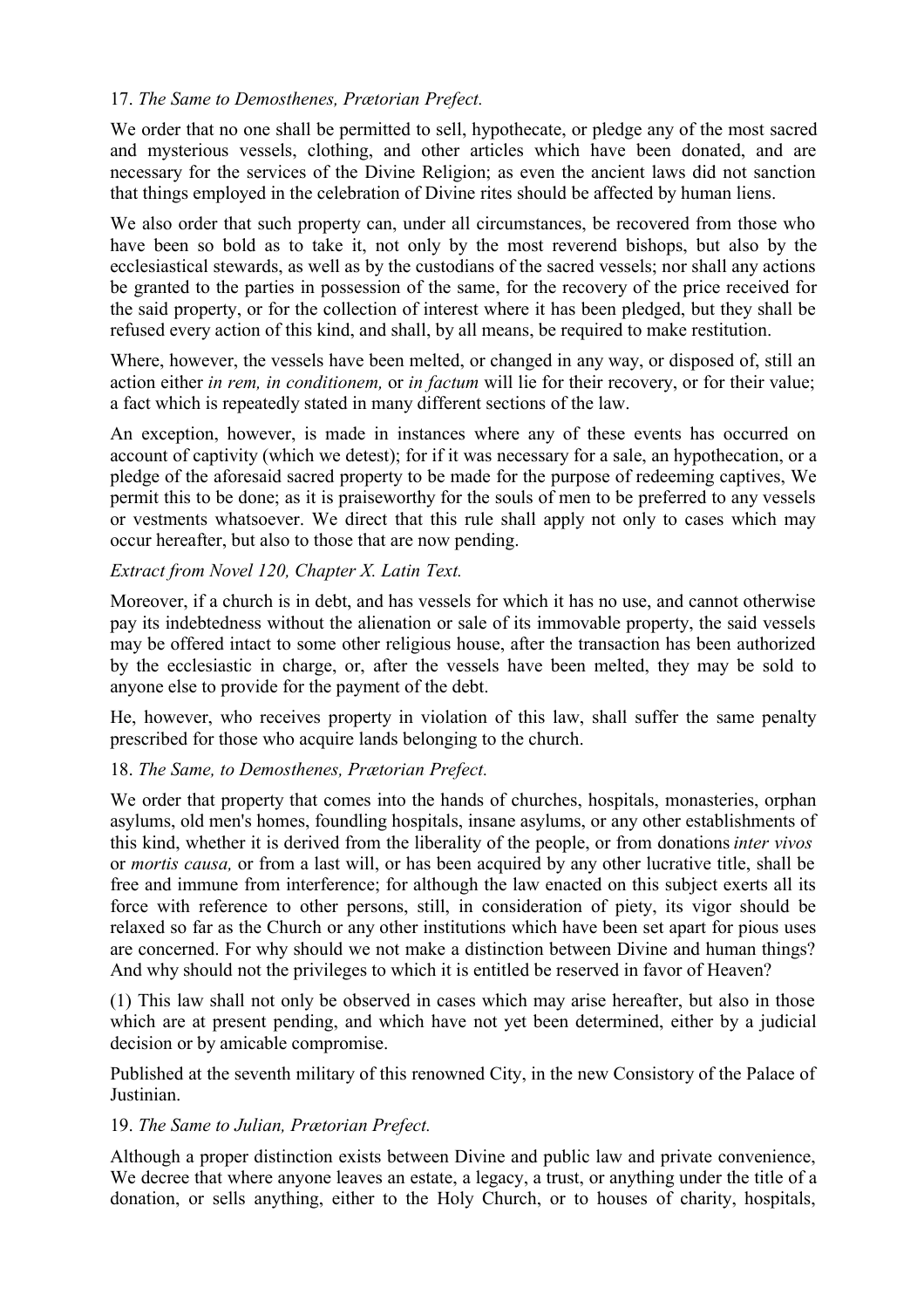## 17. *The Same to Demosthenes, Prætorian Prefect.*

We order that no one shall be permitted to sell, hypothecate, or pledge any of the most sacred and mysterious vessels, clothing, and other articles which have been donated, and are necessary for the services of the Divine Religion; as even the ancient laws did not sanction that things employed in the celebration of Divine rites should be affected by human liens.

We also order that such property can, under all circumstances, be recovered from those who have been so bold as to take it, not only by the most reverend bishops, but also by the ecclesiastical stewards, as well as by the custodians of the sacred vessels; nor shall any actions be granted to the parties in possession of the same, for the recovery of the price received for the said property, or for the collection of interest where it has been pledged, but they shall be refused every action of this kind, and shall, by all means, be required to make restitution.

Where, however, the vessels have been melted, or changed in any way, or disposed of, still an action either *in rem, in conditionem,* or *in factum* will lie for their recovery, or for their value; a fact which is repeatedly stated in many different sections of the law.

An exception, however, is made in instances where any of these events has occurred on account of captivity (which we detest); for if it was necessary for a sale, an hypothecation, or a pledge of the aforesaid sacred property to be made for the purpose of redeeming captives, We permit this to be done; as it is praiseworthy for the souls of men to be preferred to any vessels or vestments whatsoever. We direct that this rule shall apply not only to cases which may occur hereafter, but also to those that are now pending.

## *Extract from Novel 120, Chapter X. Latin Text.*

Moreover, if a church is in debt, and has vessels for which it has no use, and cannot otherwise pay its indebtedness without the alienation or sale of its immovable property, the said vessels may be offered intact to some other religious house, after the transaction has been authorized by the ecclesiastic in charge, or, after the vessels have been melted, they may be sold to anyone else to provide for the payment of the debt.

He, however, who receives property in violation of this law, shall suffer the same penalty prescribed for those who acquire lands belonging to the church.

## 18. *The Same, to Demosthenes, Prætorian Prefect.*

We order that property that comes into the hands of churches, hospitals, monasteries, orphan asylums, old men's homes, foundling hospitals, insane asylums, or any other establishments of this kind, whether it is derived from the liberality of the people, or from donations *inter vivos* or *mortis causa,* or from a last will, or has been acquired by any other lucrative title, shall be free and immune from interference; for although the law enacted on this subject exerts all its force with reference to other persons, still, in consideration of piety, its vigor should be relaxed so far as the Church or any other institutions which have been set apart for pious uses are concerned. For why should we not make a distinction between Divine and human things? And why should not the privileges to which it is entitled be reserved in favor of Heaven?

(1) This law shall not only be observed in cases which may arise hereafter, but also in those which are at present pending, and which have not yet been determined, either by a judicial decision or by amicable compromise.

Published at the seventh military of this renowned City, in the new Consistory of the Palace of Justinian.

## 19. *The Same to Julian, Prætorian Prefect.*

Although a proper distinction exists between Divine and public law and private convenience, We decree that where anyone leaves an estate, a legacy, a trust, or anything under the title of a donation, or sells anything, either to the Holy Church, or to houses of charity, hospitals,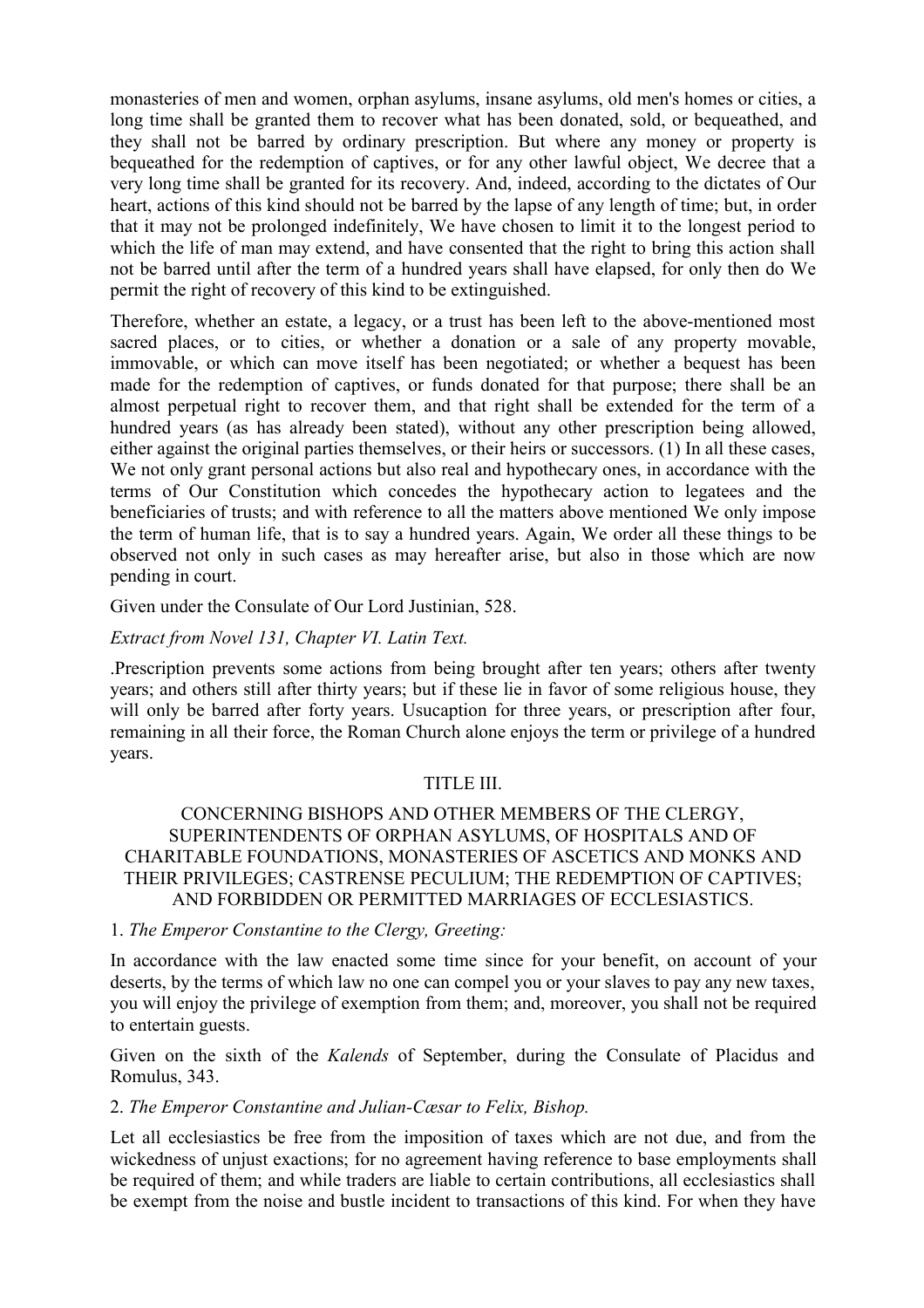monasteries of men and women, orphan asylums, insane asylums, old men's homes or cities, a long time shall be granted them to recover what has been donated, sold, or bequeathed, and they shall not be barred by ordinary prescription. But where any money or property is bequeathed for the redemption of captives, or for any other lawful object, We decree that a very long time shall be granted for its recovery. And, indeed, according to the dictates of Our heart, actions of this kind should not be barred by the lapse of any length of time; but, in order that it may not be prolonged indefinitely, We have chosen to limit it to the longest period to which the life of man may extend, and have consented that the right to bring this action shall not be barred until after the term of a hundred years shall have elapsed, for only then do We permit the right of recovery of this kind to be extinguished.

Therefore, whether an estate, a legacy, or a trust has been left to the above-mentioned most sacred places, or to cities, or whether a donation or a sale of any property movable, immovable, or which can move itself has been negotiated; or whether a bequest has been made for the redemption of captives, or funds donated for that purpose; there shall be an almost perpetual right to recover them, and that right shall be extended for the term of a hundred years (as has already been stated), without any other prescription being allowed, either against the original parties themselves, or their heirs or successors. (1) In all these cases, We not only grant personal actions but also real and hypothecary ones, in accordance with the terms of Our Constitution which concedes the hypothecary action to legatees and the beneficiaries of trusts; and with reference to all the matters above mentioned We only impose the term of human life, that is to say a hundred years. Again, We order all these things to be observed not only in such cases as may hereafter arise, but also in those which are now pending in court.

Given under the Consulate of Our Lord Justinian, 528.

#### *Extract from Novel 131, Chapter VI. Latin Text.*

.Prescription prevents some actions from being brought after ten years; others after twenty years; and others still after thirty years; but if these lie in favor of some religious house, they will only be barred after forty years. Usucaption for three years, or prescription after four, remaining in all their force, the Roman Church alone enjoys the term or privilege of a hundred years.

#### TITLE III.

### CONCERNING BISHOPS AND OTHER MEMBERS OF THE CLERGY, SUPERINTENDENTS OF ORPHAN ASYLUMS, OF HOSPITALS AND OF CHARITABLE FOUNDATIONS, MONASTERIES OF ASCETICS AND MONKS AND THEIR PRIVILEGES; CASTRENSE PECULIUM; THE REDEMPTION OF CAPTIVES; AND FORBIDDEN OR PERMITTED MARRIAGES OF ECCLESIASTICS.

#### 1. *The Emperor Constantine to the Clergy, Greeting:*

In accordance with the law enacted some time since for your benefit, on account of your deserts, by the terms of which law no one can compel you or your slaves to pay any new taxes, you will enjoy the privilege of exemption from them; and, moreover, you shall not be required to entertain guests.

Given on the sixth of the *Kalends* of September, during the Consulate of Placidus and Romulus, 343.

#### 2. *The Emperor Constantine and Julian-Cæsar to Felix, Bishop.*

Let all ecclesiastics be free from the imposition of taxes which are not due, and from the wickedness of unjust exactions; for no agreement having reference to base employments shall be required of them; and while traders are liable to certain contributions, all ecclesiastics shall be exempt from the noise and bustle incident to transactions of this kind. For when they have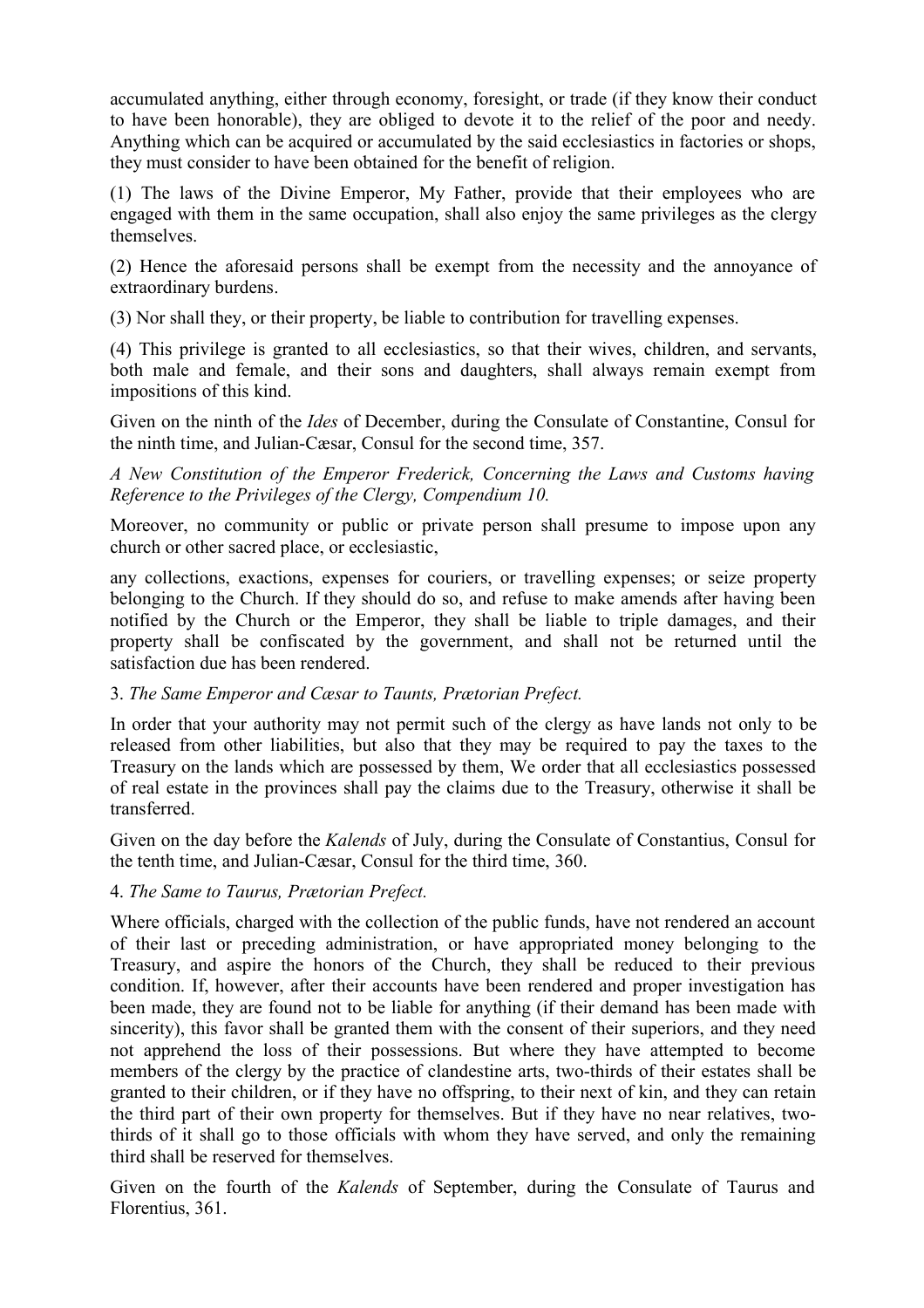accumulated anything, either through economy, foresight, or trade (if they know their conduct to have been honorable), they are obliged to devote it to the relief of the poor and needy. Anything which can be acquired or accumulated by the said ecclesiastics in factories or shops, they must consider to have been obtained for the benefit of religion.

(1) The laws of the Divine Emperor, My Father, provide that their employees who are engaged with them in the same occupation, shall also enjoy the same privileges as the clergy themselves.

(2) Hence the aforesaid persons shall be exempt from the necessity and the annoyance of extraordinary burdens.

(3) Nor shall they, or their property, be liable to contribution for travelling expenses.

(4) This privilege is granted to all ecclesiastics, so that their wives, children, and servants, both male and female, and their sons and daughters, shall always remain exempt from impositions of this kind.

Given on the ninth of the *Ides* of December, during the Consulate of Constantine, Consul for the ninth time, and Julian-Cæsar, Consul for the second time, 357.

*A New Constitution of the Emperor Frederick, Concerning the Laws and Customs having Reference to the Privileges of the Clergy, Compendium 10.*

Moreover, no community or public or private person shall presume to impose upon any church or other sacred place, or ecclesiastic,

any collections, exactions, expenses for couriers, or travelling expenses; or seize property belonging to the Church. If they should do so, and refuse to make amends after having been notified by the Church or the Emperor, they shall be liable to triple damages, and their property shall be confiscated by the government, and shall not be returned until the satisfaction due has been rendered.

## 3. *The Same Emperor and Cæsar to Taunts, Prætorian Prefect.*

In order that your authority may not permit such of the clergy as have lands not only to be released from other liabilities, but also that they may be required to pay the taxes to the Treasury on the lands which are possessed by them, We order that all ecclesiastics possessed of real estate in the provinces shall pay the claims due to the Treasury, otherwise it shall be transferred.

Given on the day before the *Kalends* of July, during the Consulate of Constantius, Consul for the tenth time, and Julian-Cæsar, Consul for the third time, 360.

## 4. *The Same to Taurus, Prætorian Prefect.*

Where officials, charged with the collection of the public funds, have not rendered an account of their last or preceding administration, or have appropriated money belonging to the Treasury, and aspire the honors of the Church, they shall be reduced to their previous condition. If, however, after their accounts have been rendered and proper investigation has been made, they are found not to be liable for anything (if their demand has been made with sincerity), this favor shall be granted them with the consent of their superiors, and they need not apprehend the loss of their possessions. But where they have attempted to become members of the clergy by the practice of clandestine arts, two-thirds of their estates shall be granted to their children, or if they have no offspring, to their next of kin, and they can retain the third part of their own property for themselves. But if they have no near relatives, twothirds of it shall go to those officials with whom they have served, and only the remaining third shall be reserved for themselves.

Given on the fourth of the *Kalends* of September, during the Consulate of Taurus and Florentius, 361.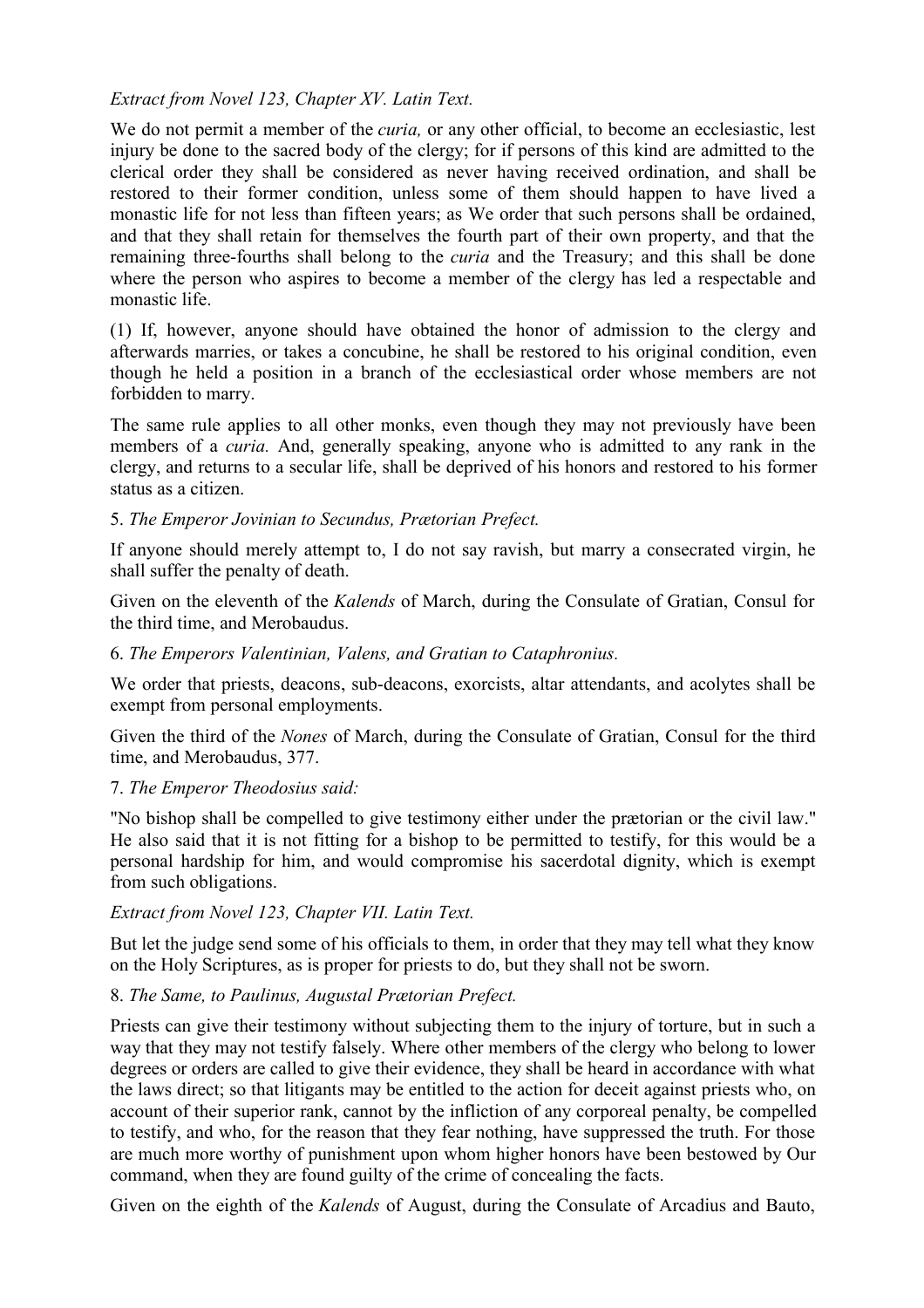## *Extract from Novel 123, Chapter XV. Latin Text.*

We do not permit a member of the *curia,* or any other official, to become an ecclesiastic, lest injury be done to the sacred body of the clergy; for if persons of this kind are admitted to the clerical order they shall be considered as never having received ordination, and shall be restored to their former condition, unless some of them should happen to have lived a monastic life for not less than fifteen years; as We order that such persons shall be ordained, and that they shall retain for themselves the fourth part of their own property, and that the remaining three-fourths shall belong to the *curia* and the Treasury; and this shall be done where the person who aspires to become a member of the clergy has led a respectable and monastic life.

(1) If, however, anyone should have obtained the honor of admission to the clergy and afterwards marries, or takes a concubine, he shall be restored to his original condition, even though he held a position in a branch of the ecclesiastical order whose members are not forbidden to marry.

The same rule applies to all other monks, even though they may not previously have been members of a *curia.* And, generally speaking, anyone who is admitted to any rank in the clergy, and returns to a secular life, shall be deprived of his honors and restored to his former status as a citizen.

### 5. *The Emperor Jovinian to Secundus, Prætorian Prefect.*

If anyone should merely attempt to, I do not say ravish, but marry a consecrated virgin, he shall suffer the penalty of death.

Given on the eleventh of the *Kalends* of March, during the Consulate of Gratian, Consul for the third time, and Merobaudus.

#### 6. *The Emperors Valentinian, Valens, and Gratian to Cataphronius.*

We order that priests, deacons, sub-deacons, exorcists, altar attendants, and acolytes shall be exempt from personal employments.

Given the third of the *Nones* of March, during the Consulate of Gratian, Consul for the third time, and Merobaudus, 377.

#### 7. *The Emperor Theodosius said:*

"No bishop shall be compelled to give testimony either under the prætorian or the civil law." He also said that it is not fitting for a bishop to be permitted to testify, for this would be a personal hardship for him, and would compromise his sacerdotal dignity, which is exempt from such obligations.

#### *Extract from Novel 123, Chapter VII. Latin Text.*

But let the judge send some of his officials to them, in order that they may tell what they know on the Holy Scriptures, as is proper for priests to do, but they shall not be sworn.

#### 8. *The Same, to Paulinus, Augustal Prætorian Prefect.*

Priests can give their testimony without subjecting them to the injury of torture, but in such a way that they may not testify falsely. Where other members of the clergy who belong to lower degrees or orders are called to give their evidence, they shall be heard in accordance with what the laws direct; so that litigants may be entitled to the action for deceit against priests who, on account of their superior rank, cannot by the infliction of any corporeal penalty, be compelled to testify, and who, for the reason that they fear nothing, have suppressed the truth. For those are much more worthy of punishment upon whom higher honors have been bestowed by Our command, when they are found guilty of the crime of concealing the facts.

Given on the eighth of the *Kalends* of August, during the Consulate of Arcadius and Bauto,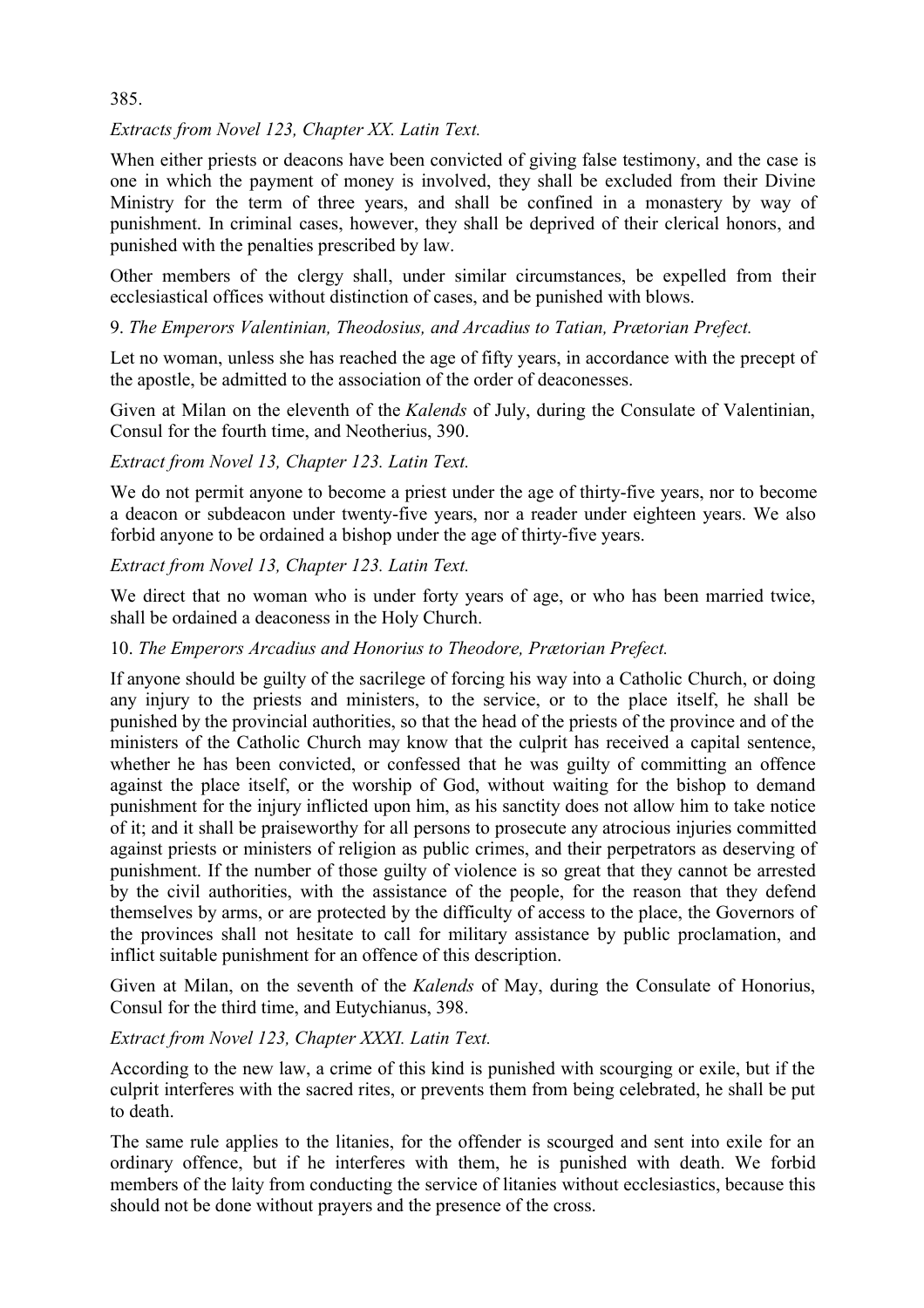385.

## *Extracts from Novel 123, Chapter XX. Latin Text.*

When either priests or deacons have been convicted of giving false testimony, and the case is one in which the payment of money is involved, they shall be excluded from their Divine Ministry for the term of three years, and shall be confined in a monastery by way of punishment. In criminal cases, however, they shall be deprived of their clerical honors, and punished with the penalties prescribed by law.

Other members of the clergy shall, under similar circumstances, be expelled from their ecclesiastical offices without distinction of cases, and be punished with blows.

### 9. *The Emperors Valentinian, Theodosius, and Arcadius to Tatian, Prætorian Prefect.*

Let no woman, unless she has reached the age of fifty years, in accordance with the precept of the apostle, be admitted to the association of the order of deaconesses.

Given at Milan on the eleventh of the *Kalends* of July, during the Consulate of Valentinian, Consul for the fourth time, and Neotherius, 390.

### *Extract from Novel 13, Chapter 123. Latin Text.*

We do not permit anyone to become a priest under the age of thirty-five years, nor to become a deacon or subdeacon under twenty-five years, nor a reader under eighteen years. We also forbid anyone to be ordained a bishop under the age of thirty-five years.

### *Extract from Novel 13, Chapter 123. Latin Text.*

We direct that no woman who is under forty years of age, or who has been married twice, shall be ordained a deaconess in the Holy Church.

#### 10. *The Emperors Arcadius and Honorius to Theodore, Prætorian Prefect.*

If anyone should be guilty of the sacrilege of forcing his way into a Catholic Church, or doing any injury to the priests and ministers, to the service, or to the place itself, he shall be punished by the provincial authorities, so that the head of the priests of the province and of the ministers of the Catholic Church may know that the culprit has received a capital sentence, whether he has been convicted, or confessed that he was guilty of committing an offence against the place itself, or the worship of God, without waiting for the bishop to demand punishment for the injury inflicted upon him, as his sanctity does not allow him to take notice of it; and it shall be praiseworthy for all persons to prosecute any atrocious injuries committed against priests or ministers of religion as public crimes, and their perpetrators as deserving of punishment. If the number of those guilty of violence is so great that they cannot be arrested by the civil authorities, with the assistance of the people, for the reason that they defend themselves by arms, or are protected by the difficulty of access to the place, the Governors of the provinces shall not hesitate to call for military assistance by public proclamation, and inflict suitable punishment for an offence of this description.

Given at Milan, on the seventh of the *Kalends* of May, during the Consulate of Honorius, Consul for the third time, and Eutychianus, 398.

## *Extract from Novel 123, Chapter XXXI. Latin Text.*

According to the new law, a crime of this kind is punished with scourging or exile, but if the culprit interferes with the sacred rites, or prevents them from being celebrated, he shall be put to death.

The same rule applies to the litanies, for the offender is scourged and sent into exile for an ordinary offence, but if he interferes with them, he is punished with death. We forbid members of the laity from conducting the service of litanies without ecclesiastics, because this should not be done without prayers and the presence of the cross.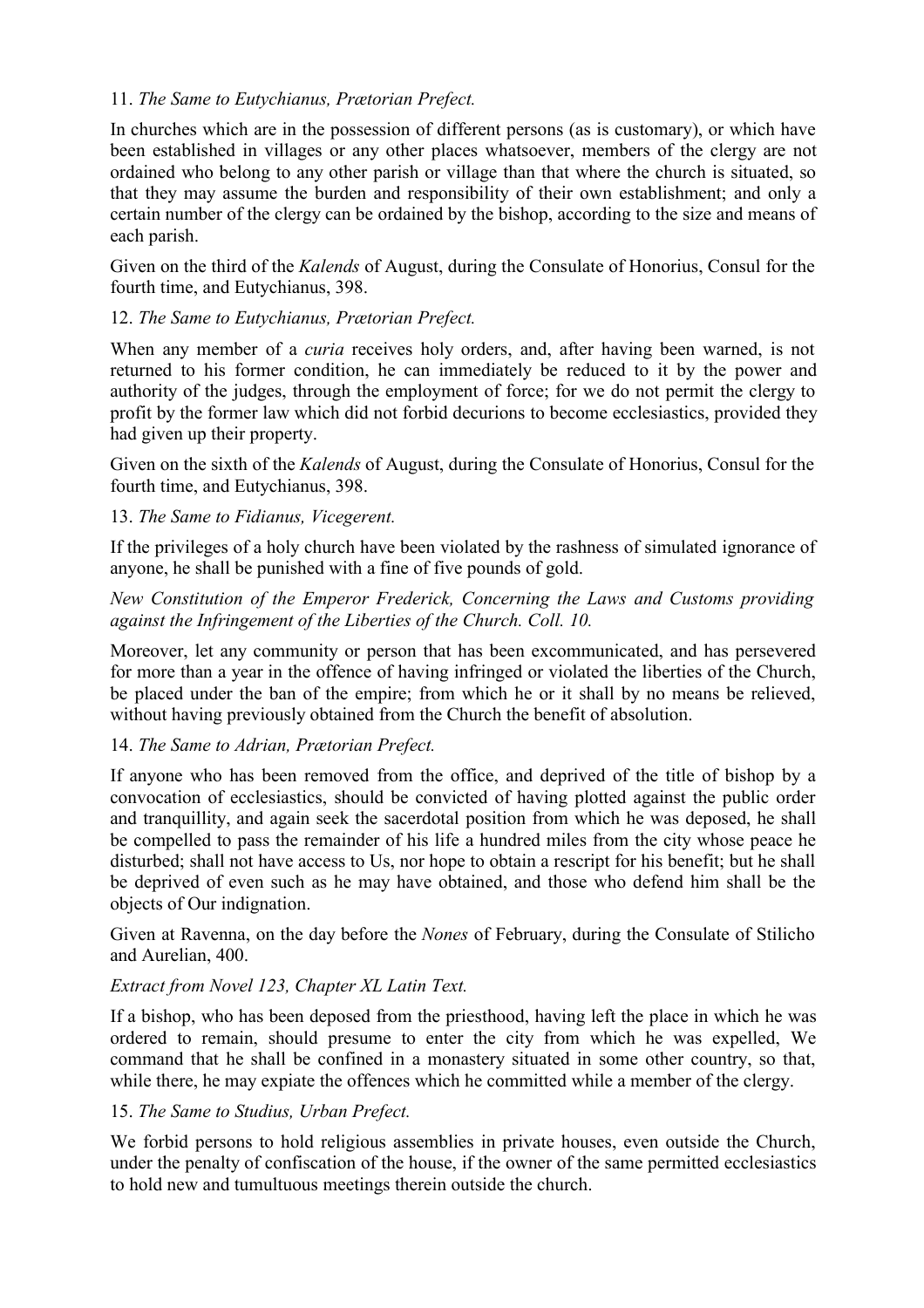## 11. *The Same to Eutychianus, Prætorian Prefect.*

In churches which are in the possession of different persons (as is customary), or which have been established in villages or any other places whatsoever, members of the clergy are not ordained who belong to any other parish or village than that where the church is situated, so that they may assume the burden and responsibility of their own establishment; and only a certain number of the clergy can be ordained by the bishop, according to the size and means of each parish.

Given on the third of the *Kalends* of August, during the Consulate of Honorius, Consul for the fourth time, and Eutychianus, 398.

#### 12. *The Same to Eutychianus, Prætorian Prefect.*

When any member of a *curia* receives holy orders, and, after having been warned, is not returned to his former condition, he can immediately be reduced to it by the power and authority of the judges, through the employment of force; for we do not permit the clergy to profit by the former law which did not forbid decurions to become ecclesiastics, provided they had given up their property.

Given on the sixth of the *Kalends* of August, during the Consulate of Honorius, Consul for the fourth time, and Eutychianus, 398.

### 13. *The Same to Fidianus, Vicegerent.*

If the privileges of a holy church have been violated by the rashness of simulated ignorance of anyone, he shall be punished with a fine of five pounds of gold.

### *New Constitution of the Emperor Frederick, Concerning the Laws and Customs providing against the Infringement of the Liberties of the Church. Coll. 10.*

Moreover, let any community or person that has been excommunicated, and has persevered for more than a year in the offence of having infringed or violated the liberties of the Church, be placed under the ban of the empire; from which he or it shall by no means be relieved, without having previously obtained from the Church the benefit of absolution.

#### 14. *The Same to Adrian, Prætorian Prefect.*

If anyone who has been removed from the office, and deprived of the title of bishop by a convocation of ecclesiastics, should be convicted of having plotted against the public order and tranquillity, and again seek the sacerdotal position from which he was deposed, he shall be compelled to pass the remainder of his life a hundred miles from the city whose peace he disturbed; shall not have access to Us, nor hope to obtain a rescript for his benefit; but he shall be deprived of even such as he may have obtained, and those who defend him shall be the objects of Our indignation.

Given at Ravenna, on the day before the *Nones* of February, during the Consulate of Stilicho and Aurelian, 400.

#### *Extract from Novel 123, Chapter XL Latin Text.*

If a bishop, who has been deposed from the priesthood, having left the place in which he was ordered to remain, should presume to enter the city from which he was expelled, We command that he shall be confined in a monastery situated in some other country, so that, while there, he may expiate the offences which he committed while a member of the clergy.

#### 15. *The Same to Studius, Urban Prefect.*

We forbid persons to hold religious assemblies in private houses, even outside the Church, under the penalty of confiscation of the house, if the owner of the same permitted ecclesiastics to hold new and tumultuous meetings therein outside the church.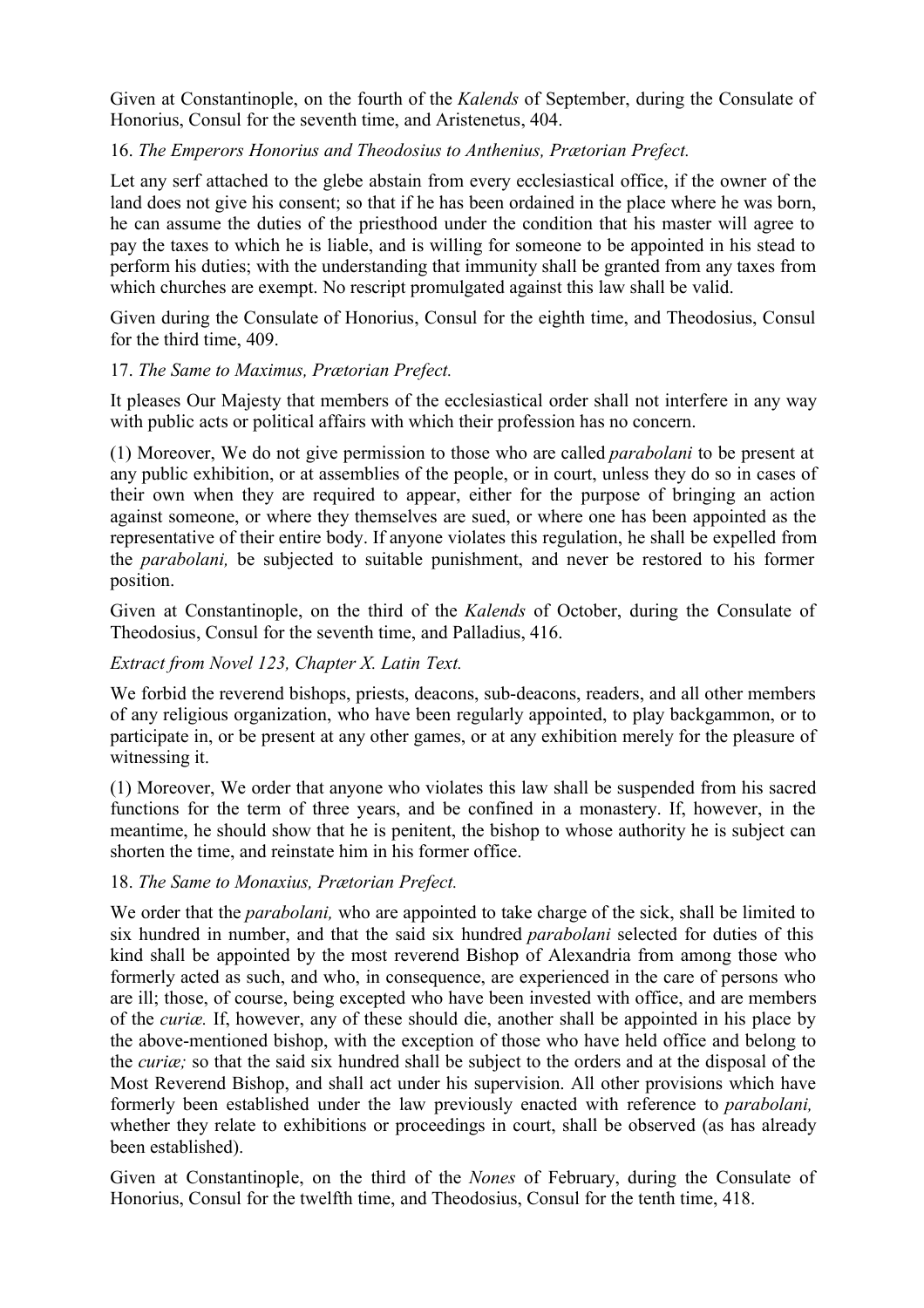Given at Constantinople, on the fourth of the *Kalends* of September, during the Consulate of Honorius, Consul for the seventh time, and Aristenetus, 404.

# 16. *The Emperors Honorius and Theodosius to Anthenius, Prætorian Prefect.*

Let any serf attached to the glebe abstain from every ecclesiastical office, if the owner of the land does not give his consent; so that if he has been ordained in the place where he was born, he can assume the duties of the priesthood under the condition that his master will agree to pay the taxes to which he is liable, and is willing for someone to be appointed in his stead to perform his duties; with the understanding that immunity shall be granted from any taxes from which churches are exempt. No rescript promulgated against this law shall be valid.

Given during the Consulate of Honorius, Consul for the eighth time, and Theodosius, Consul for the third time, 409.

## 17. *The Same to Maximus, Prætorian Prefect.*

It pleases Our Majesty that members of the ecclesiastical order shall not interfere in any way with public acts or political affairs with which their profession has no concern.

(1) Moreover, We do not give permission to those who are called *parabolani* to be present at any public exhibition, or at assemblies of the people, or in court, unless they do so in cases of their own when they are required to appear, either for the purpose of bringing an action against someone, or where they themselves are sued, or where one has been appointed as the representative of their entire body. If anyone violates this regulation, he shall be expelled from the *parabolani,* be subjected to suitable punishment, and never be restored to his former position.

Given at Constantinople, on the third of the *Kalends* of October, during the Consulate of Theodosius, Consul for the seventh time, and Palladius, 416.

## *Extract from Novel 123, Chapter X. Latin Text.*

We forbid the reverend bishops, priests, deacons, sub-deacons, readers, and all other members of any religious organization, who have been regularly appointed, to play backgammon, or to participate in, or be present at any other games, or at any exhibition merely for the pleasure of witnessing it.

(1) Moreover, We order that anyone who violates this law shall be suspended from his sacred functions for the term of three years, and be confined in a monastery. If, however, in the meantime, he should show that he is penitent, the bishop to whose authority he is subject can shorten the time, and reinstate him in his former office.

## 18. *The Same to Monaxius, Prætorian Prefect.*

We order that the *parabolani,* who are appointed to take charge of the sick, shall be limited to six hundred in number, and that the said six hundred *parabolani* selected for duties of this kind shall be appointed by the most reverend Bishop of Alexandria from among those who formerly acted as such, and who, in consequence, are experienced in the care of persons who are ill; those, of course, being excepted who have been invested with office, and are members of the *curiæ.* If, however, any of these should die, another shall be appointed in his place by the above-mentioned bishop, with the exception of those who have held office and belong to the *curiæ;* so that the said six hundred shall be subject to the orders and at the disposal of the Most Reverend Bishop, and shall act under his supervision. All other provisions which have formerly been established under the law previously enacted with reference to *parabolani,* whether they relate to exhibitions or proceedings in court, shall be observed (as has already been established).

Given at Constantinople, on the third of the *Nones* of February, during the Consulate of Honorius, Consul for the twelfth time, and Theodosius, Consul for the tenth time, 418.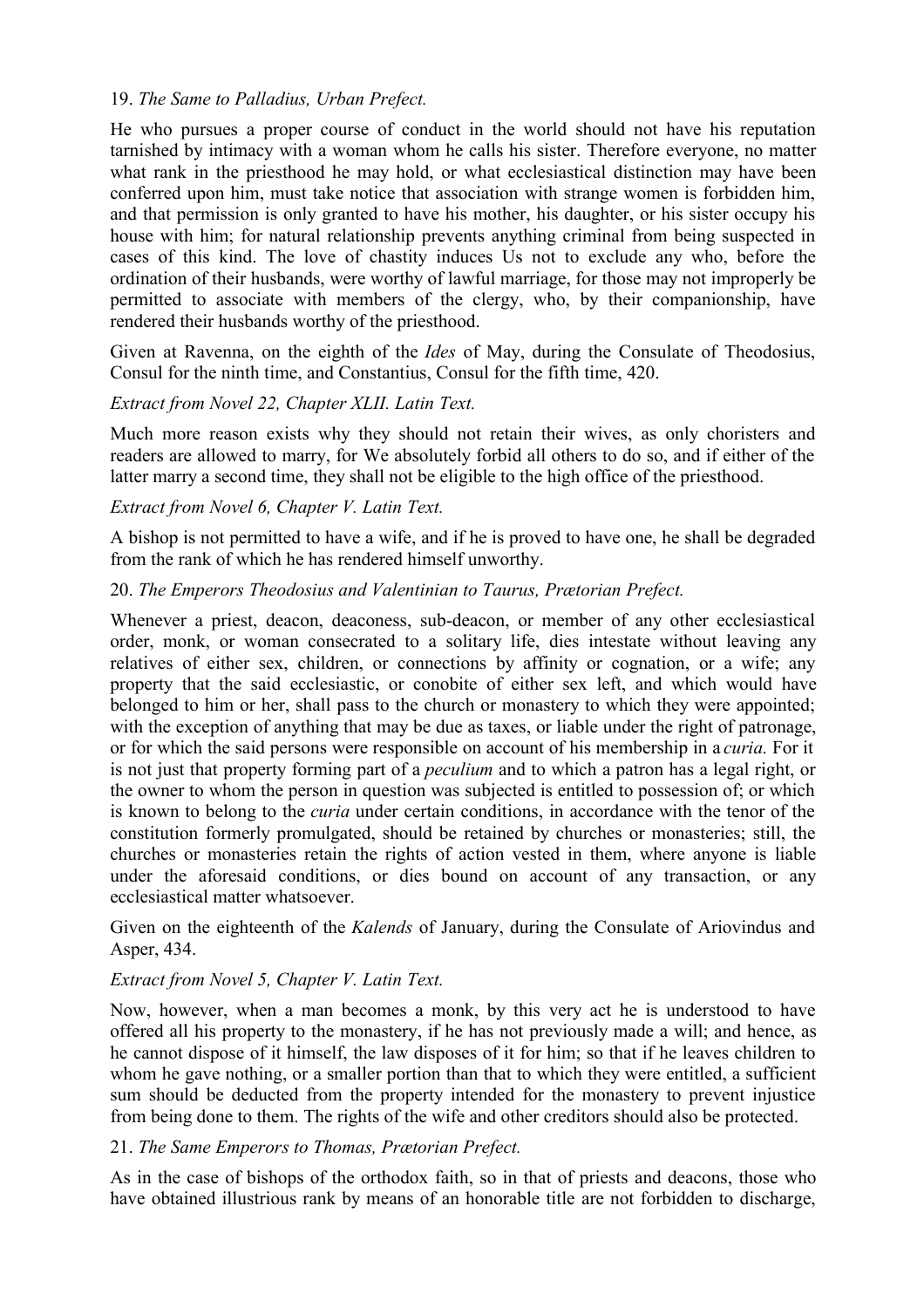### 19. *The Same to Palladius, Urban Prefect.*

He who pursues a proper course of conduct in the world should not have his reputation tarnished by intimacy with a woman whom he calls his sister. Therefore everyone, no matter what rank in the priesthood he may hold, or what ecclesiastical distinction may have been conferred upon him, must take notice that association with strange women is forbidden him, and that permission is only granted to have his mother, his daughter, or his sister occupy his house with him; for natural relationship prevents anything criminal from being suspected in cases of this kind. The love of chastity induces Us not to exclude any who, before the ordination of their husbands, were worthy of lawful marriage, for those may not improperly be permitted to associate with members of the clergy, who, by their companionship, have rendered their husbands worthy of the priesthood.

Given at Ravenna, on the eighth of the *Ides* of May, during the Consulate of Theodosius, Consul for the ninth time, and Constantius, Consul for the fifth time, 420.

### *Extract from Novel 22, Chapter XLII. Latin Text.*

Much more reason exists why they should not retain their wives, as only choristers and readers are allowed to marry, for We absolutely forbid all others to do so, and if either of the latter marry a second time, they shall not be eligible to the high office of the priesthood.

### *Extract from Novel 6, Chapter V. Latin Text.*

A bishop is not permitted to have a wife, and if he is proved to have one, he shall be degraded from the rank of which he has rendered himself unworthy.

### 20. *The Emperors Theodosius and Valentinian to Taurus, Prætorian Prefect.*

Whenever a priest, deacon, deaconess, sub-deacon, or member of any other ecclesiastical order, monk, or woman consecrated to a solitary life, dies intestate without leaving any relatives of either sex, children, or connections by affinity or cognation, or a wife; any property that the said ecclesiastic, or conobite of either sex left, and which would have belonged to him or her, shall pass to the church or monastery to which they were appointed; with the exception of anything that may be due as taxes, or liable under the right of patronage, or for which the said persons were responsible on account of his membership in a *curia.* For it is not just that property forming part of a *peculium* and to which a patron has a legal right, or the owner to whom the person in question was subjected is entitled to possession of; or which is known to belong to the *curia* under certain conditions, in accordance with the tenor of the constitution formerly promulgated, should be retained by churches or monasteries; still, the churches or monasteries retain the rights of action vested in them, where anyone is liable under the aforesaid conditions, or dies bound on account of any transaction, or any ecclesiastical matter whatsoever.

Given on the eighteenth of the *Kalends* of January, during the Consulate of Ariovindus and Asper, 434.

#### *Extract from Novel 5, Chapter V. Latin Text.*

Now, however, when a man becomes a monk, by this very act he is understood to have offered all his property to the monastery, if he has not previously made a will; and hence, as he cannot dispose of it himself, the law disposes of it for him; so that if he leaves children to whom he gave nothing, or a smaller portion than that to which they were entitled, a sufficient sum should be deducted from the property intended for the monastery to prevent injustice from being done to them. The rights of the wife and other creditors should also be protected.

#### 21. *The Same Emperors to Thomas, Prætorian Prefect.*

As in the case of bishops of the orthodox faith, so in that of priests and deacons, those who have obtained illustrious rank by means of an honorable title are not forbidden to discharge,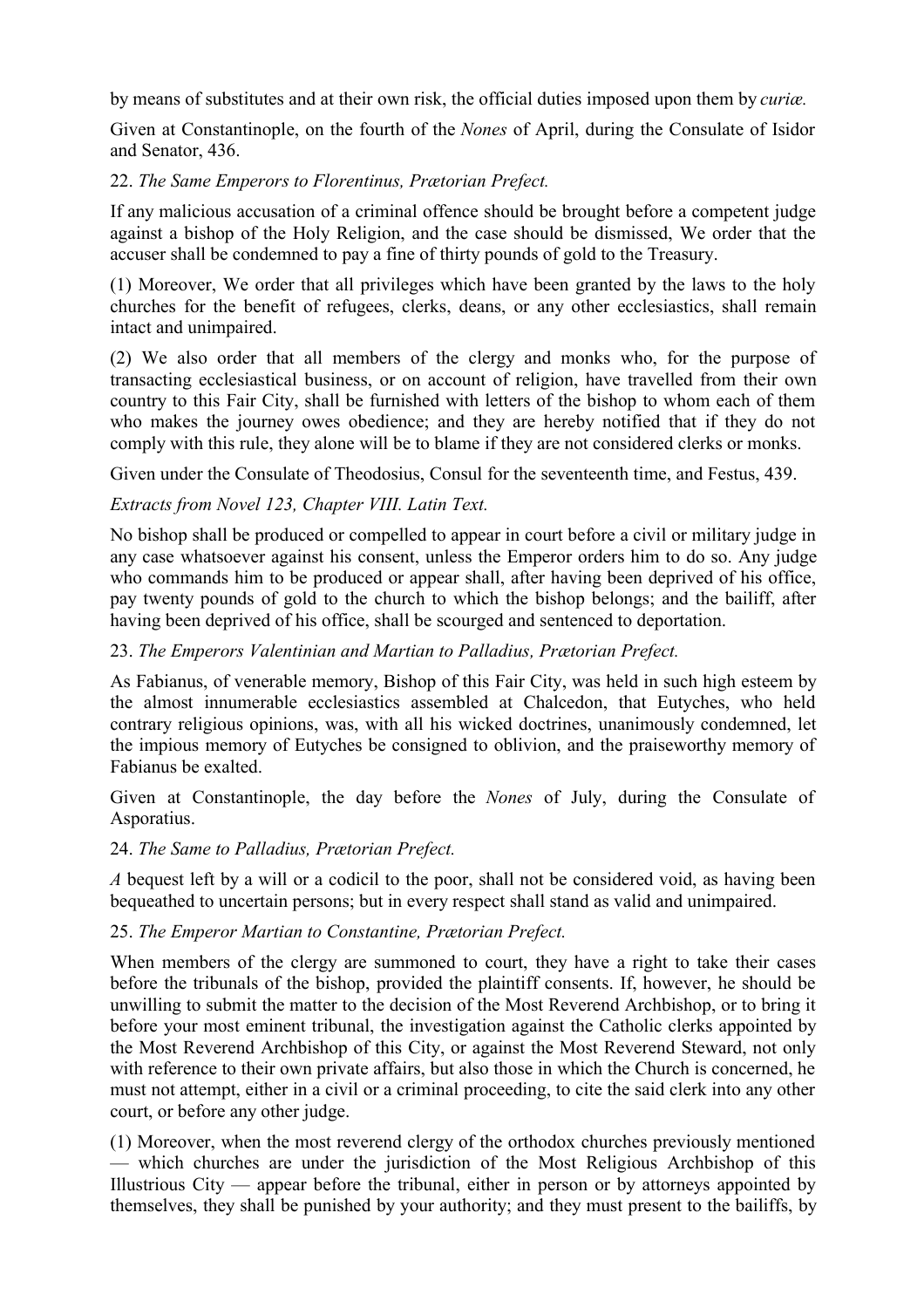by means of substitutes and at their own risk, the official duties imposed upon them by *curiæ.*

Given at Constantinople, on the fourth of the *Nones* of April, during the Consulate of Isidor and Senator, 436.

# 22. *The Same Emperors to Florentinus, Prætorian Prefect.*

If any malicious accusation of a criminal offence should be brought before a competent judge against a bishop of the Holy Religion, and the case should be dismissed, We order that the accuser shall be condemned to pay a fine of thirty pounds of gold to the Treasury.

(1) Moreover, We order that all privileges which have been granted by the laws to the holy churches for the benefit of refugees, clerks, deans, or any other ecclesiastics, shall remain intact and unimpaired.

(2) We also order that all members of the clergy and monks who, for the purpose of transacting ecclesiastical business, or on account of religion, have travelled from their own country to this Fair City, shall be furnished with letters of the bishop to whom each of them who makes the journey owes obedience; and they are hereby notified that if they do not comply with this rule, they alone will be to blame if they are not considered clerks or monks.

Given under the Consulate of Theodosius, Consul for the seventeenth time, and Festus, 439.

# *Extracts from Novel 123, Chapter VIII. Latin Text.*

No bishop shall be produced or compelled to appear in court before a civil or military judge in any case whatsoever against his consent, unless the Emperor orders him to do so. Any judge who commands him to be produced or appear shall, after having been deprived of his office, pay twenty pounds of gold to the church to which the bishop belongs; and the bailiff, after having been deprived of his office, shall be scourged and sentenced to deportation.

# 23. *The Emperors Valentinian and Martian to Palladius, Prætorian Prefect.*

As Fabianus, of venerable memory, Bishop of this Fair City, was held in such high esteem by the almost innumerable ecclesiastics assembled at Chalcedon, that Eutyches, who held contrary religious opinions, was, with all his wicked doctrines, unanimously condemned, let the impious memory of Eutyches be consigned to oblivion, and the praiseworthy memory of Fabianus be exalted.

Given at Constantinople, the day before the *Nones* of July, during the Consulate of Asporatius.

## 24. *The Same to Palladius, Prætorian Prefect.*

*A* bequest left by a will or a codicil to the poor, shall not be considered void, as having been bequeathed to uncertain persons; but in every respect shall stand as valid and unimpaired.

## 25. *The Emperor Martian to Constantine, Prætorian Prefect.*

When members of the clergy are summoned to court, they have a right to take their cases before the tribunals of the bishop, provided the plaintiff consents. If, however, he should be unwilling to submit the matter to the decision of the Most Reverend Archbishop, or to bring it before your most eminent tribunal, the investigation against the Catholic clerks appointed by the Most Reverend Archbishop of this City, or against the Most Reverend Steward, not only with reference to their own private affairs, but also those in which the Church is concerned, he must not attempt, either in a civil or a criminal proceeding, to cite the said clerk into any other court, or before any other judge.

(1) Moreover, when the most reverend clergy of the orthodox churches previously mentioned — which churches are under the jurisdiction of the Most Religious Archbishop of this Illustrious City — appear before the tribunal, either in person or by attorneys appointed by themselves, they shall be punished by your authority; and they must present to the bailiffs, by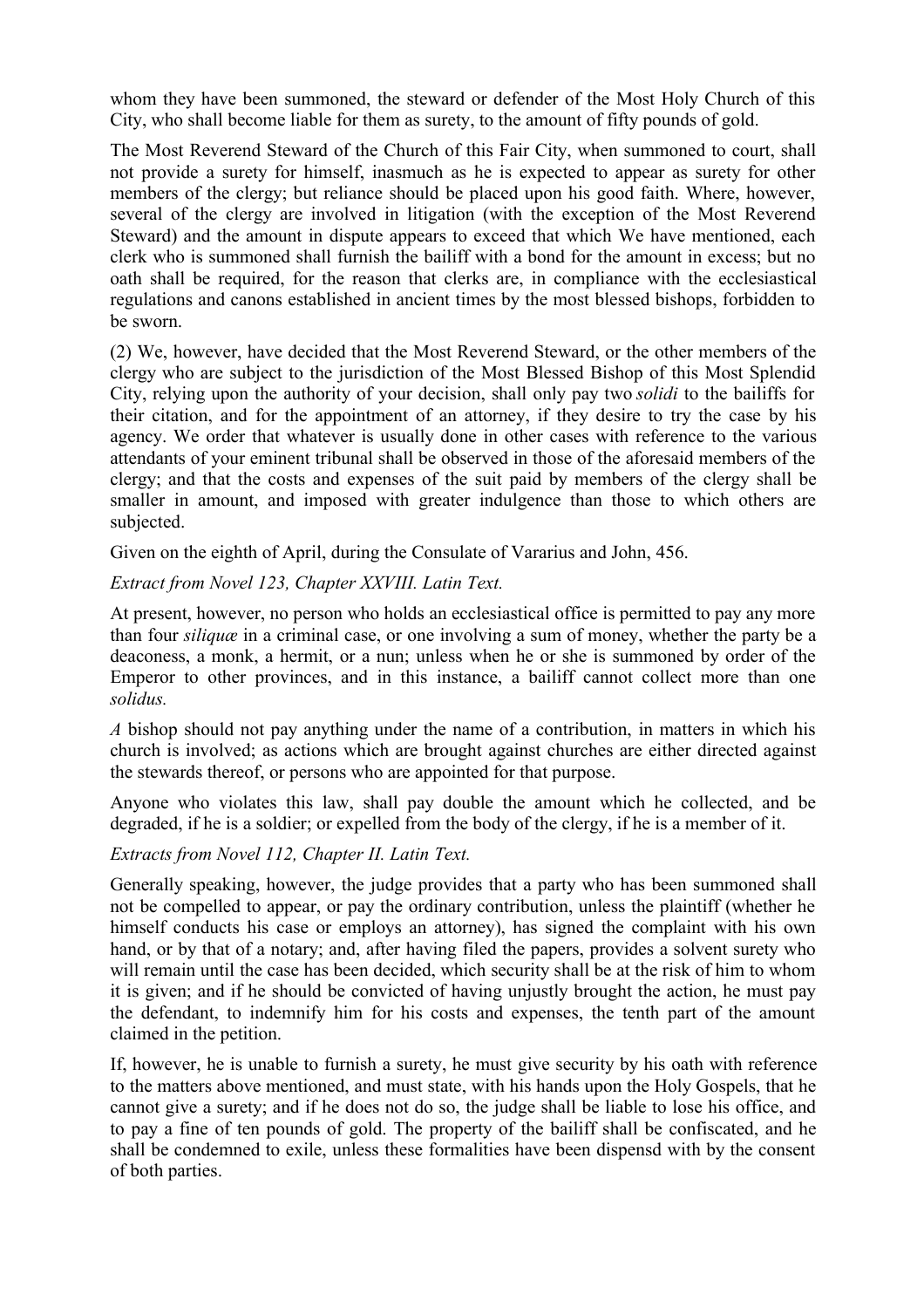whom they have been summoned, the steward or defender of the Most Holy Church of this City, who shall become liable for them as surety, to the amount of fifty pounds of gold.

The Most Reverend Steward of the Church of this Fair City, when summoned to court, shall not provide a surety for himself, inasmuch as he is expected to appear as surety for other members of the clergy; but reliance should be placed upon his good faith. Where, however, several of the clergy are involved in litigation (with the exception of the Most Reverend Steward) and the amount in dispute appears to exceed that which We have mentioned, each clerk who is summoned shall furnish the bailiff with a bond for the amount in excess; but no oath shall be required, for the reason that clerks are, in compliance with the ecclesiastical regulations and canons established in ancient times by the most blessed bishops, forbidden to be sworn.

(2) We, however, have decided that the Most Reverend Steward, or the other members of the clergy who are subject to the jurisdiction of the Most Blessed Bishop of this Most Splendid City, relying upon the authority of your decision, shall only pay two *solidi* to the bailiffs for their citation, and for the appointment of an attorney, if they desire to try the case by his agency. We order that whatever is usually done in other cases with reference to the various attendants of your eminent tribunal shall be observed in those of the aforesaid members of the clergy; and that the costs and expenses of the suit paid by members of the clergy shall be smaller in amount, and imposed with greater indulgence than those to which others are subjected.

Given on the eighth of April, during the Consulate of Vararius and John, 456.

## *Extract from Novel 123, Chapter XXVIII. Latin Text.*

At present, however, no person who holds an ecclesiastical office is permitted to pay any more than four *siliquæ* in a criminal case, or one involving a sum of money, whether the party be a deaconess, a monk, a hermit, or a nun; unless when he or she is summoned by order of the Emperor to other provinces, and in this instance, a bailiff cannot collect more than one *solidus.*

*A* bishop should not pay anything under the name of a contribution, in matters in which his church is involved; as actions which are brought against churches are either directed against the stewards thereof, or persons who are appointed for that purpose.

Anyone who violates this law, shall pay double the amount which he collected, and be degraded, if he is a soldier; or expelled from the body of the clergy, if he is a member of it.

#### *Extracts from Novel 112, Chapter II. Latin Text.*

Generally speaking, however, the judge provides that a party who has been summoned shall not be compelled to appear, or pay the ordinary contribution, unless the plaintiff (whether he himself conducts his case or employs an attorney), has signed the complaint with his own hand, or by that of a notary; and, after having filed the papers, provides a solvent surety who will remain until the case has been decided, which security shall be at the risk of him to whom it is given; and if he should be convicted of having unjustly brought the action, he must pay the defendant, to indemnify him for his costs and expenses, the tenth part of the amount claimed in the petition.

If, however, he is unable to furnish a surety, he must give security by his oath with reference to the matters above mentioned, and must state, with his hands upon the Holy Gospels, that he cannot give a surety; and if he does not do so, the judge shall be liable to lose his office, and to pay a fine of ten pounds of gold. The property of the bailiff shall be confiscated, and he shall be condemned to exile, unless these formalities have been dispensd with by the consent of both parties.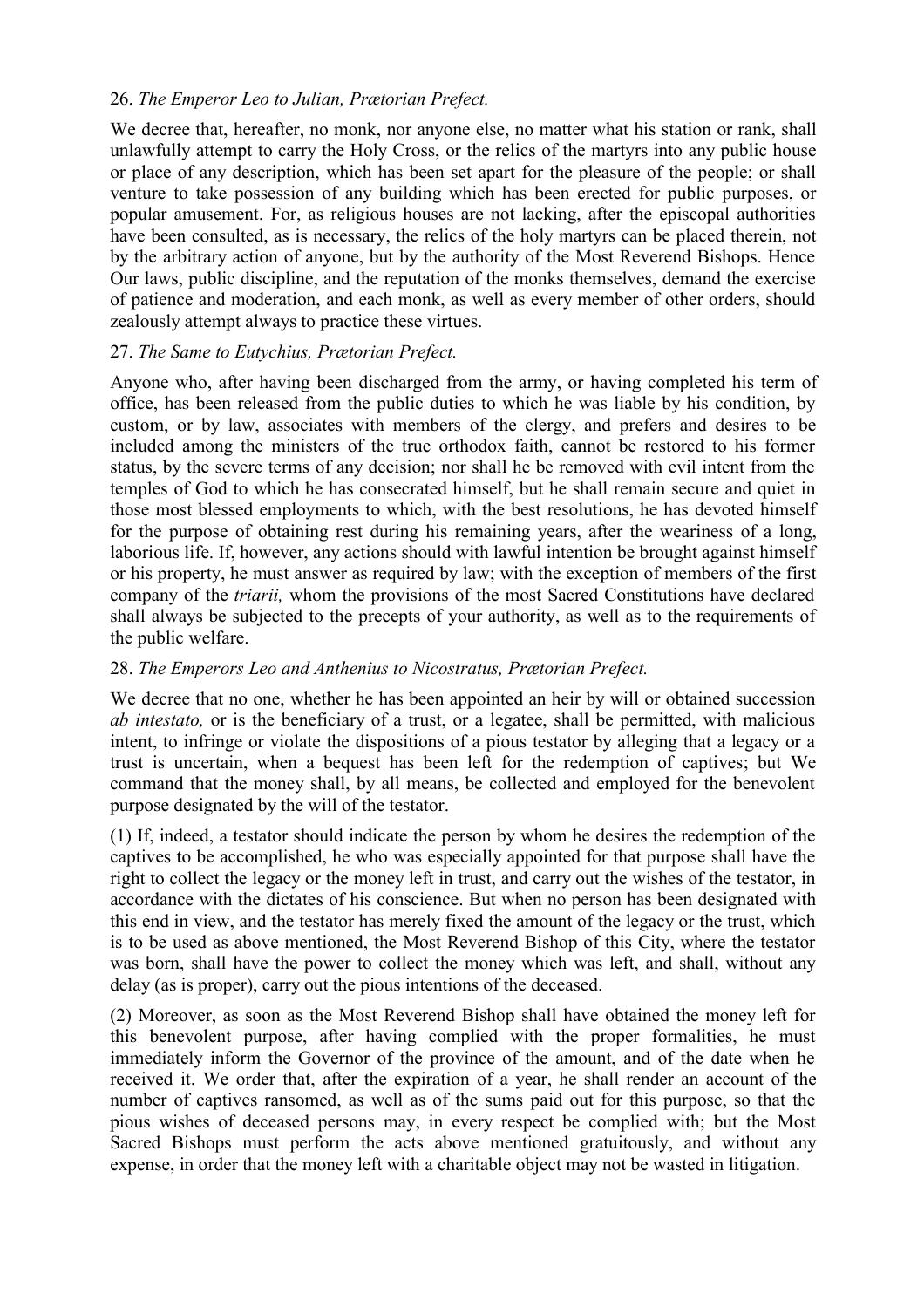### 26. *The Emperor Leo to Julian, Prætorian Prefect.*

We decree that, hereafter, no monk, nor anyone else, no matter what his station or rank, shall unlawfully attempt to carry the Holy Cross, or the relics of the martyrs into any public house or place of any description, which has been set apart for the pleasure of the people; or shall venture to take possession of any building which has been erected for public purposes, or popular amusement. For, as religious houses are not lacking, after the episcopal authorities have been consulted, as is necessary, the relics of the holy martyrs can be placed therein, not by the arbitrary action of anyone, but by the authority of the Most Reverend Bishops. Hence Our laws, public discipline, and the reputation of the monks themselves, demand the exercise of patience and moderation, and each monk, as well as every member of other orders, should zealously attempt always to practice these virtues.

### 27. *The Same to Eutychius, Prætorian Prefect.*

Anyone who, after having been discharged from the army, or having completed his term of office, has been released from the public duties to which he was liable by his condition, by custom, or by law, associates with members of the clergy, and prefers and desires to be included among the ministers of the true orthodox faith, cannot be restored to his former status, by the severe terms of any decision; nor shall he be removed with evil intent from the temples of God to which he has consecrated himself, but he shall remain secure and quiet in those most blessed employments to which, with the best resolutions, he has devoted himself for the purpose of obtaining rest during his remaining years, after the weariness of a long, laborious life. If, however, any actions should with lawful intention be brought against himself or his property, he must answer as required by law; with the exception of members of the first company of the *triarii,* whom the provisions of the most Sacred Constitutions have declared shall always be subjected to the precepts of your authority, as well as to the requirements of the public welfare.

## 28. *The Emperors Leo and Anthenius to Nicostratus, Prætorian Prefect.*

We decree that no one, whether he has been appointed an heir by will or obtained succession *ab intestato,* or is the beneficiary of a trust, or a legatee, shall be permitted, with malicious intent, to infringe or violate the dispositions of a pious testator by alleging that a legacy or a trust is uncertain, when a bequest has been left for the redemption of captives; but We command that the money shall, by all means, be collected and employed for the benevolent purpose designated by the will of the testator.

(1) If, indeed, a testator should indicate the person by whom he desires the redemption of the captives to be accomplished, he who was especially appointed for that purpose shall have the right to collect the legacy or the money left in trust, and carry out the wishes of the testator, in accordance with the dictates of his conscience. But when no person has been designated with this end in view, and the testator has merely fixed the amount of the legacy or the trust, which is to be used as above mentioned, the Most Reverend Bishop of this City, where the testator was born, shall have the power to collect the money which was left, and shall, without any delay (as is proper), carry out the pious intentions of the deceased.

(2) Moreover, as soon as the Most Reverend Bishop shall have obtained the money left for this benevolent purpose, after having complied with the proper formalities, he must immediately inform the Governor of the province of the amount, and of the date when he received it. We order that, after the expiration of a year, he shall render an account of the number of captives ransomed, as well as of the sums paid out for this purpose, so that the pious wishes of deceased persons may, in every respect be complied with; but the Most Sacred Bishops must perform the acts above mentioned gratuitously, and without any expense, in order that the money left with a charitable object may not be wasted in litigation.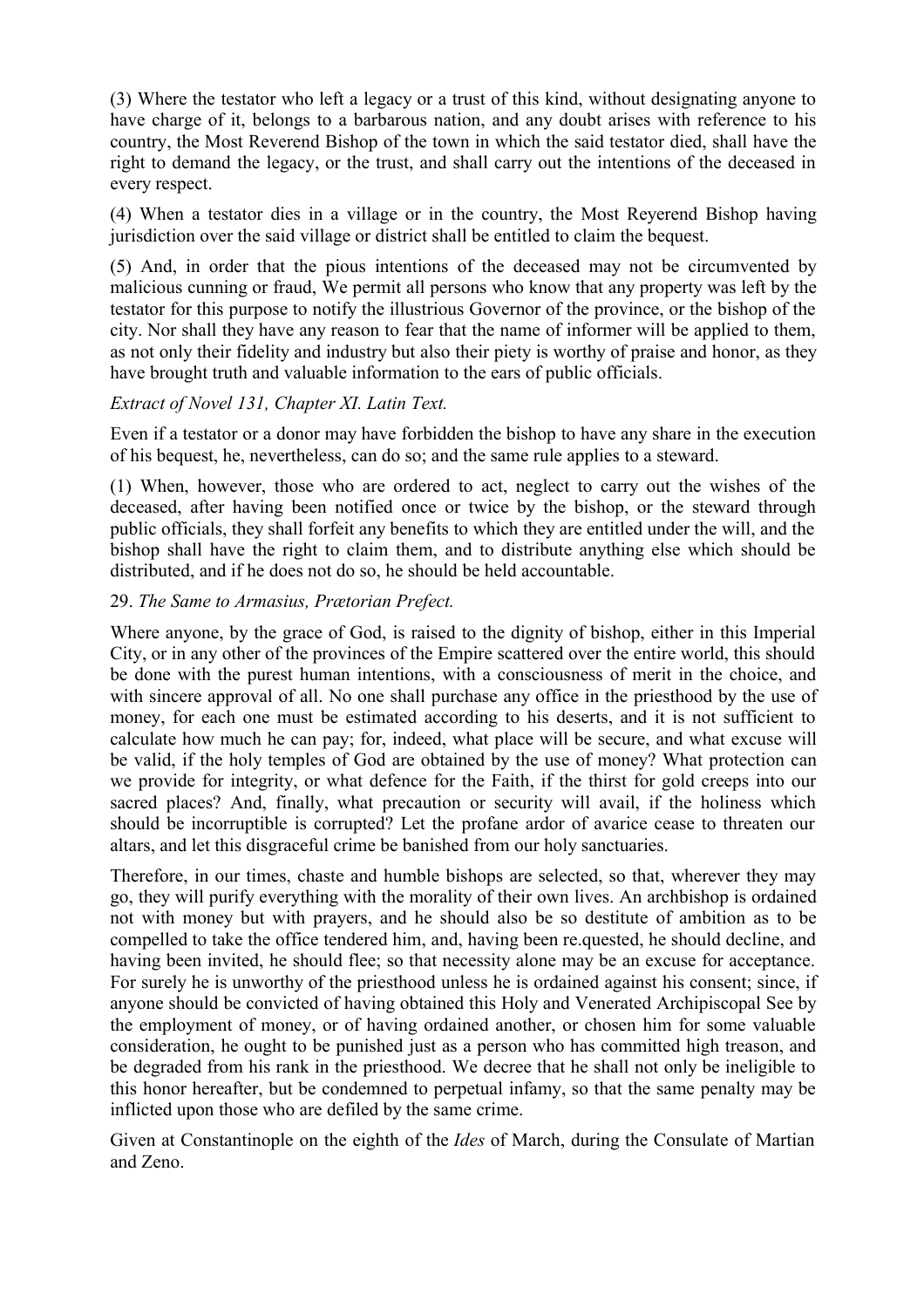(3) Where the testator who left a legacy or a trust of this kind, without designating anyone to have charge of it, belongs to a barbarous nation, and any doubt arises with reference to his country, the Most Reverend Bishop of the town in which the said testator died, shall have the right to demand the legacy, or the trust, and shall carry out the intentions of the deceased in every respect.

(4) When a testator dies in a village or in the country, the Most Reyerend Bishop having jurisdiction over the said village or district shall be entitled to claim the bequest.

(5) And, in order that the pious intentions of the deceased may not be circumvented by malicious cunning or fraud, We permit all persons who know that any property was left by the testator for this purpose to notify the illustrious Governor of the province, or the bishop of the city. Nor shall they have any reason to fear that the name of informer will be applied to them, as not only their fidelity and industry but also their piety is worthy of praise and honor, as they have brought truth and valuable information to the ears of public officials.

## *Extract of Novel 131, Chapter XI. Latin Text.*

Even if a testator or a donor may have forbidden the bishop to have any share in the execution of his bequest, he, nevertheless, can do so; and the same rule applies to a steward.

(1) When, however, those who are ordered to act, neglect to carry out the wishes of the deceased, after having been notified once or twice by the bishop, or the steward through public officials, they shall forfeit any benefits to which they are entitled under the will, and the bishop shall have the right to claim them, and to distribute anything else which should be distributed, and if he does not do so, he should be held accountable.

## 29. *The Same to Armasius, Prætorian Prefect.*

Where anyone, by the grace of God, is raised to the dignity of bishop, either in this Imperial City, or in any other of the provinces of the Empire scattered over the entire world, this should be done with the purest human intentions, with a consciousness of merit in the choice, and with sincere approval of all. No one shall purchase any office in the priesthood by the use of money, for each one must be estimated according to his deserts, and it is not sufficient to calculate how much he can pay; for, indeed, what place will be secure, and what excuse will be valid, if the holy temples of God are obtained by the use of money? What protection can we provide for integrity, or what defence for the Faith, if the thirst for gold creeps into our sacred places? And, finally, what precaution or security will avail, if the holiness which should be incorruptible is corrupted? Let the profane ardor of avarice cease to threaten our altars, and let this disgraceful crime be banished from our holy sanctuaries.

Therefore, in our times, chaste and humble bishops are selected, so that, wherever they may go, they will purify everything with the morality of their own lives. An archbishop is ordained not with money but with prayers, and he should also be so destitute of ambition as to be compelled to take the office tendered him, and, having been re.quested, he should decline, and having been invited, he should flee; so that necessity alone may be an excuse for acceptance. For surely he is unworthy of the priesthood unless he is ordained against his consent; since, if anyone should be convicted of having obtained this Holy and Venerated Archipiscopal See by the employment of money, or of having ordained another, or chosen him for some valuable consideration, he ought to be punished just as a person who has committed high treason, and be degraded from his rank in the priesthood. We decree that he shall not only be ineligible to this honor hereafter, but be condemned to perpetual infamy, so that the same penalty may be inflicted upon those who are defiled by the same crime.

Given at Constantinople on the eighth of the *Ides* of March, during the Consulate of Martian and Zeno.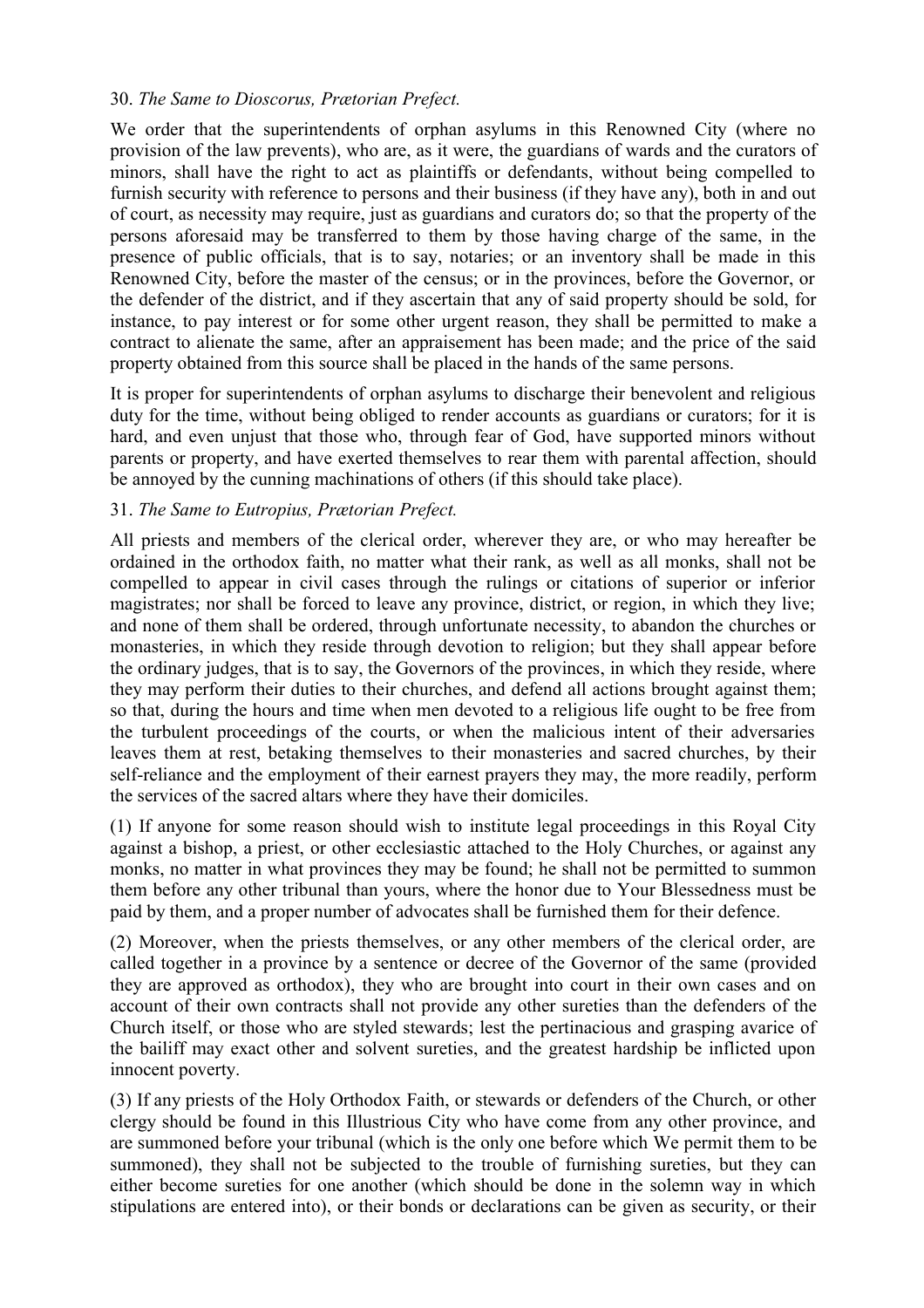### 30. *The Same to Dioscorus, Prætorian Prefect.*

We order that the superintendents of orphan asylums in this Renowned City (where no provision of the law prevents), who are, as it were, the guardians of wards and the curators of minors, shall have the right to act as plaintiffs or defendants, without being compelled to furnish security with reference to persons and their business (if they have any), both in and out of court, as necessity may require, just as guardians and curators do; so that the property of the persons aforesaid may be transferred to them by those having charge of the same, in the presence of public officials, that is to say, notaries; or an inventory shall be made in this Renowned City, before the master of the census; or in the provinces, before the Governor, or the defender of the district, and if they ascertain that any of said property should be sold, for instance, to pay interest or for some other urgent reason, they shall be permitted to make a contract to alienate the same, after an appraisement has been made; and the price of the said property obtained from this source shall be placed in the hands of the same persons.

It is proper for superintendents of orphan asylums to discharge their benevolent and religious duty for the time, without being obliged to render accounts as guardians or curators; for it is hard, and even unjust that those who, through fear of God, have supported minors without parents or property, and have exerted themselves to rear them with parental affection, should be annoyed by the cunning machinations of others (if this should take place).

## 31. *The Same to Eutropius, Prætorian Prefect.*

All priests and members of the clerical order, wherever they are, or who may hereafter be ordained in the orthodox faith, no matter what their rank, as well as all monks, shall not be compelled to appear in civil cases through the rulings or citations of superior or inferior magistrates; nor shall be forced to leave any province, district, or region, in which they live; and none of them shall be ordered, through unfortunate necessity, to abandon the churches or monasteries, in which they reside through devotion to religion; but they shall appear before the ordinary judges, that is to say, the Governors of the provinces, in which they reside, where they may perform their duties to their churches, and defend all actions brought against them; so that, during the hours and time when men devoted to a religious life ought to be free from the turbulent proceedings of the courts, or when the malicious intent of their adversaries leaves them at rest, betaking themselves to their monasteries and sacred churches, by their self-reliance and the employment of their earnest prayers they may, the more readily, perform the services of the sacred altars where they have their domiciles.

(1) If anyone for some reason should wish to institute legal proceedings in this Royal City against a bishop, a priest, or other ecclesiastic attached to the Holy Churches, or against any monks, no matter in what provinces they may be found; he shall not be permitted to summon them before any other tribunal than yours, where the honor due to Your Blessedness must be paid by them, and a proper number of advocates shall be furnished them for their defence.

(2) Moreover, when the priests themselves, or any other members of the clerical order, are called together in a province by a sentence or decree of the Governor of the same (provided they are approved as orthodox), they who are brought into court in their own cases and on account of their own contracts shall not provide any other sureties than the defenders of the Church itself, or those who are styled stewards; lest the pertinacious and grasping avarice of the bailiff may exact other and solvent sureties, and the greatest hardship be inflicted upon innocent poverty.

(3) If any priests of the Holy Orthodox Faith, or stewards or defenders of the Church, or other clergy should be found in this Illustrious City who have come from any other province, and are summoned before your tribunal (which is the only one before which We permit them to be summoned), they shall not be subjected to the trouble of furnishing sureties, but they can either become sureties for one another (which should be done in the solemn way in which stipulations are entered into), or their bonds or declarations can be given as security, or their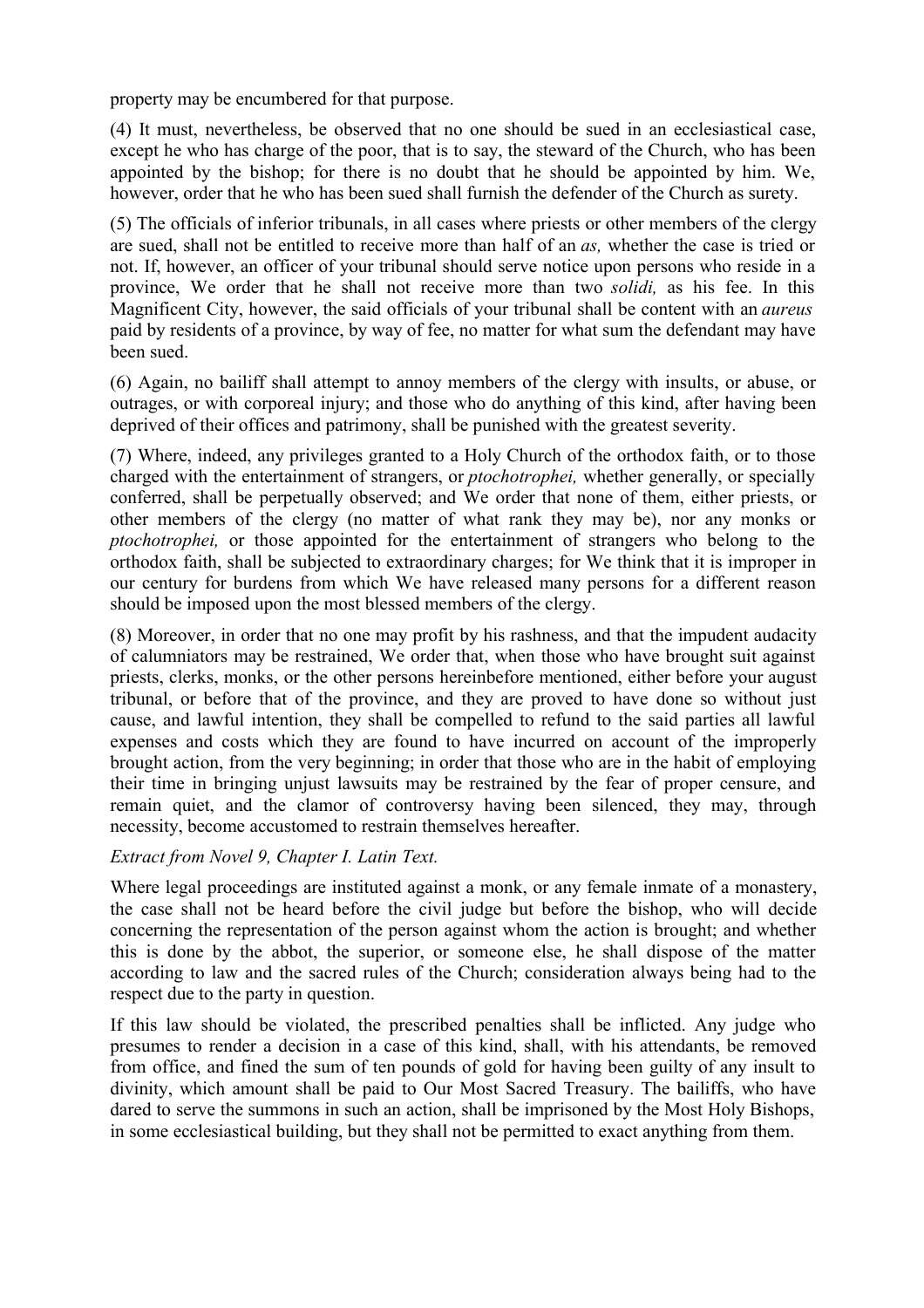property may be encumbered for that purpose.

(4) It must, nevertheless, be observed that no one should be sued in an ecclesiastical case, except he who has charge of the poor, that is to say, the steward of the Church, who has been appointed by the bishop; for there is no doubt that he should be appointed by him. We, however, order that he who has been sued shall furnish the defender of the Church as surety.

(5) The officials of inferior tribunals, in all cases where priests or other members of the clergy are sued, shall not be entitled to receive more than half of an *as,* whether the case is tried or not. If, however, an officer of your tribunal should serve notice upon persons who reside in a province, We order that he shall not receive more than two *solidi,* as his fee. In this Magnificent City, however, the said officials of your tribunal shall be content with an *aureus* paid by residents of a province, by way of fee, no matter for what sum the defendant may have been sued.

(6) Again, no bailiff shall attempt to annoy members of the clergy with insults, or abuse, or outrages, or with corporeal injury; and those who do anything of this kind, after having been deprived of their offices and patrimony, shall be punished with the greatest severity.

(7) Where, indeed, any privileges granted to a Holy Church of the orthodox faith, or to those charged with the entertainment of strangers, or *ptochotrophei,* whether generally, or specially conferred, shall be perpetually observed; and We order that none of them, either priests, or other members of the clergy (no matter of what rank they may be), nor any monks or *ptochotrophei*, or those appointed for the entertainment of strangers who belong to the orthodox faith, shall be subjected to extraordinary charges; for We think that it is improper in our century for burdens from which We have released many persons for a different reason should be imposed upon the most blessed members of the clergy.

(8) Moreover, in order that no one may profit by his rashness, and that the impudent audacity of calumniators may be restrained, We order that, when those who have brought suit against priests, clerks, monks, or the other persons hereinbefore mentioned, either before your august tribunal, or before that of the province, and they are proved to have done so without just cause, and lawful intention, they shall be compelled to refund to the said parties all lawful expenses and costs which they are found to have incurred on account of the improperly brought action, from the very beginning; in order that those who are in the habit of employing their time in bringing unjust lawsuits may be restrained by the fear of proper censure, and remain quiet, and the clamor of controversy having been silenced, they may, through necessity, become accustomed to restrain themselves hereafter.

## *Extract from Novel 9, Chapter I. Latin Text.*

Where legal proceedings are instituted against a monk, or any female inmate of a monastery, the case shall not be heard before the civil judge but before the bishop, who will decide concerning the representation of the person against whom the action is brought; and whether this is done by the abbot, the superior, or someone else, he shall dispose of the matter according to law and the sacred rules of the Church; consideration always being had to the respect due to the party in question.

If this law should be violated, the prescribed penalties shall be inflicted. Any judge who presumes to render a decision in a case of this kind, shall, with his attendants, be removed from office, and fined the sum of ten pounds of gold for having been guilty of any insult to divinity, which amount shall be paid to Our Most Sacred Treasury. The bailiffs, who have dared to serve the summons in such an action, shall be imprisoned by the Most Holy Bishops, in some ecclesiastical building, but they shall not be permitted to exact anything from them.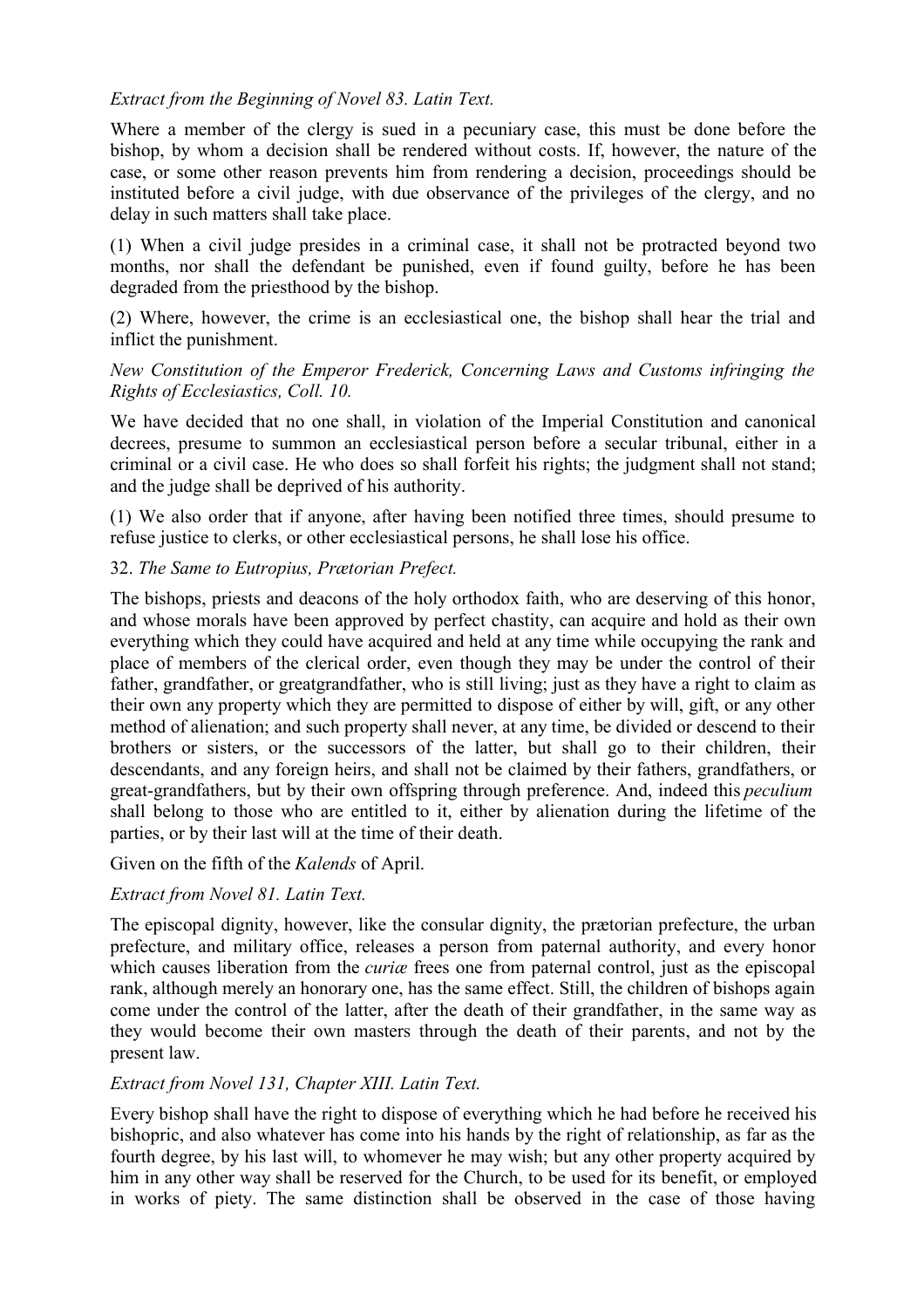## *Extract from the Beginning of Novel 83. Latin Text.*

Where a member of the clergy is sued in a pecuniary case, this must be done before the bishop, by whom a decision shall be rendered without costs. If, however, the nature of the case, or some other reason prevents him from rendering a decision, proceedings should be instituted before a civil judge, with due observance of the privileges of the clergy, and no delay in such matters shall take place.

(1) When a civil judge presides in a criminal case, it shall not be protracted beyond two months, nor shall the defendant be punished, even if found guilty, before he has been degraded from the priesthood by the bishop.

(2) Where, however, the crime is an ecclesiastical one, the bishop shall hear the trial and inflict the punishment.

## *New Constitution of the Emperor Frederick, Concerning Laws and Customs infringing the Rights of Ecclesiastics, Coll. 10.*

We have decided that no one shall, in violation of the Imperial Constitution and canonical decrees, presume to summon an ecclesiastical person before a secular tribunal, either in a criminal or a civil case. He who does so shall forfeit his rights; the judgment shall not stand; and the judge shall be deprived of his authority.

(1) We also order that if anyone, after having been notified three times, should presume to refuse justice to clerks, or other ecclesiastical persons, he shall lose his office.

## 32. *The Same to Eutropius, Prætorian Prefect.*

The bishops, priests and deacons of the holy orthodox faith, who are deserving of this honor, and whose morals have been approved by perfect chastity, can acquire and hold as their own everything which they could have acquired and held at any time while occupying the rank and place of members of the clerical order, even though they may be under the control of their father, grandfather, or greatgrandfather, who is still living; just as they have a right to claim as their own any property which they are permitted to dispose of either by will, gift, or any other method of alienation; and such property shall never, at any time, be divided or descend to their brothers or sisters, or the successors of the latter, but shall go to their children, their descendants, and any foreign heirs, and shall not be claimed by their fathers, grandfathers, or great-grandfathers, but by their own offspring through preference. And, indeed this *peculium* shall belong to those who are entitled to it, either by alienation during the lifetime of the parties, or by their last will at the time of their death.

Given on the fifth of the *Kalends* of April.

## *Extract from Novel 81. Latin Text.*

The episcopal dignity, however, like the consular dignity, the prætorian prefecture, the urban prefecture, and military office, releases a person from paternal authority, and every honor which causes liberation from the *curice* frees one from paternal control, just as the episcopal rank, although merely an honorary one, has the same effect. Still, the children of bishops again come under the control of the latter, after the death of their grandfather, in the same way as they would become their own masters through the death of their parents, and not by the present law.

## *Extract from Novel 131, Chapter XIII. Latin Text.*

Every bishop shall have the right to dispose of everything which he had before he received his bishopric, and also whatever has come into his hands by the right of relationship, as far as the fourth degree, by his last will, to whomever he may wish; but any other property acquired by him in any other way shall be reserved for the Church, to be used for its benefit, or employed in works of piety. The same distinction shall be observed in the case of those having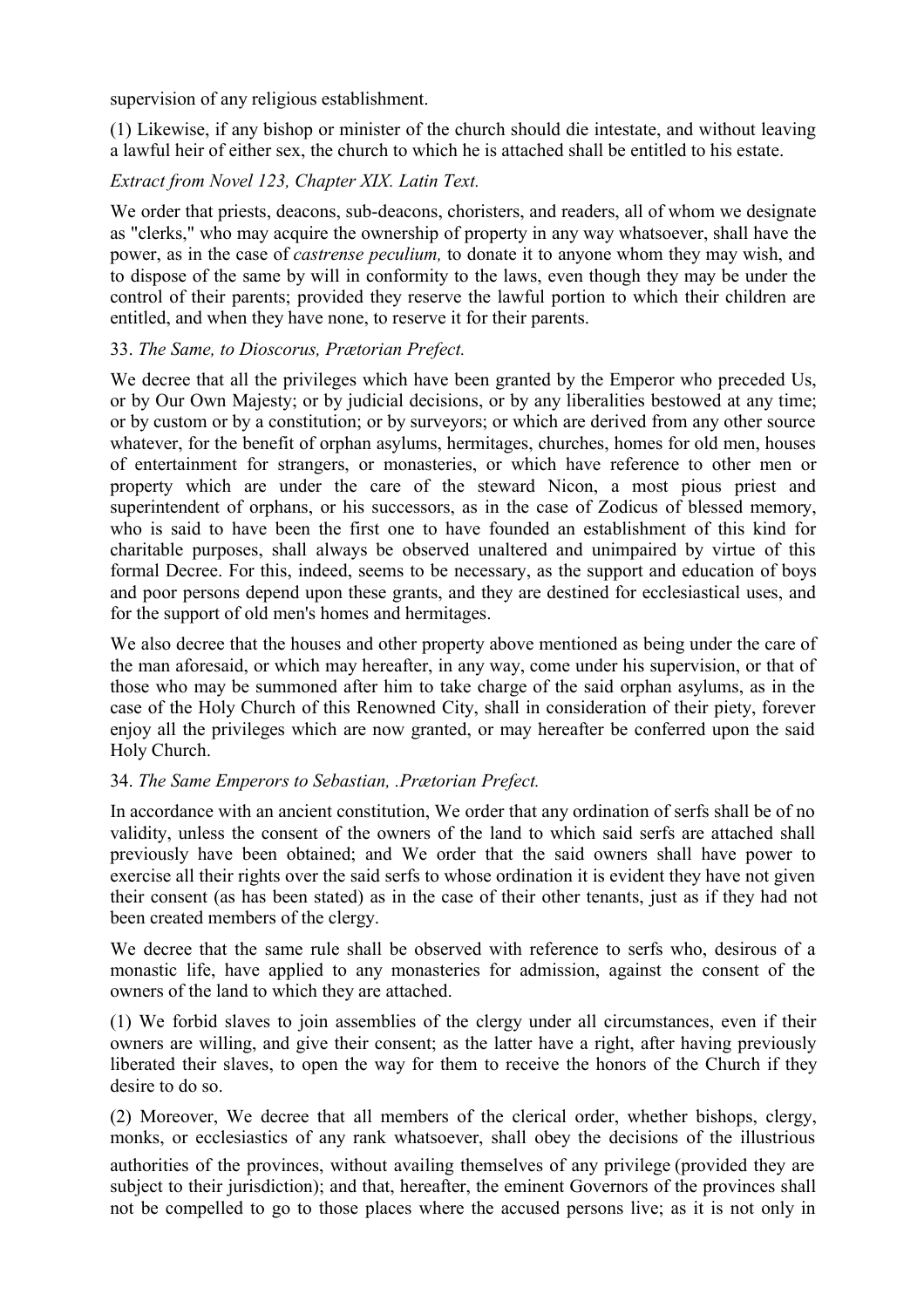supervision of any religious establishment.

(1) Likewise, if any bishop or minister of the church should die intestate, and without leaving a lawful heir of either sex, the church to which he is attached shall be entitled to his estate.

# *Extract from Novel 123, Chapter XIX. Latin Text.*

We order that priests, deacons, sub-deacons, choristers, and readers, all of whom we designate as "clerks," who may acquire the ownership of property in any way whatsoever, shall have the power, as in the case of *castrense peculium,* to donate it to anyone whom they may wish, and to dispose of the same by will in conformity to the laws, even though they may be under the control of their parents; provided they reserve the lawful portion to which their children are entitled, and when they have none, to reserve it for their parents.

## 33. *The Same, to Dioscorus, Prætorian Prefect.*

We decree that all the privileges which have been granted by the Emperor who preceded Us, or by Our Own Majesty; or by judicial decisions, or by any liberalities bestowed at any time; or by custom or by a constitution; or by surveyors; or which are derived from any other source whatever, for the benefit of orphan asylums, hermitages, churches, homes for old men, houses of entertainment for strangers, or monasteries, or which have reference to other men or property which are under the care of the steward Nicon, a most pious priest and superintendent of orphans, or his successors, as in the case of Zodicus of blessed memory, who is said to have been the first one to have founded an establishment of this kind for charitable purposes, shall always be observed unaltered and unimpaired by virtue of this formal Decree. For this, indeed, seems to be necessary, as the support and education of boys and poor persons depend upon these grants, and they are destined for ecclesiastical uses, and for the support of old men's homes and hermitages.

We also decree that the houses and other property above mentioned as being under the care of the man aforesaid, or which may hereafter, in any way, come under his supervision, or that of those who may be summoned after him to take charge of the said orphan asylums, as in the case of the Holy Church of this Renowned City, shall in consideration of their piety, forever enjoy all the privileges which are now granted, or may hereafter be conferred upon the said Holy Church.

# 34. *The Same Emperors to Sebastian, .Prætorian Prefect.*

In accordance with an ancient constitution, We order that any ordination of serfs shall be of no validity, unless the consent of the owners of the land to which said serfs are attached shall previously have been obtained; and We order that the said owners shall have power to exercise all their rights over the said serfs to whose ordination it is evident they have not given their consent (as has been stated) as in the case of their other tenants, just as if they had not been created members of the clergy.

We decree that the same rule shall be observed with reference to serfs who, desirous of a monastic life, have applied to any monasteries for admission, against the consent of the owners of the land to which they are attached.

(1) We forbid slaves to join assemblies of the clergy under all circumstances, even if their owners are willing, and give their consent; as the latter have a right, after having previously liberated their slaves, to open the way for them to receive the honors of the Church if they desire to do so.

(2) Moreover, We decree that all members of the clerical order, whether bishops, clergy, monks, or ecclesiastics of any rank whatsoever, shall obey the decisions of the illustrious

authorities of the provinces, without availing themselves of any privilege (provided they are subject to their jurisdiction); and that, hereafter, the eminent Governors of the provinces shall not be compelled to go to those places where the accused persons live; as it is not only in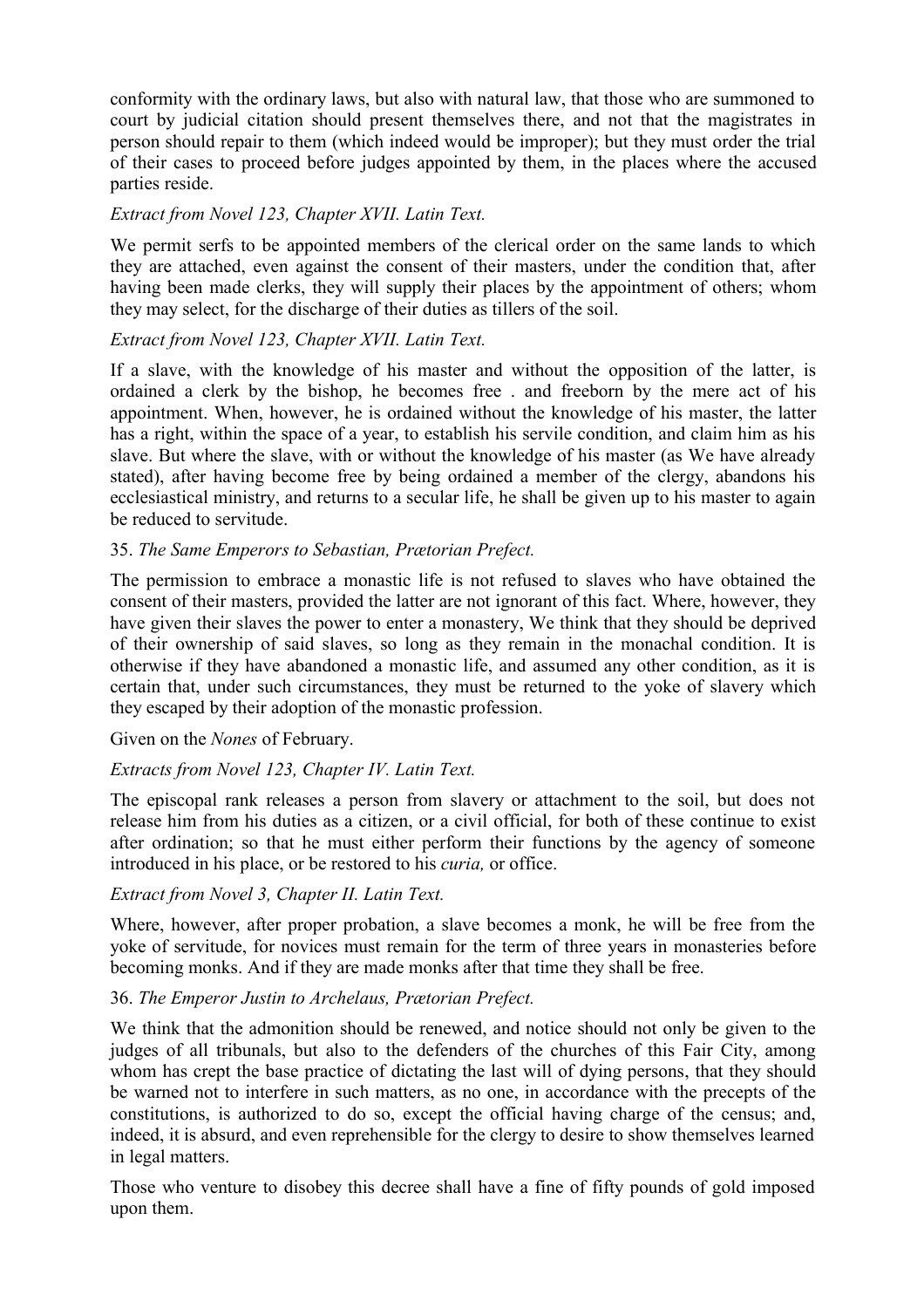conformity with the ordinary laws, but also with natural law, that those who are summoned to court by judicial citation should present themselves there, and not that the magistrates in person should repair to them (which indeed would be improper); but they must order the trial of their cases to proceed before judges appointed by them, in the places where the accused parties reside.

### *Extract from Novel 123, Chapter XVII. Latin Text.*

We permit serfs to be appointed members of the clerical order on the same lands to which they are attached, even against the consent of their masters, under the condition that, after having been made clerks, they will supply their places by the appointment of others; whom they may select, for the discharge of their duties as tillers of the soil.

### *Extract from Novel 123, Chapter XVII. Latin Text.*

If a slave, with the knowledge of his master and without the opposition of the latter, is ordained a clerk by the bishop, he becomes free . and freeborn by the mere act of his appointment. When, however, he is ordained without the knowledge of his master, the latter has a right, within the space of a year, to establish his servile condition, and claim him as his slave. But where the slave, with or without the knowledge of his master (as We have already stated), after having become free by being ordained a member of the clergy, abandons his ecclesiastical ministry, and returns to a secular life, he shall be given up to his master to again be reduced to servitude.

## 35. *The Same Emperors to Sebastian, Prætorian Prefect.*

The permission to embrace a monastic life is not refused to slaves who have obtained the consent of their masters, provided the latter are not ignorant of this fact. Where, however, they have given their slaves the power to enter a monastery, We think that they should be deprived of their ownership of said slaves, so long as they remain in the monachal condition. It is otherwise if they have abandoned a monastic life, and assumed any other condition, as it is certain that, under such circumstances, they must be returned to the yoke of slavery which they escaped by their adoption of the monastic profession.

#### Given on the *Nones* of February.

## *Extracts from Novel 123, Chapter IV. Latin Text.*

The episcopal rank releases a person from slavery or attachment to the soil, but does not release him from his duties as a citizen, or a civil official, for both of these continue to exist after ordination; so that he must either perform their functions by the agency of someone introduced in his place, or be restored to his *curia,* or office.

## *Extract from Novel 3, Chapter II. Latin Text.*

Where, however, after proper probation, a slave becomes a monk, he will be free from the yoke of servitude, for novices must remain for the term of three years in monasteries before becoming monks. And if they are made monks after that time they shall be free.

#### 36. *The Emperor Justin to Archelaus, Prætorian Prefect.*

We think that the admonition should be renewed, and notice should not only be given to the judges of all tribunals, but also to the defenders of the churches of this Fair City, among whom has crept the base practice of dictating the last will of dying persons, that they should be warned not to interfere in such matters, as no one, in accordance with the precepts of the constitutions, is authorized to do so, except the official having charge of the census; and, indeed, it is absurd, and even reprehensible for the clergy to desire to show themselves learned in legal matters.

Those who venture to disobey this decree shall have a fine of fifty pounds of gold imposed upon them.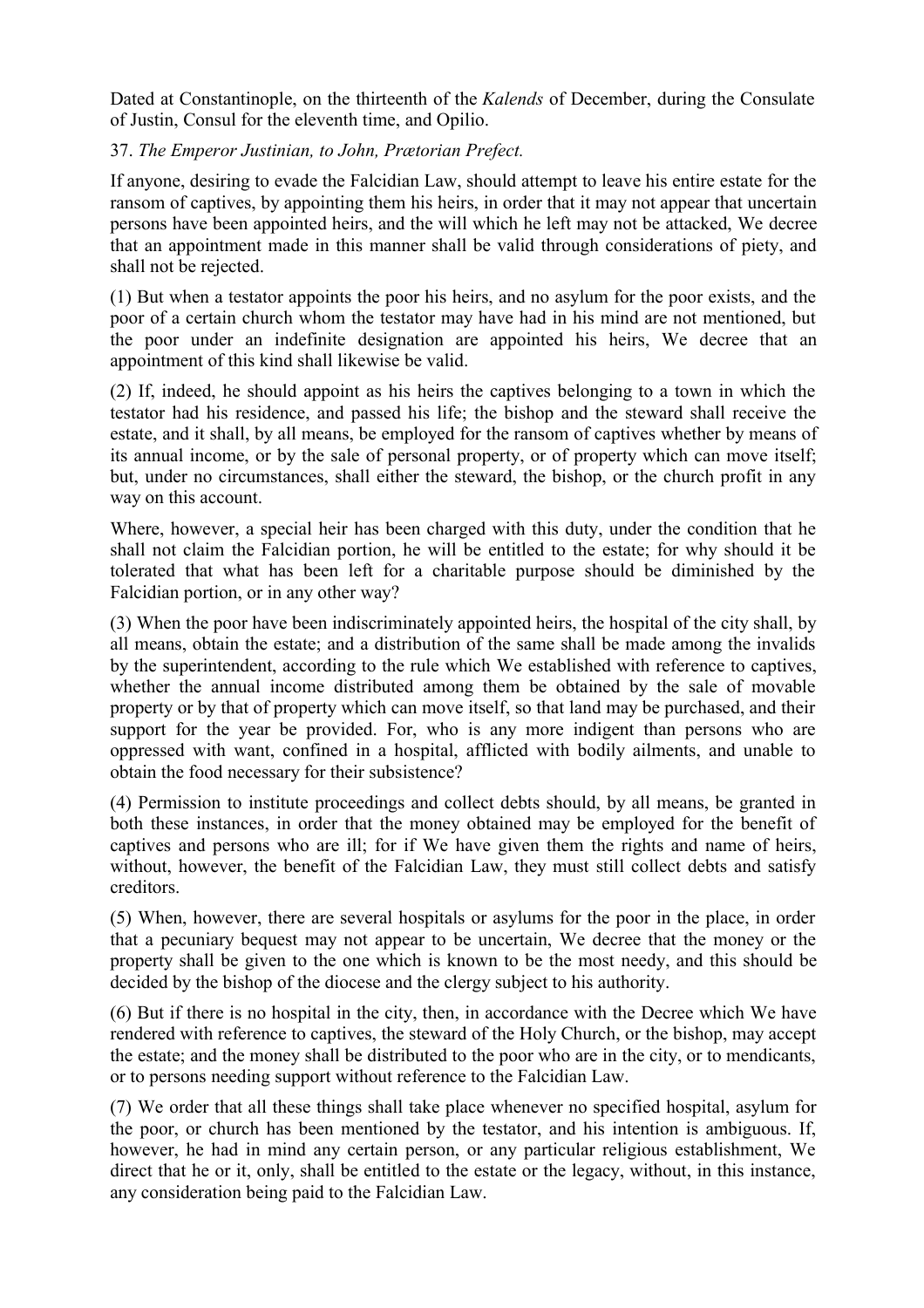Dated at Constantinople, on the thirteenth of the *Kalends* of December, during the Consulate of Justin, Consul for the eleventh time, and Opilio.

### 37. *The Emperor Justinian, to John, Prætorian Prefect.*

If anyone, desiring to evade the Falcidian Law, should attempt to leave his entire estate for the ransom of captives, by appointing them his heirs, in order that it may not appear that uncertain persons have been appointed heirs, and the will which he left may not be attacked, We decree that an appointment made in this manner shall be valid through considerations of piety, and shall not be rejected.

(1) But when a testator appoints the poor his heirs, and no asylum for the poor exists, and the poor of a certain church whom the testator may have had in his mind are not mentioned, but the poor under an indefinite designation are appointed his heirs, We decree that an appointment of this kind shall likewise be valid.

(2) If, indeed, he should appoint as his heirs the captives belonging to a town in which the testator had his residence, and passed his life; the bishop and the steward shall receive the estate, and it shall, by all means, be employed for the ransom of captives whether by means of its annual income, or by the sale of personal property, or of property which can move itself; but, under no circumstances, shall either the steward, the bishop, or the church profit in any way on this account.

Where, however, a special heir has been charged with this duty, under the condition that he shall not claim the Falcidian portion, he will be entitled to the estate; for why should it be tolerated that what has been left for a charitable purpose should be diminished by the Falcidian portion, or in any other way?

(3) When the poor have been indiscriminately appointed heirs, the hospital of the city shall, by all means, obtain the estate; and a distribution of the same shall be made among the invalids by the superintendent, according to the rule which We established with reference to captives, whether the annual income distributed among them be obtained by the sale of movable property or by that of property which can move itself, so that land may be purchased, and their support for the year be provided. For, who is any more indigent than persons who are oppressed with want, confined in a hospital, afflicted with bodily ailments, and unable to obtain the food necessary for their subsistence?

(4) Permission to institute proceedings and collect debts should, by all means, be granted in both these instances, in order that the money obtained may be employed for the benefit of captives and persons who are ill; for if We have given them the rights and name of heirs, without, however, the benefit of the Falcidian Law, they must still collect debts and satisfy creditors.

(5) When, however, there are several hospitals or asylums for the poor in the place, in order that a pecuniary bequest may not appear to be uncertain, We decree that the money or the property shall be given to the one which is known to be the most needy, and this should be decided by the bishop of the diocese and the clergy subject to his authority.

(6) But if there is no hospital in the city, then, in accordance with the Decree which We have rendered with reference to captives, the steward of the Holy Church, or the bishop, may accept the estate; and the money shall be distributed to the poor who are in the city, or to mendicants, or to persons needing support without reference to the Falcidian Law.

(7) We order that all these things shall take place whenever no specified hospital, asylum for the poor, or church has been mentioned by the testator, and his intention is ambiguous. If, however, he had in mind any certain person, or any particular religious establishment, We direct that he or it, only, shall be entitled to the estate or the legacy, without, in this instance, any consideration being paid to the Falcidian Law.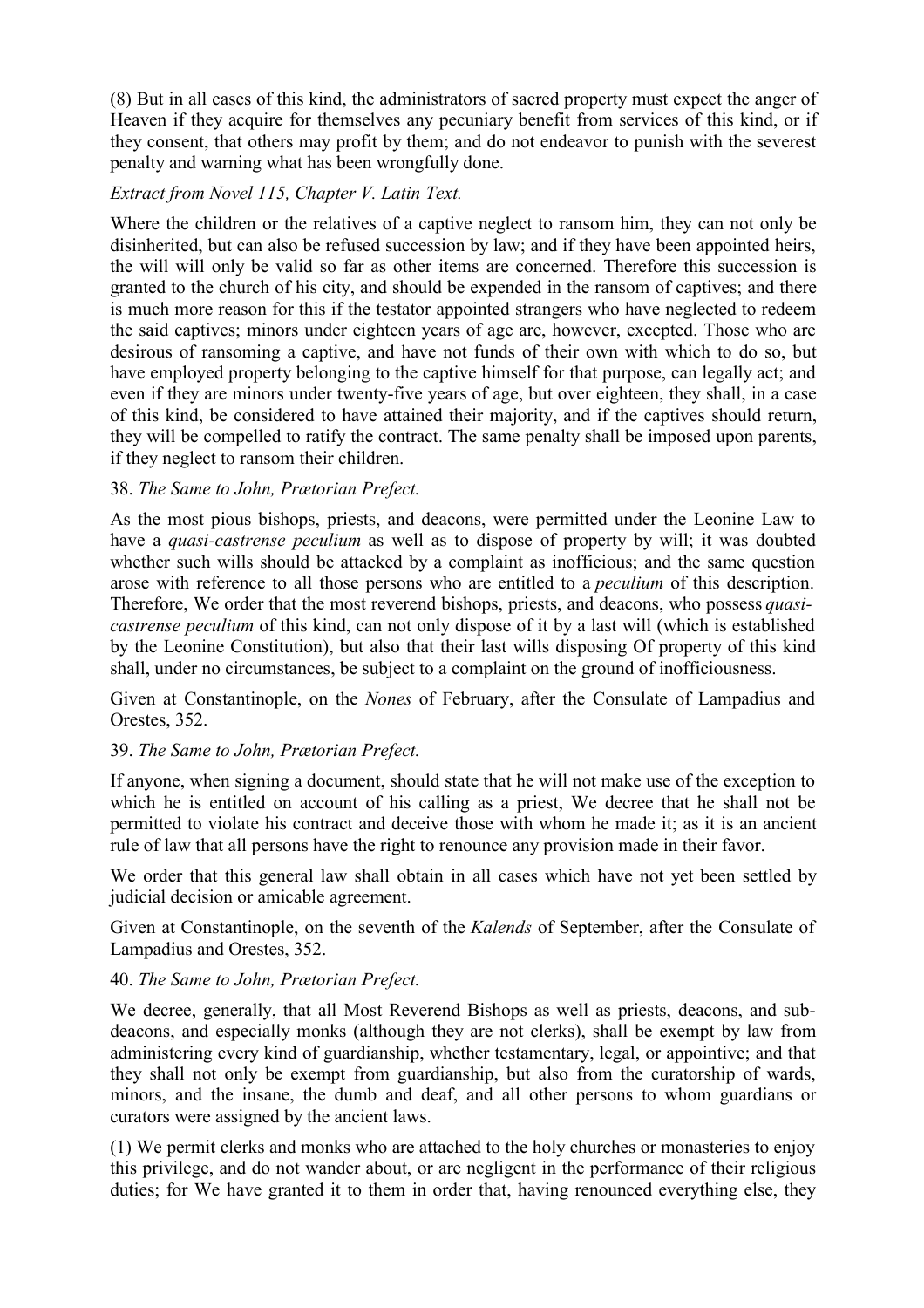(8) But in all cases of this kind, the administrators of sacred property must expect the anger of Heaven if they acquire for themselves any pecuniary benefit from services of this kind, or if they consent, that others may profit by them; and do not endeavor to punish with the severest penalty and warning what has been wrongfully done.

# *Extract from Novel 115, Chapter V. Latin Text.*

Where the children or the relatives of a captive neglect to ransom him, they can not only be disinherited, but can also be refused succession by law; and if they have been appointed heirs, the will will only be valid so far as other items are concerned. Therefore this succession is granted to the church of his city, and should be expended in the ransom of captives; and there is much more reason for this if the testator appointed strangers who have neglected to redeem the said captives; minors under eighteen years of age are, however, excepted. Those who are desirous of ransoming a captive, and have not funds of their own with which to do so, but have employed property belonging to the captive himself for that purpose, can legally act; and even if they are minors under twenty-five years of age, but over eighteen, they shall, in a case of this kind, be considered to have attained their majority, and if the captives should return, they will be compelled to ratify the contract. The same penalty shall be imposed upon parents, if they neglect to ransom their children.

## 38. *The Same to John, Prætorian Prefect.*

As the most pious bishops, priests, and deacons, were permitted under the Leonine Law to have a *quasi-castrense peculium* as well as to dispose of property by will; it was doubted whether such wills should be attacked by a complaint as inofficious; and the same question arose with reference to all those persons who are entitled to a *peculium* of this description. Therefore, We order that the most reverend bishops, priests, and deacons, who possess *quasicastrense peculium* of this kind, can not only dispose of it by a last will (which is established by the Leonine Constitution), but also that their last wills disposing Of property of this kind shall, under no circumstances, be subject to a complaint on the ground of inofficiousness.

Given at Constantinople, on the *Nones* of February, after the Consulate of Lampadius and Orestes, 352.

## 39. *The Same to John, Prætorian Prefect.*

If anyone, when signing a document, should state that he will not make use of the exception to which he is entitled on account of his calling as a priest, We decree that he shall not be permitted to violate his contract and deceive those with whom he made it; as it is an ancient rule of law that all persons have the right to renounce any provision made in their favor.

We order that this general law shall obtain in all cases which have not yet been settled by judicial decision or amicable agreement.

Given at Constantinople, on the seventh of the *Kalends* of September, after the Consulate of Lampadius and Orestes, 352.

## 40. *The Same to John, Prætorian Prefect.*

We decree, generally, that all Most Reverend Bishops as well as priests, deacons, and subdeacons, and especially monks (although they are not clerks), shall be exempt by law from administering every kind of guardianship, whether testamentary, legal, or appointive; and that they shall not only be exempt from guardianship, but also from the curatorship of wards, minors, and the insane, the dumb and deaf, and all other persons to whom guardians or curators were assigned by the ancient laws.

(1) We permit clerks and monks who are attached to the holy churches or monasteries to enjoy this privilege, and do not wander about, or are negligent in the performance of their religious duties; for We have granted it to them in order that, having renounced everything else, they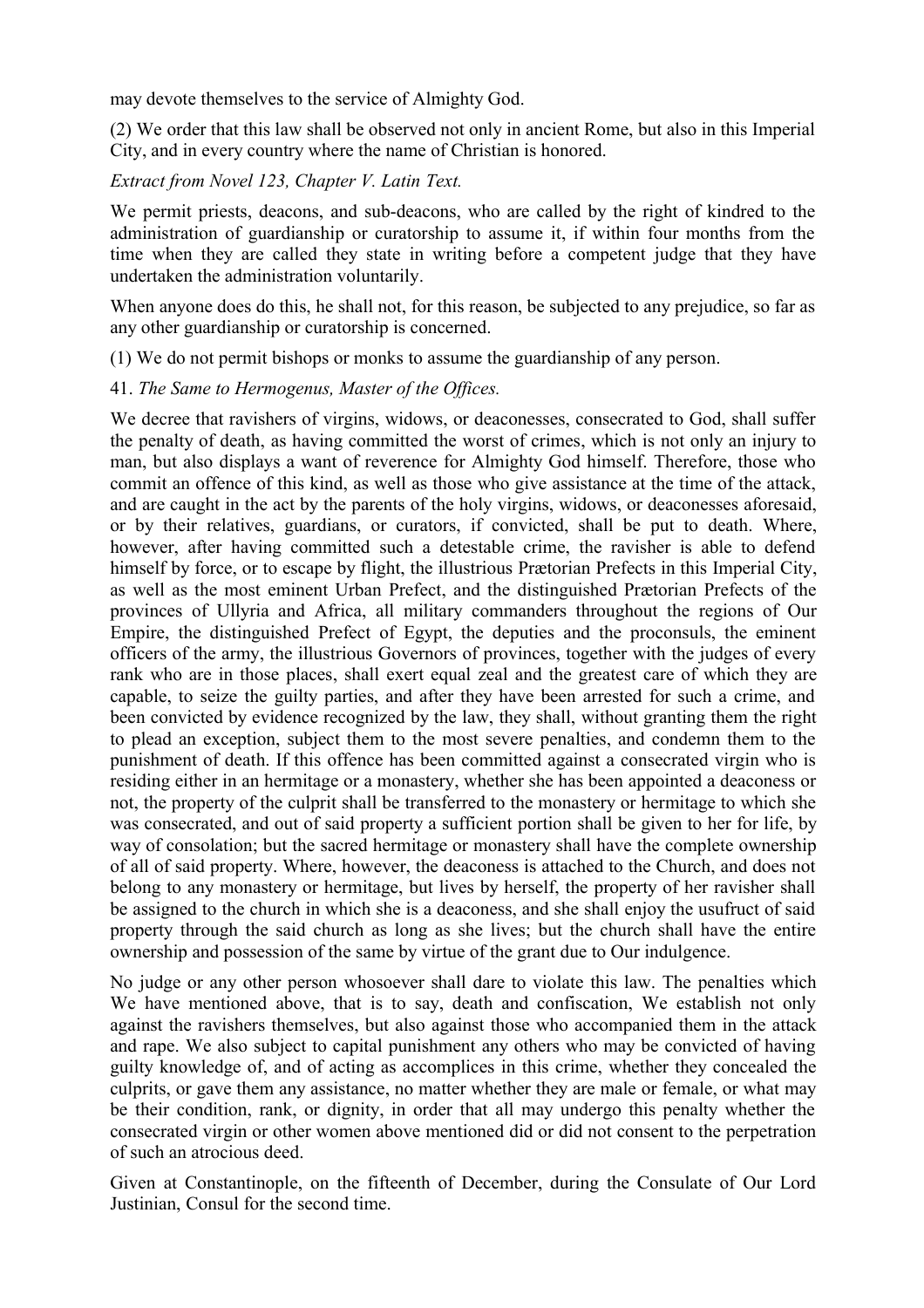may devote themselves to the service of Almighty God.

(2) We order that this law shall be observed not only in ancient Rome, but also in this Imperial City, and in every country where the name of Christian is honored.

# *Extract from Novel 123, Chapter V. Latin Text.*

We permit priests, deacons, and sub-deacons, who are called by the right of kindred to the administration of guardianship or curatorship to assume it, if within four months from the time when they are called they state in writing before a competent judge that they have undertaken the administration voluntarily.

When anyone does do this, he shall not, for this reason, be subjected to any prejudice, so far as any other guardianship or curatorship is concerned.

(1) We do not permit bishops or monks to assume the guardianship of any person.

### 41. *The Same to Hermogenus, Master of the Offices.*

We decree that ravishers of virgins, widows, or deaconesses, consecrated to God, shall suffer the penalty of death, as having committed the worst of crimes, which is not only an injury to man, but also displays a want of reverence for Almighty God himself. Therefore, those who commit an offence of this kind, as well as those who give assistance at the time of the attack, and are caught in the act by the parents of the holy virgins, widows, or deaconesses aforesaid, or by their relatives, guardians, or curators, if convicted, shall be put to death. Where, however, after having committed such a detestable crime, the ravisher is able to defend himself by force, or to escape by flight, the illustrious Prætorian Prefects in this Imperial City, as well as the most eminent Urban Prefect, and the distinguished Prætorian Prefects of the provinces of Ullyria and Africa, all military commanders throughout the regions of Our Empire, the distinguished Prefect of Egypt, the deputies and the proconsuls, the eminent officers of the army, the illustrious Governors of provinces, together with the judges of every rank who are in those places, shall exert equal zeal and the greatest care of which they are capable, to seize the guilty parties, and after they have been arrested for such a crime, and been convicted by evidence recognized by the law, they shall, without granting them the right to plead an exception, subject them to the most severe penalties, and condemn them to the punishment of death. If this offence has been committed against a consecrated virgin who is residing either in an hermitage or a monastery, whether she has been appointed a deaconess or not, the property of the culprit shall be transferred to the monastery or hermitage to which she was consecrated, and out of said property a sufficient portion shall be given to her for life, by way of consolation; but the sacred hermitage or monastery shall have the complete ownership of all of said property. Where, however, the deaconess is attached to the Church, and does not belong to any monastery or hermitage, but lives by herself, the property of her ravisher shall be assigned to the church in which she is a deaconess, and she shall enjoy the usufruct of said property through the said church as long as she lives; but the church shall have the entire ownership and possession of the same by virtue of the grant due to Our indulgence.

No judge or any other person whosoever shall dare to violate this law. The penalties which We have mentioned above, that is to say, death and confiscation, We establish not only against the ravishers themselves, but also against those who accompanied them in the attack and rape. We also subject to capital punishment any others who may be convicted of having guilty knowledge of, and of acting as accomplices in this crime, whether they concealed the culprits, or gave them any assistance, no matter whether they are male or female, or what may be their condition, rank, or dignity, in order that all may undergo this penalty whether the consecrated virgin or other women above mentioned did or did not consent to the perpetration of such an atrocious deed.

Given at Constantinople, on the fifteenth of December, during the Consulate of Our Lord Justinian, Consul for the second time.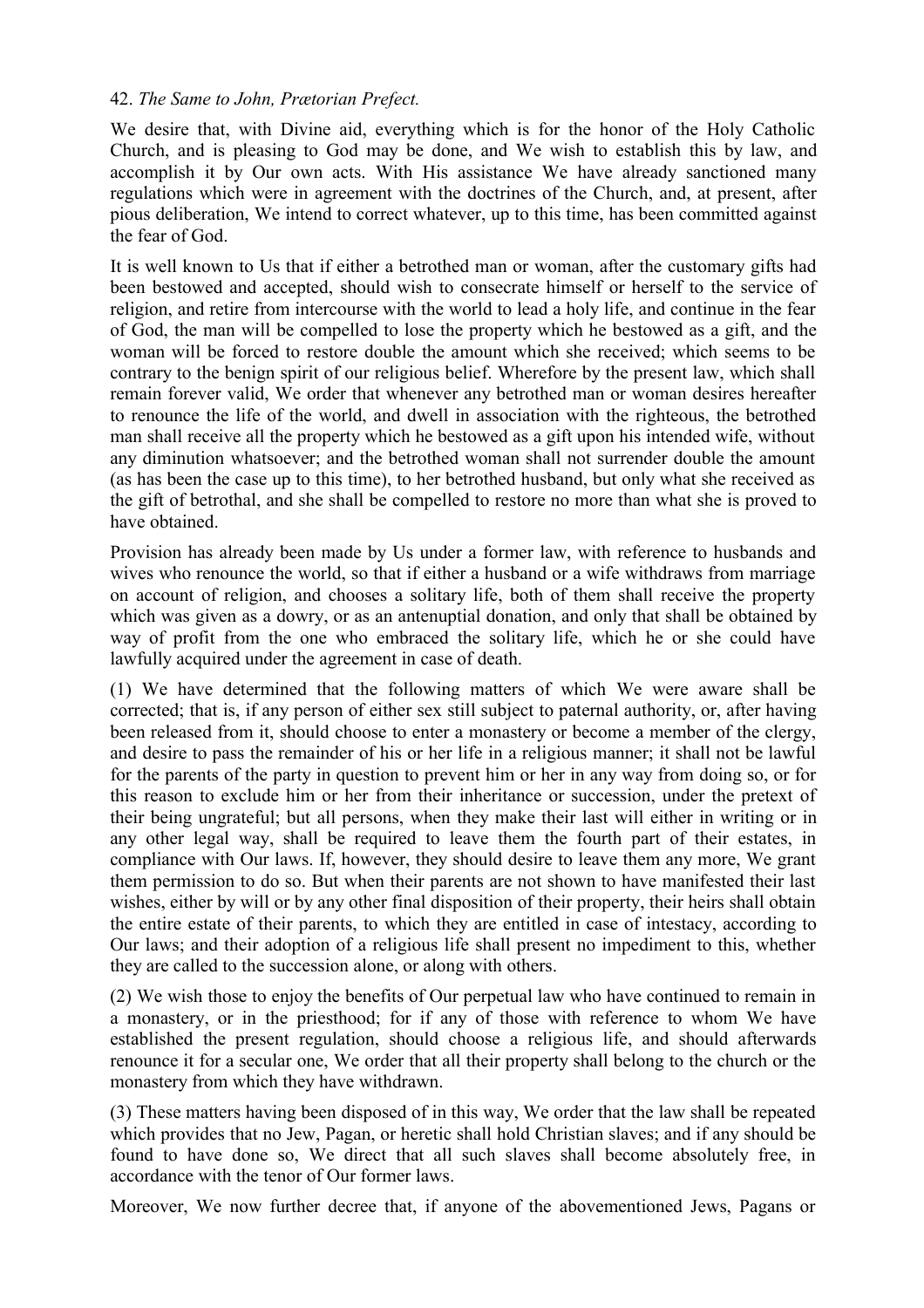#### 42. *The Same to John, Prætorian Prefect.*

We desire that, with Divine aid, everything which is for the honor of the Holy Catholic Church, and is pleasing to God may be done, and We wish to establish this by law, and accomplish it by Our own acts. With His assistance We have already sanctioned many regulations which were in agreement with the doctrines of the Church, and, at present, after pious deliberation, We intend to correct whatever, up to this time, has been committed against the fear of God.

It is well known to Us that if either a betrothed man or woman, after the customary gifts had been bestowed and accepted, should wish to consecrate himself or herself to the service of religion, and retire from intercourse with the world to lead a holy life, and continue in the fear of God, the man will be compelled to lose the property which he bestowed as a gift, and the woman will be forced to restore double the amount which she received; which seems to be contrary to the benign spirit of our religious belief. Wherefore by the present law, which shall remain forever valid, We order that whenever any betrothed man or woman desires hereafter to renounce the life of the world, and dwell in association with the righteous, the betrothed man shall receive all the property which he bestowed as a gift upon his intended wife, without any diminution whatsoever; and the betrothed woman shall not surrender double the amount (as has been the case up to this time), to her betrothed husband, but only what she received as the gift of betrothal, and she shall be compelled to restore no more than what she is proved to have obtained.

Provision has already been made by Us under a former law, with reference to husbands and wives who renounce the world, so that if either a husband or a wife withdraws from marriage on account of religion, and chooses a solitary life, both of them shall receive the property which was given as a dowry, or as an antenuptial donation, and only that shall be obtained by way of profit from the one who embraced the solitary life, which he or she could have lawfully acquired under the agreement in case of death.

(1) We have determined that the following matters of which We were aware shall be corrected; that is, if any person of either sex still subject to paternal authority, or, after having been released from it, should choose to enter a monastery or become a member of the clergy, and desire to pass the remainder of his or her life in a religious manner; it shall not be lawful for the parents of the party in question to prevent him or her in any way from doing so, or for this reason to exclude him or her from their inheritance or succession, under the pretext of their being ungrateful; but all persons, when they make their last will either in writing or in any other legal way, shall be required to leave them the fourth part of their estates, in compliance with Our laws. If, however, they should desire to leave them any more, We grant them permission to do so. But when their parents are not shown to have manifested their last wishes, either by will or by any other final disposition of their property, their heirs shall obtain the entire estate of their parents, to which they are entitled in case of intestacy, according to Our laws; and their adoption of a religious life shall present no impediment to this, whether they are called to the succession alone, or along with others.

(2) We wish those to enjoy the benefits of Our perpetual law who have continued to remain in a monastery, or in the priesthood; for if any of those with reference to whom We have established the present regulation, should choose a religious life, and should afterwards renounce it for a secular one, We order that all their property shall belong to the church or the monastery from which they have withdrawn.

(3) These matters having been disposed of in this way, We order that the law shall be repeated which provides that no Jew, Pagan, or heretic shall hold Christian slaves; and if any should be found to have done so, We direct that all such slaves shall become absolutely free, in accordance with the tenor of Our former laws.

Moreover, We now further decree that, if anyone of the abovementioned Jews, Pagans or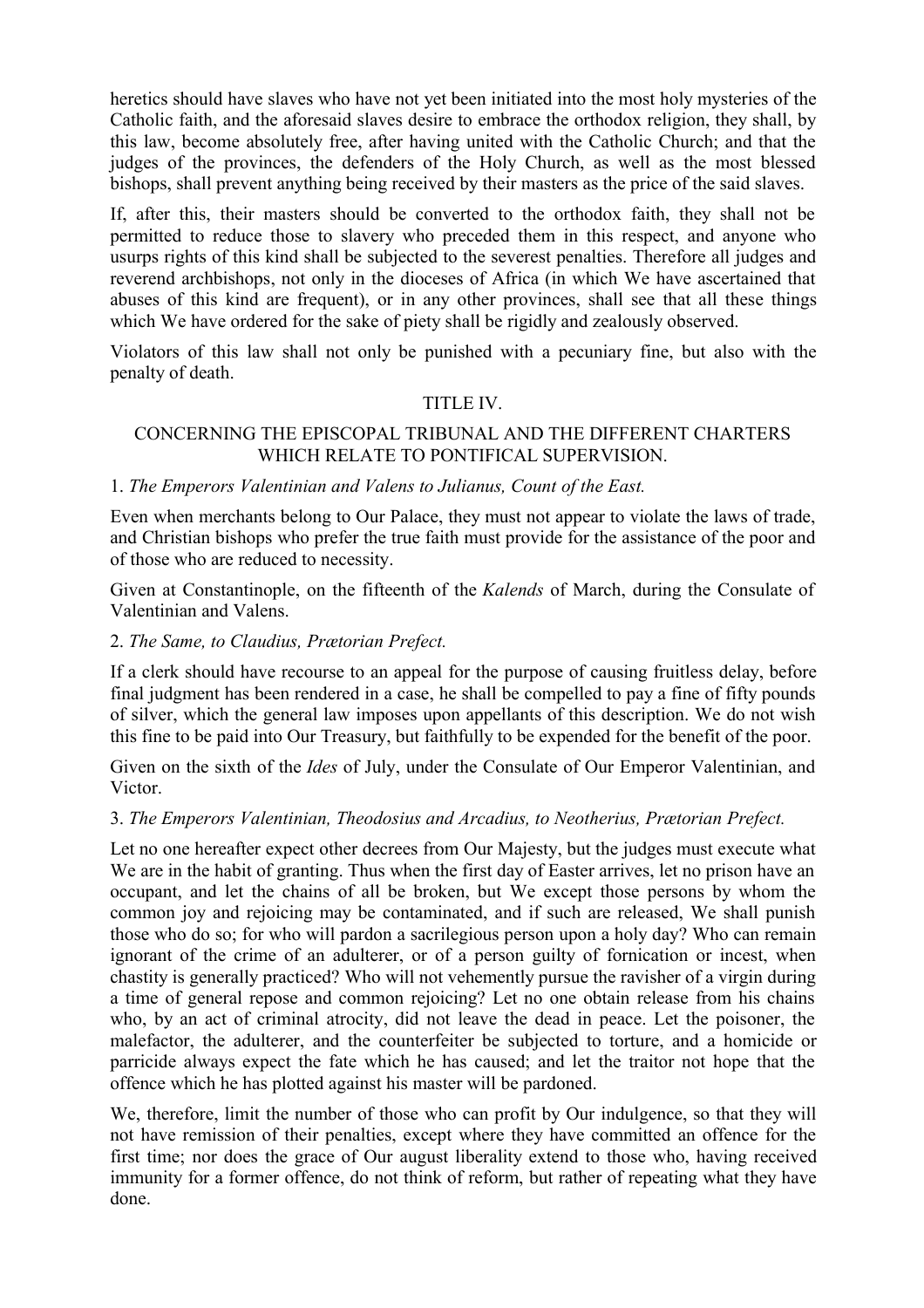heretics should have slaves who have not yet been initiated into the most holy mysteries of the Catholic faith, and the aforesaid slaves desire to embrace the orthodox religion, they shall, by this law, become absolutely free, after having united with the Catholic Church; and that the judges of the provinces, the defenders of the Holy Church, as well as the most blessed bishops, shall prevent anything being received by their masters as the price of the said slaves.

If, after this, their masters should be converted to the orthodox faith, they shall not be permitted to reduce those to slavery who preceded them in this respect, and anyone who usurps rights of this kind shall be subjected to the severest penalties. Therefore all judges and reverend archbishops, not only in the dioceses of Africa (in which We have ascertained that abuses of this kind are frequent), or in any other provinces, shall see that all these things which We have ordered for the sake of piety shall be rigidly and zealously observed.

Violators of this law shall not only be punished with a pecuniary fine, but also with the penalty of death.

### TITLE IV.

#### CONCERNING THE EPISCOPAL TRIBUNAL AND THE DIFFERENT CHARTERS WHICH RELATE TO PONTIFICAL SUPERVISION.

#### 1. *The Emperors Valentinian and Valens to Julianus, Count of the East.*

Even when merchants belong to Our Palace, they must not appear to violate the laws of trade, and Christian bishops who prefer the true faith must provide for the assistance of the poor and of those who are reduced to necessity.

Given at Constantinople, on the fifteenth of the *Kalends* of March, during the Consulate of Valentinian and Valens.

#### 2. *The Same, to Claudius, Prætorian Prefect.*

If a clerk should have recourse to an appeal for the purpose of causing fruitless delay, before final judgment has been rendered in a case, he shall be compelled to pay a fine of fifty pounds of silver, which the general law imposes upon appellants of this description. We do not wish this fine to be paid into Our Treasury, but faithfully to be expended for the benefit of the poor.

Given on the sixth of the *Ides* of July, under the Consulate of Our Emperor Valentinian, and Victor.

#### 3. *The Emperors Valentinian, Theodosius and Arcadius, to Neotherius, Prætorian Prefect.*

Let no one hereafter expect other decrees from Our Majesty, but the judges must execute what We are in the habit of granting. Thus when the first day of Easter arrives, let no prison have an occupant, and let the chains of all be broken, but We except those persons by whom the common joy and rejoicing may be contaminated, and if such are released, We shall punish those who do so; for who will pardon a sacrilegious person upon a holy day? Who can remain ignorant of the crime of an adulterer, or of a person guilty of fornication or incest, when chastity is generally practiced? Who will not vehemently pursue the ravisher of a virgin during a time of general repose and common rejoicing? Let no one obtain release from his chains who, by an act of criminal atrocity, did not leave the dead in peace. Let the poisoner, the malefactor, the adulterer, and the counterfeiter be subjected to torture, and a homicide or parricide always expect the fate which he has caused; and let the traitor not hope that the offence which he has plotted against his master will be pardoned.

We, therefore, limit the number of those who can profit by Our indulgence, so that they will not have remission of their penalties, except where they have committed an offence for the first time; nor does the grace of Our august liberality extend to those who, having received immunity for a former offence, do not think of reform, but rather of repeating what they have done.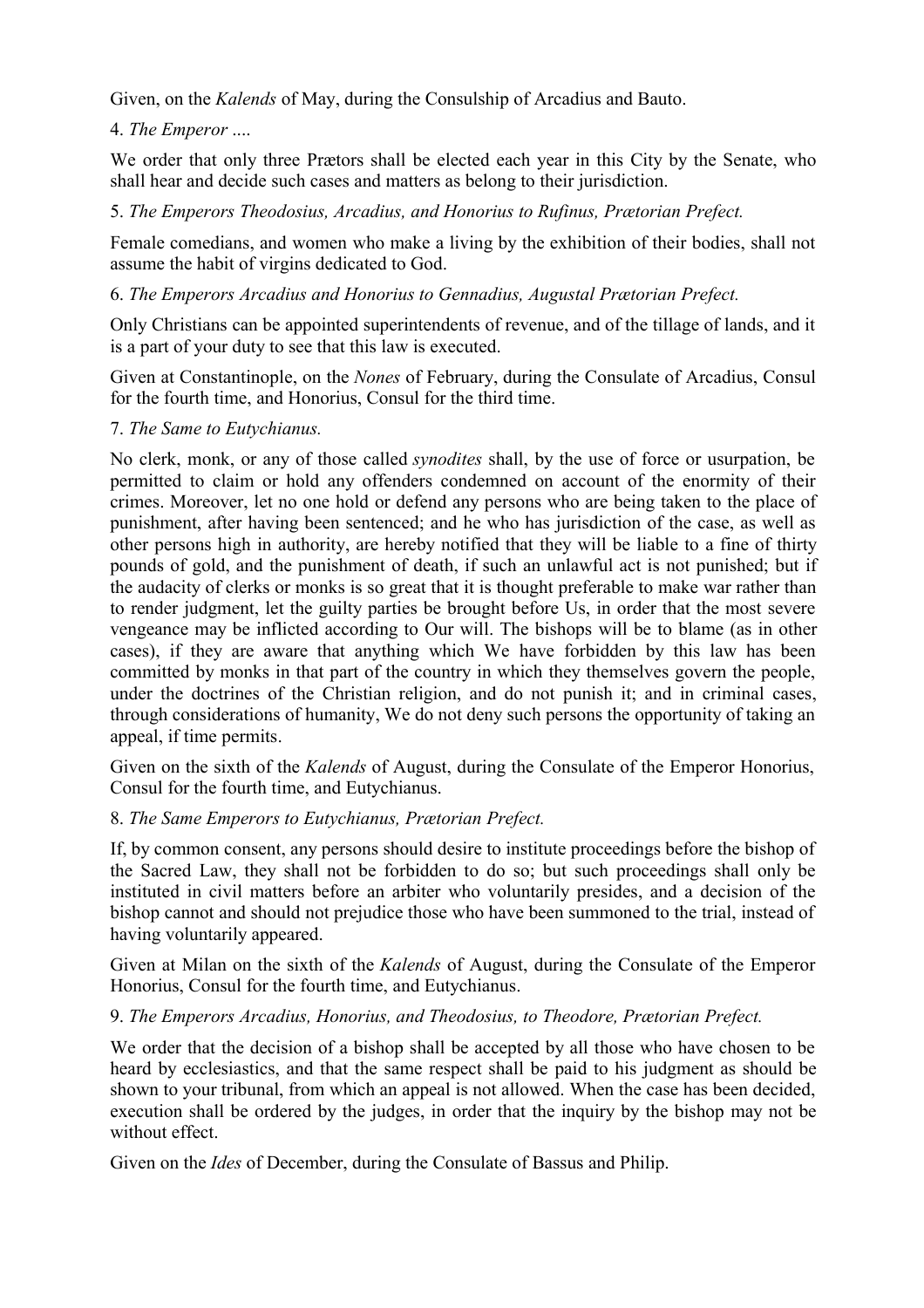Given, on the *Kalends* of May, during the Consulship of Arcadius and Bauto.

# 4. *The Emperor* ....

We order that only three Prætors shall be elected each year in this City by the Senate, who shall hear and decide such cases and matters as belong to their jurisdiction.

5. *The Emperors Theodosius, Arcadius, and Honorius to Rufinus, Prætorian Prefect.*

Female comedians, and women who make a living by the exhibition of their bodies, shall not assume the habit of virgins dedicated to God.

6. *The Emperors Arcadius and Honorius to Gennadius, Augustal Prætorian Prefect.*

Only Christians can be appointed superintendents of revenue, and of the tillage of lands, and it is a part of your duty to see that this law is executed.

Given at Constantinople, on the *Nones* of February, during the Consulate of Arcadius, Consul for the fourth time, and Honorius, Consul for the third time.

### 7. *The Same to Eutychianus.*

No clerk, monk, or any of those called *synodites* shall, by the use of force or usurpation, be permitted to claim or hold any offenders condemned on account of the enormity of their crimes. Moreover, let no one hold or defend any persons who are being taken to the place of punishment, after having been sentenced; and he who has jurisdiction of the case, as well as other persons high in authority, are hereby notified that they will be liable to a fine of thirty pounds of gold, and the punishment of death, if such an unlawful act is not punished; but if the audacity of clerks or monks is so great that it is thought preferable to make war rather than to render judgment, let the guilty parties be brought before Us, in order that the most severe vengeance may be inflicted according to Our will. The bishops will be to blame (as in other cases), if they are aware that anything which We have forbidden by this law has been committed by monks in that part of the country in which they themselves govern the people, under the doctrines of the Christian religion, and do not punish it; and in criminal cases, through considerations of humanity, We do not deny such persons the opportunity of taking an appeal, if time permits.

Given on the sixth of the *Kalends* of August, during the Consulate of the Emperor Honorius, Consul for the fourth time, and Eutychianus.

## 8. *The Same Emperors to Eutychianus, Prætorian Prefect.*

If, by common consent, any persons should desire to institute proceedings before the bishop of the Sacred Law, they shall not be forbidden to do so; but such proceedings shall only be instituted in civil matters before an arbiter who voluntarily presides, and a decision of the bishop cannot and should not prejudice those who have been summoned to the trial, instead of having voluntarily appeared.

Given at Milan on the sixth of the *Kalends* of August, during the Consulate of the Emperor Honorius, Consul for the fourth time, and Eutychianus.

## 9. *The Emperors Arcadius, Honorius, and Theodosius, to Theodore, Prætorian Prefect.*

We order that the decision of a bishop shall be accepted by all those who have chosen to be heard by ecclesiastics, and that the same respect shall be paid to his judgment as should be shown to your tribunal, from which an appeal is not allowed. When the case has been decided, execution shall be ordered by the judges, in order that the inquiry by the bishop may not be without effect.

Given on the *Ides* of December, during the Consulate of Bassus and Philip.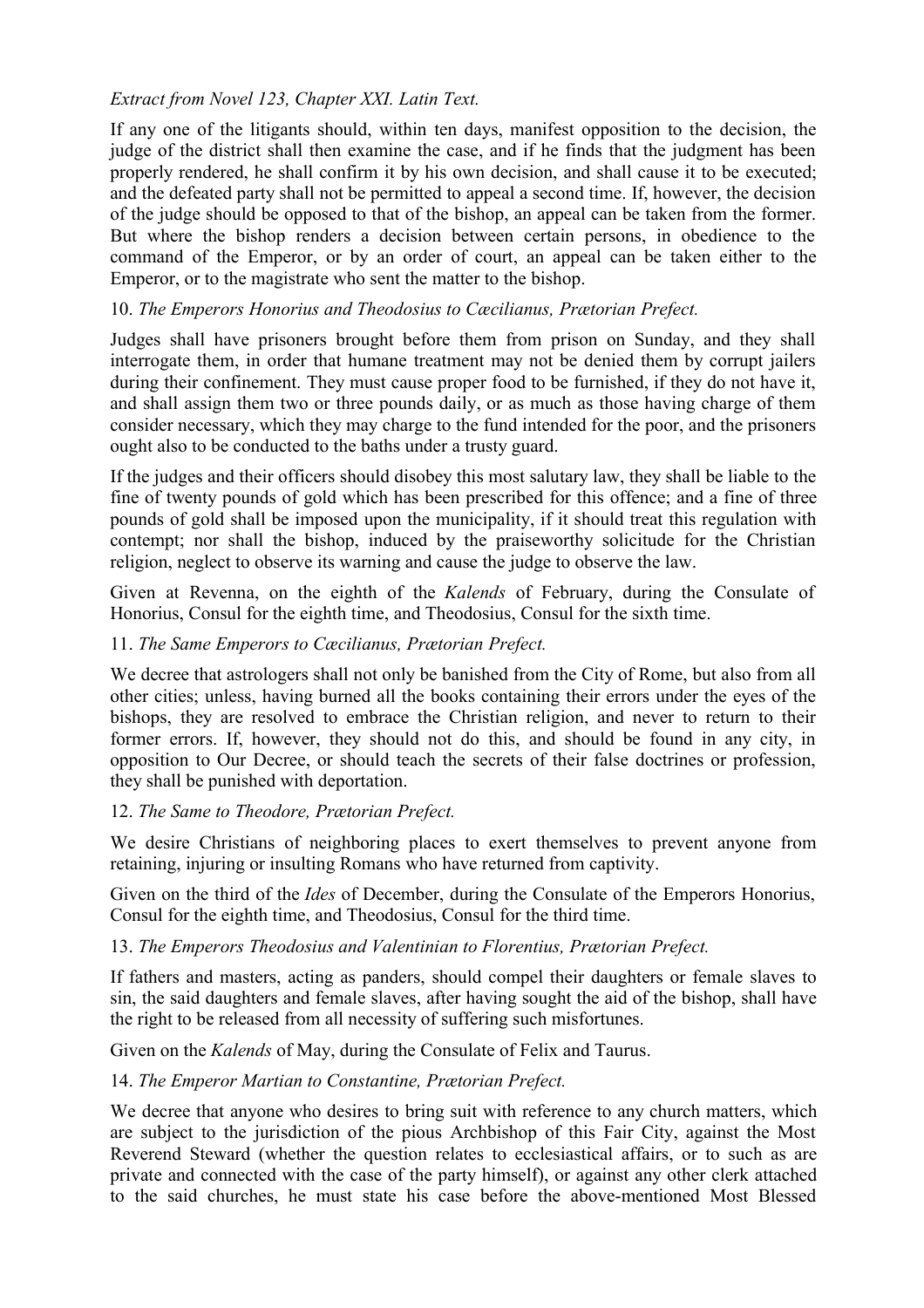# *Extract from Novel 123, Chapter XXI. Latin Text.*

If any one of the litigants should, within ten days, manifest opposition to the decision, the judge of the district shall then examine the case, and if he finds that the judgment has been properly rendered, he shall confirm it by his own decision, and shall cause it to be executed; and the defeated party shall not be permitted to appeal a second time. If, however, the decision of the judge should be opposed to that of the bishop, an appeal can be taken from the former. But where the bishop renders a decision between certain persons, in obedience to the command of the Emperor, or by an order of court, an appeal can be taken either to the Emperor, or to the magistrate who sent the matter to the bishop.

# 10. *The Emperors Honorius and Theodosius to Cæcilianus, Prætorian Prefect.*

Judges shall have prisoners brought before them from prison on Sunday, and they shall interrogate them, in order that humane treatment may not be denied them by corrupt jailers during their confinement. They must cause proper food to be furnished, if they do not have it, and shall assign them two or three pounds daily, or as much as those having charge of them consider necessary, which they may charge to the fund intended for the poor, and the prisoners ought also to be conducted to the baths under a trusty guard.

If the judges and their officers should disobey this most salutary law, they shall be liable to the fine of twenty pounds of gold which has been prescribed for this offence; and a fine of three pounds of gold shall be imposed upon the municipality, if it should treat this regulation with contempt; nor shall the bishop, induced by the praiseworthy solicitude for the Christian religion, neglect to observe its warning and cause the judge to observe the law.

Given at Revenna, on the eighth of the *Kalends* of February, during the Consulate of Honorius, Consul for the eighth time, and Theodosius, Consul for the sixth time.

## 11. *The Same Emperors to Cæcilianus, Prætorian Prefect.*

We decree that astrologers shall not only be banished from the City of Rome, but also from all other cities; unless, having burned all the books containing their errors under the eyes of the bishops, they are resolved to embrace the Christian religion, and never to return to their former errors. If, however, they should not do this, and should be found in any city, in opposition to Our Decree, or should teach the secrets of their false doctrines or profession, they shall be punished with deportation.

#### 12. *The Same to Theodore, Prætorian Prefect.*

We desire Christians of neighboring places to exert themselves to prevent anyone from retaining, injuring or insulting Romans who have returned from captivity.

Given on the third of the *Ides* of December, during the Consulate of the Emperors Honorius, Consul for the eighth time, and Theodosius, Consul for the third time.

#### 13. *The Emperors Theodosius and Valentinian to Florentius, Prætorian Prefect.*

If fathers and masters, acting as panders, should compel their daughters or female slaves to sin, the said daughters and female slaves, after having sought the aid of the bishop, shall have the right to be released from all necessity of suffering such misfortunes.

Given on the *Kalends* of May, during the Consulate of Felix and Taurus.

#### 14. *The Emperor Martian to Constantine, Prætorian Prefect.*

We decree that anyone who desires to bring suit with reference to any church matters, which are subject to the jurisdiction of the pious Archbishop of this Fair City, against the Most Reverend Steward (whether the question relates to ecclesiastical affairs, or to such as are private and connected with the case of the party himself), or against any other clerk attached to the said churches, he must state his case before the above-mentioned Most Blessed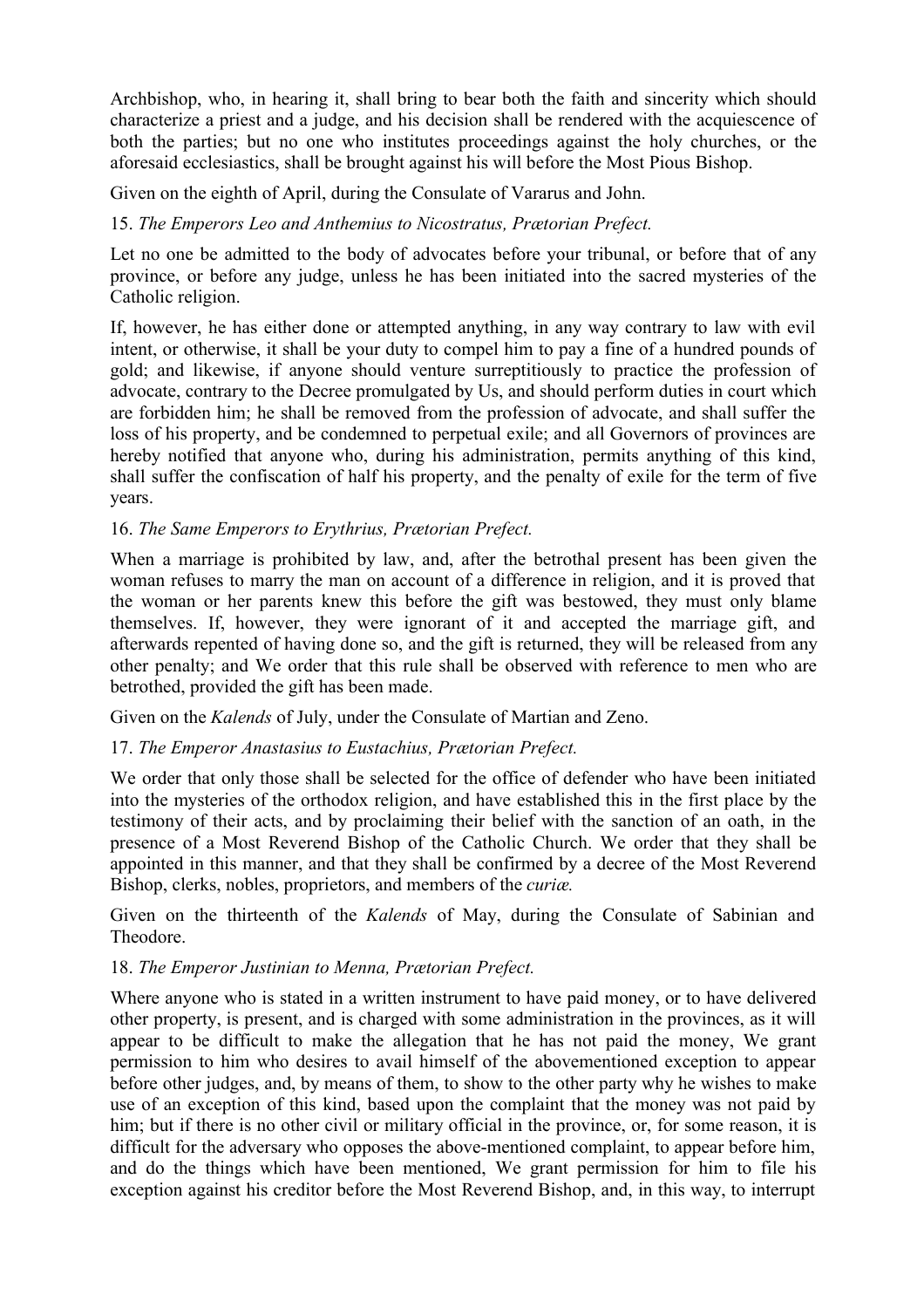Archbishop, who, in hearing it, shall bring to bear both the faith and sincerity which should characterize a priest and a judge, and his decision shall be rendered with the acquiescence of both the parties; but no one who institutes proceedings against the holy churches, or the aforesaid ecclesiastics, shall be brought against his will before the Most Pious Bishop.

Given on the eighth of April, during the Consulate of Vararus and John.

# 15. *The Emperors Leo and Anthemius to Nicostratus, Prætorian Prefect.*

Let no one be admitted to the body of advocates before your tribunal, or before that of any province, or before any judge, unless he has been initiated into the sacred mysteries of the Catholic religion.

If, however, he has either done or attempted anything, in any way contrary to law with evil intent, or otherwise, it shall be your duty to compel him to pay a fine of a hundred pounds of gold; and likewise, if anyone should venture surreptitiously to practice the profession of advocate, contrary to the Decree promulgated by Us, and should perform duties in court which are forbidden him; he shall be removed from the profession of advocate, and shall suffer the loss of his property, and be condemned to perpetual exile; and all Governors of provinces are hereby notified that anyone who, during his administration, permits anything of this kind, shall suffer the confiscation of half his property, and the penalty of exile for the term of five years.

### 16. *The Same Emperors to Erythrius, Prætorian Prefect.*

When a marriage is prohibited by law, and, after the betrothal present has been given the woman refuses to marry the man on account of a difference in religion, and it is proved that the woman or her parents knew this before the gift was bestowed, they must only blame themselves. If, however, they were ignorant of it and accepted the marriage gift, and afterwards repented of having done so, and the gift is returned, they will be released from any other penalty; and We order that this rule shall be observed with reference to men who are betrothed, provided the gift has been made.

Given on the *Kalends* of July, under the Consulate of Martian and Zeno.

# 17. *The Emperor Anastasius to Eustachius, Prætorian Prefect.*

We order that only those shall be selected for the office of defender who have been initiated into the mysteries of the orthodox religion, and have established this in the first place by the testimony of their acts, and by proclaiming their belief with the sanction of an oath, in the presence of a Most Reverend Bishop of the Catholic Church. We order that they shall be appointed in this manner, and that they shall be confirmed by a decree of the Most Reverend Bishop, clerks, nobles, proprietors, and members of the *curiæ.*

Given on the thirteenth of the *Kalends* of May, during the Consulate of Sabinian and Theodore.

### 18. *The Emperor Justinian to Menna, Prætorian Prefect.*

Where anyone who is stated in a written instrument to have paid money, or to have delivered other property, is present, and is charged with some administration in the provinces, as it will appear to be difficult to make the allegation that he has not paid the money, We grant permission to him who desires to avail himself of the abovementioned exception to appear before other judges, and, by means of them, to show to the other party why he wishes to make use of an exception of this kind, based upon the complaint that the money was not paid by him; but if there is no other civil or military official in the province, or, for some reason, it is difficult for the adversary who opposes the above-mentioned complaint, to appear before him, and do the things which have been mentioned, We grant permission for him to file his exception against his creditor before the Most Reverend Bishop, and, in this way, to interrupt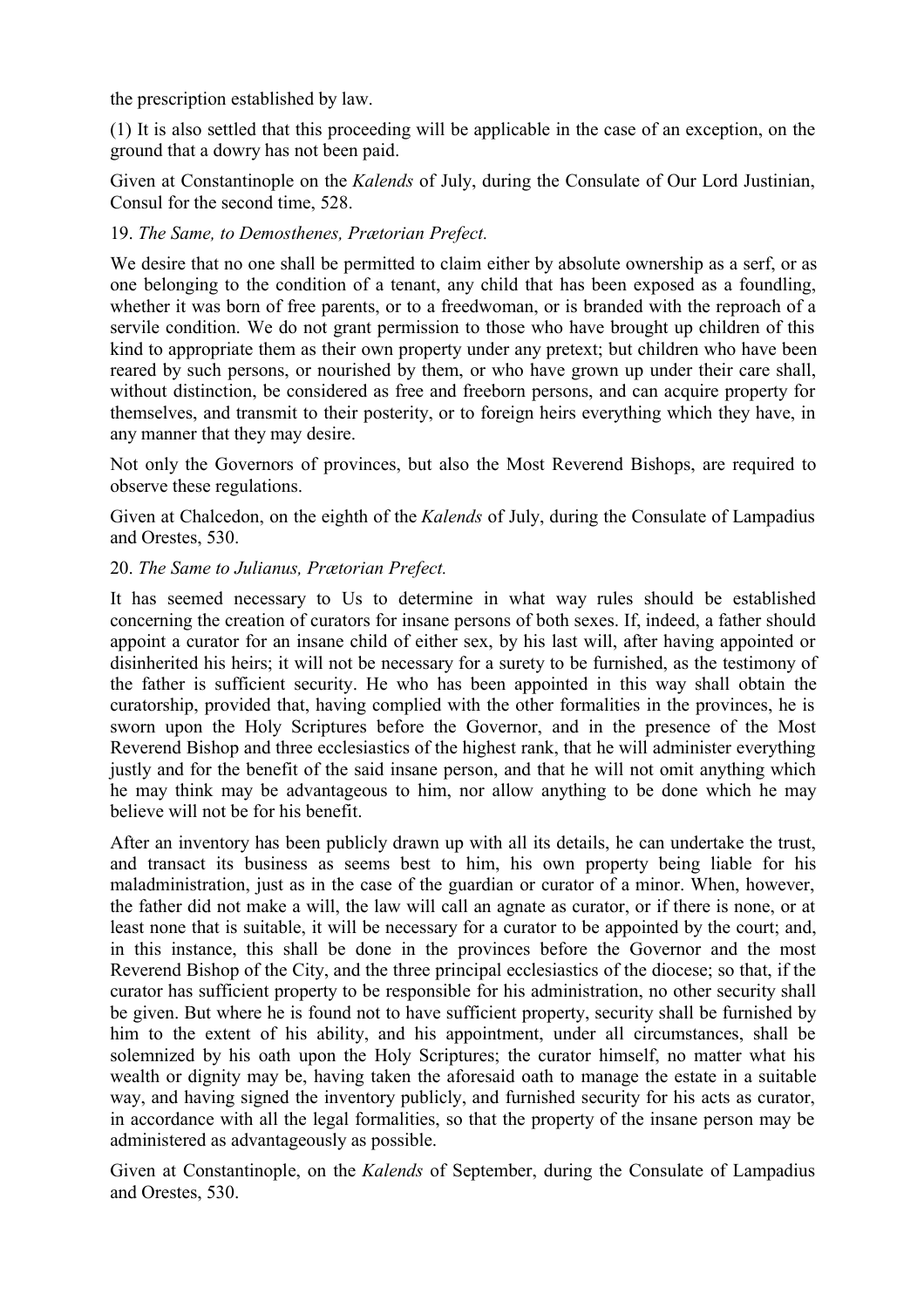the prescription established by law.

(1) It is also settled that this proceeding will be applicable in the case of an exception, on the ground that a dowry has not been paid.

Given at Constantinople on the *Kalends* of July, during the Consulate of Our Lord Justinian, Consul for the second time, 528.

# 19. *The Same, to Demosthenes, Prætorian Prefect.*

We desire that no one shall be permitted to claim either by absolute ownership as a serf, or as one belonging to the condition of a tenant, any child that has been exposed as a foundling, whether it was born of free parents, or to a freedwoman, or is branded with the reproach of a servile condition. We do not grant permission to those who have brought up children of this kind to appropriate them as their own property under any pretext; but children who have been reared by such persons, or nourished by them, or who have grown up under their care shall, without distinction, be considered as free and freeborn persons, and can acquire property for themselves, and transmit to their posterity, or to foreign heirs everything which they have, in any manner that they may desire.

Not only the Governors of provinces, but also the Most Reverend Bishops, are required to observe these regulations.

Given at Chalcedon, on the eighth of the *Kalends* of July, during the Consulate of Lampadius and Orestes, 530.

### 20. *The Same to Julianus, Prætorian Prefect.*

It has seemed necessary to Us to determine in what way rules should be established concerning the creation of curators for insane persons of both sexes. If, indeed, a father should appoint a curator for an insane child of either sex, by his last will, after having appointed or disinherited his heirs; it will not be necessary for a surety to be furnished, as the testimony of the father is sufficient security. He who has been appointed in this way shall obtain the curatorship, provided that, having complied with the other formalities in the provinces, he is sworn upon the Holy Scriptures before the Governor, and in the presence of the Most Reverend Bishop and three ecclesiastics of the highest rank, that he will administer everything justly and for the benefit of the said insane person, and that he will not omit anything which he may think may be advantageous to him, nor allow anything to be done which he may believe will not be for his benefit.

After an inventory has been publicly drawn up with all its details, he can undertake the trust, and transact its business as seems best to him, his own property being liable for his maladministration, just as in the case of the guardian or curator of a minor. When, however, the father did not make a will, the law will call an agnate as curator, or if there is none, or at least none that is suitable, it will be necessary for a curator to be appointed by the court; and, in this instance, this shall be done in the provinces before the Governor and the most Reverend Bishop of the City, and the three principal ecclesiastics of the diocese; so that, if the curator has sufficient property to be responsible for his administration, no other security shall be given. But where he is found not to have sufficient property, security shall be furnished by him to the extent of his ability, and his appointment, under all circumstances, shall be solemnized by his oath upon the Holy Scriptures; the curator himself, no matter what his wealth or dignity may be, having taken the aforesaid oath to manage the estate in a suitable way, and having signed the inventory publicly, and furnished security for his acts as curator, in accordance with all the legal formalities, so that the property of the insane person may be administered as advantageously as possible.

Given at Constantinople, on the *Kalends* of September, during the Consulate of Lampadius and Orestes, 530.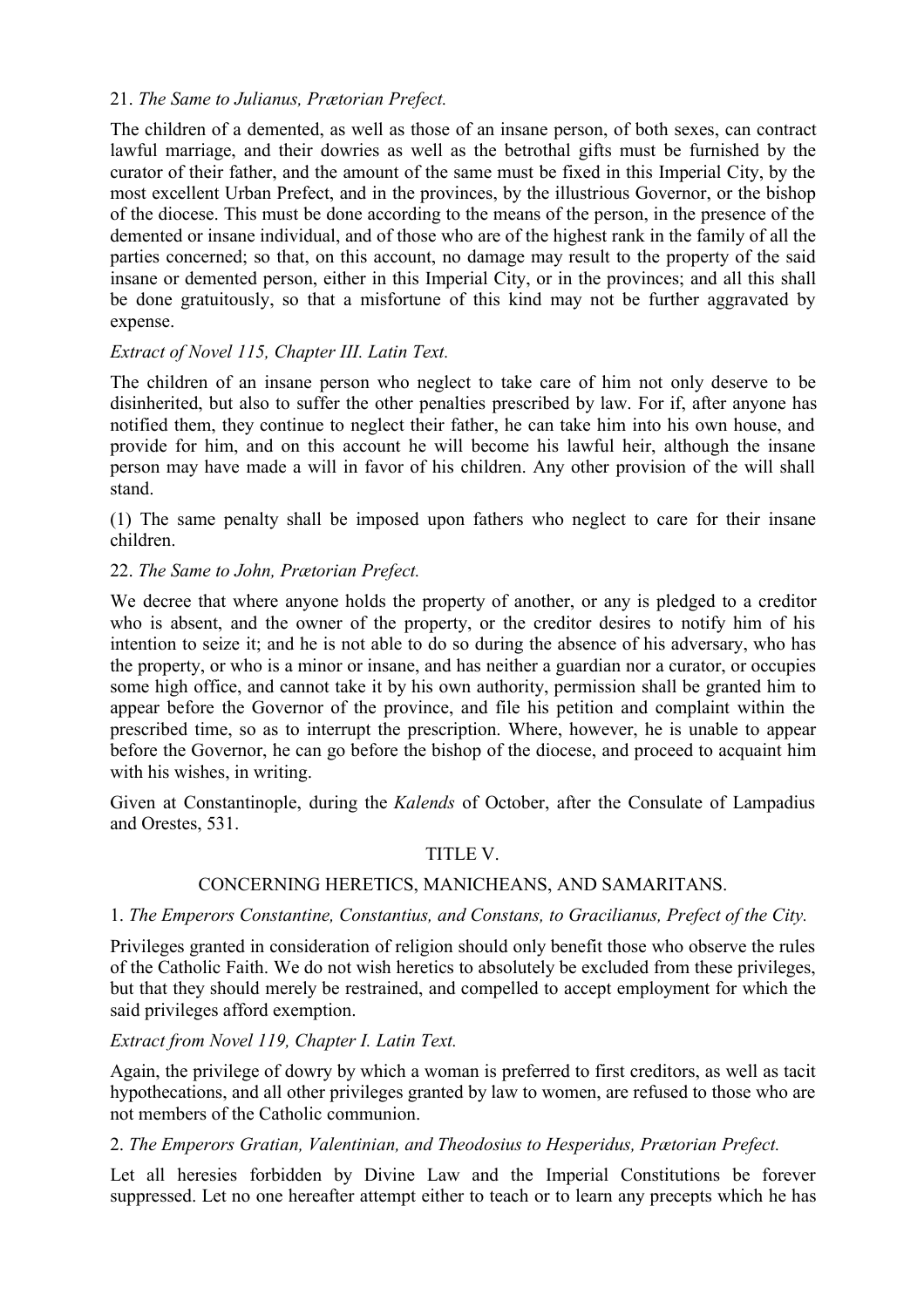# 21. *The Same to Julianus, Prætorian Prefect.*

The children of a demented, as well as those of an insane person, of both sexes, can contract lawful marriage, and their dowries as well as the betrothal gifts must be furnished by the curator of their father, and the amount of the same must be fixed in this Imperial City, by the most excellent Urban Prefect, and in the provinces, by the illustrious Governor, or the bishop of the diocese. This must be done according to the means of the person, in the presence of the demented or insane individual, and of those who are of the highest rank in the family of all the parties concerned; so that, on this account, no damage may result to the property of the said insane or demented person, either in this Imperial City, or in the provinces; and all this shall be done gratuitously, so that a misfortune of this kind may not be further aggravated by expense.

### *Extract of Novel 115, Chapter III. Latin Text.*

The children of an insane person who neglect to take care of him not only deserve to be disinherited, but also to suffer the other penalties prescribed by law. For if, after anyone has notified them, they continue to neglect their father, he can take him into his own house, and provide for him, and on this account he will become his lawful heir, although the insane person may have made a will in favor of his children. Any other provision of the will shall stand.

(1) The same penalty shall be imposed upon fathers who neglect to care for their insane children.

### 22. *The Same to John, Prætorian Prefect.*

We decree that where anyone holds the property of another, or any is pledged to a creditor who is absent, and the owner of the property, or the creditor desires to notify him of his intention to seize it; and he is not able to do so during the absence of his adversary, who has the property, or who is a minor or insane, and has neither a guardian nor a curator, or occupies some high office, and cannot take it by his own authority, permission shall be granted him to appear before the Governor of the province, and file his petition and complaint within the prescribed time, so as to interrupt the prescription. Where, however, he is unable to appear before the Governor, he can go before the bishop of the diocese, and proceed to acquaint him with his wishes, in writing.

Given at Constantinople, during the *Kalends* of October, after the Consulate of Lampadius and Orestes, 531.

# TITLE V.

### CONCERNING HERETICS, MANICHEANS, AND SAMARITANS.

### 1. *The Emperors Constantine, Constantius, and Constans, to Gracilianus, Prefect of the City.*

Privileges granted in consideration of religion should only benefit those who observe the rules of the Catholic Faith. We do not wish heretics to absolutely be excluded from these privileges, but that they should merely be restrained, and compelled to accept employment for which the said privileges afford exemption.

### *Extract from Novel 119, Chapter I. Latin Text.*

Again, the privilege of dowry by which a woman is preferred to first creditors, as well as tacit hypothecations, and all other privileges granted by law to women, are refused to those who are not members of the Catholic communion.

### 2. *The Emperors Gratian, Valentinian, and Theodosius to Hesperidus, Prætorian Prefect.*

Let all heresies forbidden by Divine Law and the Imperial Constitutions be forever suppressed. Let no one hereafter attempt either to teach or to learn any precepts which he has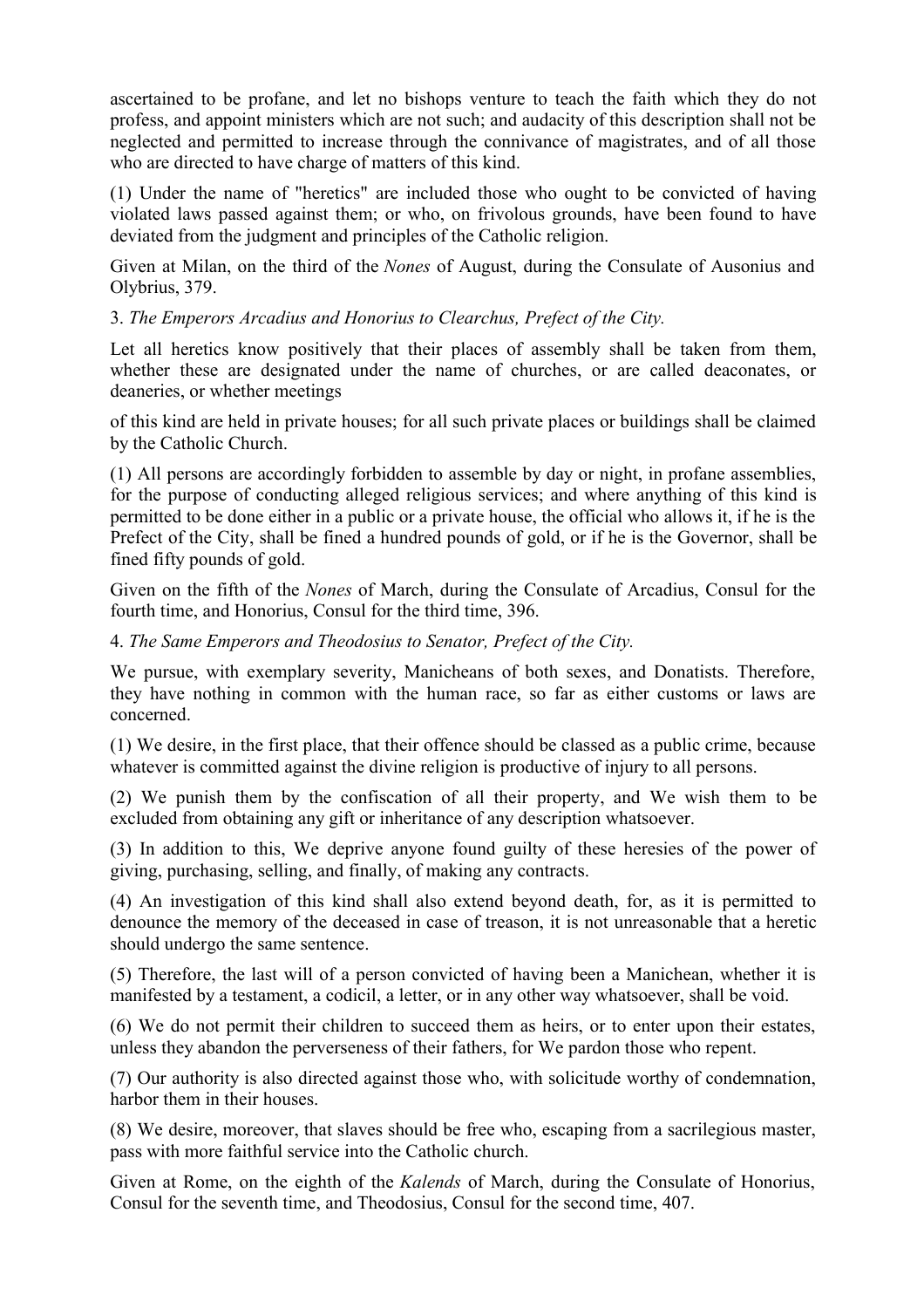ascertained to be profane, and let no bishops venture to teach the faith which they do not profess, and appoint ministers which are not such; and audacity of this description shall not be neglected and permitted to increase through the connivance of magistrates, and of all those who are directed to have charge of matters of this kind.

(1) Under the name of "heretics" are included those who ought to be convicted of having violated laws passed against them; or who, on frivolous grounds, have been found to have deviated from the judgment and principles of the Catholic religion.

Given at Milan, on the third of the *Nones* of August, during the Consulate of Ausonius and Olybrius, 379.

3. *The Emperors Arcadius and Honorius to Clearchus, Prefect of the City.*

Let all heretics know positively that their places of assembly shall be taken from them, whether these are designated under the name of churches, or are called deaconates, or deaneries, or whether meetings

of this kind are held in private houses; for all such private places or buildings shall be claimed by the Catholic Church.

(1) All persons are accordingly forbidden to assemble by day or night, in profane assemblies, for the purpose of conducting alleged religious services; and where anything of this kind is permitted to be done either in a public or a private house, the official who allows it, if he is the Prefect of the City, shall be fined a hundred pounds of gold, or if he is the Governor, shall be fined fifty pounds of gold.

Given on the fifth of the *Nones* of March, during the Consulate of Arcadius, Consul for the fourth time, and Honorius, Consul for the third time, 396.

4. *The Same Emperors and Theodosius to Senator, Prefect of the City.*

We pursue, with exemplary severity, Manicheans of both sexes, and Donatists. Therefore, they have nothing in common with the human race, so far as either customs or laws are concerned.

(1) We desire, in the first place, that their offence should be classed as a public crime, because whatever is committed against the divine religion is productive of injury to all persons.

(2) We punish them by the confiscation of all their property, and We wish them to be excluded from obtaining any gift or inheritance of any description whatsoever.

(3) In addition to this, We deprive anyone found guilty of these heresies of the power of giving, purchasing, selling, and finally, of making any contracts.

(4) An investigation of this kind shall also extend beyond death, for, as it is permitted to denounce the memory of the deceased in case of treason, it is not unreasonable that a heretic should undergo the same sentence.

(5) Therefore, the last will of a person convicted of having been a Manichean, whether it is manifested by a testament, a codicil, a letter, or in any other way whatsoever, shall be void.

(6) We do not permit their children to succeed them as heirs, or to enter upon their estates, unless they abandon the perverseness of their fathers, for We pardon those who repent.

(7) Our authority is also directed against those who, with solicitude worthy of condemnation, harbor them in their houses.

(8) We desire, moreover, that slaves should be free who, escaping from a sacrilegious master, pass with more faithful service into the Catholic church.

Given at Rome, on the eighth of the *Kalends* of March, during the Consulate of Honorius, Consul for the seventh time, and Theodosius, Consul for the second time, 407.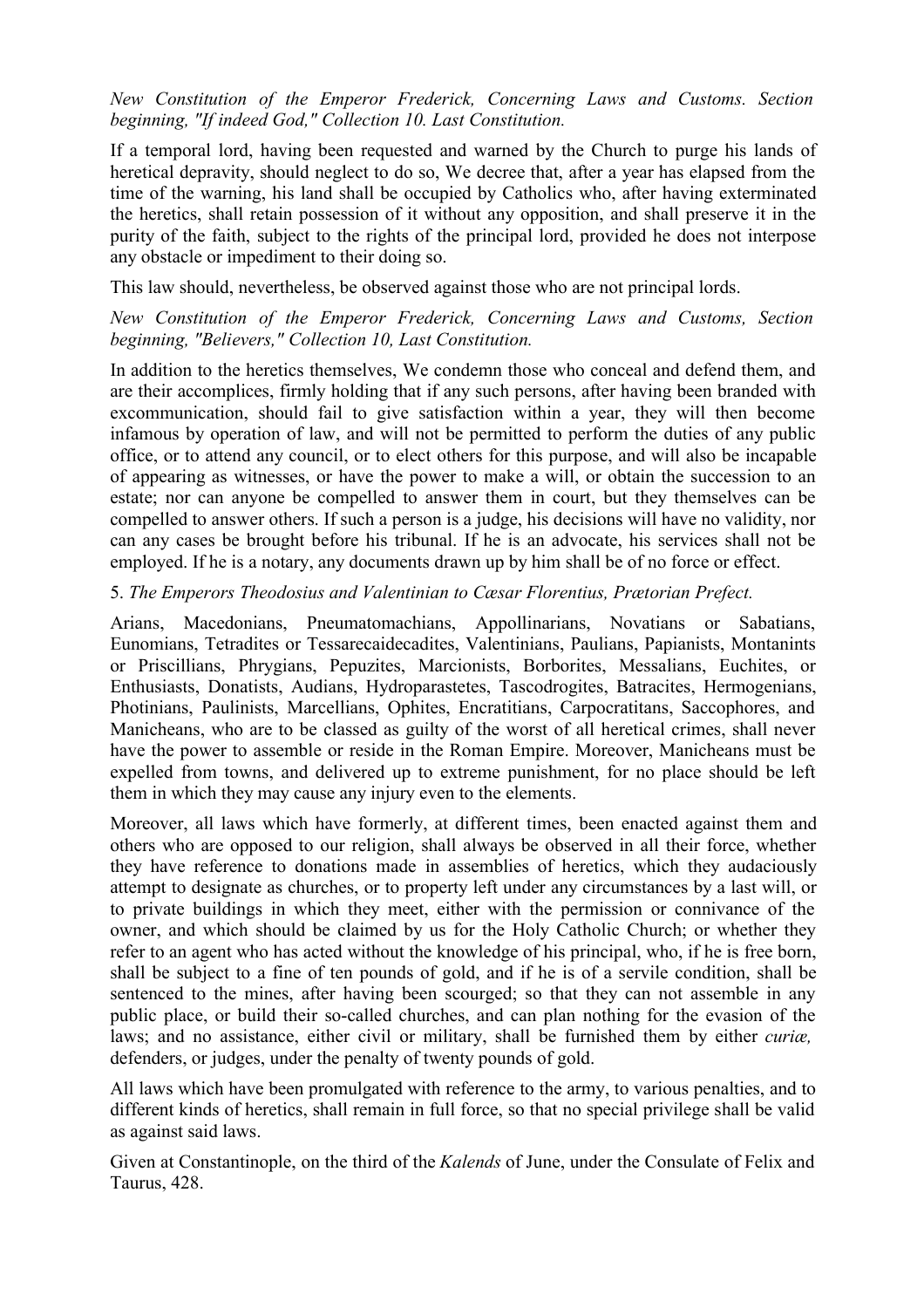*New Constitution of the Emperor Frederick, Concerning Laws and Customs. Section beginning, "If indeed God," Collection 10. Last Constitution.*

If a temporal lord, having been requested and warned by the Church to purge his lands of heretical depravity, should neglect to do so, We decree that, after a year has elapsed from the time of the warning, his land shall be occupied by Catholics who, after having exterminated the heretics, shall retain possession of it without any opposition, and shall preserve it in the purity of the faith, subject to the rights of the principal lord, provided he does not interpose any obstacle or impediment to their doing so.

This law should, nevertheless, be observed against those who are not principal lords.

### *New Constitution of the Emperor Frederick, Concerning Laws and Customs, Section beginning, "Believers," Collection 10, Last Constitution.*

In addition to the heretics themselves, We condemn those who conceal and defend them, and are their accomplices, firmly holding that if any such persons, after having been branded with excommunication, should fail to give satisfaction within a year, they will then become infamous by operation of law, and will not be permitted to perform the duties of any public office, or to attend any council, or to elect others for this purpose, and will also be incapable of appearing as witnesses, or have the power to make a will, or obtain the succession to an estate; nor can anyone be compelled to answer them in court, but they themselves can be compelled to answer others. If such a person is a judge, his decisions will have no validity, nor can any cases be brought before his tribunal. If he is an advocate, his services shall not be employed. If he is a notary, any documents drawn up by him shall be of no force or effect.

### 5. *The Emperors Theodosius and Valentinian to Cæsar Florentius, Prætorian Prefect.*

Arians, Macedonians, Pneumatomachians, Appollinarians, Novatians or Sabatians, Eunomians, Tetradites or Tessarecaidecadites, Valentinians, Paulians, Papianists, Montanints or Priscillians, Phrygians, Pepuzites, Marcionists, Borborites, Messalians, Euchites, or Enthusiasts, Donatists, Audians, Hydroparastetes, Tascodrogites, Batracites, Hermogenians, Photinians, Paulinists, Marcellians, Ophites, Encratitians, Carpocratitans, Saccophores, and Manicheans, who are to be classed as guilty of the worst of all heretical crimes, shall never have the power to assemble or reside in the Roman Empire. Moreover, Manicheans must be expelled from towns, and delivered up to extreme punishment, for no place should be left them in which they may cause any injury even to the elements.

Moreover, all laws which have formerly, at different times, been enacted against them and others who are opposed to our religion, shall always be observed in all their force, whether they have reference to donations made in assemblies of heretics, which they audaciously attempt to designate as churches, or to property left under any circumstances by a last will, or to private buildings in which they meet, either with the permission or connivance of the owner, and which should be claimed by us for the Holy Catholic Church; or whether they refer to an agent who has acted without the knowledge of his principal, who, if he is free born, shall be subject to a fine of ten pounds of gold, and if he is of a servile condition, shall be sentenced to the mines, after having been scourged; so that they can not assemble in any public place, or build their so-called churches, and can plan nothing for the evasion of the laws; and no assistance, either civil or military, shall be furnished them by either *curiæ,* defenders, or judges, under the penalty of twenty pounds of gold.

All laws which have been promulgated with reference to the army, to various penalties, and to different kinds of heretics, shall remain in full force, so that no special privilege shall be valid as against said laws.

Given at Constantinople, on the third of the *Kalends* of June, under the Consulate of Felix and Taurus, 428.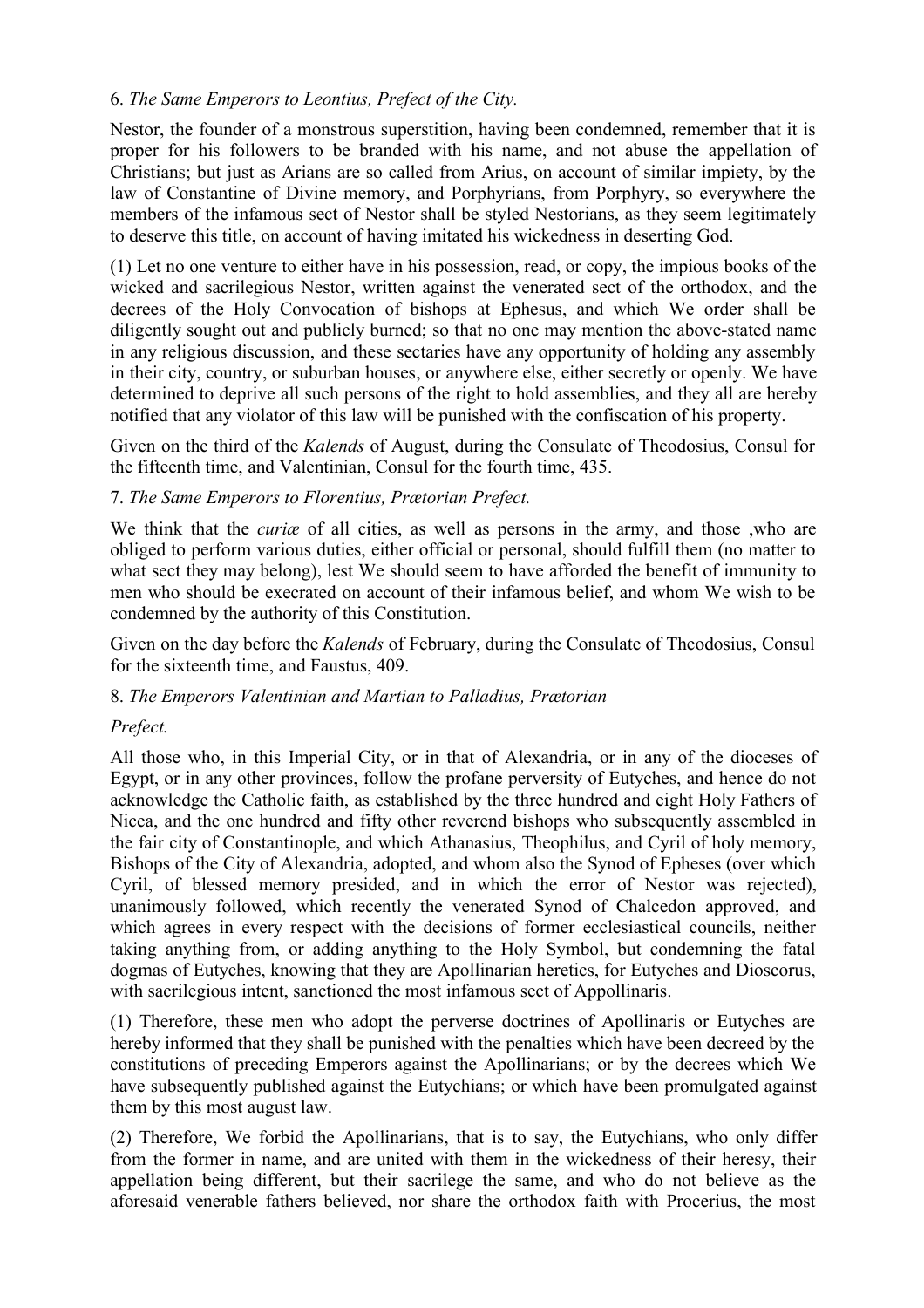# 6. *The Same Emperors to Leontius, Prefect of the City.*

Nestor, the founder of a monstrous superstition, having been condemned, remember that it is proper for his followers to be branded with his name, and not abuse the appellation of Christians; but just as Arians are so called from Arius, on account of similar impiety, by the law of Constantine of Divine memory, and Porphyrians, from Porphyry, so everywhere the members of the infamous sect of Nestor shall be styled Nestorians, as they seem legitimately to deserve this title, on account of having imitated his wickedness in deserting God.

(1) Let no one venture to either have in his possession, read, or copy, the impious books of the wicked and sacrilegious Nestor, written against the venerated sect of the orthodox, and the decrees of the Holy Convocation of bishops at Ephesus, and which We order shall be diligently sought out and publicly burned; so that no one may mention the above-stated name in any religious discussion, and these sectaries have any opportunity of holding any assembly in their city, country, or suburban houses, or anywhere else, either secretly or openly. We have determined to deprive all such persons of the right to hold assemblies, and they all are hereby notified that any violator of this law will be punished with the confiscation of his property.

Given on the third of the *Kalends* of August, during the Consulate of Theodosius, Consul for the fifteenth time, and Valentinian, Consul for the fourth time, 435.

### 7. *The Same Emperors to Florentius, Prætorian Prefect.*

We think that the *curiæ* of all cities, as well as persons in the army, and those ,who are obliged to perform various duties, either official or personal, should fulfill them (no matter to what sect they may belong), lest We should seem to have afforded the benefit of immunity to men who should be execrated on account of their infamous belief, and whom We wish to be condemned by the authority of this Constitution.

Given on the day before the *Kalends* of February, during the Consulate of Theodosius, Consul for the sixteenth time, and Faustus, 409.

### 8. *The Emperors Valentinian and Martian to Palladius, Prætorian*

# *Prefect.*

All those who, in this Imperial City, or in that of Alexandria, or in any of the dioceses of Egypt, or in any other provinces, follow the profane perversity of Eutyches, and hence do not acknowledge the Catholic faith, as established by the three hundred and eight Holy Fathers of Nicea, and the one hundred and fifty other reverend bishops who subsequently assembled in the fair city of Constantinople, and which Athanasius, Theophilus, and Cyril of holy memory, Bishops of the City of Alexandria, adopted, and whom also the Synod of Epheses (over which Cyril, of blessed memory presided, and in which the error of Nestor was rejected), unanimously followed, which recently the venerated Synod of Chalcedon approved, and which agrees in every respect with the decisions of former ecclesiastical councils, neither taking anything from, or adding anything to the Holy Symbol, but condemning the fatal dogmas of Eutyches, knowing that they are Apollinarian heretics, for Eutyches and Dioscorus, with sacrilegious intent, sanctioned the most infamous sect of Appollinaris.

(1) Therefore, these men who adopt the perverse doctrines of Apollinaris or Eutyches are hereby informed that they shall be punished with the penalties which have been decreed by the constitutions of preceding Emperors against the Apollinarians; or by the decrees which We have subsequently published against the Eutychians; or which have been promulgated against them by this most august law.

(2) Therefore, We forbid the Apollinarians, that is to say, the Eutychians, who only differ from the former in name, and are united with them in the wickedness of their heresy, their appellation being different, but their sacrilege the same, and who do not believe as the aforesaid venerable fathers believed, nor share the orthodox faith with Procerius, the most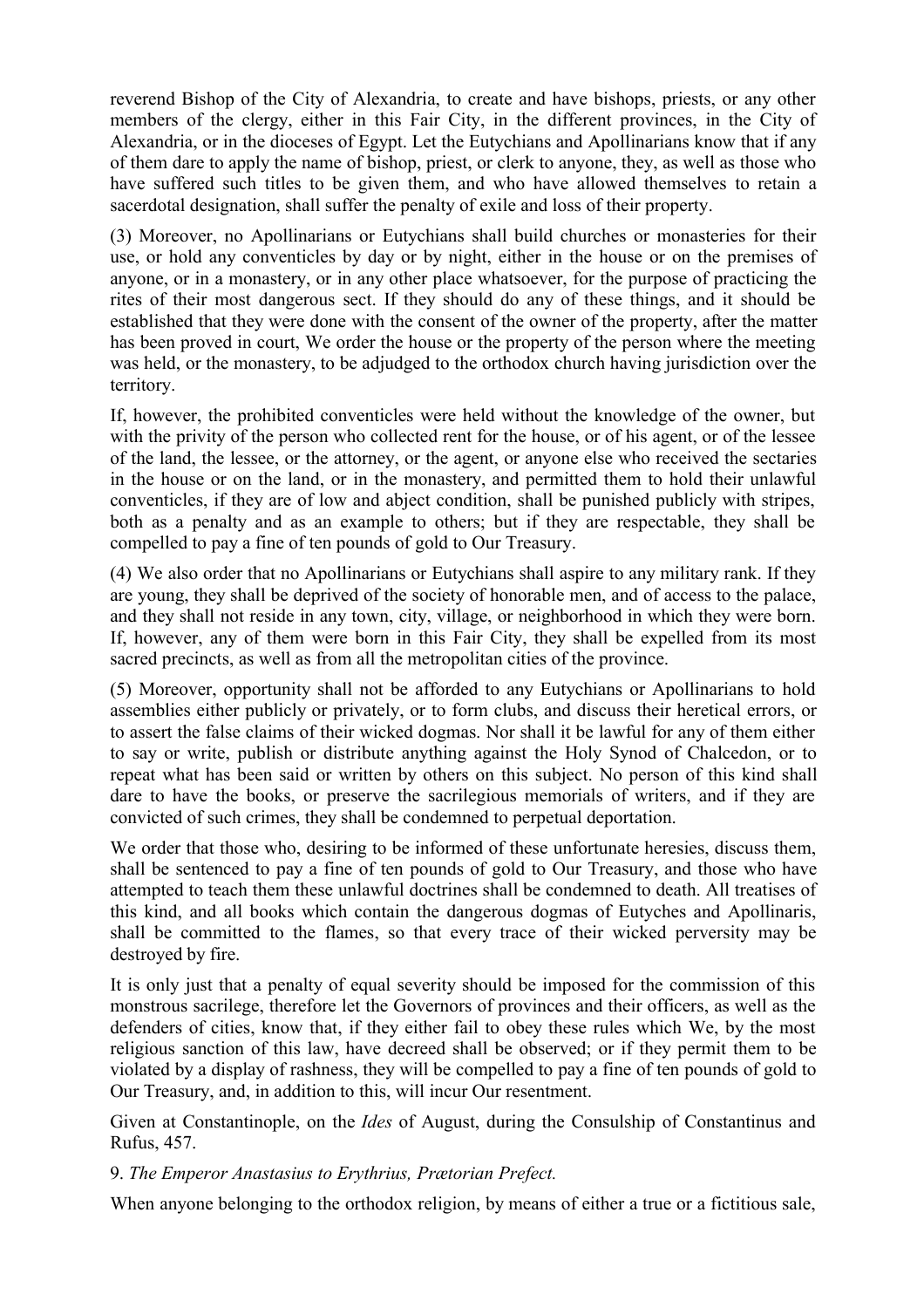reverend Bishop of the City of Alexandria, to create and have bishops, priests, or any other members of the clergy, either in this Fair City, in the different provinces, in the City of Alexandria, or in the dioceses of Egypt. Let the Eutychians and Apollinarians know that if any of them dare to apply the name of bishop, priest, or clerk to anyone, they, as well as those who have suffered such titles to be given them, and who have allowed themselves to retain a sacerdotal designation, shall suffer the penalty of exile and loss of their property.

(3) Moreover, no Apollinarians or Eutychians shall build churches or monasteries for their use, or hold any conventicles by day or by night, either in the house or on the premises of anyone, or in a monastery, or in any other place whatsoever, for the purpose of practicing the rites of their most dangerous sect. If they should do any of these things, and it should be established that they were done with the consent of the owner of the property, after the matter has been proved in court, We order the house or the property of the person where the meeting was held, or the monastery, to be adjudged to the orthodox church having jurisdiction over the territory.

If, however, the prohibited conventicles were held without the knowledge of the owner, but with the privity of the person who collected rent for the house, or of his agent, or of the lessee of the land, the lessee, or the attorney, or the agent, or anyone else who received the sectaries in the house or on the land, or in the monastery, and permitted them to hold their unlawful conventicles, if they are of low and abject condition, shall be punished publicly with stripes, both as a penalty and as an example to others; but if they are respectable, they shall be compelled to pay a fine of ten pounds of gold to Our Treasury.

(4) We also order that no Apollinarians or Eutychians shall aspire to any military rank. If they are young, they shall be deprived of the society of honorable men, and of access to the palace, and they shall not reside in any town, city, village, or neighborhood in which they were born. If, however, any of them were born in this Fair City, they shall be expelled from its most sacred precincts, as well as from all the metropolitan cities of the province.

(5) Moreover, opportunity shall not be afforded to any Eutychians or Apollinarians to hold assemblies either publicly or privately, or to form clubs, and discuss their heretical errors, or to assert the false claims of their wicked dogmas. Nor shall it be lawful for any of them either to say or write, publish or distribute anything against the Holy Synod of Chalcedon, or to repeat what has been said or written by others on this subject. No person of this kind shall dare to have the books, or preserve the sacrilegious memorials of writers, and if they are convicted of such crimes, they shall be condemned to perpetual deportation.

We order that those who, desiring to be informed of these unfortunate heresies, discuss them, shall be sentenced to pay a fine of ten pounds of gold to Our Treasury, and those who have attempted to teach them these unlawful doctrines shall be condemned to death. All treatises of this kind, and all books which contain the dangerous dogmas of Eutyches and Apollinaris, shall be committed to the flames, so that every trace of their wicked perversity may be destroyed by fire.

It is only just that a penalty of equal severity should be imposed for the commission of this monstrous sacrilege, therefore let the Governors of provinces and their officers, as well as the defenders of cities, know that, if they either fail to obey these rules which We, by the most religious sanction of this law, have decreed shall be observed; or if they permit them to be violated by a display of rashness, they will be compelled to pay a fine of ten pounds of gold to Our Treasury, and, in addition to this, will incur Our resentment.

Given at Constantinople, on the *Ides* of August, during the Consulship of Constantinus and Rufus, 457.

# 9. *The Emperor Anastasius to Erythrius, Prætorian Prefect.*

When anyone belonging to the orthodox religion, by means of either a true or a fictitious sale,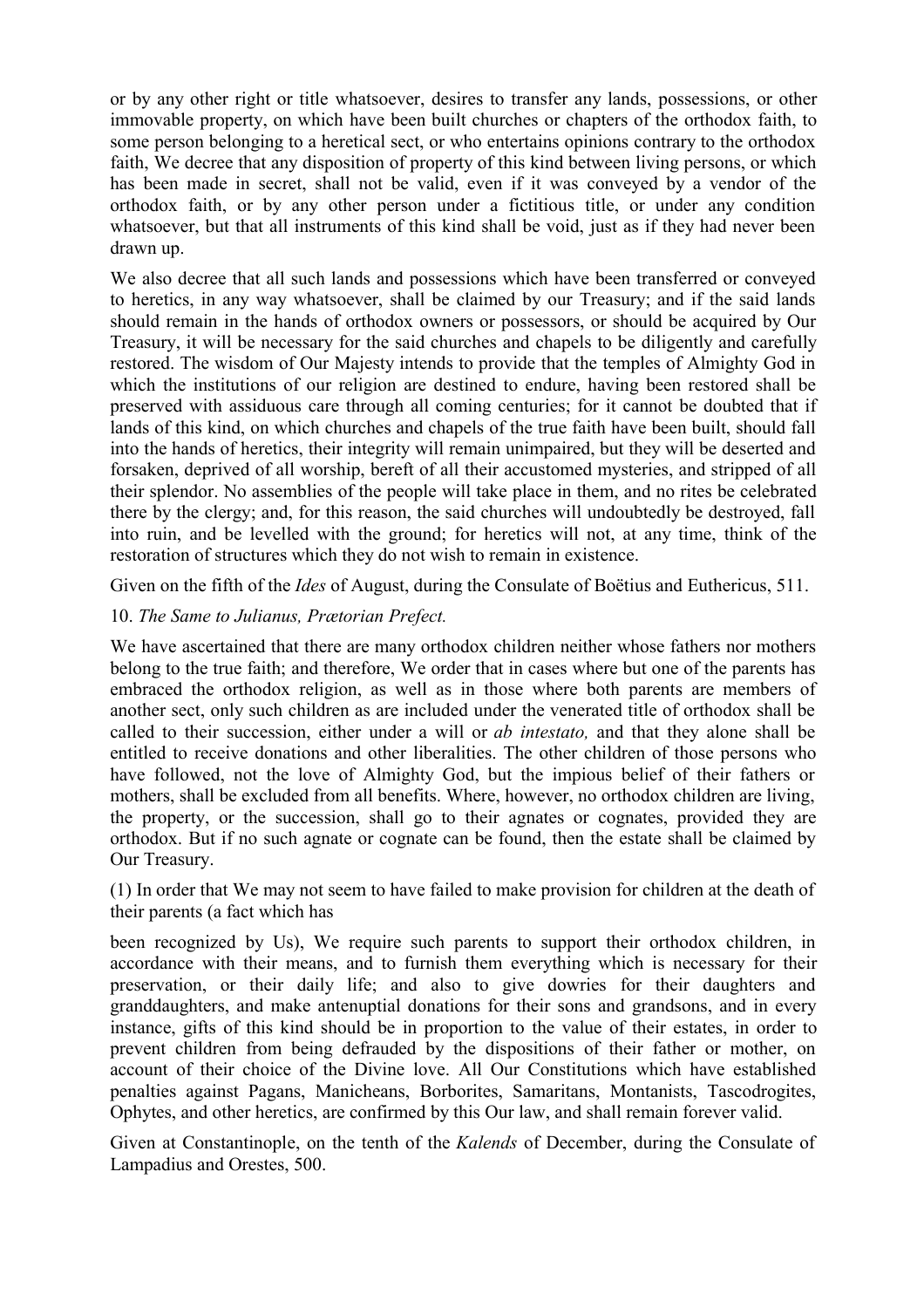or by any other right or title whatsoever, desires to transfer any lands, possessions, or other immovable property, on which have been built churches or chapters of the orthodox faith, to some person belonging to a heretical sect, or who entertains opinions contrary to the orthodox faith, We decree that any disposition of property of this kind between living persons, or which has been made in secret, shall not be valid, even if it was conveyed by a vendor of the orthodox faith, or by any other person under a fictitious title, or under any condition whatsoever, but that all instruments of this kind shall be void, just as if they had never been drawn up.

We also decree that all such lands and possessions which have been transferred or conveyed to heretics, in any way whatsoever, shall be claimed by our Treasury; and if the said lands should remain in the hands of orthodox owners or possessors, or should be acquired by Our Treasury, it will be necessary for the said churches and chapels to be diligently and carefully restored. The wisdom of Our Majesty intends to provide that the temples of Almighty God in which the institutions of our religion are destined to endure, having been restored shall be preserved with assiduous care through all coming centuries; for it cannot be doubted that if lands of this kind, on which churches and chapels of the true faith have been built, should fall into the hands of heretics, their integrity will remain unimpaired, but they will be deserted and forsaken, deprived of all worship, bereft of all their accustomed mysteries, and stripped of all their splendor. No assemblies of the people will take place in them, and no rites be celebrated there by the clergy; and, for this reason, the said churches will undoubtedly be destroyed, fall into ruin, and be levelled with the ground; for heretics will not, at any time, think of the restoration of structures which they do not wish to remain in existence.

Given on the fifth of the *Ides* of August, during the Consulate of Boëtius and Euthericus, 511.

# 10. *The Same to Julianus, Prætorian Prefect.*

We have ascertained that there are many orthodox children neither whose fathers nor mothers belong to the true faith; and therefore, We order that in cases where but one of the parents has embraced the orthodox religion, as well as in those where both parents are members of another sect, only such children as are included under the venerated title of orthodox shall be called to their succession, either under a will or *ab intestato,* and that they alone shall be entitled to receive donations and other liberalities. The other children of those persons who have followed, not the love of Almighty God, but the impious belief of their fathers or mothers, shall be excluded from all benefits. Where, however, no orthodox children are living, the property, or the succession, shall go to their agnates or cognates, provided they are orthodox. But if no such agnate or cognate can be found, then the estate shall be claimed by Our Treasury.

(1) In order that We may not seem to have failed to make provision for children at the death of their parents (a fact which has

been recognized by Us), We require such parents to support their orthodox children, in accordance with their means, and to furnish them everything which is necessary for their preservation, or their daily life; and also to give dowries for their daughters and granddaughters, and make antenuptial donations for their sons and grandsons, and in every instance, gifts of this kind should be in proportion to the value of their estates, in order to prevent children from being defrauded by the dispositions of their father or mother, on account of their choice of the Divine love. All Our Constitutions which have established penalties against Pagans, Manicheans, Borborites, Samaritans, Montanists, Tascodrogites, Ophytes, and other heretics, are confirmed by this Our law, and shall remain forever valid.

Given at Constantinople, on the tenth of the *Kalends* of December, during the Consulate of Lampadius and Orestes, 500.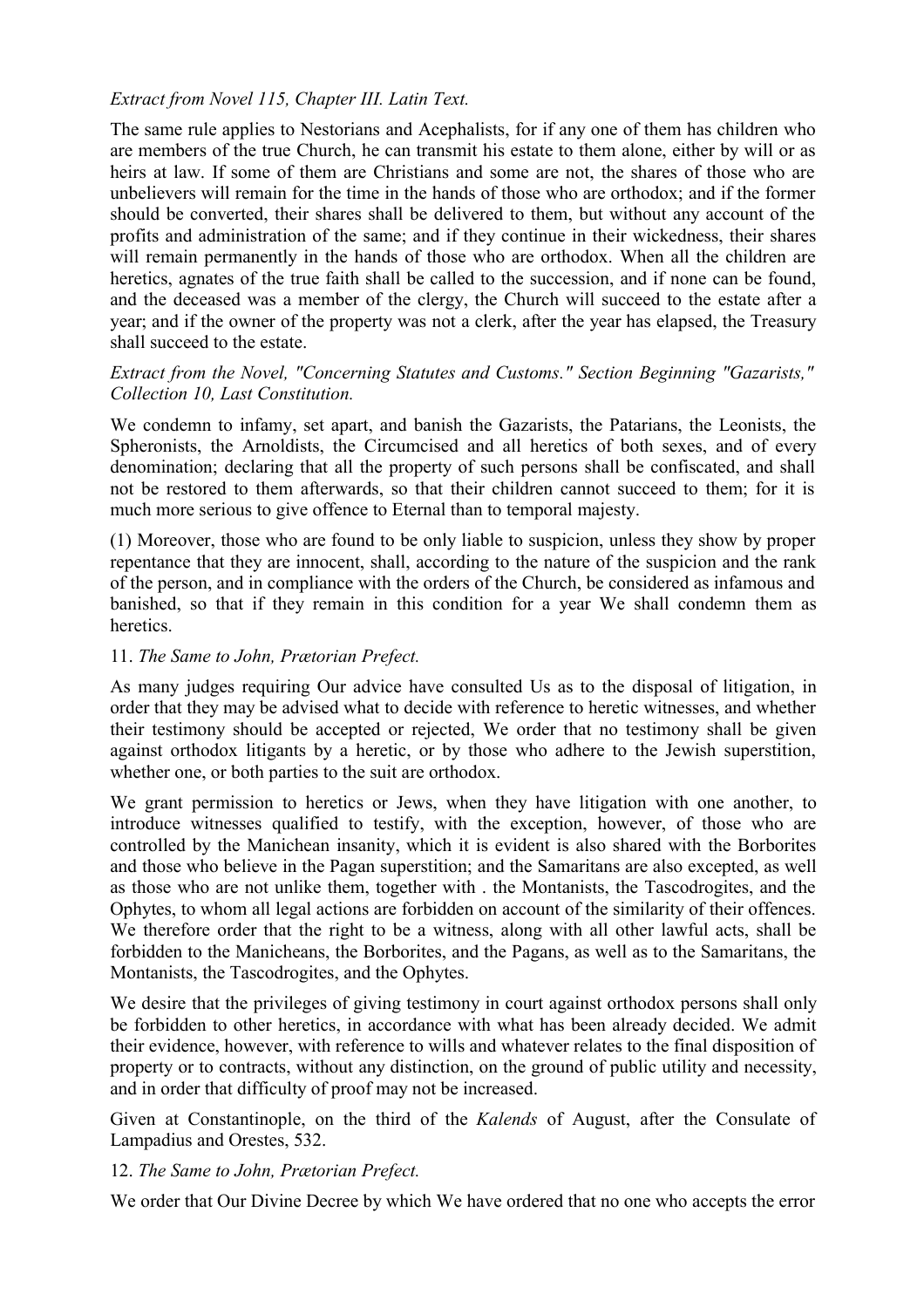# *Extract from Novel 115, Chapter III. Latin Text.*

The same rule applies to Nestorians and Acephalists, for if any one of them has children who are members of the true Church, he can transmit his estate to them alone, either by will or as heirs at law. If some of them are Christians and some are not, the shares of those who are unbelievers will remain for the time in the hands of those who are orthodox; and if the former should be converted, their shares shall be delivered to them, but without any account of the profits and administration of the same; and if they continue in their wickedness, their shares will remain permanently in the hands of those who are orthodox. When all the children are heretics, agnates of the true faith shall be called to the succession, and if none can be found, and the deceased was a member of the clergy, the Church will succeed to the estate after a year; and if the owner of the property was not a clerk, after the year has elapsed, the Treasury shall succeed to the estate.

# *Extract from the Novel, "Concerning Statutes and Customs." Section Beginning "Gazarists," Collection 10, Last Constitution.*

We condemn to infamy, set apart, and banish the Gazarists, the Patarians, the Leonists, the Spheronists, the Arnoldists, the Circumcised and all heretics of both sexes, and of every denomination; declaring that all the property of such persons shall be confiscated, and shall not be restored to them afterwards, so that their children cannot succeed to them; for it is much more serious to give offence to Eternal than to temporal majesty.

(1) Moreover, those who are found to be only liable to suspicion, unless they show by proper repentance that they are innocent, shall, according to the nature of the suspicion and the rank of the person, and in compliance with the orders of the Church, be considered as infamous and banished, so that if they remain in this condition for a year We shall condemn them as heretics.

# 11. *The Same to John, Prætorian Prefect.*

As many judges requiring Our advice have consulted Us as to the disposal of litigation, in order that they may be advised what to decide with reference to heretic witnesses, and whether their testimony should be accepted or rejected, We order that no testimony shall be given against orthodox litigants by a heretic, or by those who adhere to the Jewish superstition, whether one, or both parties to the suit are orthodox.

We grant permission to heretics or Jews, when they have litigation with one another, to introduce witnesses qualified to testify, with the exception, however, of those who are controlled by the Manichean insanity, which it is evident is also shared with the Borborites and those who believe in the Pagan superstition; and the Samaritans are also excepted, as well as those who are not unlike them, together with . the Montanists, the Tascodrogites, and the Ophytes, to whom all legal actions are forbidden on account of the similarity of their offences. We therefore order that the right to be a witness, along with all other lawful acts, shall be forbidden to the Manicheans, the Borborites, and the Pagans, as well as to the Samaritans, the Montanists, the Tascodrogites, and the Ophytes.

We desire that the privileges of giving testimony in court against orthodox persons shall only be forbidden to other heretics, in accordance with what has been already decided. We admit their evidence, however, with reference to wills and whatever relates to the final disposition of property or to contracts, without any distinction, on the ground of public utility and necessity, and in order that difficulty of proof may not be increased.

Given at Constantinople, on the third of the *Kalends* of August, after the Consulate of Lampadius and Orestes, 532.

### 12. *The Same to John, Prætorian Prefect.*

We order that Our Divine Decree by which We have ordered that no one who accepts the error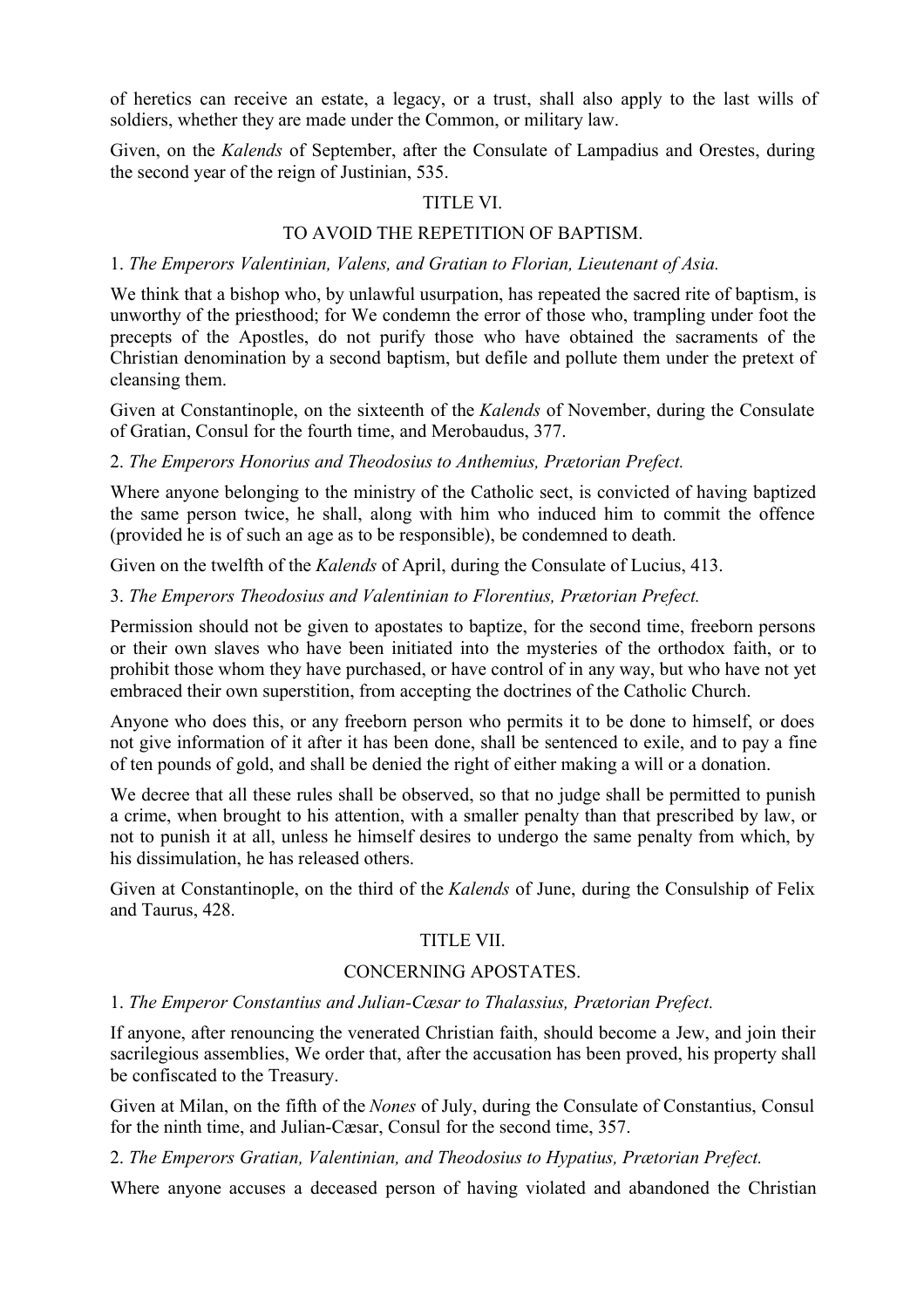of heretics can receive an estate, a legacy, or a trust, shall also apply to the last wills of soldiers, whether they are made under the Common, or military law.

Given, on the *Kalends* of September, after the Consulate of Lampadius and Orestes, during the second year of the reign of Justinian, 535.

### TITLE VI.

# TO AVOID THE REPETITION OF BAPTISM.

### 1. *The Emperors Valentinian, Valens, and Gratian to Florian, Lieutenant of Asia.*

We think that a bishop who, by unlawful usurpation, has repeated the sacred rite of baptism, is unworthy of the priesthood; for We condemn the error of those who, trampling under foot the precepts of the Apostles, do not purify those who have obtained the sacraments of the Christian denomination by a second baptism, but defile and pollute them under the pretext of cleansing them.

Given at Constantinople, on the sixteenth of the *Kalends* of November, during the Consulate of Gratian, Consul for the fourth time, and Merobaudus, 377.

### 2. *The Emperors Honorius and Theodosius to Anthemius, Prætorian Prefect.*

Where anyone belonging to the ministry of the Catholic sect, is convicted of having baptized the same person twice, he shall, along with him who induced him to commit the offence (provided he is of such an age as to be responsible), be condemned to death.

Given on the twelfth of the *Kalends* of April, during the Consulate of Lucius, 413.

### 3. *The Emperors Theodosius and Valentinian to Florentius, Prætorian Prefect.*

Permission should not be given to apostates to baptize, for the second time, freeborn persons or their own slaves who have been initiated into the mysteries of the orthodox faith, or to prohibit those whom they have purchased, or have control of in any way, but who have not yet embraced their own superstition, from accepting the doctrines of the Catholic Church.

Anyone who does this, or any freeborn person who permits it to be done to himself, or does not give information of it after it has been done, shall be sentenced to exile, and to pay a fine of ten pounds of gold, and shall be denied the right of either making a will or a donation.

We decree that all these rules shall be observed, so that no judge shall be permitted to punish a crime, when brought to his attention, with a smaller penalty than that prescribed by law, or not to punish it at all, unless he himself desires to undergo the same penalty from which, by his dissimulation, he has released others.

Given at Constantinople, on the third of the *Kalends* of June, during the Consulship of Felix and Taurus, 428.

### TITLE VII.

### CONCERNING APOSTATES.

### 1. *The Emperor Constantius and Julian-Cæsar to Thalassius, Prætorian Prefect.*

If anyone, after renouncing the venerated Christian faith, should become a Jew, and join their sacrilegious assemblies, We order that, after the accusation has been proved, his property shall be confiscated to the Treasury.

Given at Milan, on the fifth of the *Nones* of July, during the Consulate of Constantius, Consul for the ninth time, and Julian-Cæsar, Consul for the second time, 357.

2. *The Emperors Gratian, Valentinian, and Theodosius to Hypatius, Prætorian Prefect.*

Where anyone accuses a deceased person of having violated and abandoned the Christian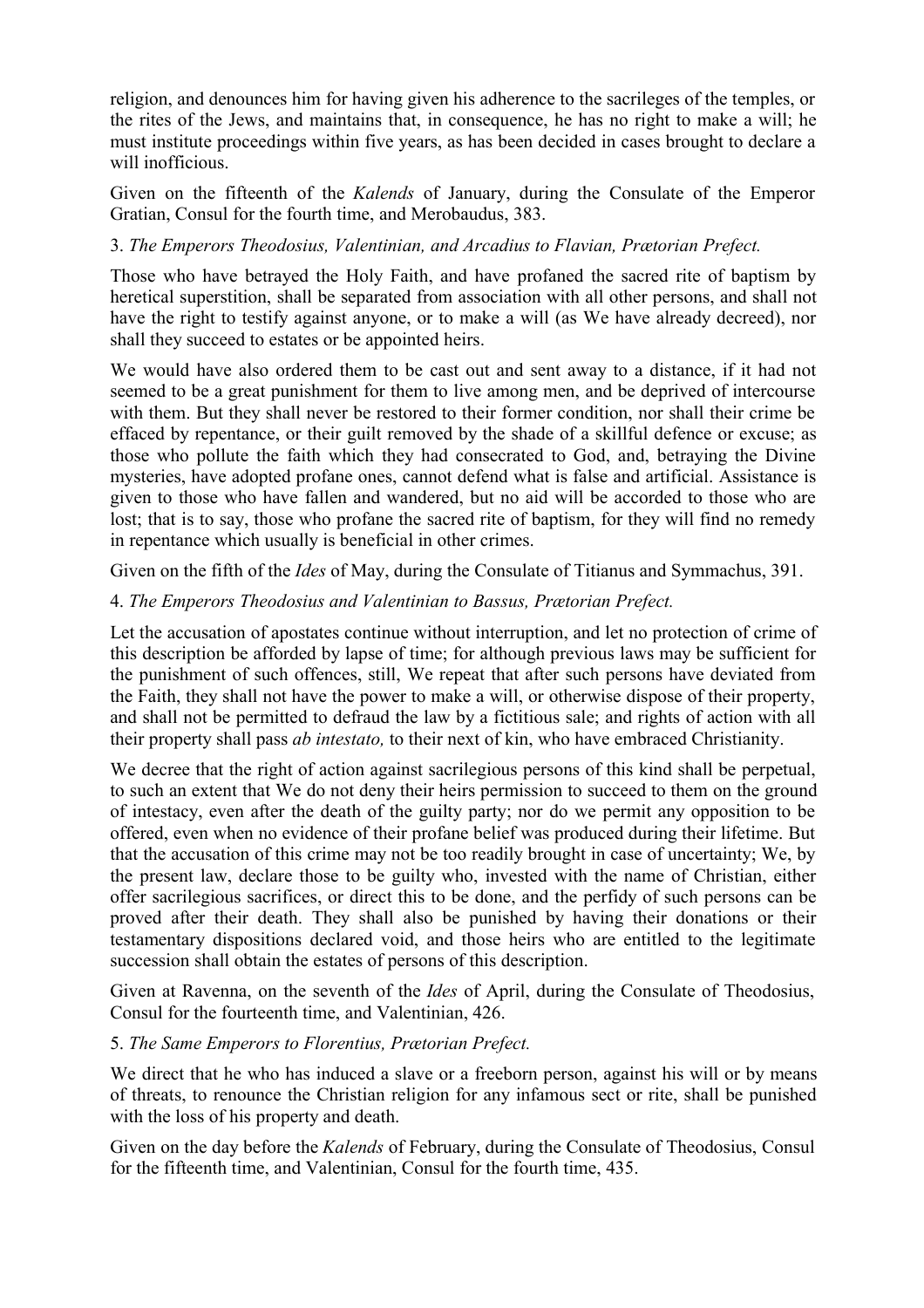religion, and denounces him for having given his adherence to the sacrileges of the temples, or the rites of the Jews, and maintains that, in consequence, he has no right to make a will; he must institute proceedings within five years, as has been decided in cases brought to declare a will inofficious.

Given on the fifteenth of the *Kalends* of January, during the Consulate of the Emperor Gratian, Consul for the fourth time, and Merobaudus, 383.

# 3. *The Emperors Theodosius, Valentinian, and Arcadius to Flavian, Prætorian Prefect.*

Those who have betrayed the Holy Faith, and have profaned the sacred rite of baptism by heretical superstition, shall be separated from association with all other persons, and shall not have the right to testify against anyone, or to make a will (as We have already decreed), nor shall they succeed to estates or be appointed heirs.

We would have also ordered them to be cast out and sent away to a distance, if it had not seemed to be a great punishment for them to live among men, and be deprived of intercourse with them. But they shall never be restored to their former condition, nor shall their crime be effaced by repentance, or their guilt removed by the shade of a skillful defence or excuse; as those who pollute the faith which they had consecrated to God, and, betraying the Divine mysteries, have adopted profane ones, cannot defend what is false and artificial. Assistance is given to those who have fallen and wandered, but no aid will be accorded to those who are lost; that is to say, those who profane the sacred rite of baptism, for they will find no remedy in repentance which usually is beneficial in other crimes.

Given on the fifth of the *Ides* of May, during the Consulate of Titianus and Symmachus, 391.

# 4. *The Emperors Theodosius and Valentinian to Bassus, Prætorian Prefect.*

Let the accusation of apostates continue without interruption, and let no protection of crime of this description be afforded by lapse of time; for although previous laws may be sufficient for the punishment of such offences, still, We repeat that after such persons have deviated from the Faith, they shall not have the power to make a will, or otherwise dispose of their property, and shall not be permitted to defraud the law by a fictitious sale; and rights of action with all their property shall pass *ab intestato,* to their next of kin, who have embraced Christianity.

We decree that the right of action against sacrilegious persons of this kind shall be perpetual, to such an extent that We do not deny their heirs permission to succeed to them on the ground of intestacy, even after the death of the guilty party; nor do we permit any opposition to be offered, even when no evidence of their profane belief was produced during their lifetime. But that the accusation of this crime may not be too readily brought in case of uncertainty; We, by the present law, declare those to be guilty who, invested with the name of Christian, either offer sacrilegious sacrifices, or direct this to be done, and the perfidy of such persons can be proved after their death. They shall also be punished by having their donations or their testamentary dispositions declared void, and those heirs who are entitled to the legitimate succession shall obtain the estates of persons of this description.

Given at Ravenna, on the seventh of the *Ides* of April, during the Consulate of Theodosius, Consul for the fourteenth time, and Valentinian, 426.

# 5. *The Same Emperors to Florentius, Prætorian Prefect.*

We direct that he who has induced a slave or a freeborn person, against his will or by means of threats, to renounce the Christian religion for any infamous sect or rite, shall be punished with the loss of his property and death.

Given on the day before the *Kalends* of February, during the Consulate of Theodosius, Consul for the fifteenth time, and Valentinian, Consul for the fourth time, 435.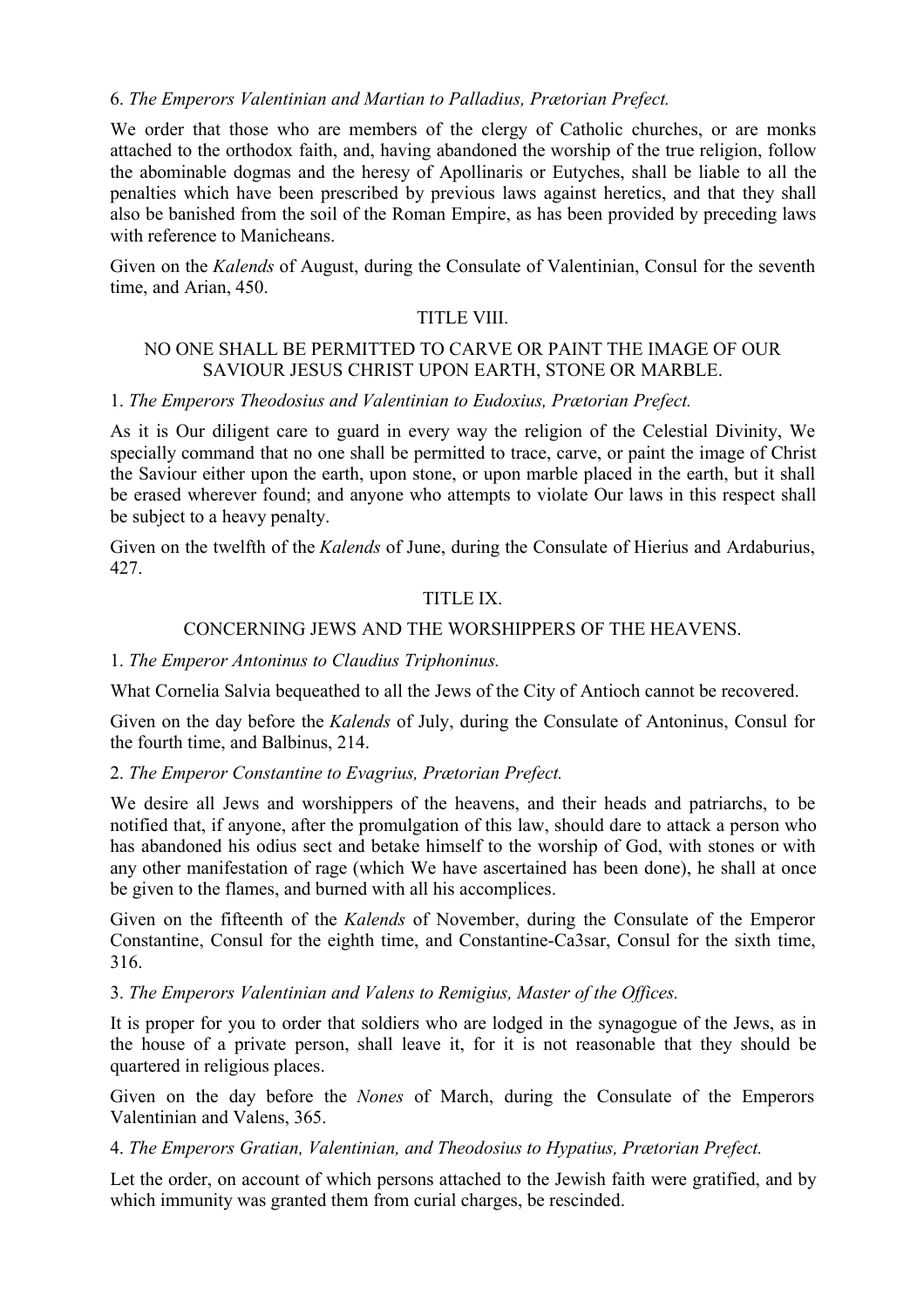### 6. *The Emperors Valentinian and Martian to Palladius, Prætorian Prefect.*

We order that those who are members of the clergy of Catholic churches, or are monks attached to the orthodox faith, and, having abandoned the worship of the true religion, follow the abominable dogmas and the heresy of Apollinaris or Eutyches, shall be liable to all the penalties which have been prescribed by previous laws against heretics, and that they shall also be banished from the soil of the Roman Empire, as has been provided by preceding laws with reference to Manicheans.

Given on the *Kalends* of August, during the Consulate of Valentinian, Consul for the seventh time, and Arian, 450.

### TITLE VIII.

# NO ONE SHALL BE PERMITTED TO CARVE OR PAINT THE IMAGE OF OUR SAVIOUR JESUS CHRIST UPON EARTH, STONE OR MARBLE.

### 1. *The Emperors Theodosius and Valentinian to Eudoxius, Prætorian Prefect.*

As it is Our diligent care to guard in every way the religion of the Celestial Divinity, We specially command that no one shall be permitted to trace, carve, or paint the image of Christ the Saviour either upon the earth, upon stone, or upon marble placed in the earth, but it shall be erased wherever found; and anyone who attempts to violate Our laws in this respect shall be subject to a heavy penalty.

Given on the twelfth of the *Kalends* of June, during the Consulate of Hierius and Ardaburius, 427.

### TITLE IX.

### CONCERNING JEWS AND THE WORSHIPPERS OF THE HEAVENS.

### 1. *The Emperor Antoninus to Claudius Triphoninus.*

What Cornelia Salvia bequeathed to all the Jews of the City of Antioch cannot be recovered.

Given on the day before the *Kalends* of July, during the Consulate of Antoninus, Consul for the fourth time, and Balbinus, 214.

### 2. *The Emperor Constantine to Evagrius, Prætorian Prefect.*

We desire all Jews and worshippers of the heavens, and their heads and patriarchs, to be notified that, if anyone, after the promulgation of this law, should dare to attack a person who has abandoned his odius sect and betake himself to the worship of God, with stones or with any other manifestation of rage (which We have ascertained has been done), he shall at once be given to the flames, and burned with all his accomplices.

Given on the fifteenth of the *Kalends* of November, during the Consulate of the Emperor Constantine, Consul for the eighth time, and Constantine-Ca3sar, Consul for the sixth time, 316.

3. *The Emperors Valentinian and Valens to Remigius, Master of the Offices.*

It is proper for you to order that soldiers who are lodged in the synagogue of the Jews, as in the house of a private person, shall leave it, for it is not reasonable that they should be quartered in religious places.

Given on the day before the *Nones* of March, during the Consulate of the Emperors Valentinian and Valens, 365.

### 4. *The Emperors Gratian, Valentinian, and Theodosius to Hypatius, Prætorian Prefect.*

Let the order, on account of which persons attached to the Jewish faith were gratified, and by which immunity was granted them from curial charges, be rescinded.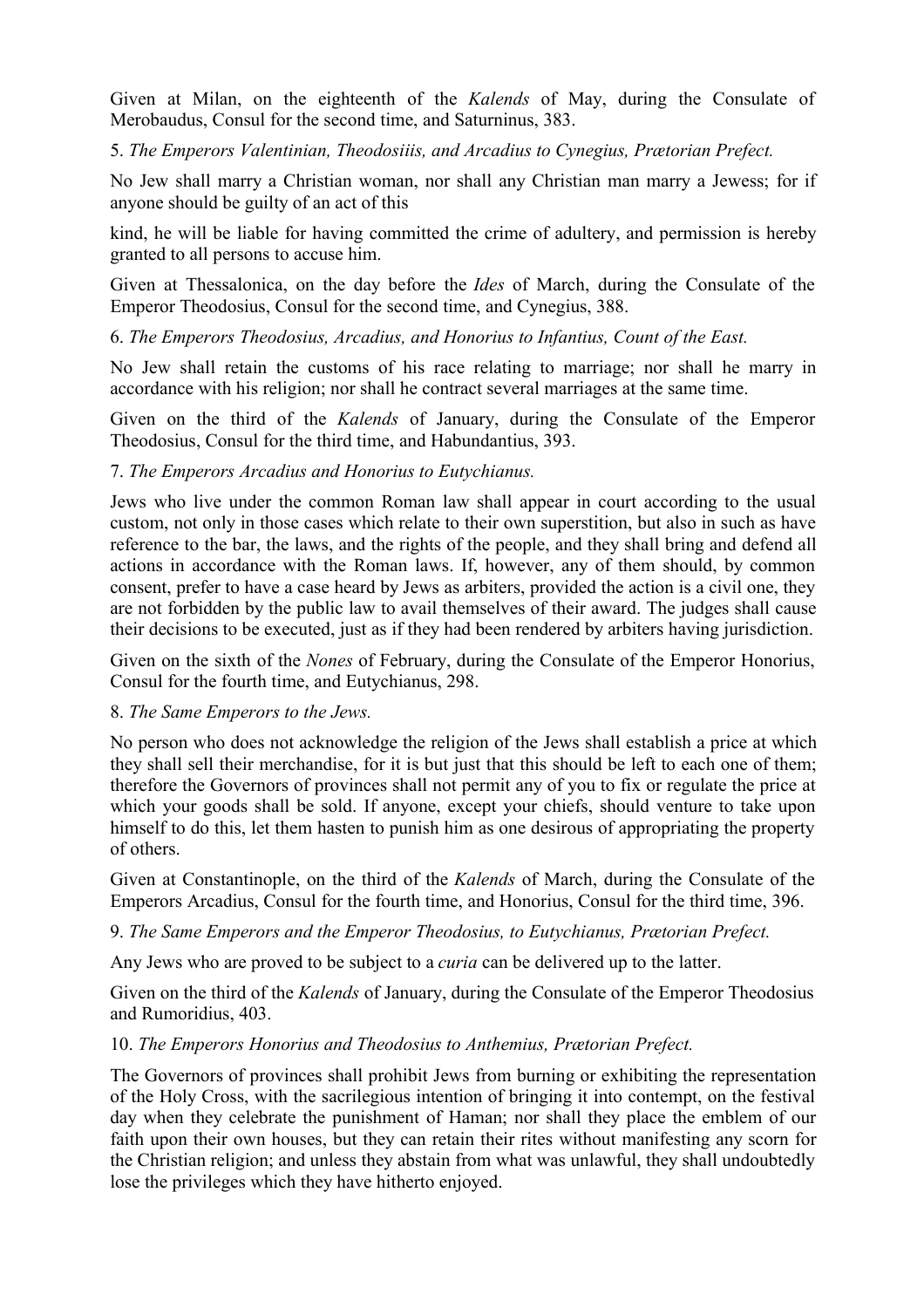Given at Milan, on the eighteenth of the *Kalends* of May, during the Consulate of Merobaudus, Consul for the second time, and Saturninus, 383.

5. *The Emperors Valentinian, Theodosiiis, and Arcadius to Cynegius, Prætorian Prefect.*

No Jew shall marry a Christian woman, nor shall any Christian man marry a Jewess; for if anyone should be guilty of an act of this

kind, he will be liable for having committed the crime of adultery, and permission is hereby granted to all persons to accuse him.

Given at Thessalonica, on the day before the *Ides* of March, during the Consulate of the Emperor Theodosius, Consul for the second time, and Cynegius, 388.

6. *The Emperors Theodosius, Arcadius, and Honorius to Infantius, Count of the East.*

No Jew shall retain the customs of his race relating to marriage; nor shall he marry in accordance with his religion; nor shall he contract several marriages at the same time.

Given on the third of the *Kalends* of January, during the Consulate of the Emperor Theodosius, Consul for the third time, and Habundantius, 393.

### 7. *The Emperors Arcadius and Honorius to Eutychianus.*

Jews who live under the common Roman law shall appear in court according to the usual custom, not only in those cases which relate to their own superstition, but also in such as have reference to the bar, the laws, and the rights of the people, and they shall bring and defend all actions in accordance with the Roman laws. If, however, any of them should, by common consent, prefer to have a case heard by Jews as arbiters, provided the action is a civil one, they are not forbidden by the public law to avail themselves of their award. The judges shall cause their decisions to be executed, just as if they had been rendered by arbiters having jurisdiction.

Given on the sixth of the *Nones* of February, during the Consulate of the Emperor Honorius, Consul for the fourth time, and Eutychianus, 298.

# 8. *The Same Emperors to the Jews.*

No person who does not acknowledge the religion of the Jews shall establish a price at which they shall sell their merchandise, for it is but just that this should be left to each one of them; therefore the Governors of provinces shall not permit any of you to fix or regulate the price at which your goods shall be sold. If anyone, except your chiefs, should venture to take upon himself to do this, let them hasten to punish him as one desirous of appropriating the property of others.

Given at Constantinople, on the third of the *Kalends* of March, during the Consulate of the Emperors Arcadius, Consul for the fourth time, and Honorius, Consul for the third time, 396.

9. *The Same Emperors and the Emperor Theodosius, to Eutychianus, Prætorian Prefect.*

Any Jews who are proved to be subject to a *curia* can be delivered up to the latter.

Given on the third of the *Kalends* of January, during the Consulate of the Emperor Theodosius and Rumoridius, 403.

# 10. *The Emperors Honorius and Theodosius to Anthemius, Prætorian Prefect.*

The Governors of provinces shall prohibit Jews from burning or exhibiting the representation of the Holy Cross, with the sacrilegious intention of bringing it into contempt, on the festival day when they celebrate the punishment of Haman; nor shall they place the emblem of our faith upon their own houses, but they can retain their rites without manifesting any scorn for the Christian religion; and unless they abstain from what was unlawful, they shall undoubtedly lose the privileges which they have hitherto enjoyed.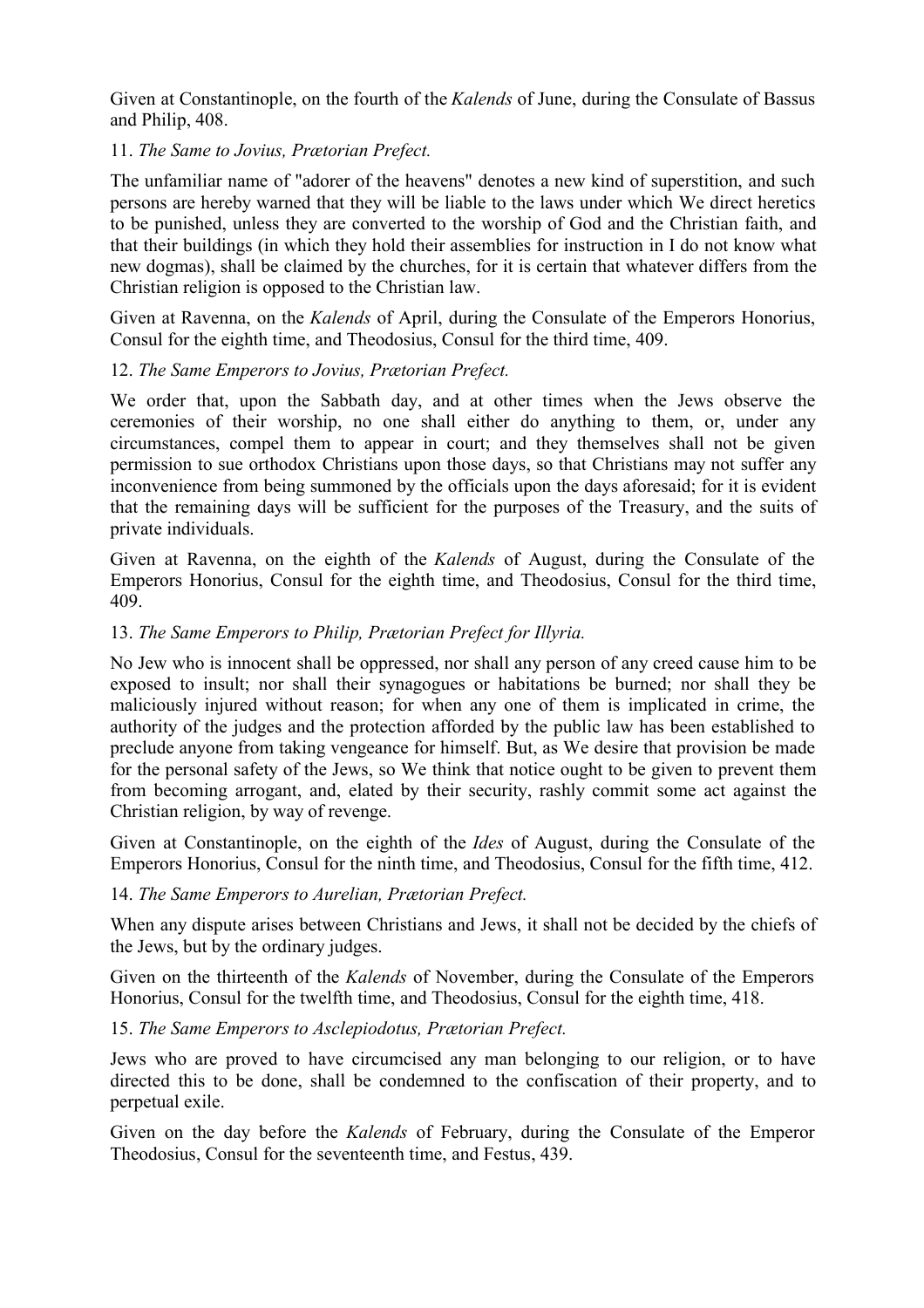Given at Constantinople, on the fourth of the *Kalends* of June, during the Consulate of Bassus and Philip, 408.

### 11. *The Same to Jovius, Prætorian Prefect.*

The unfamiliar name of "adorer of the heavens" denotes a new kind of superstition, and such persons are hereby warned that they will be liable to the laws under which We direct heretics to be punished, unless they are converted to the worship of God and the Christian faith, and that their buildings (in which they hold their assemblies for instruction in I do not know what new dogmas), shall be claimed by the churches, for it is certain that whatever differs from the Christian religion is opposed to the Christian law.

Given at Ravenna, on the *Kalends* of April, during the Consulate of the Emperors Honorius, Consul for the eighth time, and Theodosius, Consul for the third time, 409.

### 12. *The Same Emperors to Jovius, Prætorian Prefect.*

We order that, upon the Sabbath day, and at other times when the Jews observe the ceremonies of their worship, no one shall either do anything to them, or, under any circumstances, compel them to appear in court; and they themselves shall not be given permission to sue orthodox Christians upon those days, so that Christians may not suffer any inconvenience from being summoned by the officials upon the days aforesaid; for it is evident that the remaining days will be sufficient for the purposes of the Treasury, and the suits of private individuals.

Given at Ravenna, on the eighth of the *Kalends* of August, during the Consulate of the Emperors Honorius, Consul for the eighth time, and Theodosius, Consul for the third time, 409.

### 13. *The Same Emperors to Philip, Prætorian Prefect for Illyria.*

No Jew who is innocent shall be oppressed, nor shall any person of any creed cause him to be exposed to insult; nor shall their synagogues or habitations be burned; nor shall they be maliciously injured without reason; for when any one of them is implicated in crime, the authority of the judges and the protection afforded by the public law has been established to preclude anyone from taking vengeance for himself. But, as We desire that provision be made for the personal safety of the Jews, so We think that notice ought to be given to prevent them from becoming arrogant, and, elated by their security, rashly commit some act against the Christian religion, by way of revenge.

Given at Constantinople, on the eighth of the *Ides* of August, during the Consulate of the Emperors Honorius, Consul for the ninth time, and Theodosius, Consul for the fifth time, 412.

### 14. *The Same Emperors to Aurelian, Prætorian Prefect.*

When any dispute arises between Christians and Jews, it shall not be decided by the chiefs of the Jews, but by the ordinary judges.

Given on the thirteenth of the *Kalends* of November, during the Consulate of the Emperors Honorius, Consul for the twelfth time, and Theodosius, Consul for the eighth time, 418.

### 15. *The Same Emperors to Asclepiodotus, Prætorian Prefect.*

Jews who are proved to have circumcised any man belonging to our religion, or to have directed this to be done, shall be condemned to the confiscation of their property, and to perpetual exile.

Given on the day before the *Kalends* of February, during the Consulate of the Emperor Theodosius, Consul for the seventeenth time, and Festus, 439.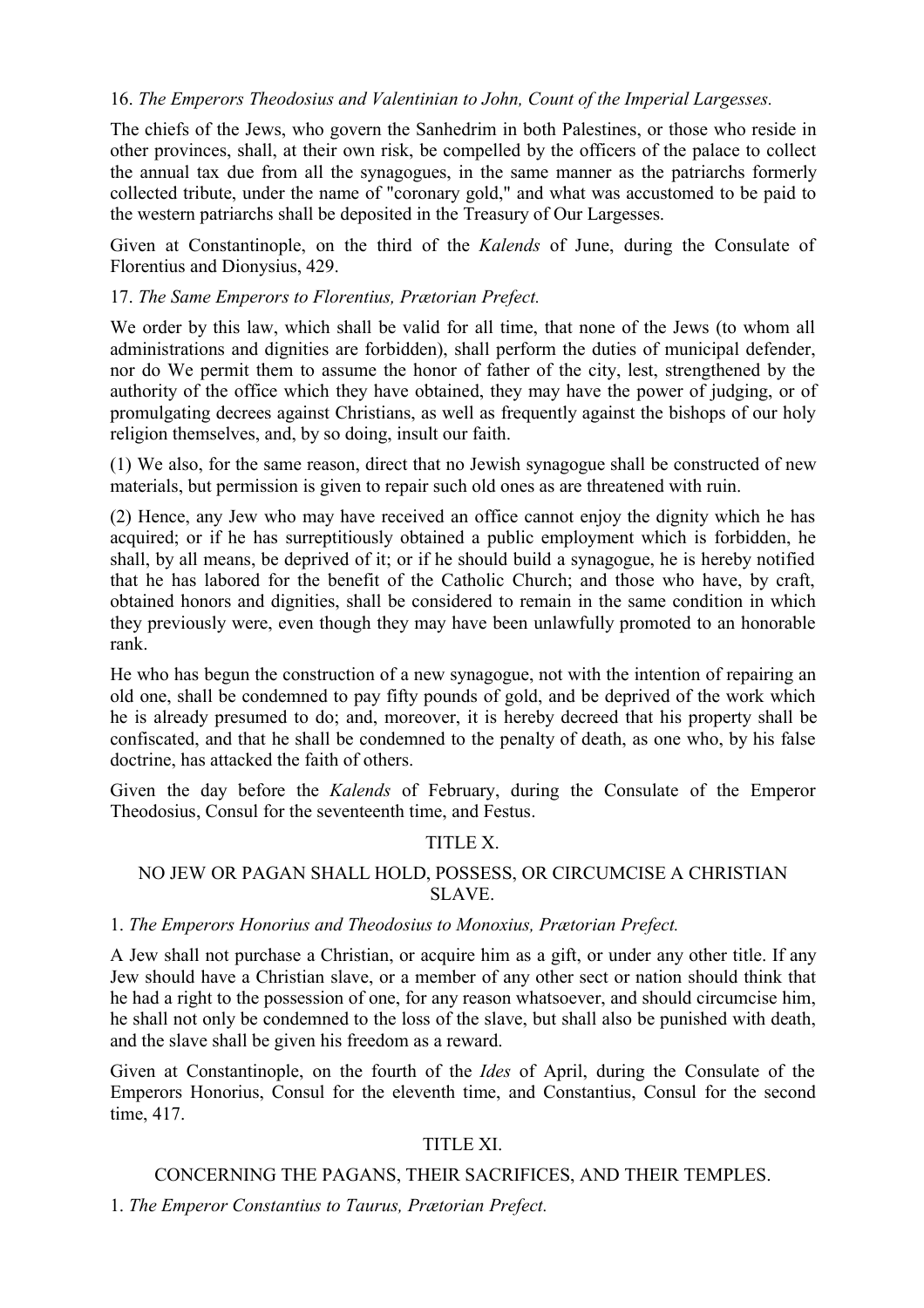# 16. *The Emperors Theodosius and Valentinian to John, Count of the Imperial Largesses.*

The chiefs of the Jews, who govern the Sanhedrim in both Palestines, or those who reside in other provinces, shall, at their own risk, be compelled by the officers of the palace to collect the annual tax due from all the synagogues, in the same manner as the patriarchs formerly collected tribute, under the name of "coronary gold," and what was accustomed to be paid to the western patriarchs shall be deposited in the Treasury of Our Largesses.

Given at Constantinople, on the third of the *Kalends* of June, during the Consulate of Florentius and Dionysius, 429.

### 17. *The Same Emperors to Florentius, Prætorian Prefect.*

We order by this law, which shall be valid for all time, that none of the Jews (to whom all administrations and dignities are forbidden), shall perform the duties of municipal defender, nor do We permit them to assume the honor of father of the city, lest, strengthened by the authority of the office which they have obtained, they may have the power of judging, or of promulgating decrees against Christians, as well as frequently against the bishops of our holy religion themselves, and, by so doing, insult our faith.

(1) We also, for the same reason, direct that no Jewish synagogue shall be constructed of new materials, but permission is given to repair such old ones as are threatened with ruin.

(2) Hence, any Jew who may have received an office cannot enjoy the dignity which he has acquired; or if he has surreptitiously obtained a public employment which is forbidden, he shall, by all means, be deprived of it; or if he should build a synagogue, he is hereby notified that he has labored for the benefit of the Catholic Church; and those who have, by craft, obtained honors and dignities, shall be considered to remain in the same condition in which they previously were, even though they may have been unlawfully promoted to an honorable rank.

He who has begun the construction of a new synagogue, not with the intention of repairing an old one, shall be condemned to pay fifty pounds of gold, and be deprived of the work which he is already presumed to do; and, moreover, it is hereby decreed that his property shall be confiscated, and that he shall be condemned to the penalty of death, as one who, by his false doctrine, has attacked the faith of others.

Given the day before the *Kalends* of February, during the Consulate of the Emperor Theodosius, Consul for the seventeenth time, and Festus.

### TITLE X.

### NO JEW OR PAGAN SHALL HOLD, POSSESS, OR CIRCUMCISE A CHRISTIAN SLAVE.

### 1. *The Emperors Honorius and Theodosius to Monoxius, Prætorian Prefect.*

A Jew shall not purchase a Christian, or acquire him as a gift, or under any other title. If any Jew should have a Christian slave, or a member of any other sect or nation should think that he had a right to the possession of one, for any reason whatsoever, and should circumcise him, he shall not only be condemned to the loss of the slave, but shall also be punished with death, and the slave shall be given his freedom as a reward.

Given at Constantinople, on the fourth of the *Ides* of April, during the Consulate of the Emperors Honorius, Consul for the eleventh time, and Constantius, Consul for the second time, 417.

# TITLE XI.

# CONCERNING THE PAGANS, THEIR SACRIFICES, AND THEIR TEMPLES.

1. *The Emperor Constantius to Taurus, Prætorian Prefect.*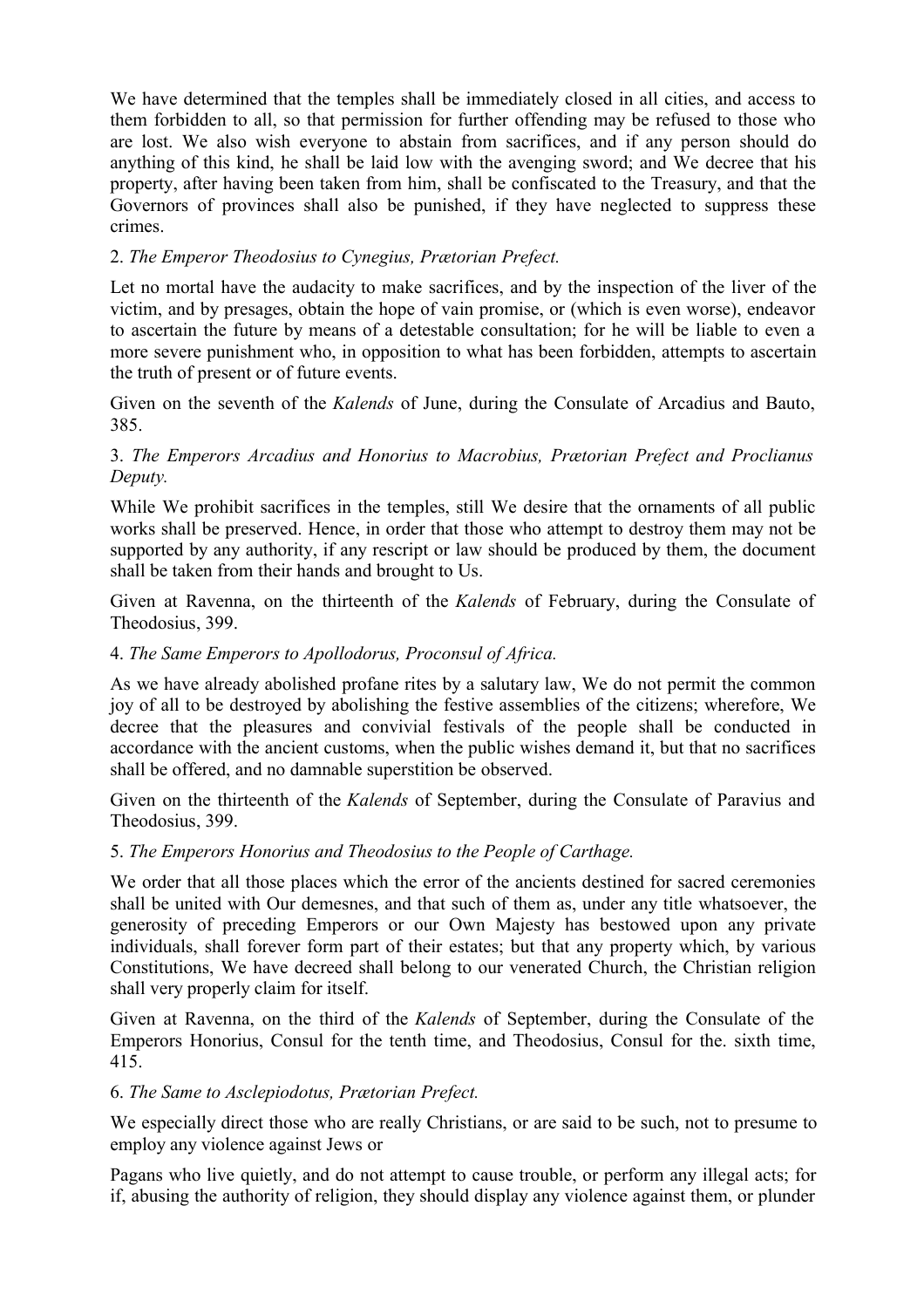We have determined that the temples shall be immediately closed in all cities, and access to them forbidden to all, so that permission for further offending may be refused to those who are lost. We also wish everyone to abstain from sacrifices, and if any person should do anything of this kind, he shall be laid low with the avenging sword; and We decree that his property, after having been taken from him, shall be confiscated to the Treasury, and that the Governors of provinces shall also be punished, if they have neglected to suppress these crimes.

# 2. *The Emperor Theodosius to Cynegius, Prætorian Prefect.*

Let no mortal have the audacity to make sacrifices, and by the inspection of the liver of the victim, and by presages, obtain the hope of vain promise, or (which is even worse), endeavor to ascertain the future by means of a detestable consultation; for he will be liable to even a more severe punishment who, in opposition to what has been forbidden, attempts to ascertain the truth of present or of future events.

Given on the seventh of the *Kalends* of June, during the Consulate of Arcadius and Bauto, 385.

# 3. *The Emperors Arcadius and Honorius to Macrobius, Prætorian Prefect and Proclianus Deputy.*

While We prohibit sacrifices in the temples, still We desire that the ornaments of all public works shall be preserved. Hence, in order that those who attempt to destroy them may not be supported by any authority, if any rescript or law should be produced by them, the document shall be taken from their hands and brought to Us.

Given at Ravenna, on the thirteenth of the *Kalends* of February, during the Consulate of Theodosius, 399.

# 4. *The Same Emperors to Apollodorus, Proconsul of Africa.*

As we have already abolished profane rites by a salutary law, We do not permit the common joy of all to be destroyed by abolishing the festive assemblies of the citizens; wherefore, We decree that the pleasures and convivial festivals of the people shall be conducted in accordance with the ancient customs, when the public wishes demand it, but that no sacrifices shall be offered, and no damnable superstition be observed.

Given on the thirteenth of the *Kalends* of September, during the Consulate of Paravius and Theodosius, 399.

# 5. *The Emperors Honorius and Theodosius to the People of Carthage.*

We order that all those places which the error of the ancients destined for sacred ceremonies shall be united with Our demesnes, and that such of them as, under any title whatsoever, the generosity of preceding Emperors or our Own Majesty has bestowed upon any private individuals, shall forever form part of their estates; but that any property which, by various Constitutions, We have decreed shall belong to our venerated Church, the Christian religion shall very properly claim for itself.

Given at Ravenna, on the third of the *Kalends* of September, during the Consulate of the Emperors Honorius, Consul for the tenth time, and Theodosius, Consul for the. sixth time, 415.

# 6. *The Same to Asclepiodotus, Prætorian Prefect.*

We especially direct those who are really Christians, or are said to be such, not to presume to employ any violence against Jews or

Pagans who live quietly, and do not attempt to cause trouble, or perform any illegal acts; for if, abusing the authority of religion, they should display any violence against them, or plunder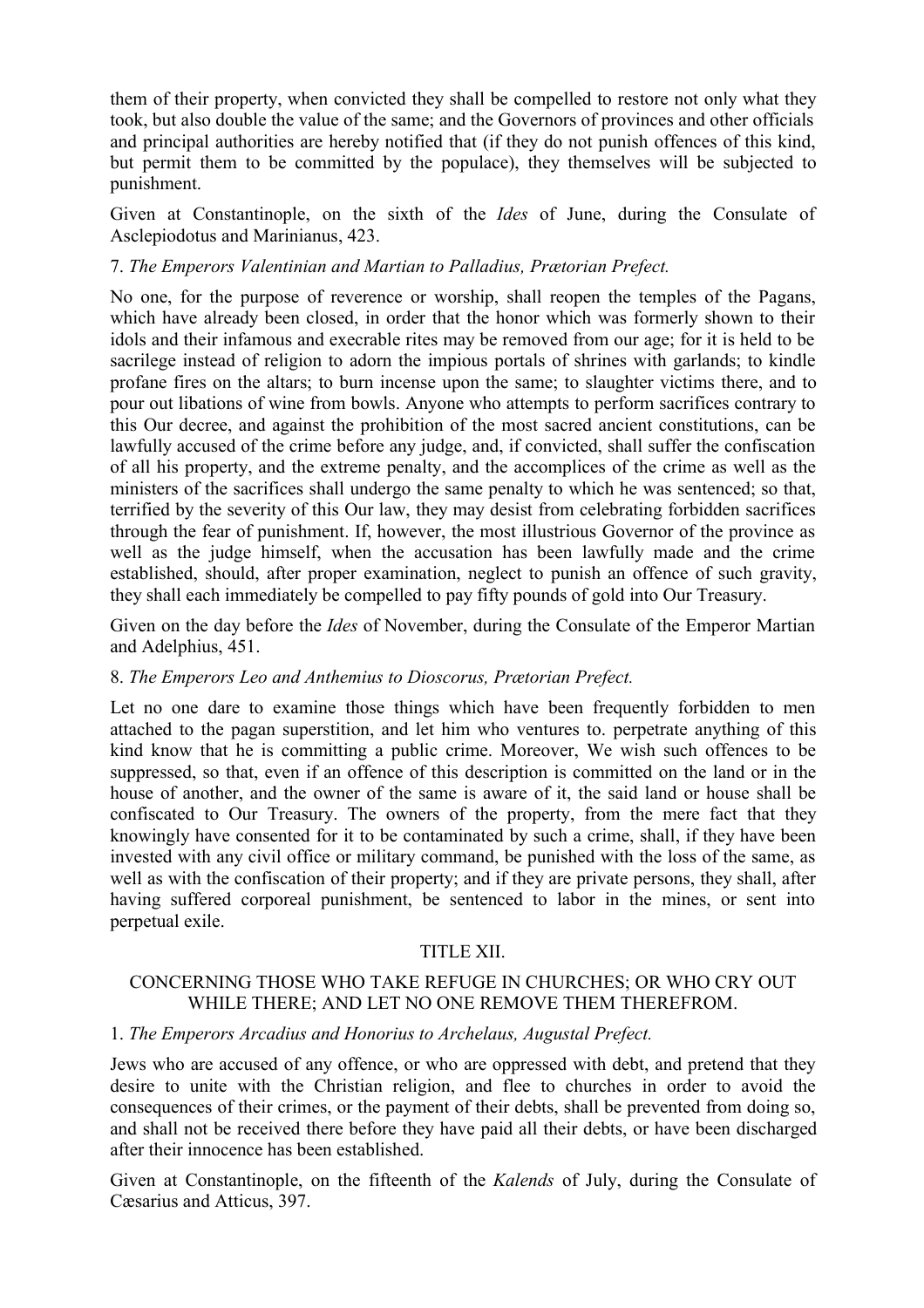them of their property, when convicted they shall be compelled to restore not only what they took, but also double the value of the same; and the Governors of provinces and other officials and principal authorities are hereby notified that (if they do not punish offences of this kind, but permit them to be committed by the populace), they themselves will be subjected to punishment.

Given at Constantinople, on the sixth of the *Ides* of June, during the Consulate of Asclepiodotus and Marinianus, 423.

### 7. *The Emperors Valentinian and Martian to Palladius, Prætorian Prefect.*

No one, for the purpose of reverence or worship, shall reopen the temples of the Pagans, which have already been closed, in order that the honor which was formerly shown to their idols and their infamous and execrable rites may be removed from our age; for it is held to be sacrilege instead of religion to adorn the impious portals of shrines with garlands; to kindle profane fires on the altars; to burn incense upon the same; to slaughter victims there, and to pour out libations of wine from bowls. Anyone who attempts to perform sacrifices contrary to this Our decree, and against the prohibition of the most sacred ancient constitutions, can be lawfully accused of the crime before any judge, and, if convicted, shall suffer the confiscation of all his property, and the extreme penalty, and the accomplices of the crime as well as the ministers of the sacrifices shall undergo the same penalty to which he was sentenced; so that, terrified by the severity of this Our law, they may desist from celebrating forbidden sacrifices through the fear of punishment. If, however, the most illustrious Governor of the province as well as the judge himself, when the accusation has been lawfully made and the crime established, should, after proper examination, neglect to punish an offence of such gravity, they shall each immediately be compelled to pay fifty pounds of gold into Our Treasury.

Given on the day before the *Ides* of November, during the Consulate of the Emperor Martian and Adelphius, 451.

### 8. *The Emperors Leo and Anthemius to Dioscorus, Prætorian Prefect.*

Let no one dare to examine those things which have been frequently forbidden to men attached to the pagan superstition, and let him who ventures to. perpetrate anything of this kind know that he is committing a public crime. Moreover, We wish such offences to be suppressed, so that, even if an offence of this description is committed on the land or in the house of another, and the owner of the same is aware of it, the said land or house shall be confiscated to Our Treasury. The owners of the property, from the mere fact that they knowingly have consented for it to be contaminated by such a crime, shall, if they have been invested with any civil office or military command, be punished with the loss of the same, as well as with the confiscation of their property; and if they are private persons, they shall, after having suffered corporeal punishment, be sentenced to labor in the mines, or sent into perpetual exile.

### TITLE XII.

# CONCERNING THOSE WHO TAKE REFUGE IN CHURCHES; OR WHO CRY OUT WHILE THERE; AND LET NO ONE REMOVE THEM THEREFROM.

### 1. *The Emperors Arcadius and Honorius to Archelaus, Augustal Prefect.*

Jews who are accused of any offence, or who are oppressed with debt, and pretend that they desire to unite with the Christian religion, and flee to churches in order to avoid the consequences of their crimes, or the payment of their debts, shall be prevented from doing so, and shall not be received there before they have paid all their debts, or have been discharged after their innocence has been established.

Given at Constantinople, on the fifteenth of the *Kalends* of July, during the Consulate of Cæsarius and Atticus, 397.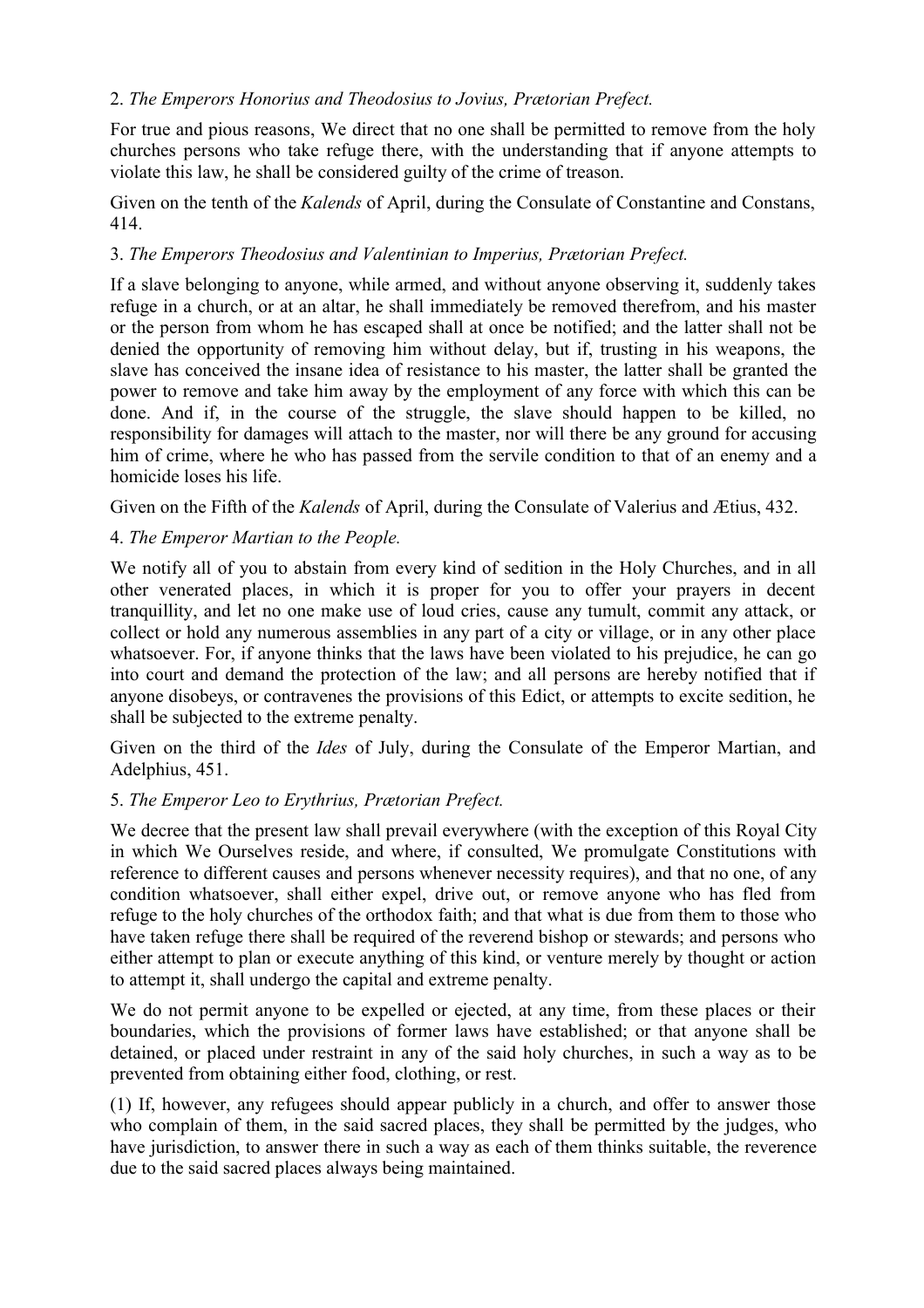# 2. *The Emperors Honorius and Theodosius to Jovius, Prætorian Prefect.*

For true and pious reasons, We direct that no one shall be permitted to remove from the holy churches persons who take refuge there, with the understanding that if anyone attempts to violate this law, he shall be considered guilty of the crime of treason.

Given on the tenth of the *Kalends* of April, during the Consulate of Constantine and Constans, 414.

# 3. *The Emperors Theodosius and Valentinian to Imperius, Prætorian Prefect.*

If a slave belonging to anyone, while armed, and without anyone observing it, suddenly takes refuge in a church, or at an altar, he shall immediately be removed therefrom, and his master or the person from whom he has escaped shall at once be notified; and the latter shall not be denied the opportunity of removing him without delay, but if, trusting in his weapons, the slave has conceived the insane idea of resistance to his master, the latter shall be granted the power to remove and take him away by the employment of any force with which this can be done. And if, in the course of the struggle, the slave should happen to be killed, no responsibility for damages will attach to the master, nor will there be any ground for accusing him of crime, where he who has passed from the servile condition to that of an enemy and a homicide loses his life.

Given on the Fifth of the *Kalends* of April, during the Consulate of Valerius and Ætius, 432.

# 4. *The Emperor Martian to the People.*

We notify all of you to abstain from every kind of sedition in the Holy Churches, and in all other venerated places, in which it is proper for you to offer your prayers in decent tranquillity, and let no one make use of loud cries, cause any tumult, commit any attack, or collect or hold any numerous assemblies in any part of a city or village, or in any other place whatsoever. For, if anyone thinks that the laws have been violated to his prejudice, he can go into court and demand the protection of the law; and all persons are hereby notified that if anyone disobeys, or contravenes the provisions of this Edict, or attempts to excite sedition, he shall be subjected to the extreme penalty.

Given on the third of the *Ides* of July, during the Consulate of the Emperor Martian, and Adelphius, 451.

# 5. *The Emperor Leo to Erythrius, Prætorian Prefect.*

We decree that the present law shall prevail everywhere (with the exception of this Royal City in which We Ourselves reside, and where, if consulted, We promulgate Constitutions with reference to different causes and persons whenever necessity requires), and that no one, of any condition whatsoever, shall either expel, drive out, or remove anyone who has fled from refuge to the holy churches of the orthodox faith; and that what is due from them to those who have taken refuge there shall be required of the reverend bishop or stewards; and persons who either attempt to plan or execute anything of this kind, or venture merely by thought or action to attempt it, shall undergo the capital and extreme penalty.

We do not permit anyone to be expelled or ejected, at any time, from these places or their boundaries, which the provisions of former laws have established; or that anyone shall be detained, or placed under restraint in any of the said holy churches, in such a way as to be prevented from obtaining either food, clothing, or rest.

(1) If, however, any refugees should appear publicly in a church, and offer to answer those who complain of them, in the said sacred places, they shall be permitted by the judges, who have jurisdiction, to answer there in such a way as each of them thinks suitable, the reverence due to the said sacred places always being maintained.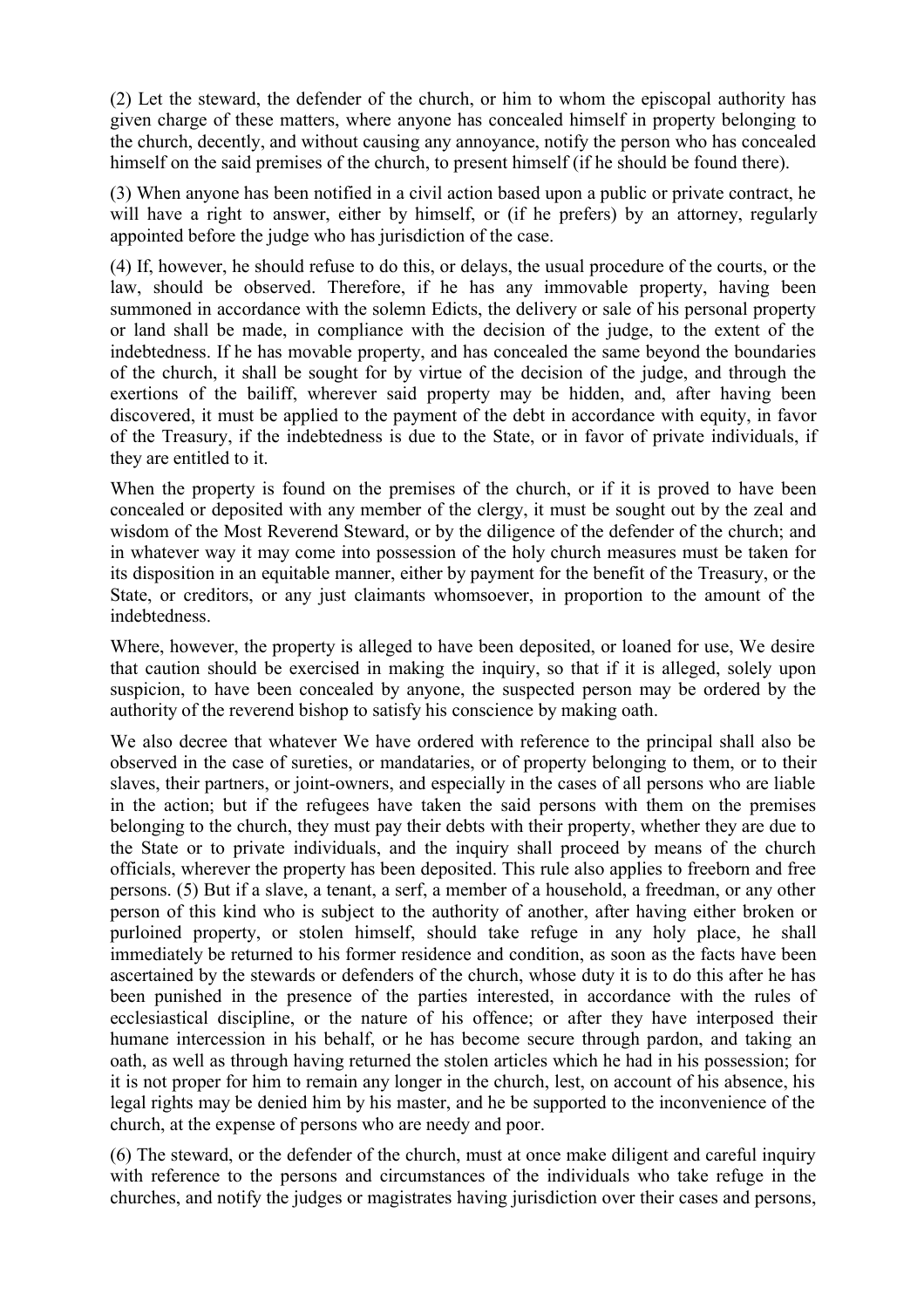(2) Let the steward, the defender of the church, or him to whom the episcopal authority has given charge of these matters, where anyone has concealed himself in property belonging to the church, decently, and without causing any annoyance, notify the person who has concealed himself on the said premises of the church, to present himself (if he should be found there).

(3) When anyone has been notified in a civil action based upon a public or private contract, he will have a right to answer, either by himself, or (if he prefers) by an attorney, regularly appointed before the judge who has jurisdiction of the case.

(4) If, however, he should refuse to do this, or delays, the usual procedure of the courts, or the law, should be observed. Therefore, if he has any immovable property, having been summoned in accordance with the solemn Edicts, the delivery or sale of his personal property or land shall be made, in compliance with the decision of the judge, to the extent of the indebtedness. If he has movable property, and has concealed the same beyond the boundaries of the church, it shall be sought for by virtue of the decision of the judge, and through the exertions of the bailiff, wherever said property may be hidden, and, after having been discovered, it must be applied to the payment of the debt in accordance with equity, in favor of the Treasury, if the indebtedness is due to the State, or in favor of private individuals, if they are entitled to it.

When the property is found on the premises of the church, or if it is proved to have been concealed or deposited with any member of the clergy, it must be sought out by the zeal and wisdom of the Most Reverend Steward, or by the diligence of the defender of the church; and in whatever way it may come into possession of the holy church measures must be taken for its disposition in an equitable manner, either by payment for the benefit of the Treasury, or the State, or creditors, or any just claimants whomsoever, in proportion to the amount of the indebtedness.

Where, however, the property is alleged to have been deposited, or loaned for use, We desire that caution should be exercised in making the inquiry, so that if it is alleged, solely upon suspicion, to have been concealed by anyone, the suspected person may be ordered by the authority of the reverend bishop to satisfy his conscience by making oath.

We also decree that whatever We have ordered with reference to the principal shall also be observed in the case of sureties, or mandataries, or of property belonging to them, or to their slaves, their partners, or joint-owners, and especially in the cases of all persons who are liable in the action; but if the refugees have taken the said persons with them on the premises belonging to the church, they must pay their debts with their property, whether they are due to the State or to private individuals, and the inquiry shall proceed by means of the church officials, wherever the property has been deposited. This rule also applies to freeborn and free persons. (5) But if a slave, a tenant, a serf, a member of a household, a freedman, or any other person of this kind who is subject to the authority of another, after having either broken or purloined property, or stolen himself, should take refuge in any holy place, he shall immediately be returned to his former residence and condition, as soon as the facts have been ascertained by the stewards or defenders of the church, whose duty it is to do this after he has been punished in the presence of the parties interested, in accordance with the rules of ecclesiastical discipline, or the nature of his offence; or after they have interposed their humane intercession in his behalf, or he has become secure through pardon, and taking an oath, as well as through having returned the stolen articles which he had in his possession; for it is not proper for him to remain any longer in the church, lest, on account of his absence, his legal rights may be denied him by his master, and he be supported to the inconvenience of the church, at the expense of persons who are needy and poor.

(6) The steward, or the defender of the church, must at once make diligent and careful inquiry with reference to the persons and circumstances of the individuals who take refuge in the churches, and notify the judges or magistrates having jurisdiction over their cases and persons,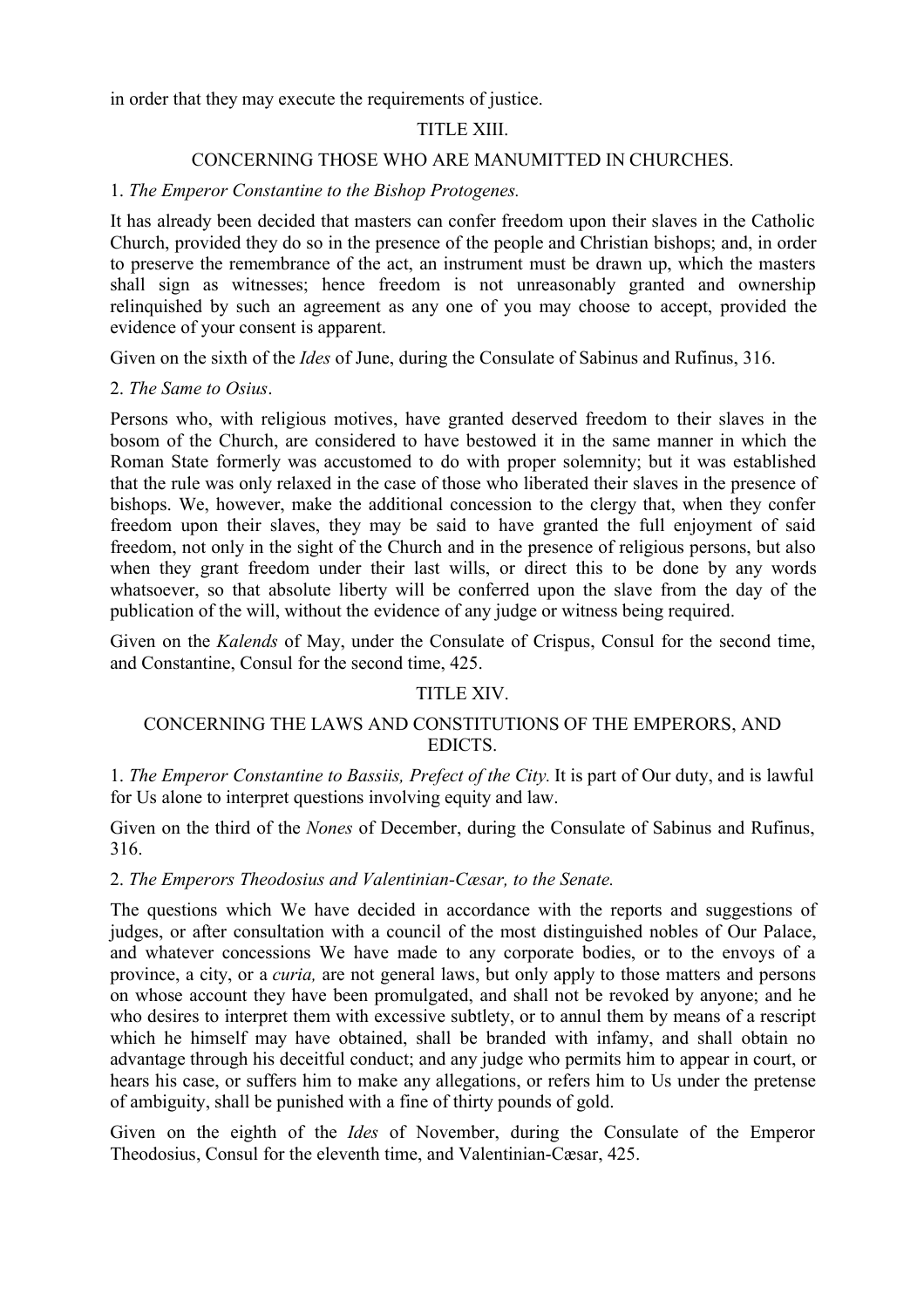in order that they may execute the requirements of justice.

### TITLE XIII.

### CONCERNING THOSE WHO ARE MANUMITTED IN CHURCHES.

### 1. *The Emperor Constantine to the Bishop Protogenes.*

It has already been decided that masters can confer freedom upon their slaves in the Catholic Church, provided they do so in the presence of the people and Christian bishops; and, in order to preserve the remembrance of the act, an instrument must be drawn up, which the masters shall sign as witnesses; hence freedom is not unreasonably granted and ownership relinquished by such an agreement as any one of you may choose to accept, provided the evidence of your consent is apparent.

Given on the sixth of the *Ides* of June, during the Consulate of Sabinus and Rufinus, 316.

### 2. *The Same to Osius*.

Persons who, with religious motives, have granted deserved freedom to their slaves in the bosom of the Church, are considered to have bestowed it in the same manner in which the Roman State formerly was accustomed to do with proper solemnity; but it was established that the rule was only relaxed in the case of those who liberated their slaves in the presence of bishops. We, however, make the additional concession to the clergy that, when they confer freedom upon their slaves, they may be said to have granted the full enjoyment of said freedom, not only in the sight of the Church and in the presence of religious persons, but also when they grant freedom under their last wills, or direct this to be done by any words whatsoever, so that absolute liberty will be conferred upon the slave from the day of the publication of the will, without the evidence of any judge or witness being required.

Given on the *Kalends* of May, under the Consulate of Crispus, Consul for the second time, and Constantine, Consul for the second time, 425.

### TITLE XIV.

### CONCERNING THE LAWS AND CONSTITUTIONS OF THE EMPERORS, AND EDICTS.

1. *The Emperor Constantine to Bassiis, Prefect of the City.* It is part of Our duty, and is lawful for Us alone to interpret questions involving equity and law.

Given on the third of the *Nones* of December, during the Consulate of Sabinus and Rufinus, 316.

### 2. *The Emperors Theodosius and Valentinian-Cæsar, to the Senate.*

The questions which We have decided in accordance with the reports and suggestions of judges, or after consultation with a council of the most distinguished nobles of Our Palace, and whatever concessions We have made to any corporate bodies, or to the envoys of a province, a city, or a *curia,* are not general laws, but only apply to those matters and persons on whose account they have been promulgated, and shall not be revoked by anyone; and he who desires to interpret them with excessive subtlety, or to annul them by means of a rescript which he himself may have obtained, shall be branded with infamy, and shall obtain no advantage through his deceitful conduct; and any judge who permits him to appear in court, or hears his case, or suffers him to make any allegations, or refers him to Us under the pretense of ambiguity, shall be punished with a fine of thirty pounds of gold.

Given on the eighth of the *Ides* of November, during the Consulate of the Emperor Theodosius, Consul for the eleventh time, and Valentinian-Cæsar, 425.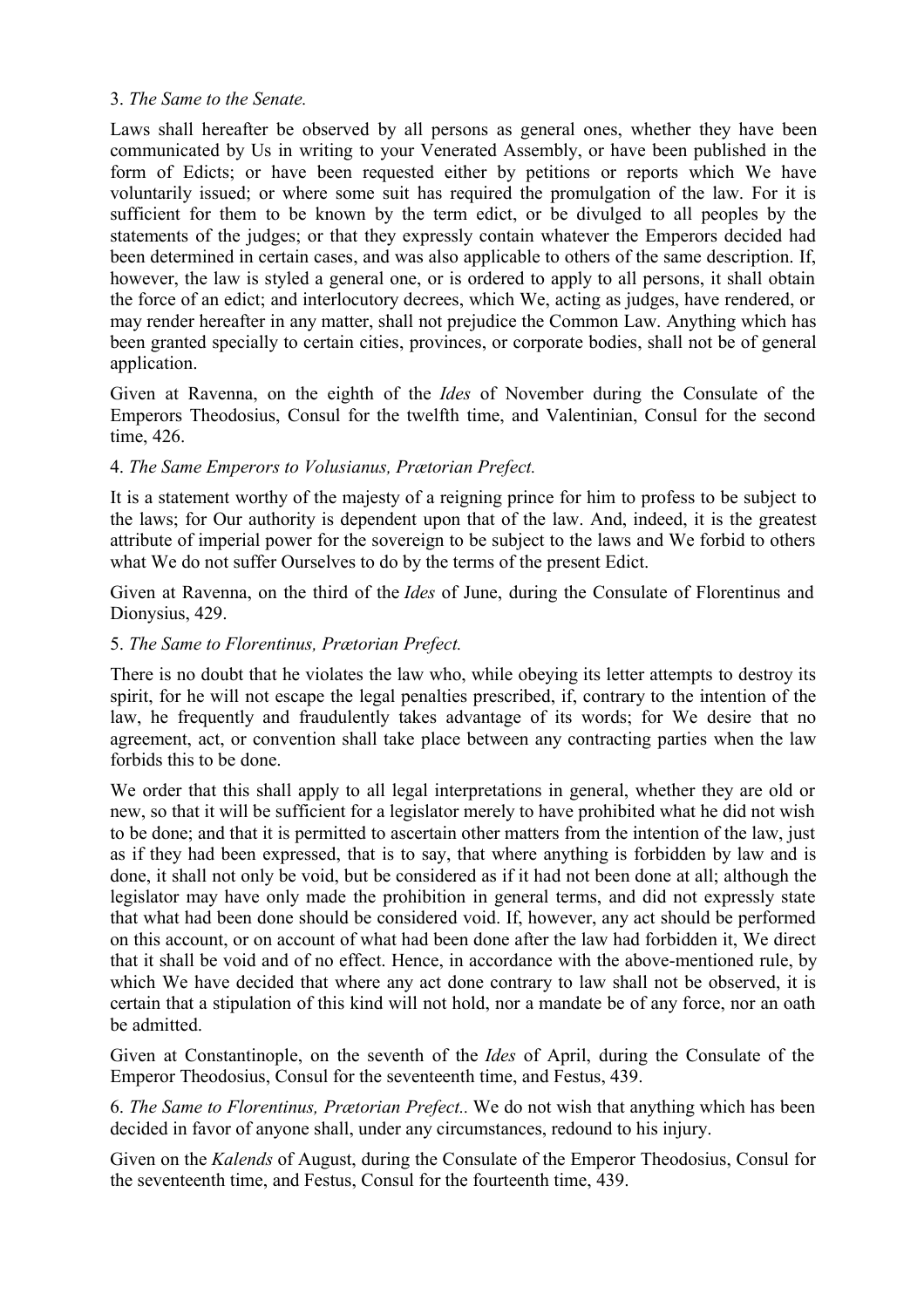### 3. *The Same to the Senate.*

Laws shall hereafter be observed by all persons as general ones, whether they have been communicated by Us in writing to your Venerated Assembly, or have been published in the form of Edicts; or have been requested either by petitions or reports which We have voluntarily issued; or where some suit has required the promulgation of the law. For it is sufficient for them to be known by the term edict, or be divulged to all peoples by the statements of the judges; or that they expressly contain whatever the Emperors decided had been determined in certain cases, and was also applicable to others of the same description. If, however, the law is styled a general one, or is ordered to apply to all persons, it shall obtain the force of an edict; and interlocutory decrees, which We, acting as judges, have rendered, or may render hereafter in any matter, shall not prejudice the Common Law. Anything which has been granted specially to certain cities, provinces, or corporate bodies, shall not be of general application.

Given at Ravenna, on the eighth of the *Ides* of November during the Consulate of the Emperors Theodosius, Consul for the twelfth time, and Valentinian, Consul for the second time, 426.

### 4. *The Same Emperors to Volusianus, Prætorian Prefect.*

It is a statement worthy of the majesty of a reigning prince for him to profess to be subject to the laws; for Our authority is dependent upon that of the law. And, indeed, it is the greatest attribute of imperial power for the sovereign to be subject to the laws and We forbid to others what We do not suffer Ourselves to do by the terms of the present Edict.

Given at Ravenna, on the third of the *Ides* of June, during the Consulate of Florentinus and Dionysius, 429.

### 5. *The Same to Florentinus, Prætorian Prefect.*

There is no doubt that he violates the law who, while obeying its letter attempts to destroy its spirit, for he will not escape the legal penalties prescribed, if, contrary to the intention of the law, he frequently and fraudulently takes advantage of its words; for We desire that no agreement, act, or convention shall take place between any contracting parties when the law forbids this to be done.

We order that this shall apply to all legal interpretations in general, whether they are old or new, so that it will be sufficient for a legislator merely to have prohibited what he did not wish to be done; and that it is permitted to ascertain other matters from the intention of the law, just as if they had been expressed, that is to say, that where anything is forbidden by law and is done, it shall not only be void, but be considered as if it had not been done at all; although the legislator may have only made the prohibition in general terms, and did not expressly state that what had been done should be considered void. If, however, any act should be performed on this account, or on account of what had been done after the law had forbidden it, We direct that it shall be void and of no effect. Hence, in accordance with the above-mentioned rule, by which We have decided that where any act done contrary to law shall not be observed, it is certain that a stipulation of this kind will not hold, nor a mandate be of any force, nor an oath be admitted.

Given at Constantinople, on the seventh of the *Ides* of April, during the Consulate of the Emperor Theodosius, Consul for the seventeenth time, and Festus, 439.

6. *The Same to Florentinus, Prætorian Prefect..* We do not wish that anything which has been decided in favor of anyone shall, under any circumstances, redound to his injury.

Given on the *Kalends* of August, during the Consulate of the Emperor Theodosius, Consul for the seventeenth time, and Festus, Consul for the fourteenth time, 439.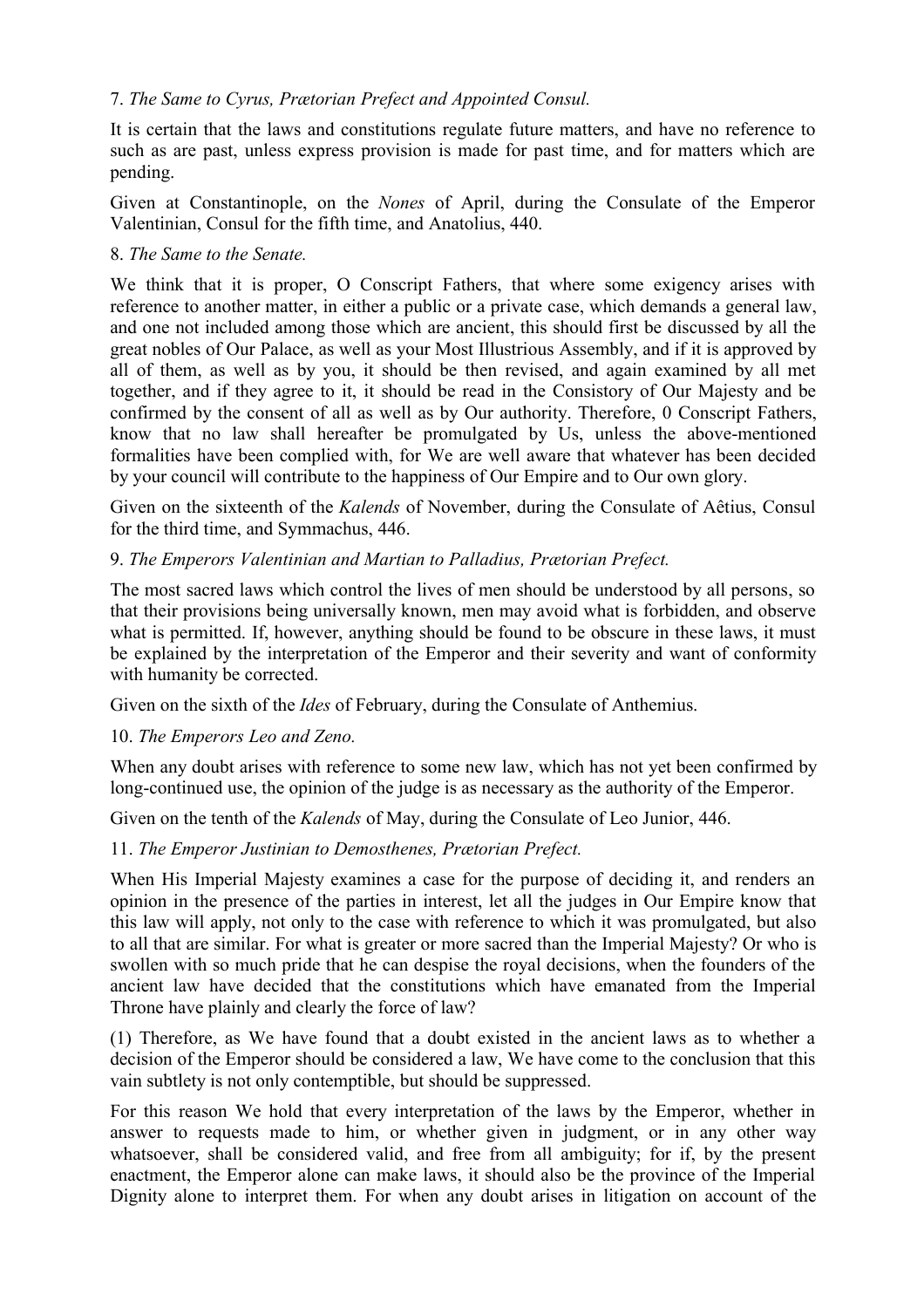# 7. *The Same to Cyrus, Prætorian Prefect and Appointed Consul.*

It is certain that the laws and constitutions regulate future matters, and have no reference to such as are past, unless express provision is made for past time, and for matters which are pending.

Given at Constantinople, on the *Nones* of April, during the Consulate of the Emperor Valentinian, Consul for the fifth time, and Anatolius, 440.

### 8. *The Same to the Senate.*

We think that it is proper, O Conscript Fathers, that where some exigency arises with reference to another matter, in either a public or a private case, which demands a general law, and one not included among those which are ancient, this should first be discussed by all the great nobles of Our Palace, as well as your Most Illustrious Assembly, and if it is approved by all of them, as well as by you, it should be then revised, and again examined by all met together, and if they agree to it, it should be read in the Consistory of Our Majesty and be confirmed by the consent of all as well as by Our authority. Therefore, 0 Conscript Fathers, know that no law shall hereafter be promulgated by Us, unless the above-mentioned formalities have been complied with, for We are well aware that whatever has been decided by your council will contribute to the happiness of Our Empire and to Our own glory.

Given on the sixteenth of the *Kalends* of November, during the Consulate of Aêtius, Consul for the third time, and Symmachus, 446.

### 9. *The Emperors Valentinian and Martian to Palladius, Prætorian Prefect.*

The most sacred laws which control the lives of men should be understood by all persons, so that their provisions being universally known, men may avoid what is forbidden, and observe what is permitted. If, however, anything should be found to be obscure in these laws, it must be explained by the interpretation of the Emperor and their severity and want of conformity with humanity be corrected.

Given on the sixth of the *Ides* of February, during the Consulate of Anthemius.

### 10. *The Emperors Leo and Zeno.*

When any doubt arises with reference to some new law, which has not yet been confirmed by long-continued use, the opinion of the judge is as necessary as the authority of the Emperor.

Given on the tenth of the *Kalends* of May, during the Consulate of Leo Junior, 446.

### 11. *The Emperor Justinian to Demosthenes, Prætorian Prefect.*

When His Imperial Majesty examines a case for the purpose of deciding it, and renders an opinion in the presence of the parties in interest, let all the judges in Our Empire know that this law will apply, not only to the case with reference to which it was promulgated, but also to all that are similar. For what is greater or more sacred than the Imperial Majesty? Or who is swollen with so much pride that he can despise the royal decisions, when the founders of the ancient law have decided that the constitutions which have emanated from the Imperial Throne have plainly and clearly the force of law?

(1) Therefore, as We have found that a doubt existed in the ancient laws as to whether a decision of the Emperor should be considered a law, We have come to the conclusion that this vain subtlety is not only contemptible, but should be suppressed.

For this reason We hold that every interpretation of the laws by the Emperor, whether in answer to requests made to him, or whether given in judgment, or in any other way whatsoever, shall be considered valid, and free from all ambiguity; for if, by the present enactment, the Emperor alone can make laws, it should also be the province of the Imperial Dignity alone to interpret them. For when any doubt arises in litigation on account of the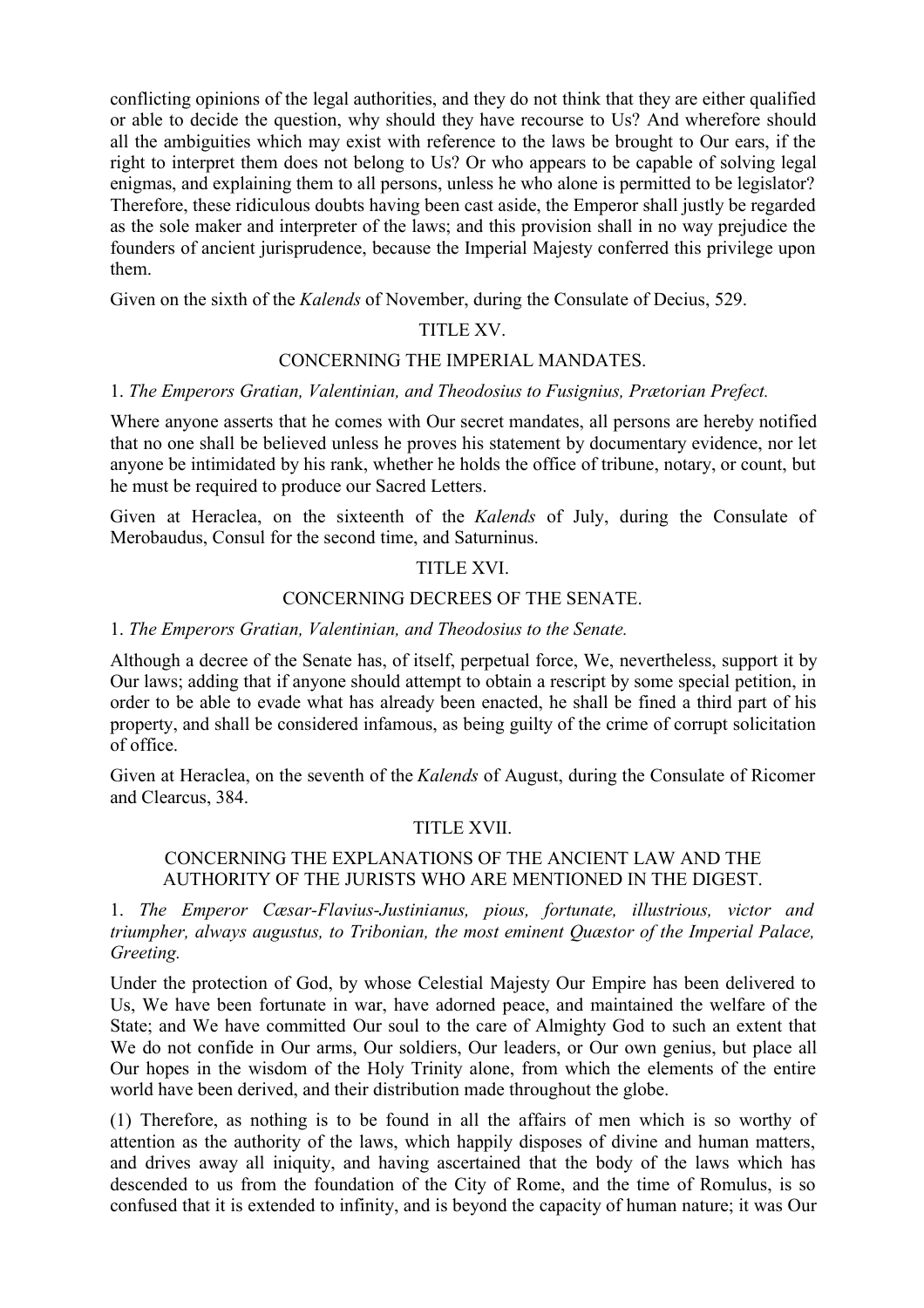conflicting opinions of the legal authorities, and they do not think that they are either qualified or able to decide the question, why should they have recourse to Us? And wherefore should all the ambiguities which may exist with reference to the laws be brought to Our ears, if the right to interpret them does not belong to Us? Or who appears to be capable of solving legal enigmas, and explaining them to all persons, unless he who alone is permitted to be legislator? Therefore, these ridiculous doubts having been cast aside, the Emperor shall justly be regarded as the sole maker and interpreter of the laws; and this provision shall in no way prejudice the founders of ancient jurisprudence, because the Imperial Majesty conferred this privilege upon them.

Given on the sixth of the *Kalends* of November, during the Consulate of Decius, 529.

# TITLE XV.

### CONCERNING THE IMPERIAL MANDATES.

### 1. *The Emperors Gratian, Valentinian, and Theodosius to Fusignius, Prætorian Prefect.*

Where anyone asserts that he comes with Our secret mandates, all persons are hereby notified that no one shall be believed unless he proves his statement by documentary evidence, nor let anyone be intimidated by his rank, whether he holds the office of tribune, notary, or count, but he must be required to produce our Sacred Letters.

Given at Heraclea, on the sixteenth of the *Kalends* of July, during the Consulate of Merobaudus, Consul for the second time, and Saturninus.

#### TITLE XVI.

### CONCERNING DECREES OF THE SENATE.

### 1. *The Emperors Gratian, Valentinian, and Theodosius to the Senate.*

Although a decree of the Senate has, of itself, perpetual force, We, nevertheless, support it by Our laws; adding that if anyone should attempt to obtain a rescript by some special petition, in order to be able to evade what has already been enacted, he shall be fined a third part of his property, and shall be considered infamous, as being guilty of the crime of corrupt solicitation of office.

Given at Heraclea, on the seventh of the *Kalends* of August, during the Consulate of Ricomer and Clearcus, 384.

### TITLE XVII.

### CONCERNING THE EXPLANATIONS OF THE ANCIENT LAW AND THE AUTHORITY OF THE JURISTS WHO ARE MENTIONED IN THE DIGEST.

1. *The Emperor Cæsar-Flavius-Justinianus, pious, fortunate, illustrious, victor and triumpher, always augustus, to Tribonian, the most eminent Quæstor of the Imperial Palace, Greeting.*

Under the protection of God, by whose Celestial Majesty Our Empire has been delivered to Us, We have been fortunate in war, have adorned peace, and maintained the welfare of the State; and We have committed Our soul to the care of Almighty God to such an extent that We do not confide in Our arms, Our soldiers, Our leaders, or Our own genius, but place all Our hopes in the wisdom of the Holy Trinity alone, from which the elements of the entire world have been derived, and their distribution made throughout the globe.

(1) Therefore, as nothing is to be found in all the affairs of men which is so worthy of attention as the authority of the laws, which happily disposes of divine and human matters, and drives away all iniquity, and having ascertained that the body of the laws which has descended to us from the foundation of the City of Rome, and the time of Romulus, is so confused that it is extended to infinity, and is beyond the capacity of human nature; it was Our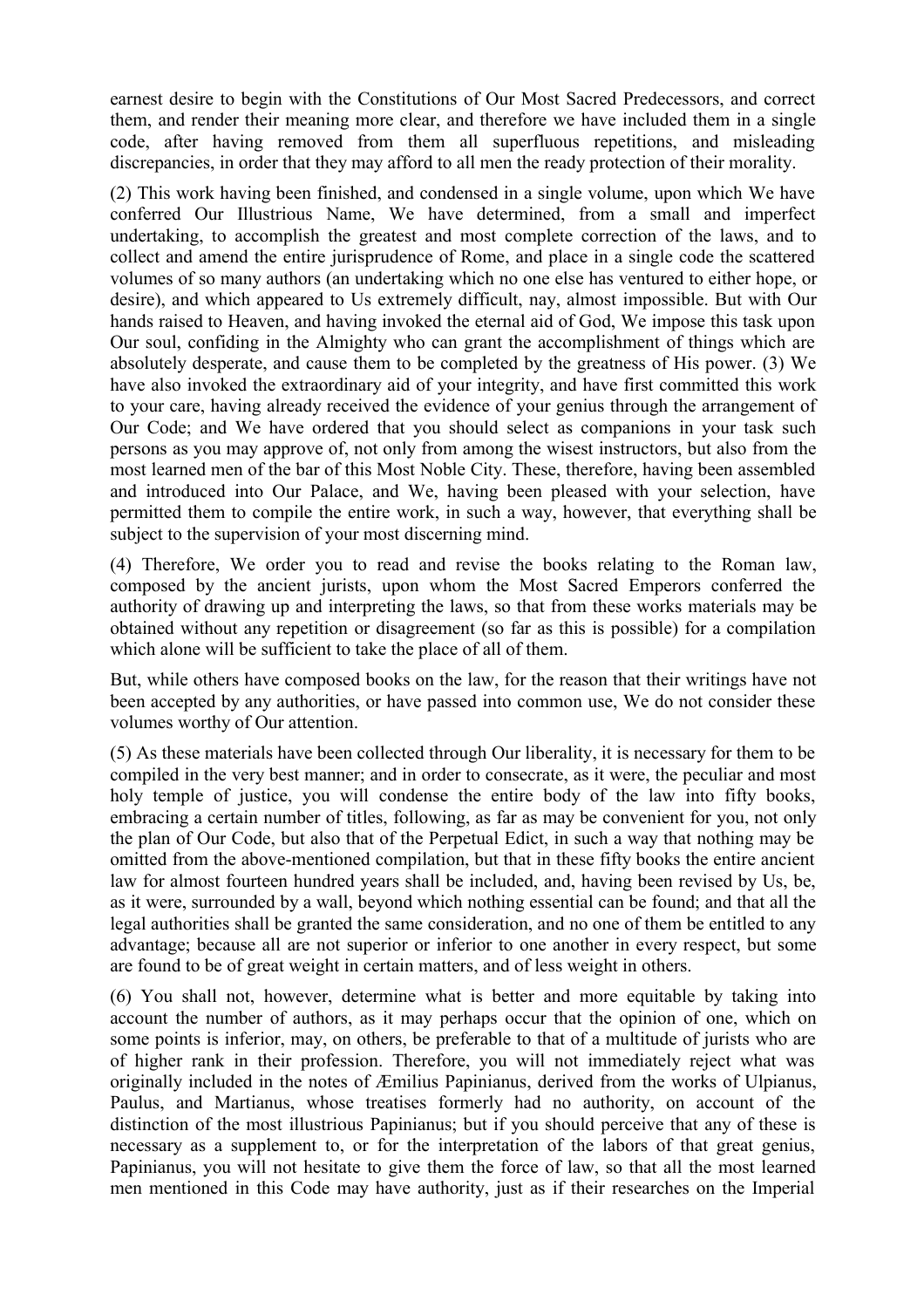earnest desire to begin with the Constitutions of Our Most Sacred Predecessors, and correct them, and render their meaning more clear, and therefore we have included them in a single code, after having removed from them all superfluous repetitions, and misleading discrepancies, in order that they may afford to all men the ready protection of their morality.

(2) This work having been finished, and condensed in a single volume, upon which We have conferred Our Illustrious Name, We have determined, from a small and imperfect undertaking, to accomplish the greatest and most complete correction of the laws, and to collect and amend the entire jurisprudence of Rome, and place in a single code the scattered volumes of so many authors (an undertaking which no one else has ventured to either hope, or desire), and which appeared to Us extremely difficult, nay, almost impossible. But with Our hands raised to Heaven, and having invoked the eternal aid of God, We impose this task upon Our soul, confiding in the Almighty who can grant the accomplishment of things which are absolutely desperate, and cause them to be completed by the greatness of His power. (3) We have also invoked the extraordinary aid of your integrity, and have first committed this work to your care, having already received the evidence of your genius through the arrangement of Our Code; and We have ordered that you should select as companions in your task such persons as you may approve of, not only from among the wisest instructors, but also from the most learned men of the bar of this Most Noble City. These, therefore, having been assembled and introduced into Our Palace, and We, having been pleased with your selection, have permitted them to compile the entire work, in such a way, however, that everything shall be subject to the supervision of your most discerning mind.

(4) Therefore, We order you to read and revise the books relating to the Roman law, composed by the ancient jurists, upon whom the Most Sacred Emperors conferred the authority of drawing up and interpreting the laws, so that from these works materials may be obtained without any repetition or disagreement (so far as this is possible) for a compilation which alone will be sufficient to take the place of all of them.

But, while others have composed books on the law, for the reason that their writings have not been accepted by any authorities, or have passed into common use, We do not consider these volumes worthy of Our attention.

(5) As these materials have been collected through Our liberality, it is necessary for them to be compiled in the very best manner; and in order to consecrate, as it were, the peculiar and most holy temple of justice, you will condense the entire body of the law into fifty books, embracing a certain number of titles, following, as far as may be convenient for you, not only the plan of Our Code, but also that of the Perpetual Edict, in such a way that nothing may be omitted from the above-mentioned compilation, but that in these fifty books the entire ancient law for almost fourteen hundred years shall be included, and, having been revised by Us, be, as it were, surrounded by a wall, beyond which nothing essential can be found; and that all the legal authorities shall be granted the same consideration, and no one of them be entitled to any advantage; because all are not superior or inferior to one another in every respect, but some are found to be of great weight in certain matters, and of less weight in others.

(6) You shall not, however, determine what is better and more equitable by taking into account the number of authors, as it may perhaps occur that the opinion of one, which on some points is inferior, may, on others, be preferable to that of a multitude of jurists who are of higher rank in their profession. Therefore, you will not immediately reject what was originally included in the notes of Æmilius Papinianus, derived from the works of Ulpianus, Paulus, and Martianus, whose treatises formerly had no authority, on account of the distinction of the most illustrious Papinianus; but if you should perceive that any of these is necessary as a supplement to, or for the interpretation of the labors of that great genius, Papinianus, you will not hesitate to give them the force of law, so that all the most learned men mentioned in this Code may have authority, just as if their researches on the Imperial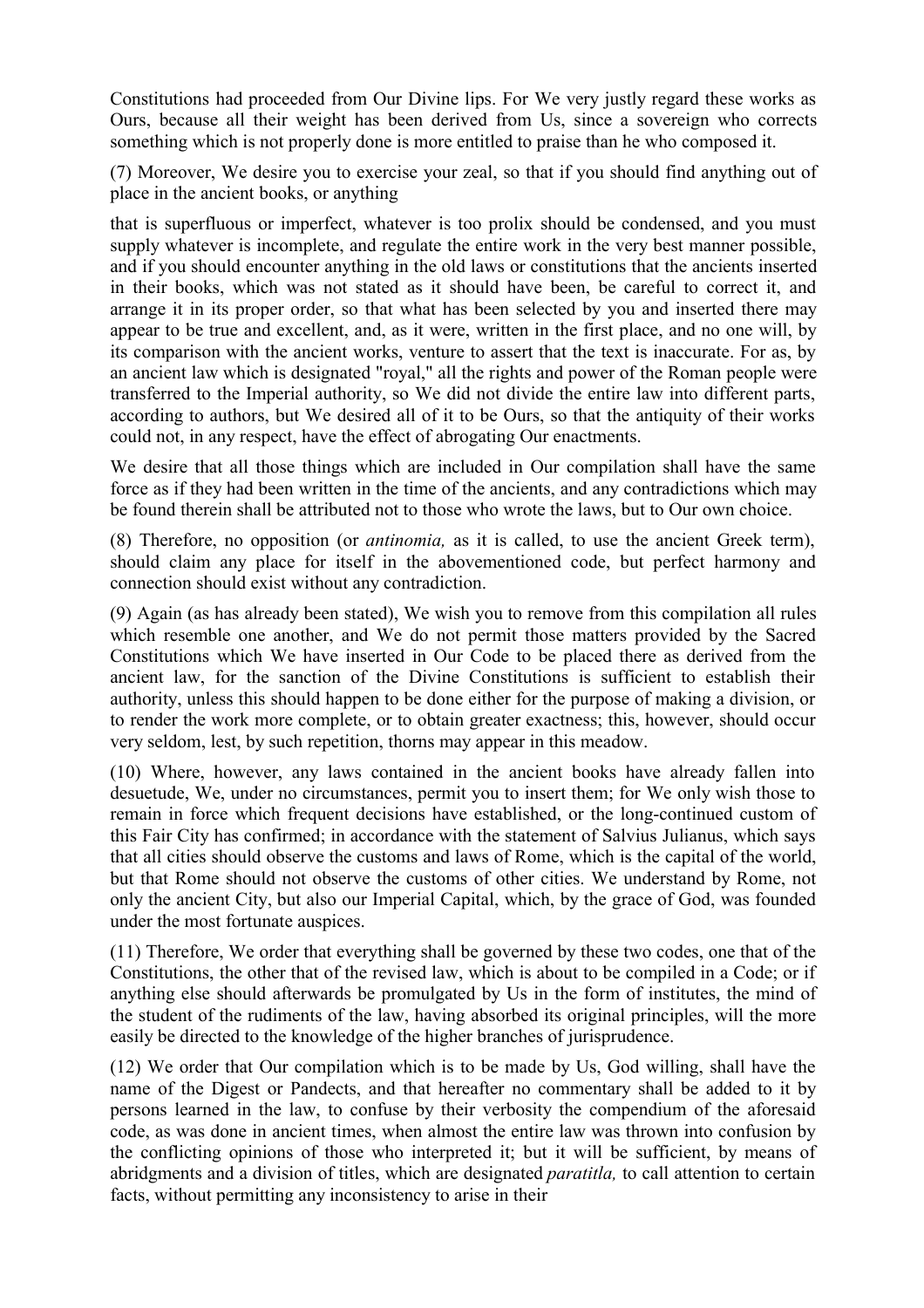Constitutions had proceeded from Our Divine lips. For We very justly regard these works as Ours, because all their weight has been derived from Us, since a sovereign who corrects something which is not properly done is more entitled to praise than he who composed it.

(7) Moreover, We desire you to exercise your zeal, so that if you should find anything out of place in the ancient books, or anything

that is superfluous or imperfect, whatever is too prolix should be condensed, and you must supply whatever is incomplete, and regulate the entire work in the very best manner possible, and if you should encounter anything in the old laws or constitutions that the ancients inserted in their books, which was not stated as it should have been, be careful to correct it, and arrange it in its proper order, so that what has been selected by you and inserted there may appear to be true and excellent, and, as it were, written in the first place, and no one will, by its comparison with the ancient works, venture to assert that the text is inaccurate. For as, by an ancient law which is designated "royal," all the rights and power of the Roman people were transferred to the Imperial authority, so We did not divide the entire law into different parts, according to authors, but We desired all of it to be Ours, so that the antiquity of their works could not, in any respect, have the effect of abrogating Our enactments.

We desire that all those things which are included in Our compilation shall have the same force as if they had been written in the time of the ancients, and any contradictions which may be found therein shall be attributed not to those who wrote the laws, but to Our own choice.

(8) Therefore, no opposition (or *antinomia,* as it is called, to use the ancient Greek term), should claim any place for itself in the abovementioned code, but perfect harmony and connection should exist without any contradiction.

(9) Again (as has already been stated), We wish you to remove from this compilation all rules which resemble one another, and We do not permit those matters provided by the Sacred Constitutions which We have inserted in Our Code to be placed there as derived from the ancient law, for the sanction of the Divine Constitutions is sufficient to establish their authority, unless this should happen to be done either for the purpose of making a division, or to render the work more complete, or to obtain greater exactness; this, however, should occur very seldom, lest, by such repetition, thorns may appear in this meadow.

(10) Where, however, any laws contained in the ancient books have already fallen into desuetude, We, under no circumstances, permit you to insert them; for We only wish those to remain in force which frequent decisions have established, or the long-continued custom of this Fair City has confirmed; in accordance with the statement of Salvius Julianus, which says that all cities should observe the customs and laws of Rome, which is the capital of the world, but that Rome should not observe the customs of other cities. We understand by Rome, not only the ancient City, but also our Imperial Capital, which, by the grace of God, was founded under the most fortunate auspices.

(11) Therefore, We order that everything shall be governed by these two codes, one that of the Constitutions, the other that of the revised law, which is about to be compiled in a Code; or if anything else should afterwards be promulgated by Us in the form of institutes, the mind of the student of the rudiments of the law, having absorbed its original principles, will the more easily be directed to the knowledge of the higher branches of jurisprudence.

(12) We order that Our compilation which is to be made by Us, God willing, shall have the name of the Digest or Pandects, and that hereafter no commentary shall be added to it by persons learned in the law, to confuse by their verbosity the compendium of the aforesaid code, as was done in ancient times, when almost the entire law was thrown into confusion by the conflicting opinions of those who interpreted it; but it will be sufficient, by means of abridgments and a division of titles, which are designated *paratitla,* to call attention to certain facts, without permitting any inconsistency to arise in their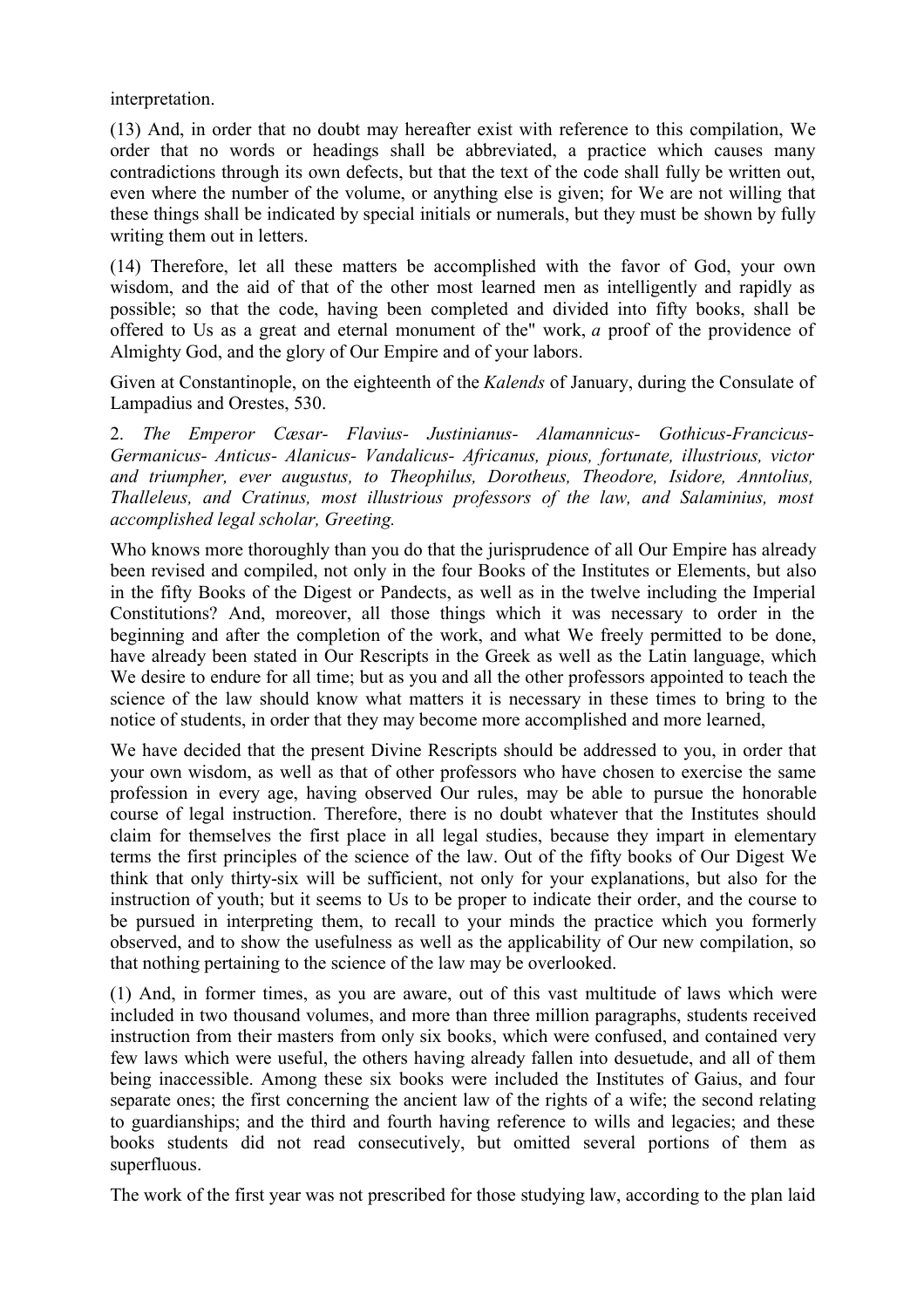interpretation.

(13) And, in order that no doubt may hereafter exist with reference to this compilation, We order that no words or headings shall be abbreviated, a practice which causes many contradictions through its own defects, but that the text of the code shall fully be written out, even where the number of the volume, or anything else is given; for We are not willing that these things shall be indicated by special initials or numerals, but they must be shown by fully writing them out in letters.

(14) Therefore, let all these matters be accomplished with the favor of God, your own wisdom, and the aid of that of the other most learned men as intelligently and rapidly as possible; so that the code, having been completed and divided into fifty books, shall be offered to Us as a great and eternal monument of the" work, *a* proof of the providence of Almighty God, and the glory of Our Empire and of your labors.

Given at Constantinople, on the eighteenth of the *Kalends* of January, during the Consulate of Lampadius and Orestes, 530.

2. *The Emperor Cæsar- Flavius- Justinianus- Alamannicus- Gothicus-Francicus-Germanicus- Anticus- Alanicus- Vandalicus- Africanus, pious, fortunate, illustrious, victor and triumpher, ever augustus, to Theophilus, Dorotheus, Theodore, Isidore, Anntolius, Thalleleus, and Cratinus, most illustrious professors of the law, and Salaminius, most accomplished legal scholar, Greeting.*

Who knows more thoroughly than you do that the jurisprudence of all Our Empire has already been revised and compiled, not only in the four Books of the Institutes or Elements, but also in the fifty Books of the Digest or Pandects, as well as in the twelve including the Imperial Constitutions? And, moreover, all those things which it was necessary to order in the beginning and after the completion of the work, and what We freely permitted to be done, have already been stated in Our Rescripts in the Greek as well as the Latin language, which We desire to endure for all time; but as you and all the other professors appointed to teach the science of the law should know what matters it is necessary in these times to bring to the notice of students, in order that they may become more accomplished and more learned,

We have decided that the present Divine Rescripts should be addressed to you, in order that your own wisdom, as well as that of other professors who have chosen to exercise the same profession in every age, having observed Our rules, may be able to pursue the honorable course of legal instruction. Therefore, there is no doubt whatever that the Institutes should claim for themselves the first place in all legal studies, because they impart in elementary terms the first principles of the science of the law. Out of the fifty books of Our Digest We think that only thirty-six will be sufficient, not only for your explanations, but also for the instruction of youth; but it seems to Us to be proper to indicate their order, and the course to be pursued in interpreting them, to recall to your minds the practice which you formerly observed, and to show the usefulness as well as the applicability of Our new compilation, so that nothing pertaining to the science of the law may be overlooked.

(1) And, in former times, as you are aware, out of this vast multitude of laws which were included in two thousand volumes, and more than three million paragraphs, students received instruction from their masters from only six books, which were confused, and contained very few laws which were useful, the others having already fallen into desuetude, and all of them being inaccessible. Among these six books were included the Institutes of Gaius, and four separate ones; the first concerning the ancient law of the rights of a wife; the second relating to guardianships; and the third and fourth having reference to wills and legacies; and these books students did not read consecutively, but omitted several portions of them as superfluous.

The work of the first year was not prescribed for those studying law, according to the plan laid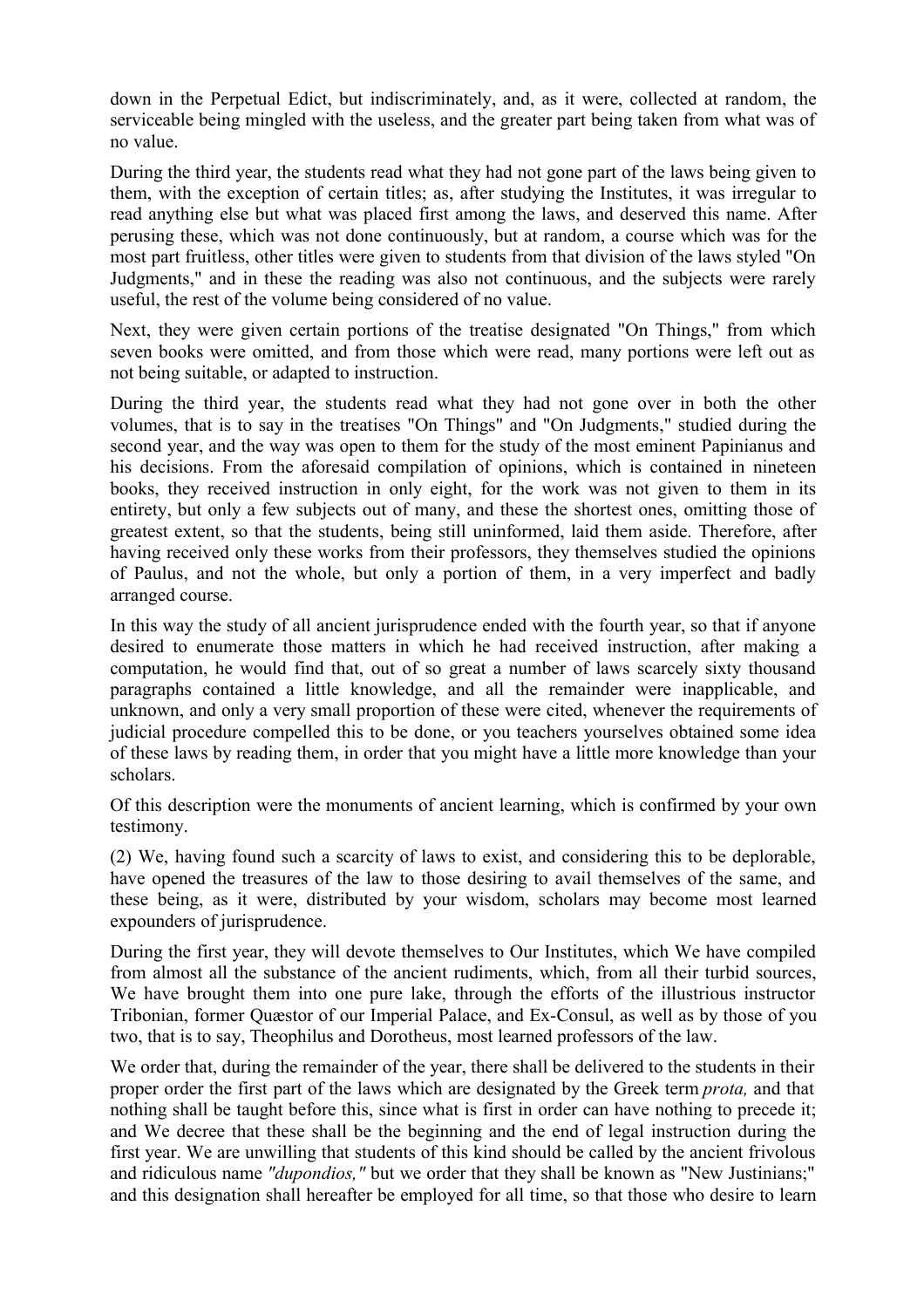down in the Perpetual Edict, but indiscriminately, and, as it were, collected at random, the serviceable being mingled with the useless, and the greater part being taken from what was of no value.

During the third year, the students read what they had not gone part of the laws being given to them, with the exception of certain titles; as, after studying the Institutes, it was irregular to read anything else but what was placed first among the laws, and deserved this name. After perusing these, which was not done continuously, but at random, a course which was for the most part fruitless, other titles were given to students from that division of the laws styled "On Judgments," and in these the reading was also not continuous, and the subjects were rarely useful, the rest of the volume being considered of no value.

Next, they were given certain portions of the treatise designated "On Things," from which seven books were omitted, and from those which were read, many portions were left out as not being suitable, or adapted to instruction.

During the third year, the students read what they had not gone over in both the other volumes, that is to say in the treatises "On Things" and "On Judgments," studied during the second year, and the way was open to them for the study of the most eminent Papinianus and his decisions. From the aforesaid compilation of opinions, which is contained in nineteen books, they received instruction in only eight, for the work was not given to them in its entirety, but only a few subjects out of many, and these the shortest ones, omitting those of greatest extent, so that the students, being still uninformed, laid them aside. Therefore, after having received only these works from their professors, they themselves studied the opinions of Paulus, and not the whole, but only a portion of them, in a very imperfect and badly arranged course.

In this way the study of all ancient jurisprudence ended with the fourth year, so that if anyone desired to enumerate those matters in which he had received instruction, after making a computation, he would find that, out of so great a number of laws scarcely sixty thousand paragraphs contained a little knowledge, and all the remainder were inapplicable, and unknown, and only a very small proportion of these were cited, whenever the requirements of judicial procedure compelled this to be done, or you teachers yourselves obtained some idea of these laws by reading them, in order that you might have a little more knowledge than your scholars.

Of this description were the monuments of ancient learning, which is confirmed by your own testimony.

(2) We, having found such a scarcity of laws to exist, and considering this to be deplorable, have opened the treasures of the law to those desiring to avail themselves of the same, and these being, as it were, distributed by your wisdom, scholars may become most learned expounders of jurisprudence.

During the first year, they will devote themselves to Our Institutes, which We have compiled from almost all the substance of the ancient rudiments, which, from all their turbid sources, We have brought them into one pure lake, through the efforts of the illustrious instructor Tribonian, former Quæstor of our Imperial Palace, and Ex-Consul, as well as by those of you two, that is to say, Theophilus and Dorotheus, most learned professors of the law.

We order that, during the remainder of the year, there shall be delivered to the students in their proper order the first part of the laws which are designated by the Greek term *prota,* and that nothing shall be taught before this, since what is first in order can have nothing to precede it; and We decree that these shall be the beginning and the end of legal instruction during the first year. We are unwilling that students of this kind should be called by the ancient frivolous and ridiculous name *"dupondios,"* but we order that they shall be known as "New Justinians;" and this designation shall hereafter be employed for all time, so that those who desire to learn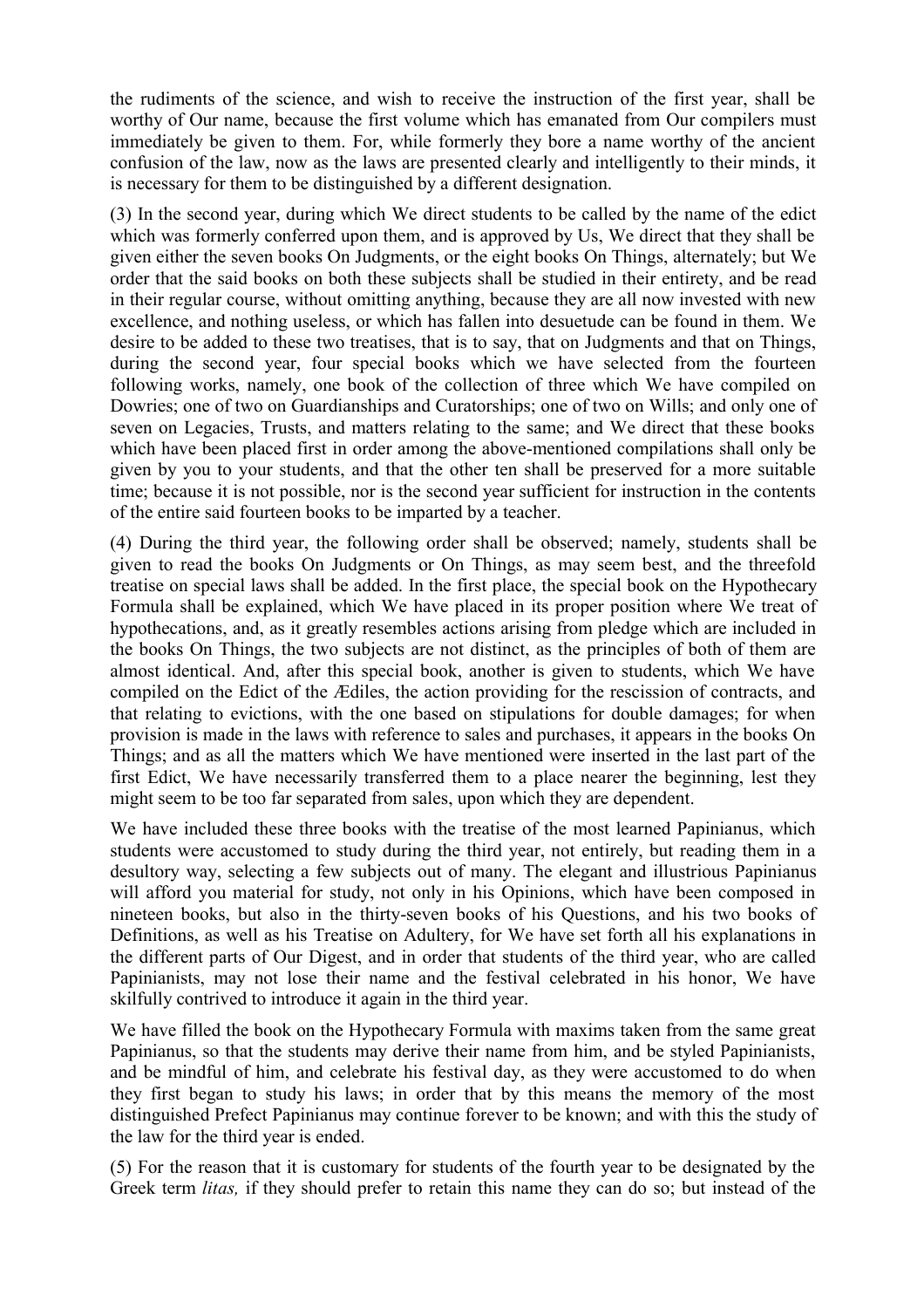the rudiments of the science, and wish to receive the instruction of the first year, shall be worthy of Our name, because the first volume which has emanated from Our compilers must immediately be given to them. For, while formerly they bore a name worthy of the ancient confusion of the law, now as the laws are presented clearly and intelligently to their minds, it is necessary for them to be distinguished by a different designation.

(3) In the second year, during which We direct students to be called by the name of the edict which was formerly conferred upon them, and is approved by Us, We direct that they shall be given either the seven books On Judgments, or the eight books On Things, alternately; but We order that the said books on both these subjects shall be studied in their entirety, and be read in their regular course, without omitting anything, because they are all now invested with new excellence, and nothing useless, or which has fallen into desuetude can be found in them. We desire to be added to these two treatises, that is to say, that on Judgments and that on Things, during the second year, four special books which we have selected from the fourteen following works, namely, one book of the collection of three which We have compiled on Dowries; one of two on Guardianships and Curatorships; one of two on Wills; and only one of seven on Legacies, Trusts, and matters relating to the same; and We direct that these books which have been placed first in order among the above-mentioned compilations shall only be given by you to your students, and that the other ten shall be preserved for a more suitable time; because it is not possible, nor is the second year sufficient for instruction in the contents of the entire said fourteen books to be imparted by a teacher.

(4) During the third year, the following order shall be observed; namely, students shall be given to read the books On Judgments or On Things, as may seem best, and the threefold treatise on special laws shall be added. In the first place, the special book on the Hypothecary Formula shall be explained, which We have placed in its proper position where We treat of hypothecations, and, as it greatly resembles actions arising from pledge which are included in the books On Things, the two subjects are not distinct, as the principles of both of them are almost identical. And, after this special book, another is given to students, which We have compiled on the Edict of the Ædiles, the action providing for the rescission of contracts, and that relating to evictions, with the one based on stipulations for double damages; for when provision is made in the laws with reference to sales and purchases, it appears in the books On Things; and as all the matters which We have mentioned were inserted in the last part of the first Edict, We have necessarily transferred them to a place nearer the beginning, lest they might seem to be too far separated from sales, upon which they are dependent.

We have included these three books with the treatise of the most learned Papinianus, which students were accustomed to study during the third year, not entirely, but reading them in a desultory way, selecting a few subjects out of many. The elegant and illustrious Papinianus will afford you material for study, not only in his Opinions, which have been composed in nineteen books, but also in the thirty-seven books of his Questions, and his two books of Definitions, as well as his Treatise on Adultery, for We have set forth all his explanations in the different parts of Our Digest, and in order that students of the third year, who are called Papinianists, may not lose their name and the festival celebrated in his honor, We have skilfully contrived to introduce it again in the third year.

We have filled the book on the Hypothecary Formula with maxims taken from the same great Papinianus, so that the students may derive their name from him, and be styled Papinianists, and be mindful of him, and celebrate his festival day, as they were accustomed to do when they first began to study his laws; in order that by this means the memory of the most distinguished Prefect Papinianus may continue forever to be known; and with this the study of the law for the third year is ended.

(5) For the reason that it is customary for students of the fourth year to be designated by the Greek term *litas,* if they should prefer to retain this name they can do so; but instead of the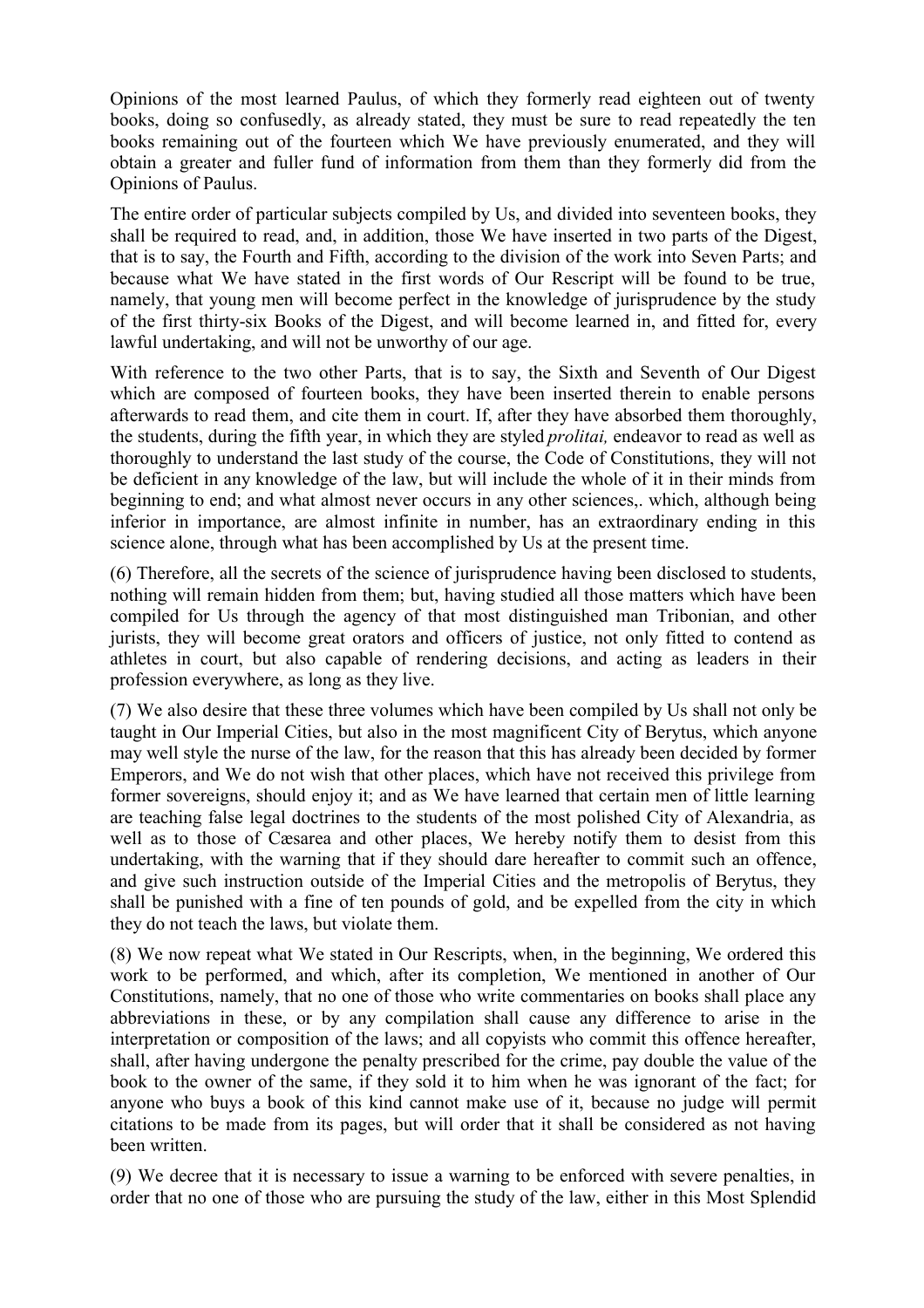Opinions of the most learned Paulus, of which they formerly read eighteen out of twenty books, doing so confusedly, as already stated, they must be sure to read repeatedly the ten books remaining out of the fourteen which We have previously enumerated, and they will obtain a greater and fuller fund of information from them than they formerly did from the Opinions of Paulus.

The entire order of particular subjects compiled by Us, and divided into seventeen books, they shall be required to read, and, in addition, those We have inserted in two parts of the Digest, that is to say, the Fourth and Fifth, according to the division of the work into Seven Parts; and because what We have stated in the first words of Our Rescript will be found to be true, namely, that young men will become perfect in the knowledge of jurisprudence by the study of the first thirty-six Books of the Digest, and will become learned in, and fitted for, every lawful undertaking, and will not be unworthy of our age.

With reference to the two other Parts, that is to say, the Sixth and Seventh of Our Digest which are composed of fourteen books, they have been inserted therein to enable persons afterwards to read them, and cite them in court. If, after they have absorbed them thoroughly, the students, during the fifth year, in which they are styled *prolitai,* endeavor to read as well as thoroughly to understand the last study of the course, the Code of Constitutions, they will not be deficient in any knowledge of the law, but will include the whole of it in their minds from beginning to end; and what almost never occurs in any other sciences,. which, although being inferior in importance, are almost infinite in number, has an extraordinary ending in this science alone, through what has been accomplished by Us at the present time.

(6) Therefore, all the secrets of the science of jurisprudence having been disclosed to students, nothing will remain hidden from them; but, having studied all those matters which have been compiled for Us through the agency of that most distinguished man Tribonian, and other jurists, they will become great orators and officers of justice, not only fitted to contend as athletes in court, but also capable of rendering decisions, and acting as leaders in their profession everywhere, as long as they live.

(7) We also desire that these three volumes which have been compiled by Us shall not only be taught in Our Imperial Cities, but also in the most magnificent City of Berytus, which anyone may well style the nurse of the law, for the reason that this has already been decided by former Emperors, and We do not wish that other places, which have not received this privilege from former sovereigns, should enjoy it; and as We have learned that certain men of little learning are teaching false legal doctrines to the students of the most polished City of Alexandria, as well as to those of Cæsarea and other places, We hereby notify them to desist from this undertaking, with the warning that if they should dare hereafter to commit such an offence, and give such instruction outside of the Imperial Cities and the metropolis of Berytus, they shall be punished with a fine of ten pounds of gold, and be expelled from the city in which they do not teach the laws, but violate them.

(8) We now repeat what We stated in Our Rescripts, when, in the beginning, We ordered this work to be performed, and which, after its completion, We mentioned in another of Our Constitutions, namely, that no one of those who write commentaries on books shall place any abbreviations in these, or by any compilation shall cause any difference to arise in the interpretation or composition of the laws; and all copyists who commit this offence hereafter, shall, after having undergone the penalty prescribed for the crime, pay double the value of the book to the owner of the same, if they sold it to him when he was ignorant of the fact; for anyone who buys a book of this kind cannot make use of it, because no judge will permit citations to be made from its pages, but will order that it shall be considered as not having been written.

(9) We decree that it is necessary to issue a warning to be enforced with severe penalties, in order that no one of those who are pursuing the study of the law, either in this Most Splendid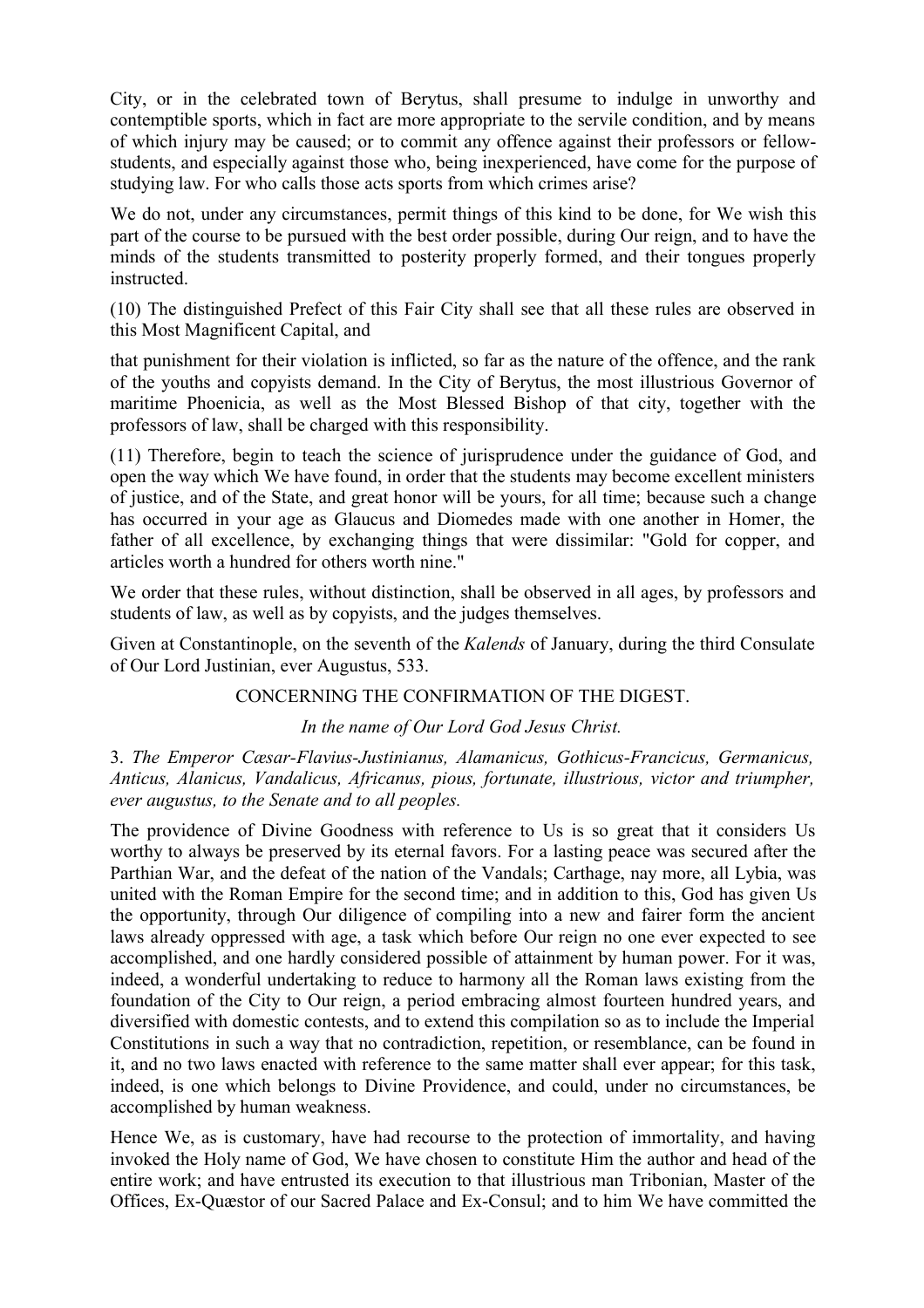City, or in the celebrated town of Berytus, shall presume to indulge in unworthy and contemptible sports, which in fact are more appropriate to the servile condition, and by means of which injury may be caused; or to commit any offence against their professors or fellowstudents, and especially against those who, being inexperienced, have come for the purpose of studying law. For who calls those acts sports from which crimes arise?

We do not, under any circumstances, permit things of this kind to be done, for We wish this part of the course to be pursued with the best order possible, during Our reign, and to have the minds of the students transmitted to posterity properly formed, and their tongues properly instructed.

(10) The distinguished Prefect of this Fair City shall see that all these rules are observed in this Most Magnificent Capital, and

that punishment for their violation is inflicted, so far as the nature of the offence, and the rank of the youths and copyists demand. In the City of Berytus, the most illustrious Governor of maritime Phoenicia, as well as the Most Blessed Bishop of that city, together with the professors of law, shall be charged with this responsibility.

(11) Therefore, begin to teach the science of jurisprudence under the guidance of God, and open the way which We have found, in order that the students may become excellent ministers of justice, and of the State, and great honor will be yours, for all time; because such a change has occurred in your age as Glaucus and Diomedes made with one another in Homer, the father of all excellence, by exchanging things that were dissimilar: "Gold for copper, and articles worth a hundred for others worth nine."

We order that these rules, without distinction, shall be observed in all ages, by professors and students of law, as well as by copyists, and the judges themselves.

Given at Constantinople, on the seventh of the *Kalends* of January, during the third Consulate of Our Lord Justinian, ever Augustus, 533.

# CONCERNING THE CONFIRMATION OF THE DIGEST.

### *In the name of Our Lord God Jesus Christ.*

3. *The Emperor Cæsar-Flavius-Justinianus, Alamanicus, Gothicus-Francicus, Germanicus, Anticus, Alanicus, Vandalicus, Africanus, pious, fortunate, illustrious, victor and triumpher, ever augustus, to the Senate and to all peoples.*

The providence of Divine Goodness with reference to Us is so great that it considers Us worthy to always be preserved by its eternal favors. For a lasting peace was secured after the Parthian War, and the defeat of the nation of the Vandals; Carthage, nay more, all Lybia, was united with the Roman Empire for the second time; and in addition to this, God has given Us the opportunity, through Our diligence of compiling into a new and fairer form the ancient laws already oppressed with age, a task which before Our reign no one ever expected to see accomplished, and one hardly considered possible of attainment by human power. For it was, indeed, a wonderful undertaking to reduce to harmony all the Roman laws existing from the foundation of the City to Our reign, a period embracing almost fourteen hundred years, and diversified with domestic contests, and to extend this compilation so as to include the Imperial Constitutions in such a way that no contradiction, repetition, or resemblance, can be found in it, and no two laws enacted with reference to the same matter shall ever appear; for this task, indeed, is one which belongs to Divine Providence, and could, under no circumstances, be accomplished by human weakness.

Hence We, as is customary, have had recourse to the protection of immortality, and having invoked the Holy name of God, We have chosen to constitute Him the author and head of the entire work; and have entrusted its execution to that illustrious man Tribonian, Master of the Offices, Ex-Quæstor of our Sacred Palace and Ex-Consul; and to him We have committed the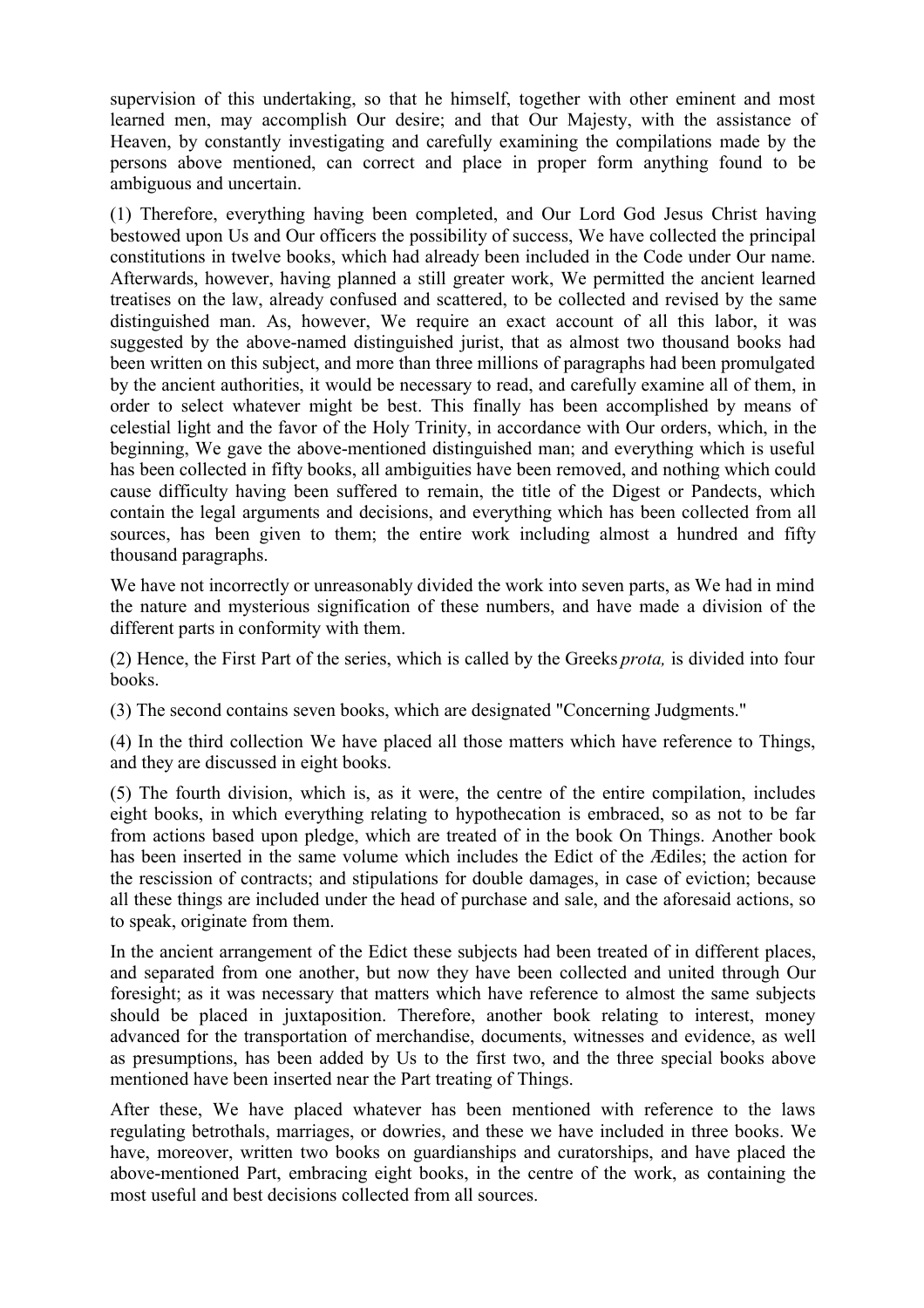supervision of this undertaking, so that he himself, together with other eminent and most learned men, may accomplish Our desire; and that Our Majesty, with the assistance of Heaven, by constantly investigating and carefully examining the compilations made by the persons above mentioned, can correct and place in proper form anything found to be ambiguous and uncertain.

(1) Therefore, everything having been completed, and Our Lord God Jesus Christ having bestowed upon Us and Our officers the possibility of success, We have collected the principal constitutions in twelve books, which had already been included in the Code under Our name. Afterwards, however, having planned a still greater work, We permitted the ancient learned treatises on the law, already confused and scattered, to be collected and revised by the same distinguished man. As, however, We require an exact account of all this labor, it was suggested by the above-named distinguished jurist, that as almost two thousand books had been written on this subject, and more than three millions of paragraphs had been promulgated by the ancient authorities, it would be necessary to read, and carefully examine all of them, in order to select whatever might be best. This finally has been accomplished by means of celestial light and the favor of the Holy Trinity, in accordance with Our orders, which, in the beginning, We gave the above-mentioned distinguished man; and everything which is useful has been collected in fifty books, all ambiguities have been removed, and nothing which could cause difficulty having been suffered to remain, the title of the Digest or Pandects, which contain the legal arguments and decisions, and everything which has been collected from all sources, has been given to them; the entire work including almost a hundred and fifty thousand paragraphs.

We have not incorrectly or unreasonably divided the work into seven parts, as We had in mind the nature and mysterious signification of these numbers, and have made a division of the different parts in conformity with them.

(2) Hence, the First Part of the series, which is called by the Greeks *prota,* is divided into four books.

(3) The second contains seven books, which are designated "Concerning Judgments."

(4) In the third collection We have placed all those matters which have reference to Things, and they are discussed in eight books.

(5) The fourth division, which is, as it were, the centre of the entire compilation, includes eight books, in which everything relating to hypothecation is embraced, so as not to be far from actions based upon pledge, which are treated of in the book On Things. Another book has been inserted in the same volume which includes the Edict of the Ædiles; the action for the rescission of contracts; and stipulations for double damages, in case of eviction; because all these things are included under the head of purchase and sale, and the aforesaid actions, so to speak, originate from them.

In the ancient arrangement of the Edict these subjects had been treated of in different places, and separated from one another, but now they have been collected and united through Our foresight; as it was necessary that matters which have reference to almost the same subjects should be placed in juxtaposition. Therefore, another book relating to interest, money advanced for the transportation of merchandise, documents, witnesses and evidence, as well as presumptions, has been added by Us to the first two, and the three special books above mentioned have been inserted near the Part treating of Things.

After these, We have placed whatever has been mentioned with reference to the laws regulating betrothals, marriages, or dowries, and these we have included in three books. We have, moreover, written two books on guardianships and curatorships, and have placed the above-mentioned Part, embracing eight books, in the centre of the work, as containing the most useful and best decisions collected from all sources.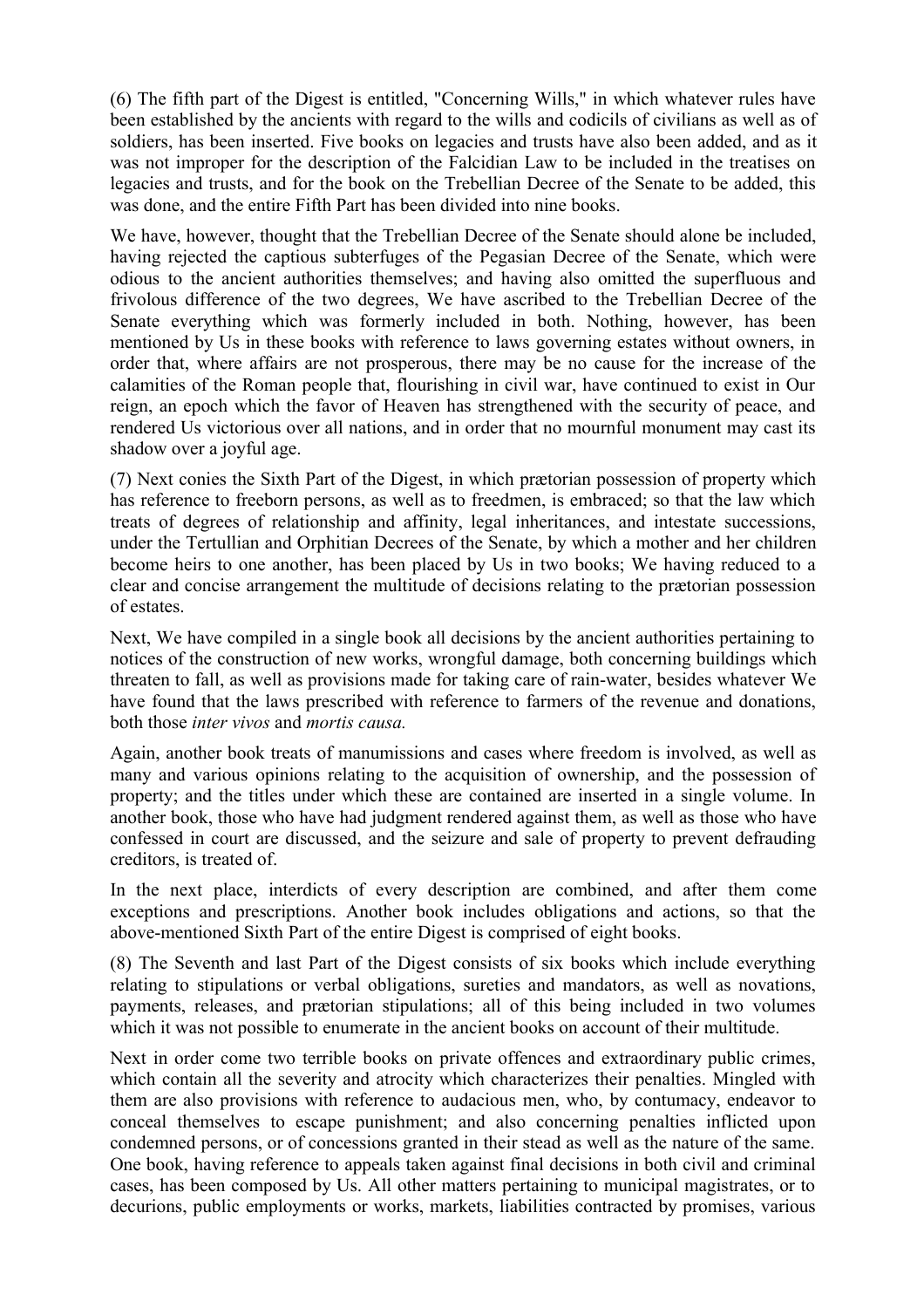(6) The fifth part of the Digest is entitled, "Concerning Wills," in which whatever rules have been established by the ancients with regard to the wills and codicils of civilians as well as of soldiers, has been inserted. Five books on legacies and trusts have also been added, and as it was not improper for the description of the Falcidian Law to be included in the treatises on legacies and trusts, and for the book on the Trebellian Decree of the Senate to be added, this was done, and the entire Fifth Part has been divided into nine books.

We have, however, thought that the Trebellian Decree of the Senate should alone be included, having rejected the captious subterfuges of the Pegasian Decree of the Senate, which were odious to the ancient authorities themselves; and having also omitted the superfluous and frivolous difference of the two degrees, We have ascribed to the Trebellian Decree of the Senate everything which was formerly included in both. Nothing, however, has been mentioned by Us in these books with reference to laws governing estates without owners, in order that, where affairs are not prosperous, there may be no cause for the increase of the calamities of the Roman people that, flourishing in civil war, have continued to exist in Our reign, an epoch which the favor of Heaven has strengthened with the security of peace, and rendered Us victorious over all nations, and in order that no mournful monument may cast its shadow over a joyful age.

(7) Next conies the Sixth Part of the Digest, in which prætorian possession of property which has reference to freeborn persons, as well as to freedmen, is embraced; so that the law which treats of degrees of relationship and affinity, legal inheritances, and intestate successions, under the Tertullian and Orphitian Decrees of the Senate, by which a mother and her children become heirs to one another, has been placed by Us in two books; We having reduced to a clear and concise arrangement the multitude of decisions relating to the prætorian possession of estates.

Next, We have compiled in a single book all decisions by the ancient authorities pertaining to notices of the construction of new works, wrongful damage, both concerning buildings which threaten to fall, as well as provisions made for taking care of rain-water, besides whatever We have found that the laws prescribed with reference to farmers of the revenue and donations, both those *inter vivos* and *mortis causa.*

Again, another book treats of manumissions and cases where freedom is involved, as well as many and various opinions relating to the acquisition of ownership, and the possession of property; and the titles under which these are contained are inserted in a single volume. In another book, those who have had judgment rendered against them, as well as those who have confessed in court are discussed, and the seizure and sale of property to prevent defrauding creditors, is treated of.

In the next place, interdicts of every description are combined, and after them come exceptions and prescriptions. Another book includes obligations and actions, so that the above-mentioned Sixth Part of the entire Digest is comprised of eight books.

(8) The Seventh and last Part of the Digest consists of six books which include everything relating to stipulations or verbal obligations, sureties and mandators, as well as novations, payments, releases, and prætorian stipulations; all of this being included in two volumes which it was not possible to enumerate in the ancient books on account of their multitude.

Next in order come two terrible books on private offences and extraordinary public crimes, which contain all the severity and atrocity which characterizes their penalties. Mingled with them are also provisions with reference to audacious men, who, by contumacy, endeavor to conceal themselves to escape punishment; and also concerning penalties inflicted upon condemned persons, or of concessions granted in their stead as well as the nature of the same. One book, having reference to appeals taken against final decisions in both civil and criminal cases, has been composed by Us. All other matters pertaining to municipal magistrates, or to decurions, public employments or works, markets, liabilities contracted by promises, various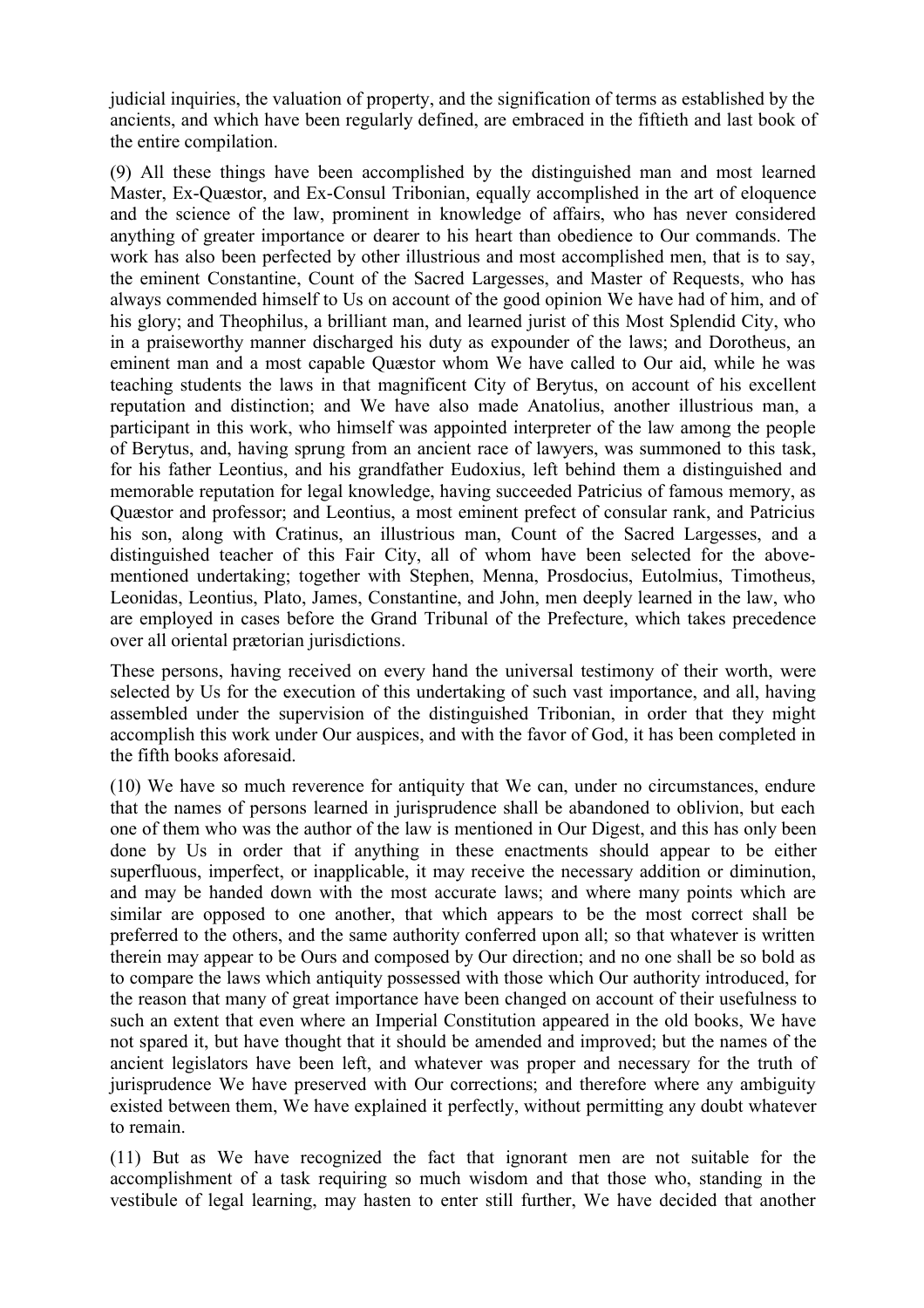judicial inquiries, the valuation of property, and the signification of terms as established by the ancients, and which have been regularly defined, are embraced in the fiftieth and last book of the entire compilation.

(9) All these things have been accomplished by the distinguished man and most learned Master, Ex-Quæstor, and Ex-Consul Tribonian, equally accomplished in the art of eloquence and the science of the law, prominent in knowledge of affairs, who has never considered anything of greater importance or dearer to his heart than obedience to Our commands. The work has also been perfected by other illustrious and most accomplished men, that is to say, the eminent Constantine, Count of the Sacred Largesses, and Master of Requests, who has always commended himself to Us on account of the good opinion We have had of him, and of his glory; and Theophilus, a brilliant man, and learned jurist of this Most Splendid City, who in a praiseworthy manner discharged his duty as expounder of the laws; and Dorotheus, an eminent man and a most capable Quæstor whom We have called to Our aid, while he was teaching students the laws in that magnificent City of Berytus, on account of his excellent reputation and distinction; and We have also made Anatolius, another illustrious man, a participant in this work, who himself was appointed interpreter of the law among the people of Berytus, and, having sprung from an ancient race of lawyers, was summoned to this task, for his father Leontius, and his grandfather Eudoxius, left behind them a distinguished and memorable reputation for legal knowledge, having succeeded Patricius of famous memory, as Quæstor and professor; and Leontius, a most eminent prefect of consular rank, and Patricius his son, along with Cratinus, an illustrious man, Count of the Sacred Largesses, and a distinguished teacher of this Fair City, all of whom have been selected for the abovementioned undertaking; together with Stephen, Menna, Prosdocius, Eutolmius, Timotheus, Leonidas, Leontius, Plato, James, Constantine, and John, men deeply learned in the law, who are employed in cases before the Grand Tribunal of the Prefecture, which takes precedence over all oriental prætorian jurisdictions.

These persons, having received on every hand the universal testimony of their worth, were selected by Us for the execution of this undertaking of such vast importance, and all, having assembled under the supervision of the distinguished Tribonian, in order that they might accomplish this work under Our auspices, and with the favor of God, it has been completed in the fifth books aforesaid.

(10) We have so much reverence for antiquity that We can, under no circumstances, endure that the names of persons learned in jurisprudence shall be abandoned to oblivion, but each one of them who was the author of the law is mentioned in Our Digest, and this has only been done by Us in order that if anything in these enactments should appear to be either superfluous, imperfect, or inapplicable, it may receive the necessary addition or diminution, and may be handed down with the most accurate laws; and where many points which are similar are opposed to one another, that which appears to be the most correct shall be preferred to the others, and the same authority conferred upon all; so that whatever is written therein may appear to be Ours and composed by Our direction; and no one shall be so bold as to compare the laws which antiquity possessed with those which Our authority introduced, for the reason that many of great importance have been changed on account of their usefulness to such an extent that even where an Imperial Constitution appeared in the old books, We have not spared it, but have thought that it should be amended and improved; but the names of the ancient legislators have been left, and whatever was proper and necessary for the truth of jurisprudence We have preserved with Our corrections; and therefore where any ambiguity existed between them, We have explained it perfectly, without permitting any doubt whatever to remain.

(11) But as We have recognized the fact that ignorant men are not suitable for the accomplishment of a task requiring so much wisdom and that those who, standing in the vestibule of legal learning, may hasten to enter still further, We have decided that another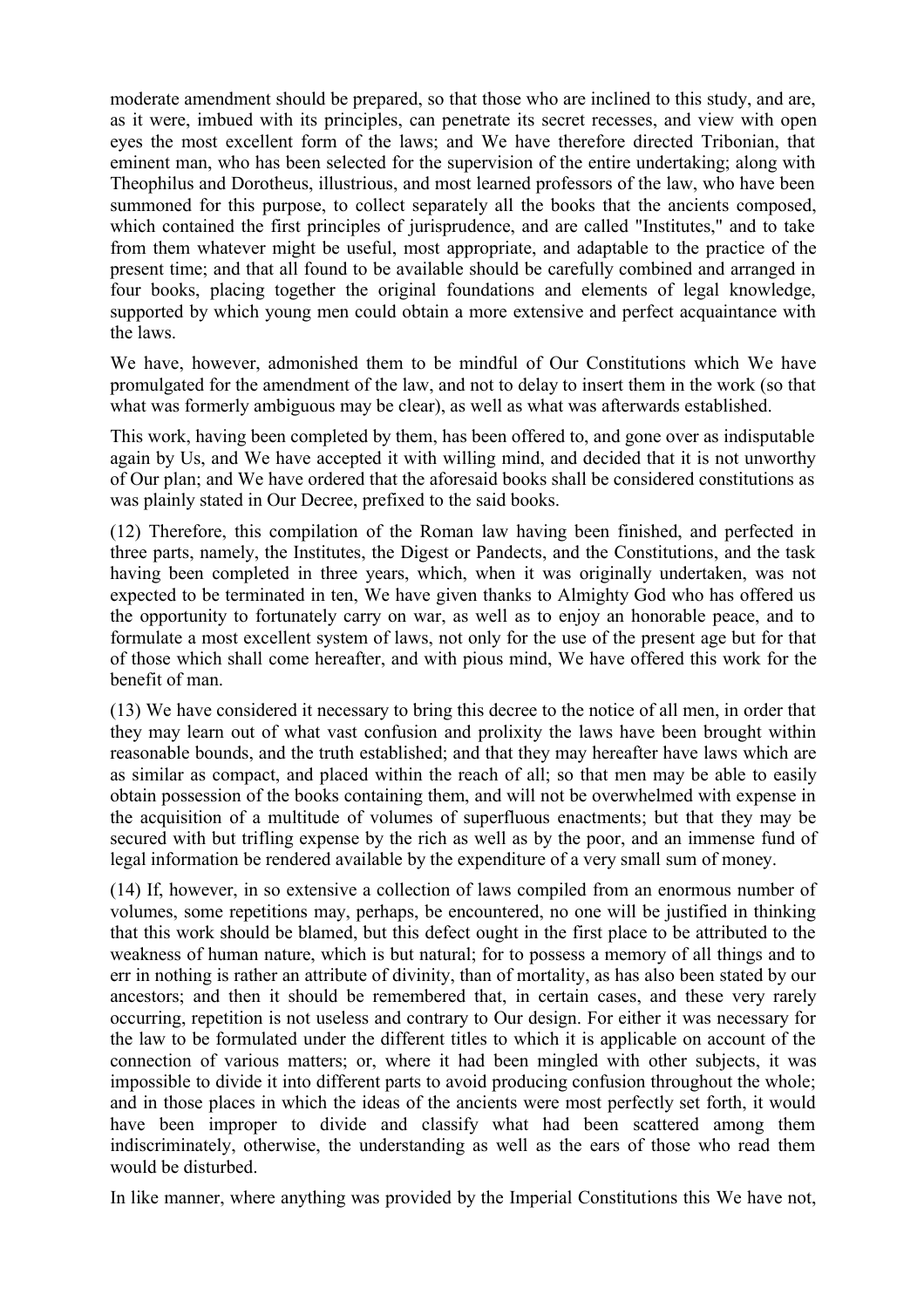moderate amendment should be prepared, so that those who are inclined to this study, and are, as it were, imbued with its principles, can penetrate its secret recesses, and view with open eyes the most excellent form of the laws; and We have therefore directed Tribonian, that eminent man, who has been selected for the supervision of the entire undertaking; along with Theophilus and Dorotheus, illustrious, and most learned professors of the law, who have been summoned for this purpose, to collect separately all the books that the ancients composed, which contained the first principles of jurisprudence, and are called "Institutes," and to take from them whatever might be useful, most appropriate, and adaptable to the practice of the present time; and that all found to be available should be carefully combined and arranged in four books, placing together the original foundations and elements of legal knowledge, supported by which young men could obtain a more extensive and perfect acquaintance with the laws.

We have, however, admonished them to be mindful of Our Constitutions which We have promulgated for the amendment of the law, and not to delay to insert them in the work (so that what was formerly ambiguous may be clear), as well as what was afterwards established.

This work, having been completed by them, has been offered to, and gone over as indisputable again by Us, and We have accepted it with willing mind, and decided that it is not unworthy of Our plan; and We have ordered that the aforesaid books shall be considered constitutions as was plainly stated in Our Decree, prefixed to the said books.

(12) Therefore, this compilation of the Roman law having been finished, and perfected in three parts, namely, the Institutes, the Digest or Pandects, and the Constitutions, and the task having been completed in three years, which, when it was originally undertaken, was not expected to be terminated in ten, We have given thanks to Almighty God who has offered us the opportunity to fortunately carry on war, as well as to enjoy an honorable peace, and to formulate a most excellent system of laws, not only for the use of the present age but for that of those which shall come hereafter, and with pious mind, We have offered this work for the benefit of man.

(13) We have considered it necessary to bring this decree to the notice of all men, in order that they may learn out of what vast confusion and prolixity the laws have been brought within reasonable bounds, and the truth established; and that they may hereafter have laws which are as similar as compact, and placed within the reach of all; so that men may be able to easily obtain possession of the books containing them, and will not be overwhelmed with expense in the acquisition of a multitude of volumes of superfluous enactments; but that they may be secured with but trifling expense by the rich as well as by the poor, and an immense fund of legal information be rendered available by the expenditure of a very small sum of money.

(14) If, however, in so extensive a collection of laws compiled from an enormous number of volumes, some repetitions may, perhaps, be encountered, no one will be justified in thinking that this work should be blamed, but this defect ought in the first place to be attributed to the weakness of human nature, which is but natural; for to possess a memory of all things and to err in nothing is rather an attribute of divinity, than of mortality, as has also been stated by our ancestors; and then it should be remembered that, in certain cases, and these very rarely occurring, repetition is not useless and contrary to Our design. For either it was necessary for the law to be formulated under the different titles to which it is applicable on account of the connection of various matters; or, where it had been mingled with other subjects, it was impossible to divide it into different parts to avoid producing confusion throughout the whole; and in those places in which the ideas of the ancients were most perfectly set forth, it would have been improper to divide and classify what had been scattered among them indiscriminately, otherwise, the understanding as well as the ears of those who read them would be disturbed.

In like manner, where anything was provided by the Imperial Constitutions this We have not,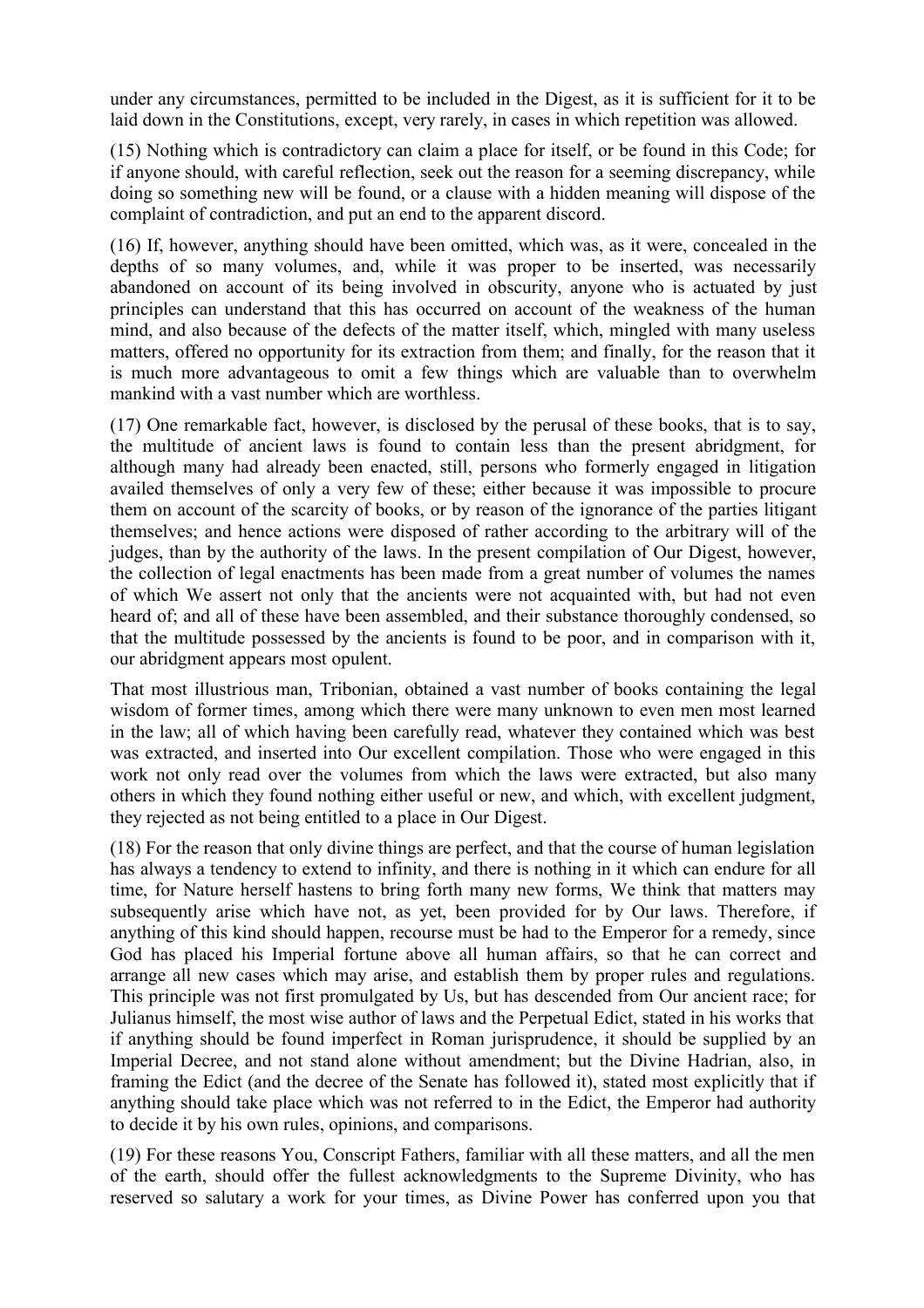under any circumstances, permitted to be included in the Digest, as it is sufficient for it to be laid down in the Constitutions, except, very rarely, in cases in which repetition was allowed.

(15) Nothing which is contradictory can claim a place for itself, or be found in this Code; for if anyone should, with careful reflection, seek out the reason for a seeming discrepancy, while doing so something new will be found, or a clause with a hidden meaning will dispose of the complaint of contradiction, and put an end to the apparent discord.

(16) If, however, anything should have been omitted, which was, as it were, concealed in the depths of so many volumes, and, while it was proper to be inserted, was necessarily abandoned on account of its being involved in obscurity, anyone who is actuated by just principles can understand that this has occurred on account of the weakness of the human mind, and also because of the defects of the matter itself, which, mingled with many useless matters, offered no opportunity for its extraction from them; and finally, for the reason that it is much more advantageous to omit a few things which are valuable than to overwhelm mankind with a vast number which are worthless.

(17) One remarkable fact, however, is disclosed by the perusal of these books, that is to say, the multitude of ancient laws is found to contain less than the present abridgment, for although many had already been enacted, still, persons who formerly engaged in litigation availed themselves of only a very few of these; either because it was impossible to procure them on account of the scarcity of books, or by reason of the ignorance of the parties litigant themselves; and hence actions were disposed of rather according to the arbitrary will of the judges, than by the authority of the laws. In the present compilation of Our Digest, however, the collection of legal enactments has been made from a great number of volumes the names of which We assert not only that the ancients were not acquainted with, but had not even heard of; and all of these have been assembled, and their substance thoroughly condensed, so that the multitude possessed by the ancients is found to be poor, and in comparison with it, our abridgment appears most opulent.

That most illustrious man, Tribonian, obtained a vast number of books containing the legal wisdom of former times, among which there were many unknown to even men most learned in the law; all of which having been carefully read, whatever they contained which was best was extracted, and inserted into Our excellent compilation. Those who were engaged in this work not only read over the volumes from which the laws were extracted, but also many others in which they found nothing either useful or new, and which, with excellent judgment, they rejected as not being entitled to a place in Our Digest.

(18) For the reason that only divine things are perfect, and that the course of human legislation has always a tendency to extend to infinity, and there is nothing in it which can endure for all time, for Nature herself hastens to bring forth many new forms, We think that matters may subsequently arise which have not, as yet, been provided for by Our laws. Therefore, if anything of this kind should happen, recourse must be had to the Emperor for a remedy, since God has placed his Imperial fortune above all human affairs, so that he can correct and arrange all new cases which may arise, and establish them by proper rules and regulations. This principle was not first promulgated by Us, but has descended from Our ancient race; for Julianus himself, the most wise author of laws and the Perpetual Edict, stated in his works that if anything should be found imperfect in Roman jurisprudence, it should be supplied by an Imperial Decree, and not stand alone without amendment; but the Divine Hadrian, also, in framing the Edict (and the decree of the Senate has followed it), stated most explicitly that if anything should take place which was not referred to in the Edict, the Emperor had authority to decide it by his own rules, opinions, and comparisons.

(19) For these reasons You, Conscript Fathers, familiar with all these matters, and all the men of the earth, should offer the fullest acknowledgments to the Supreme Divinity, who has reserved so salutary a work for your times, as Divine Power has conferred upon you that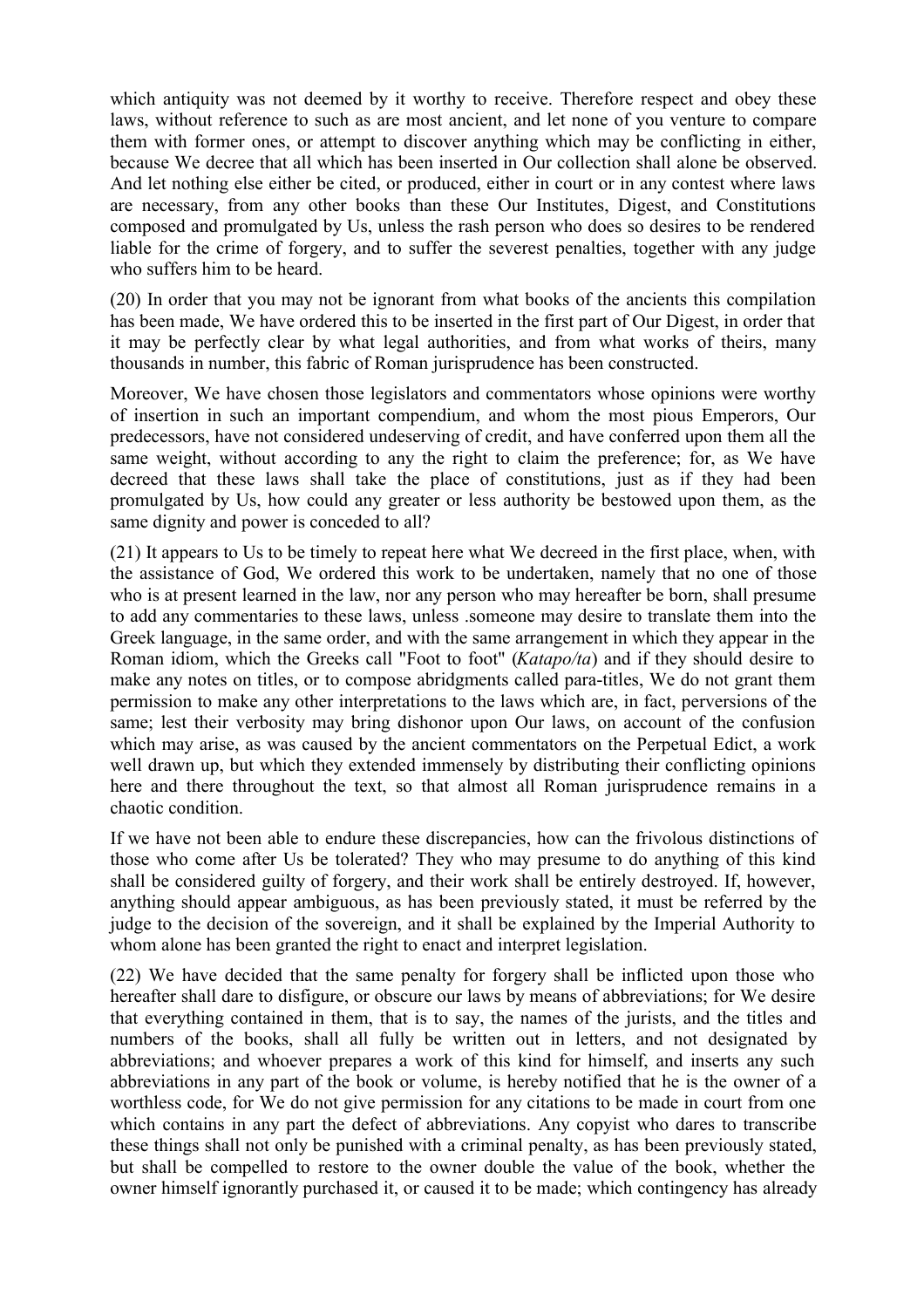which antiquity was not deemed by it worthy to receive. Therefore respect and obey these laws, without reference to such as are most ancient, and let none of you venture to compare them with former ones, or attempt to discover anything which may be conflicting in either, because We decree that all which has been inserted in Our collection shall alone be observed. And let nothing else either be cited, or produced, either in court or in any contest where laws are necessary, from any other books than these Our Institutes, Digest, and Constitutions composed and promulgated by Us, unless the rash person who does so desires to be rendered liable for the crime of forgery, and to suffer the severest penalties, together with any judge who suffers him to be heard.

(20) In order that you may not be ignorant from what books of the ancients this compilation has been made, We have ordered this to be inserted in the first part of Our Digest, in order that it may be perfectly clear by what legal authorities, and from what works of theirs, many thousands in number, this fabric of Roman jurisprudence has been constructed.

Moreover, We have chosen those legislators and commentators whose opinions were worthy of insertion in such an important compendium, and whom the most pious Emperors, Our predecessors, have not considered undeserving of credit, and have conferred upon them all the same weight, without according to any the right to claim the preference; for, as We have decreed that these laws shall take the place of constitutions, just as if they had been promulgated by Us, how could any greater or less authority be bestowed upon them, as the same dignity and power is conceded to all?

(21) It appears to Us to be timely to repeat here what We decreed in the first place, when, with the assistance of God, We ordered this work to be undertaken, namely that no one of those who is at present learned in the law, nor any person who may hereafter be born, shall presume to add any commentaries to these laws, unless .someone may desire to translate them into the Greek language, in the same order, and with the same arrangement in which they appear in the Roman idiom, which the Greeks call "Foot to foot" (*Katapo/ta*) and if they should desire to make any notes on titles, or to compose abridgments called para-titles, We do not grant them permission to make any other interpretations to the laws which are, in fact, perversions of the same; lest their verbosity may bring dishonor upon Our laws, on account of the confusion which may arise, as was caused by the ancient commentators on the Perpetual Edict, a work well drawn up, but which they extended immensely by distributing their conflicting opinions here and there throughout the text, so that almost all Roman jurisprudence remains in a chaotic condition.

If we have not been able to endure these discrepancies, how can the frivolous distinctions of those who come after Us be tolerated? They who may presume to do anything of this kind shall be considered guilty of forgery, and their work shall be entirely destroyed. If, however, anything should appear ambiguous, as has been previously stated, it must be referred by the judge to the decision of the sovereign, and it shall be explained by the Imperial Authority to whom alone has been granted the right to enact and interpret legislation.

(22) We have decided that the same penalty for forgery shall be inflicted upon those who hereafter shall dare to disfigure, or obscure our laws by means of abbreviations; for We desire that everything contained in them, that is to say, the names of the jurists, and the titles and numbers of the books, shall all fully be written out in letters, and not designated by abbreviations; and whoever prepares a work of this kind for himself, and inserts any such abbreviations in any part of the book or volume, is hereby notified that he is the owner of a worthless code, for We do not give permission for any citations to be made in court from one which contains in any part the defect of abbreviations. Any copyist who dares to transcribe these things shall not only be punished with a criminal penalty, as has been previously stated, but shall be compelled to restore to the owner double the value of the book, whether the owner himself ignorantly purchased it, or caused it to be made; which contingency has already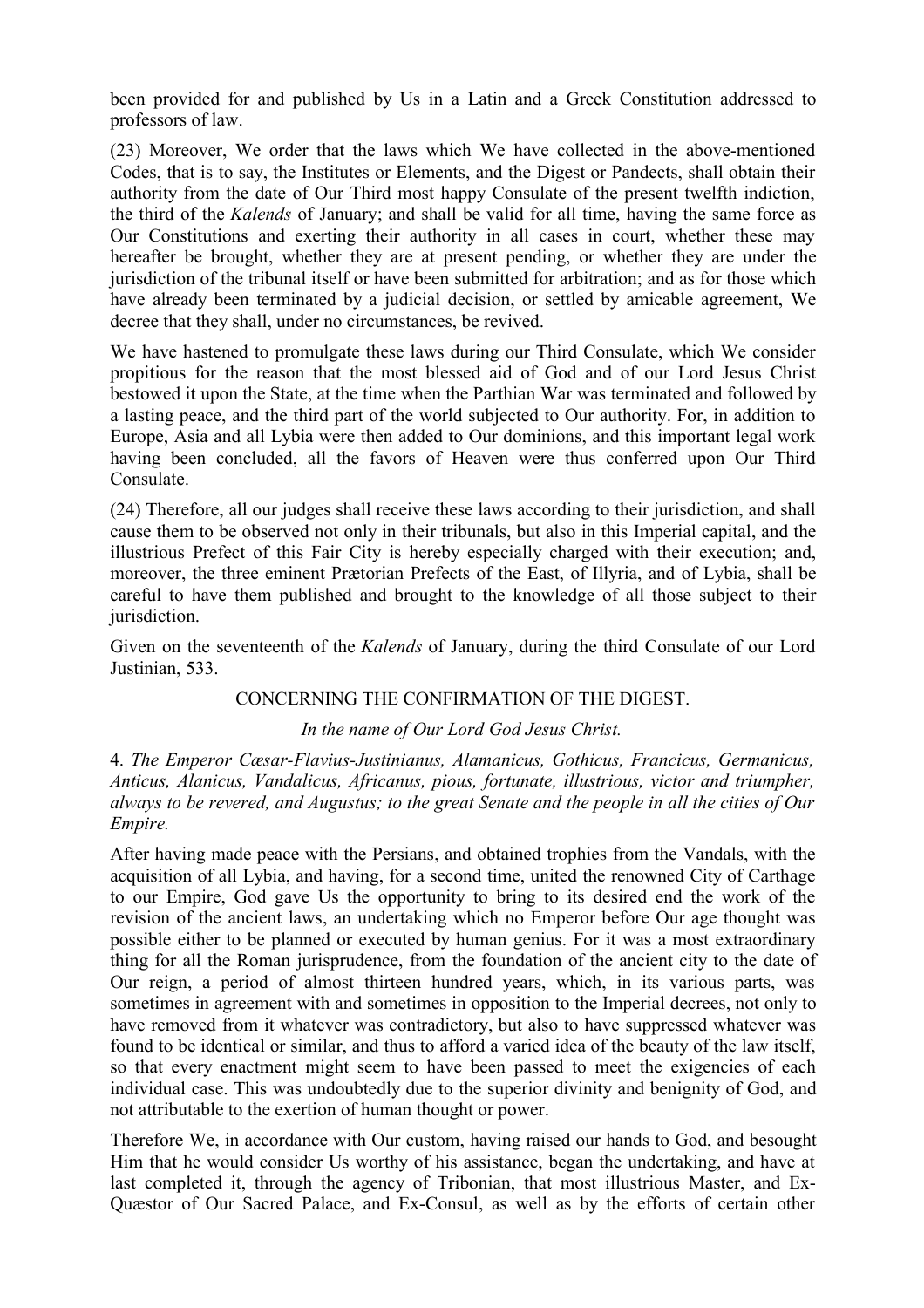been provided for and published by Us in a Latin and a Greek Constitution addressed to professors of law.

(23) Moreover, We order that the laws which We have collected in the above-mentioned Codes, that is to say, the Institutes or Elements, and the Digest or Pandects, shall obtain their authority from the date of Our Third most happy Consulate of the present twelfth indiction, the third of the *Kalends* of January; and shall be valid for all time, having the same force as Our Constitutions and exerting their authority in all cases in court, whether these may hereafter be brought, whether they are at present pending, or whether they are under the jurisdiction of the tribunal itself or have been submitted for arbitration; and as for those which have already been terminated by a judicial decision, or settled by amicable agreement, We decree that they shall, under no circumstances, be revived.

We have hastened to promulgate these laws during our Third Consulate, which We consider propitious for the reason that the most blessed aid of God and of our Lord Jesus Christ bestowed it upon the State, at the time when the Parthian War was terminated and followed by a lasting peace, and the third part of the world subjected to Our authority. For, in addition to Europe, Asia and all Lybia were then added to Our dominions, and this important legal work having been concluded, all the favors of Heaven were thus conferred upon Our Third Consulate.

(24) Therefore, all our judges shall receive these laws according to their jurisdiction, and shall cause them to be observed not only in their tribunals, but also in this Imperial capital, and the illustrious Prefect of this Fair City is hereby especially charged with their execution; and, moreover, the three eminent Prætorian Prefects of the East, of Illyria, and of Lybia, shall be careful to have them published and brought to the knowledge of all those subject to their jurisdiction.

Given on the seventeenth of the *Kalends* of January, during the third Consulate of our Lord Justinian, 533.

# CONCERNING THE CONFIRMATION OF THE DIGEST.

### *In the name of Our Lord God Jesus Christ.*

4. *The Emperor Cæsar-Flavius-Justinianus, Alamanicus, Gothicus, Francicus, Germanicus, Anticus, Alanicus, Vandalicus, Africanus, pious, fortunate, illustrious, victor and triumpher, always to be revered, and Augustus; to the great Senate and the people in all the cities of Our Empire.*

After having made peace with the Persians, and obtained trophies from the Vandals, with the acquisition of all Lybia, and having, for a second time, united the renowned City of Carthage to our Empire, God gave Us the opportunity to bring to its desired end the work of the revision of the ancient laws, an undertaking which no Emperor before Our age thought was possible either to be planned or executed by human genius. For it was a most extraordinary thing for all the Roman jurisprudence, from the foundation of the ancient city to the date of Our reign, a period of almost thirteen hundred years, which, in its various parts, was sometimes in agreement with and sometimes in opposition to the Imperial decrees, not only to have removed from it whatever was contradictory, but also to have suppressed whatever was found to be identical or similar, and thus to afford a varied idea of the beauty of the law itself, so that every enactment might seem to have been passed to meet the exigencies of each individual case. This was undoubtedly due to the superior divinity and benignity of God, and not attributable to the exertion of human thought or power.

Therefore We, in accordance with Our custom, having raised our hands to God, and besought Him that he would consider Us worthy of his assistance, began the undertaking, and have at last completed it, through the agency of Tribonian, that most illustrious Master, and Ex-Quæstor of Our Sacred Palace, and Ex-Consul, as well as by the efforts of certain other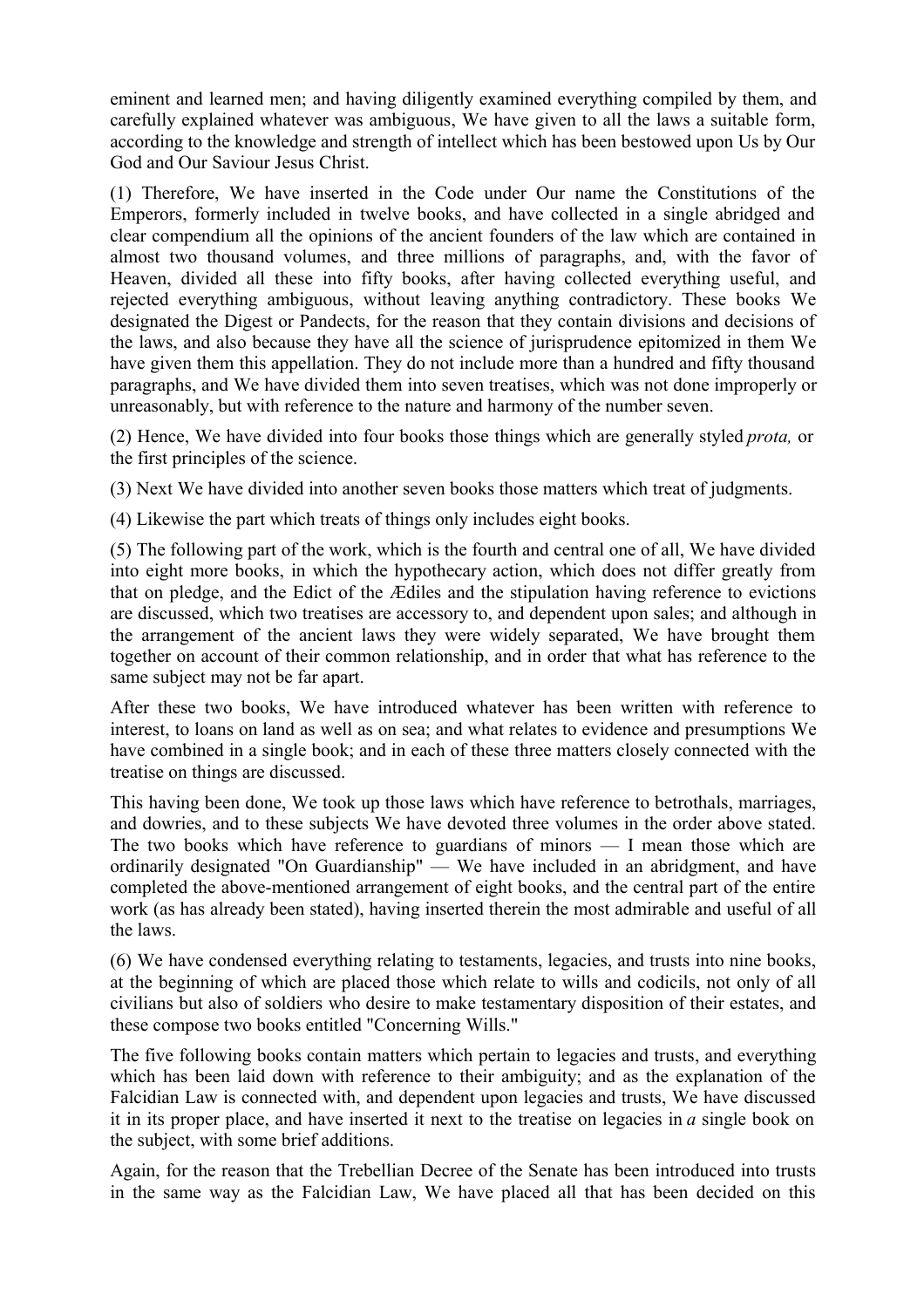eminent and learned men; and having diligently examined everything compiled by them, and carefully explained whatever was ambiguous, We have given to all the laws a suitable form, according to the knowledge and strength of intellect which has been bestowed upon Us by Our God and Our Saviour Jesus Christ.

(1) Therefore, We have inserted in the Code under Our name the Constitutions of the Emperors, formerly included in twelve books, and have collected in a single abridged and clear compendium all the opinions of the ancient founders of the law which are contained in almost two thousand volumes, and three millions of paragraphs, and, with the favor of Heaven, divided all these into fifty books, after having collected everything useful, and rejected everything ambiguous, without leaving anything contradictory. These books We designated the Digest or Pandects, for the reason that they contain divisions and decisions of the laws, and also because they have all the science of jurisprudence epitomized in them We have given them this appellation. They do not include more than a hundred and fifty thousand paragraphs, and We have divided them into seven treatises, which was not done improperly or unreasonably, but with reference to the nature and harmony of the number seven.

(2) Hence, We have divided into four books those things which are generally styled *prota,* or the first principles of the science.

(3) Next We have divided into another seven books those matters which treat of judgments.

(4) Likewise the part which treats of things only includes eight books.

(5) The following part of the work, which is the fourth and central one of all, We have divided into eight more books, in which the hypothecary action, which does not differ greatly from that on pledge, and the Edict of the Ædiles and the stipulation having reference to evictions are discussed, which two treatises are accessory to, and dependent upon sales; and although in the arrangement of the ancient laws they were widely separated, We have brought them together on account of their common relationship, and in order that what has reference to the same subject may not be far apart.

After these two books, We have introduced whatever has been written with reference to interest, to loans on land as well as on sea; and what relates to evidence and presumptions We have combined in a single book; and in each of these three matters closely connected with the treatise on things are discussed.

This having been done, We took up those laws which have reference to betrothals, marriages, and dowries, and to these subjects We have devoted three volumes in the order above stated. The two books which have reference to guardians of minors — I mean those which are ordinarily designated "On Guardianship" — We have included in an abridgment, and have completed the above-mentioned arrangement of eight books, and the central part of the entire work (as has already been stated), having inserted therein the most admirable and useful of all the laws.

(6) We have condensed everything relating to testaments, legacies, and trusts into nine books, at the beginning of which are placed those which relate to wills and codicils, not only of all civilians but also of soldiers who desire to make testamentary disposition of their estates, and these compose two books entitled "Concerning Wills."

The five following books contain matters which pertain to legacies and trusts, and everything which has been laid down with reference to their ambiguity; and as the explanation of the Falcidian Law is connected with, and dependent upon legacies and trusts, We have discussed it in its proper place, and have inserted it next to the treatise on legacies in *a* single book on the subject, with some brief additions.

Again, for the reason that the Trebellian Decree of the Senate has been introduced into trusts in the same way as the Falcidian Law, We have placed all that has been decided on this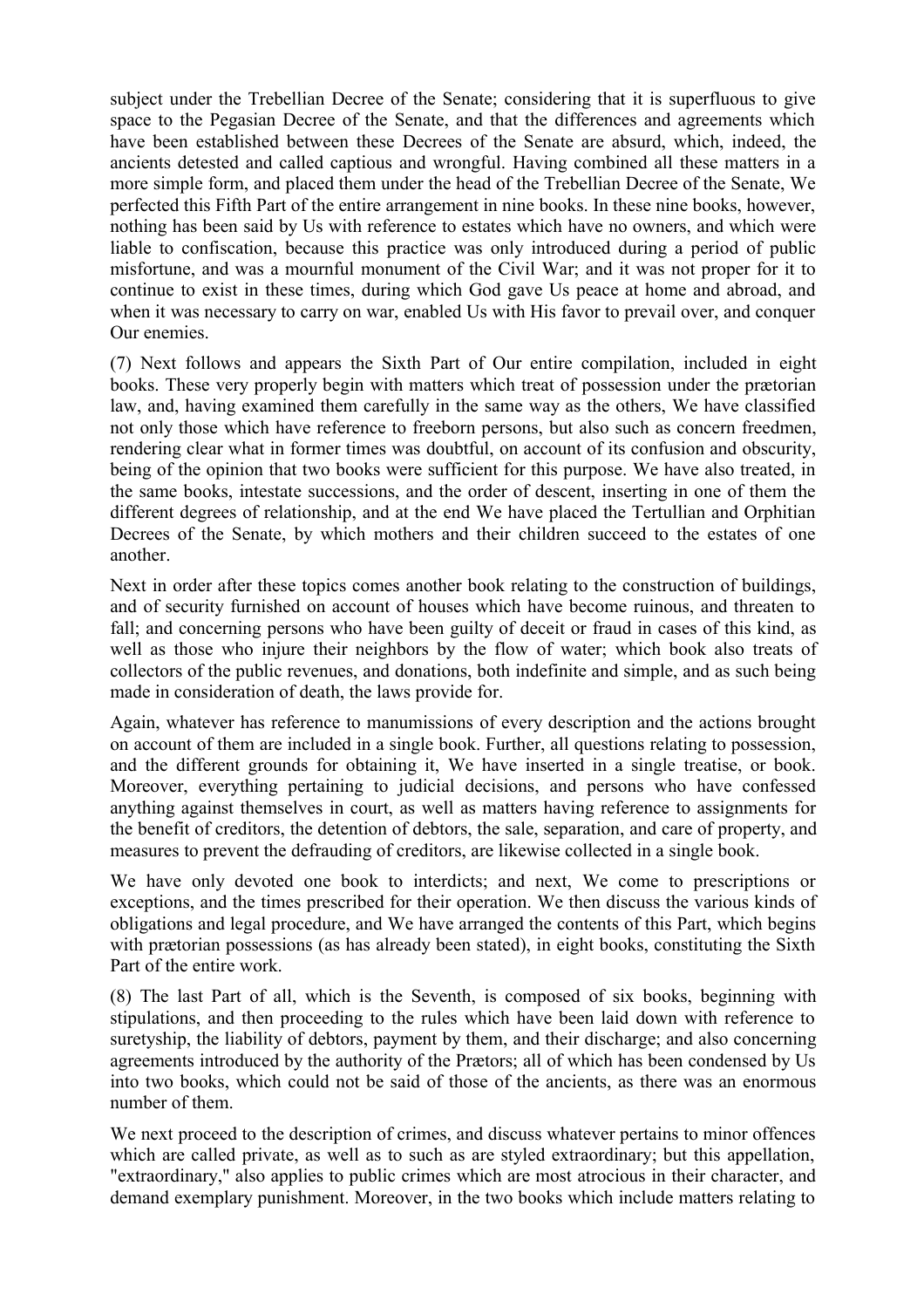subject under the Trebellian Decree of the Senate; considering that it is superfluous to give space to the Pegasian Decree of the Senate, and that the differences and agreements which have been established between these Decrees of the Senate are absurd, which, indeed, the ancients detested and called captious and wrongful. Having combined all these matters in a more simple form, and placed them under the head of the Trebellian Decree of the Senate, We perfected this Fifth Part of the entire arrangement in nine books. In these nine books, however, nothing has been said by Us with reference to estates which have no owners, and which were liable to confiscation, because this practice was only introduced during a period of public misfortune, and was a mournful monument of the Civil War; and it was not proper for it to continue to exist in these times, during which God gave Us peace at home and abroad, and when it was necessary to carry on war, enabled Us with His favor to prevail over, and conquer Our enemies.

(7) Next follows and appears the Sixth Part of Our entire compilation, included in eight books. These very properly begin with matters which treat of possession under the prætorian law, and, having examined them carefully in the same way as the others, We have classified not only those which have reference to freeborn persons, but also such as concern freedmen, rendering clear what in former times was doubtful, on account of its confusion and obscurity, being of the opinion that two books were sufficient for this purpose. We have also treated, in the same books, intestate successions, and the order of descent, inserting in one of them the different degrees of relationship, and at the end We have placed the Tertullian and Orphitian Decrees of the Senate, by which mothers and their children succeed to the estates of one another.

Next in order after these topics comes another book relating to the construction of buildings, and of security furnished on account of houses which have become ruinous, and threaten to fall; and concerning persons who have been guilty of deceit or fraud in cases of this kind, as well as those who injure their neighbors by the flow of water; which book also treats of collectors of the public revenues, and donations, both indefinite and simple, and as such being made in consideration of death, the laws provide for.

Again, whatever has reference to manumissions of every description and the actions brought on account of them are included in a single book. Further, all questions relating to possession, and the different grounds for obtaining it, We have inserted in a single treatise, or book. Moreover, everything pertaining to judicial decisions, and persons who have confessed anything against themselves in court, as well as matters having reference to assignments for the benefit of creditors, the detention of debtors, the sale, separation, and care of property, and measures to prevent the defrauding of creditors, are likewise collected in a single book.

We have only devoted one book to interdicts; and next, We come to prescriptions or exceptions, and the times prescribed for their operation. We then discuss the various kinds of obligations and legal procedure, and We have arranged the contents of this Part, which begins with prætorian possessions (as has already been stated), in eight books, constituting the Sixth Part of the entire work.

(8) The last Part of all, which is the Seventh, is composed of six books, beginning with stipulations, and then proceeding to the rules which have been laid down with reference to suretyship, the liability of debtors, payment by them, and their discharge; and also concerning agreements introduced by the authority of the Prætors; all of which has been condensed by Us into two books, which could not be said of those of the ancients, as there was an enormous number of them.

We next proceed to the description of crimes, and discuss whatever pertains to minor offences which are called private, as well as to such as are styled extraordinary; but this appellation, "extraordinary," also applies to public crimes which are most atrocious in their character, and demand exemplary punishment. Moreover, in the two books which include matters relating to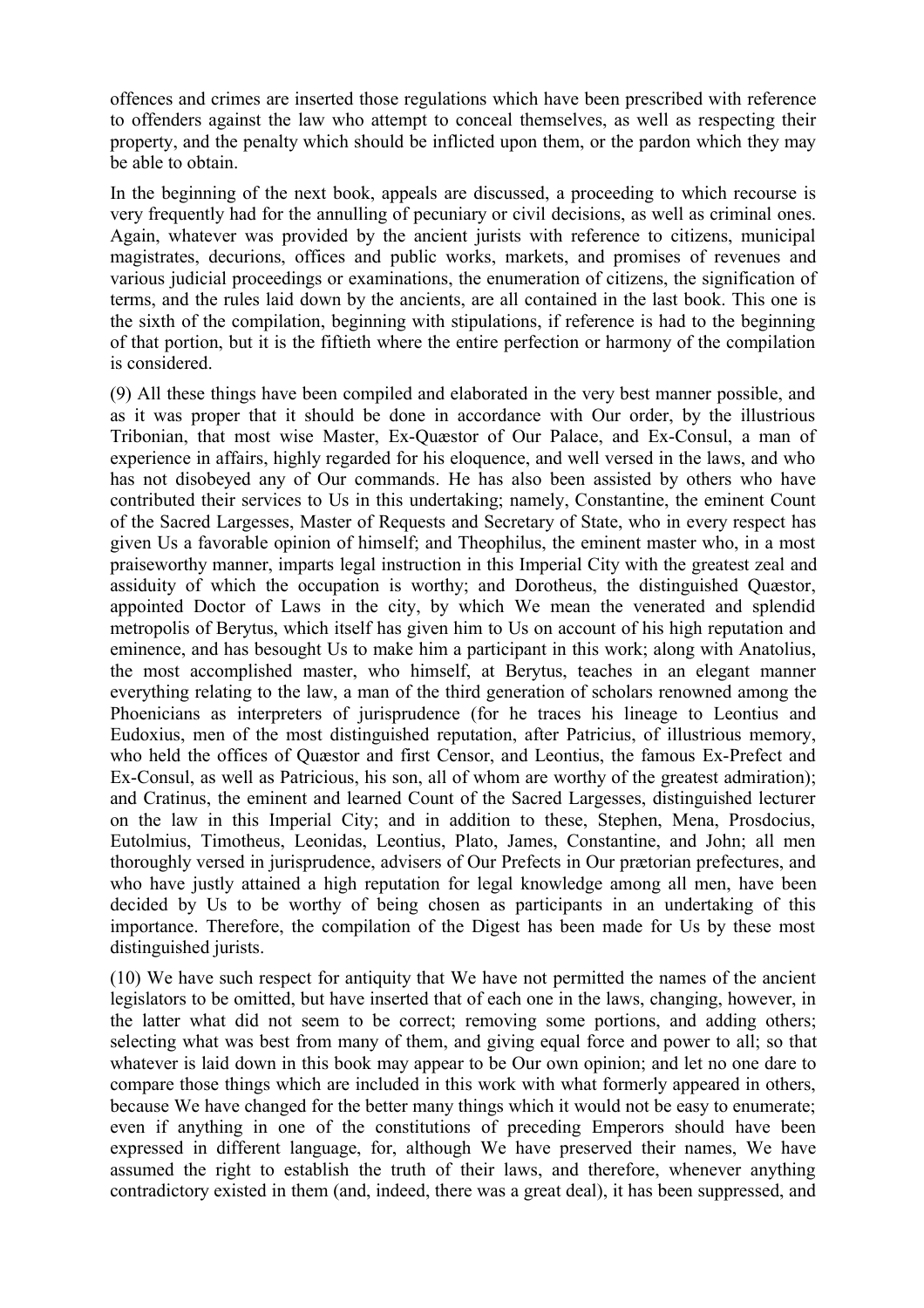offences and crimes are inserted those regulations which have been prescribed with reference to offenders against the law who attempt to conceal themselves, as well as respecting their property, and the penalty which should be inflicted upon them, or the pardon which they may be able to obtain.

In the beginning of the next book, appeals are discussed, a proceeding to which recourse is very frequently had for the annulling of pecuniary or civil decisions, as well as criminal ones. Again, whatever was provided by the ancient jurists with reference to citizens, municipal magistrates, decurions, offices and public works, markets, and promises of revenues and various judicial proceedings or examinations, the enumeration of citizens, the signification of terms, and the rules laid down by the ancients, are all contained in the last book. This one is the sixth of the compilation, beginning with stipulations, if reference is had to the beginning of that portion, but it is the fiftieth where the entire perfection or harmony of the compilation is considered.

(9) All these things have been compiled and elaborated in the very best manner possible, and as it was proper that it should be done in accordance with Our order, by the illustrious Tribonian, that most wise Master, Ex-Quæstor of Our Palace, and Ex-Consul, a man of experience in affairs, highly regarded for his eloquence, and well versed in the laws, and who has not disobeyed any of Our commands. He has also been assisted by others who have contributed their services to Us in this undertaking; namely, Constantine, the eminent Count of the Sacred Largesses, Master of Requests and Secretary of State, who in every respect has given Us a favorable opinion of himself; and Theophilus, the eminent master who, in a most praiseworthy manner, imparts legal instruction in this Imperial City with the greatest zeal and assiduity of which the occupation is worthy; and Dorotheus, the distinguished Quæstor, appointed Doctor of Laws in the city, by which We mean the venerated and splendid metropolis of Berytus, which itself has given him to Us on account of his high reputation and eminence, and has besought Us to make him a participant in this work; along with Anatolius, the most accomplished master, who himself, at Berytus, teaches in an elegant manner everything relating to the law, a man of the third generation of scholars renowned among the Phoenicians as interpreters of jurisprudence (for he traces his lineage to Leontius and Eudoxius, men of the most distinguished reputation, after Patricius, of illustrious memory, who held the offices of Quæstor and first Censor, and Leontius, the famous Ex-Prefect and Ex-Consul, as well as Patricious, his son, all of whom are worthy of the greatest admiration); and Cratinus, the eminent and learned Count of the Sacred Largesses, distinguished lecturer on the law in this Imperial City; and in addition to these, Stephen, Mena, Prosdocius, Eutolmius, Timotheus, Leonidas, Leontius, Plato, James, Constantine, and John; all men thoroughly versed in jurisprudence, advisers of Our Prefects in Our prætorian prefectures, and who have justly attained a high reputation for legal knowledge among all men, have been decided by Us to be worthy of being chosen as participants in an undertaking of this importance. Therefore, the compilation of the Digest has been made for Us by these most distinguished jurists.

(10) We have such respect for antiquity that We have not permitted the names of the ancient legislators to be omitted, but have inserted that of each one in the laws, changing, however, in the latter what did not seem to be correct; removing some portions, and adding others; selecting what was best from many of them, and giving equal force and power to all; so that whatever is laid down in this book may appear to be Our own opinion; and let no one dare to compare those things which are included in this work with what formerly appeared in others, because We have changed for the better many things which it would not be easy to enumerate; even if anything in one of the constitutions of preceding Emperors should have been expressed in different language, for, although We have preserved their names, We have assumed the right to establish the truth of their laws, and therefore, whenever anything contradictory existed in them (and, indeed, there was a great deal), it has been suppressed, and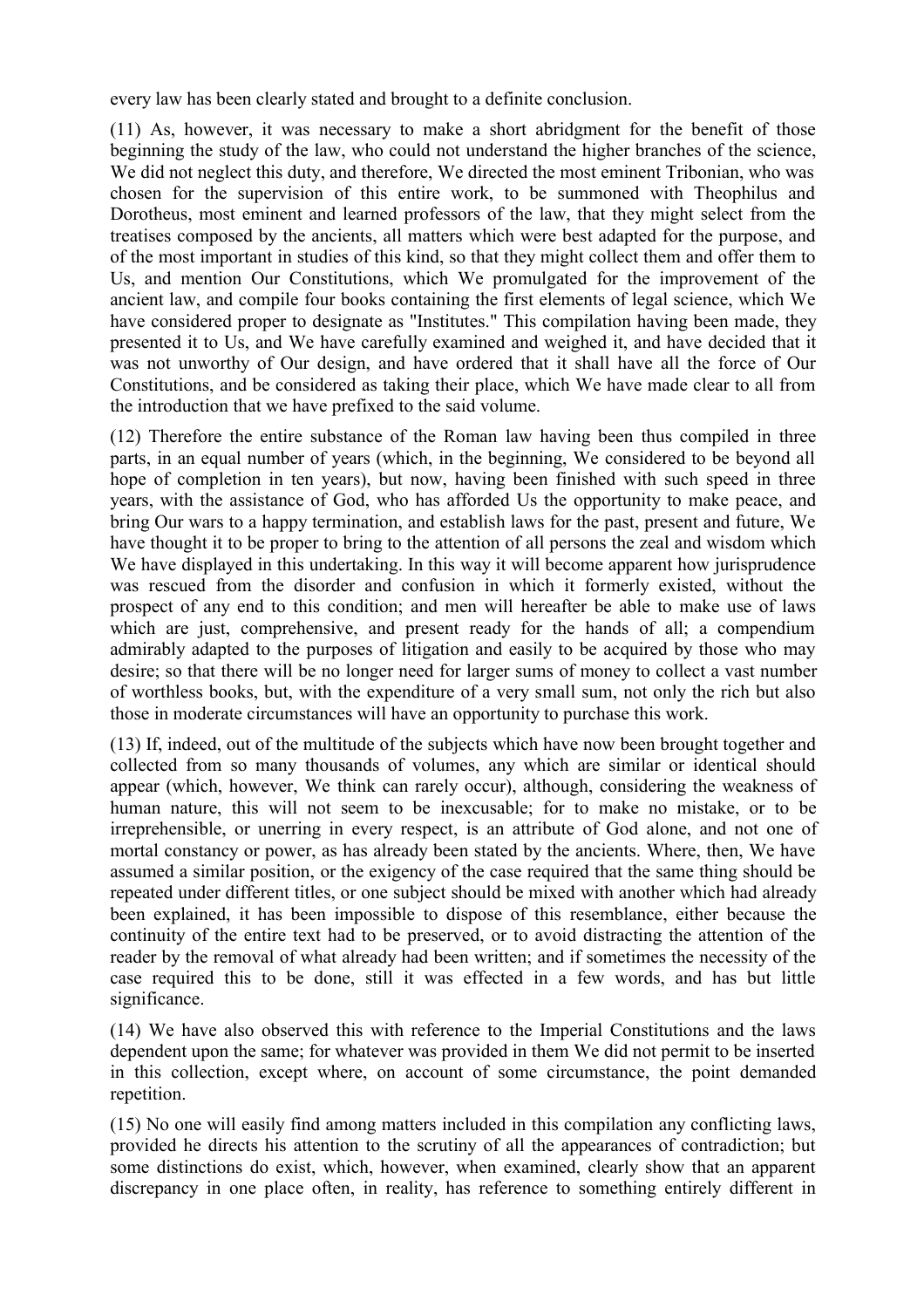every law has been clearly stated and brought to a definite conclusion.

(11) As, however, it was necessary to make a short abridgment for the benefit of those beginning the study of the law, who could not understand the higher branches of the science, We did not neglect this duty, and therefore. We directed the most eminent Tribonian, who was chosen for the supervision of this entire work, to be summoned with Theophilus and Dorotheus, most eminent and learned professors of the law, that they might select from the treatises composed by the ancients, all matters which were best adapted for the purpose, and of the most important in studies of this kind, so that they might collect them and offer them to Us, and mention Our Constitutions, which We promulgated for the improvement of the ancient law, and compile four books containing the first elements of legal science, which We have considered proper to designate as "Institutes." This compilation having been made, they presented it to Us, and We have carefully examined and weighed it, and have decided that it was not unworthy of Our design, and have ordered that it shall have all the force of Our Constitutions, and be considered as taking their place, which We have made clear to all from the introduction that we have prefixed to the said volume.

(12) Therefore the entire substance of the Roman law having been thus compiled in three parts, in an equal number of years (which, in the beginning, We considered to be beyond all hope of completion in ten years), but now, having been finished with such speed in three years, with the assistance of God, who has afforded Us the opportunity to make peace, and bring Our wars to a happy termination, and establish laws for the past, present and future, We have thought it to be proper to bring to the attention of all persons the zeal and wisdom which We have displayed in this undertaking. In this way it will become apparent how jurisprudence was rescued from the disorder and confusion in which it formerly existed, without the prospect of any end to this condition; and men will hereafter be able to make use of laws which are just, comprehensive, and present ready for the hands of all; a compendium admirably adapted to the purposes of litigation and easily to be acquired by those who may desire; so that there will be no longer need for larger sums of money to collect a vast number of worthless books, but, with the expenditure of a very small sum, not only the rich but also those in moderate circumstances will have an opportunity to purchase this work.

(13) If, indeed, out of the multitude of the subjects which have now been brought together and collected from so many thousands of volumes, any which are similar or identical should appear (which, however, We think can rarely occur), although, considering the weakness of human nature, this will not seem to be inexcusable; for to make no mistake, or to be irreprehensible, or unerring in every respect, is an attribute of God alone, and not one of mortal constancy or power, as has already been stated by the ancients. Where, then, We have assumed a similar position, or the exigency of the case required that the same thing should be repeated under different titles, or one subject should be mixed with another which had already been explained, it has been impossible to dispose of this resemblance, either because the continuity of the entire text had to be preserved, or to avoid distracting the attention of the reader by the removal of what already had been written; and if sometimes the necessity of the case required this to be done, still it was effected in a few words, and has but little significance.

(14) We have also observed this with reference to the Imperial Constitutions and the laws dependent upon the same; for whatever was provided in them We did not permit to be inserted in this collection, except where, on account of some circumstance, the point demanded repetition.

(15) No one will easily find among matters included in this compilation any conflicting laws, provided he directs his attention to the scrutiny of all the appearances of contradiction; but some distinctions do exist, which, however, when examined, clearly show that an apparent discrepancy in one place often, in reality, has reference to something entirely different in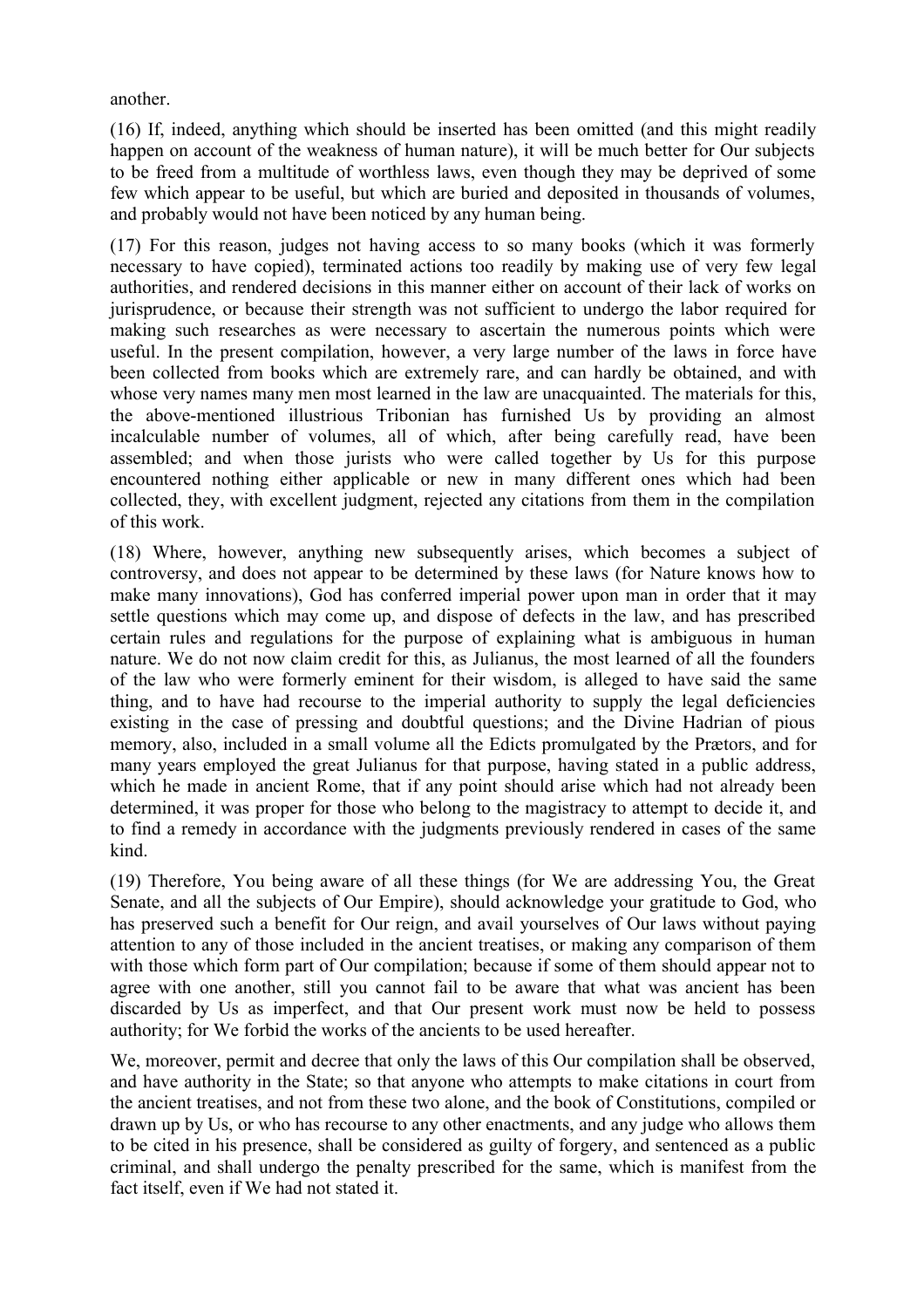another.

(16) If, indeed, anything which should be inserted has been omitted (and this might readily happen on account of the weakness of human nature), it will be much better for Our subjects to be freed from a multitude of worthless laws, even though they may be deprived of some few which appear to be useful, but which are buried and deposited in thousands of volumes, and probably would not have been noticed by any human being.

(17) For this reason, judges not having access to so many books (which it was formerly necessary to have copied), terminated actions too readily by making use of very few legal authorities, and rendered decisions in this manner either on account of their lack of works on jurisprudence, or because their strength was not sufficient to undergo the labor required for making such researches as were necessary to ascertain the numerous points which were useful. In the present compilation, however, a very large number of the laws in force have been collected from books which are extremely rare, and can hardly be obtained, and with whose very names many men most learned in the law are unacquainted. The materials for this, the above-mentioned illustrious Tribonian has furnished Us by providing an almost incalculable number of volumes, all of which, after being carefully read, have been assembled; and when those jurists who were called together by Us for this purpose encountered nothing either applicable or new in many different ones which had been collected, they, with excellent judgment, rejected any citations from them in the compilation of this work.

(18) Where, however, anything new subsequently arises, which becomes a subject of controversy, and does not appear to be determined by these laws (for Nature knows how to make many innovations), God has conferred imperial power upon man in order that it may settle questions which may come up, and dispose of defects in the law, and has prescribed certain rules and regulations for the purpose of explaining what is ambiguous in human nature. We do not now claim credit for this, as Julianus, the most learned of all the founders of the law who were formerly eminent for their wisdom, is alleged to have said the same thing, and to have had recourse to the imperial authority to supply the legal deficiencies existing in the case of pressing and doubtful questions; and the Divine Hadrian of pious memory, also, included in a small volume all the Edicts promulgated by the Prætors, and for many years employed the great Julianus for that purpose, having stated in a public address, which he made in ancient Rome, that if any point should arise which had not already been determined, it was proper for those who belong to the magistracy to attempt to decide it, and to find a remedy in accordance with the judgments previously rendered in cases of the same kind.

(19) Therefore, You being aware of all these things (for We are addressing You, the Great Senate, and all the subjects of Our Empire), should acknowledge your gratitude to God, who has preserved such a benefit for Our reign, and avail yourselves of Our laws without paying attention to any of those included in the ancient treatises, or making any comparison of them with those which form part of Our compilation; because if some of them should appear not to agree with one another, still you cannot fail to be aware that what was ancient has been discarded by Us as imperfect, and that Our present work must now be held to possess authority; for We forbid the works of the ancients to be used hereafter.

We, moreover, permit and decree that only the laws of this Our compilation shall be observed, and have authority in the State; so that anyone who attempts to make citations in court from the ancient treatises, and not from these two alone, and the book of Constitutions, compiled or drawn up by Us, or who has recourse to any other enactments, and any judge who allows them to be cited in his presence, shall be considered as guilty of forgery, and sentenced as a public criminal, and shall undergo the penalty prescribed for the same, which is manifest from the fact itself, even if We had not stated it.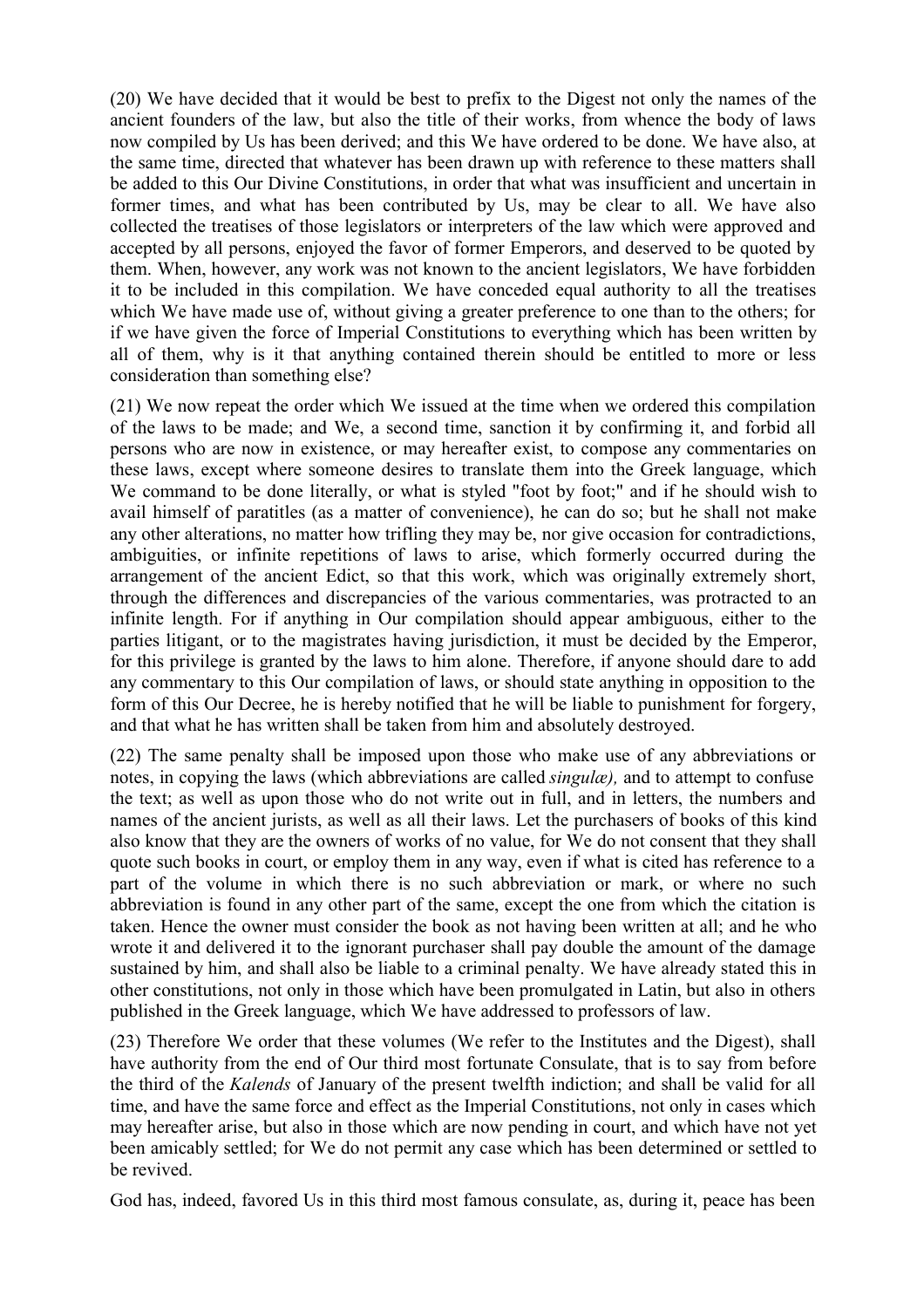(20) We have decided that it would be best to prefix to the Digest not only the names of the ancient founders of the law, but also the title of their works, from whence the body of laws now compiled by Us has been derived; and this We have ordered to be done. We have also, at the same time, directed that whatever has been drawn up with reference to these matters shall be added to this Our Divine Constitutions, in order that what was insufficient and uncertain in former times, and what has been contributed by Us, may be clear to all. We have also collected the treatises of those legislators or interpreters of the law which were approved and accepted by all persons, enjoyed the favor of former Emperors, and deserved to be quoted by them. When, however, any work was not known to the ancient legislators, We have forbidden it to be included in this compilation. We have conceded equal authority to all the treatises which We have made use of, without giving a greater preference to one than to the others; for if we have given the force of Imperial Constitutions to everything which has been written by all of them, why is it that anything contained therein should be entitled to more or less consideration than something else?

(21) We now repeat the order which We issued at the time when we ordered this compilation of the laws to be made; and We, a second time, sanction it by confirming it, and forbid all persons who are now in existence, or may hereafter exist, to compose any commentaries on these laws, except where someone desires to translate them into the Greek language, which We command to be done literally, or what is styled "foot by foot;" and if he should wish to avail himself of paratitles (as a matter of convenience), he can do so; but he shall not make any other alterations, no matter how trifling they may be, nor give occasion for contradictions, ambiguities, or infinite repetitions of laws to arise, which formerly occurred during the arrangement of the ancient Edict, so that this work, which was originally extremely short, through the differences and discrepancies of the various commentaries, was protracted to an infinite length. For if anything in Our compilation should appear ambiguous, either to the parties litigant, or to the magistrates having jurisdiction, it must be decided by the Emperor, for this privilege is granted by the laws to him alone. Therefore, if anyone should dare to add any commentary to this Our compilation of laws, or should state anything in opposition to the form of this Our Decree, he is hereby notified that he will be liable to punishment for forgery, and that what he has written shall be taken from him and absolutely destroyed.

(22) The same penalty shall be imposed upon those who make use of any abbreviations or notes, in copying the laws (which abbreviations are called *singulæ),* and to attempt to confuse the text; as well as upon those who do not write out in full, and in letters, the numbers and names of the ancient jurists, as well as all their laws. Let the purchasers of books of this kind also know that they are the owners of works of no value, for We do not consent that they shall quote such books in court, or employ them in any way, even if what is cited has reference to a part of the volume in which there is no such abbreviation or mark, or where no such abbreviation is found in any other part of the same, except the one from which the citation is taken. Hence the owner must consider the book as not having been written at all; and he who wrote it and delivered it to the ignorant purchaser shall pay double the amount of the damage sustained by him, and shall also be liable to a criminal penalty. We have already stated this in other constitutions, not only in those which have been promulgated in Latin, but also in others published in the Greek language, which We have addressed to professors of law.

(23) Therefore We order that these volumes (We refer to the Institutes and the Digest), shall have authority from the end of Our third most fortunate Consulate, that is to say from before the third of the *Kalends* of January of the present twelfth indiction; and shall be valid for all time, and have the same force and effect as the Imperial Constitutions, not only in cases which may hereafter arise, but also in those which are now pending in court, and which have not yet been amicably settled; for We do not permit any case which has been determined or settled to be revived.

God has, indeed, favored Us in this third most famous consulate, as, during it, peace has been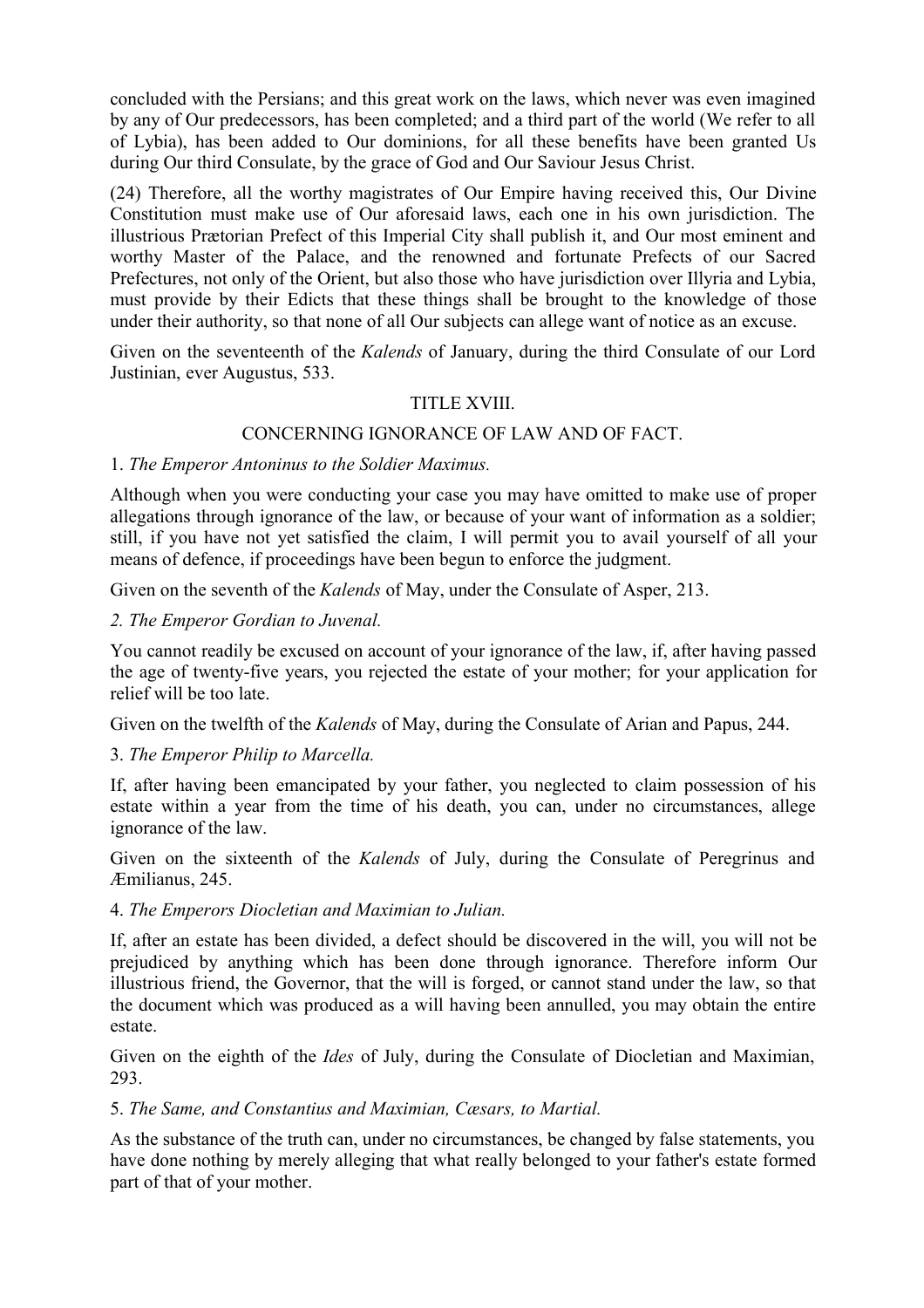concluded with the Persians; and this great work on the laws, which never was even imagined by any of Our predecessors, has been completed; and a third part of the world (We refer to all of Lybia), has been added to Our dominions, for all these benefits have been granted Us during Our third Consulate, by the grace of God and Our Saviour Jesus Christ.

(24) Therefore, all the worthy magistrates of Our Empire having received this, Our Divine Constitution must make use of Our aforesaid laws, each one in his own jurisdiction. The illustrious Prætorian Prefect of this Imperial City shall publish it, and Our most eminent and worthy Master of the Palace, and the renowned and fortunate Prefects of our Sacred Prefectures, not only of the Orient, but also those who have jurisdiction over Illyria and Lybia, must provide by their Edicts that these things shall be brought to the knowledge of those under their authority, so that none of all Our subjects can allege want of notice as an excuse.

Given on the seventeenth of the *Kalends* of January, during the third Consulate of our Lord Justinian, ever Augustus, 533.

# TITLE XVIII.

# CONCERNING IGNORANCE OF LAW AND OF FACT.

### 1. *The Emperor Antoninus to the Soldier Maximus.*

Although when you were conducting your case you may have omitted to make use of proper allegations through ignorance of the law, or because of your want of information as a soldier; still, if you have not yet satisfied the claim, I will permit you to avail yourself of all your means of defence, if proceedings have been begun to enforce the judgment.

Given on the seventh of the *Kalends* of May, under the Consulate of Asper, 213.

### *2. The Emperor Gordian to Juvenal.*

You cannot readily be excused on account of your ignorance of the law, if, after having passed the age of twenty-five years, you rejected the estate of your mother; for your application for relief will be too late.

Given on the twelfth of the *Kalends* of May, during the Consulate of Arian and Papus, 244.

# 3. *The Emperor Philip to Marcella.*

If, after having been emancipated by your father, you neglected to claim possession of his estate within a year from the time of his death, you can, under no circumstances, allege ignorance of the law.

Given on the sixteenth of the *Kalends* of July, during the Consulate of Peregrinus and Æmilianus, 245.

### 4. *The Emperors Diocletian and Maximian to Julian.*

If, after an estate has been divided, a defect should be discovered in the will, you will not be prejudiced by anything which has been done through ignorance. Therefore inform Our illustrious friend, the Governor, that the will is forged, or cannot stand under the law, so that the document which was produced as a will having been annulled, you may obtain the entire estate.

Given on the eighth of the *Ides* of July, during the Consulate of Diocletian and Maximian, 293.

### 5. *The Same, and Constantius and Maximian, Cæsars, to Martial.*

As the substance of the truth can, under no circumstances, be changed by false statements, you have done nothing by merely alleging that what really belonged to your father's estate formed part of that of your mother.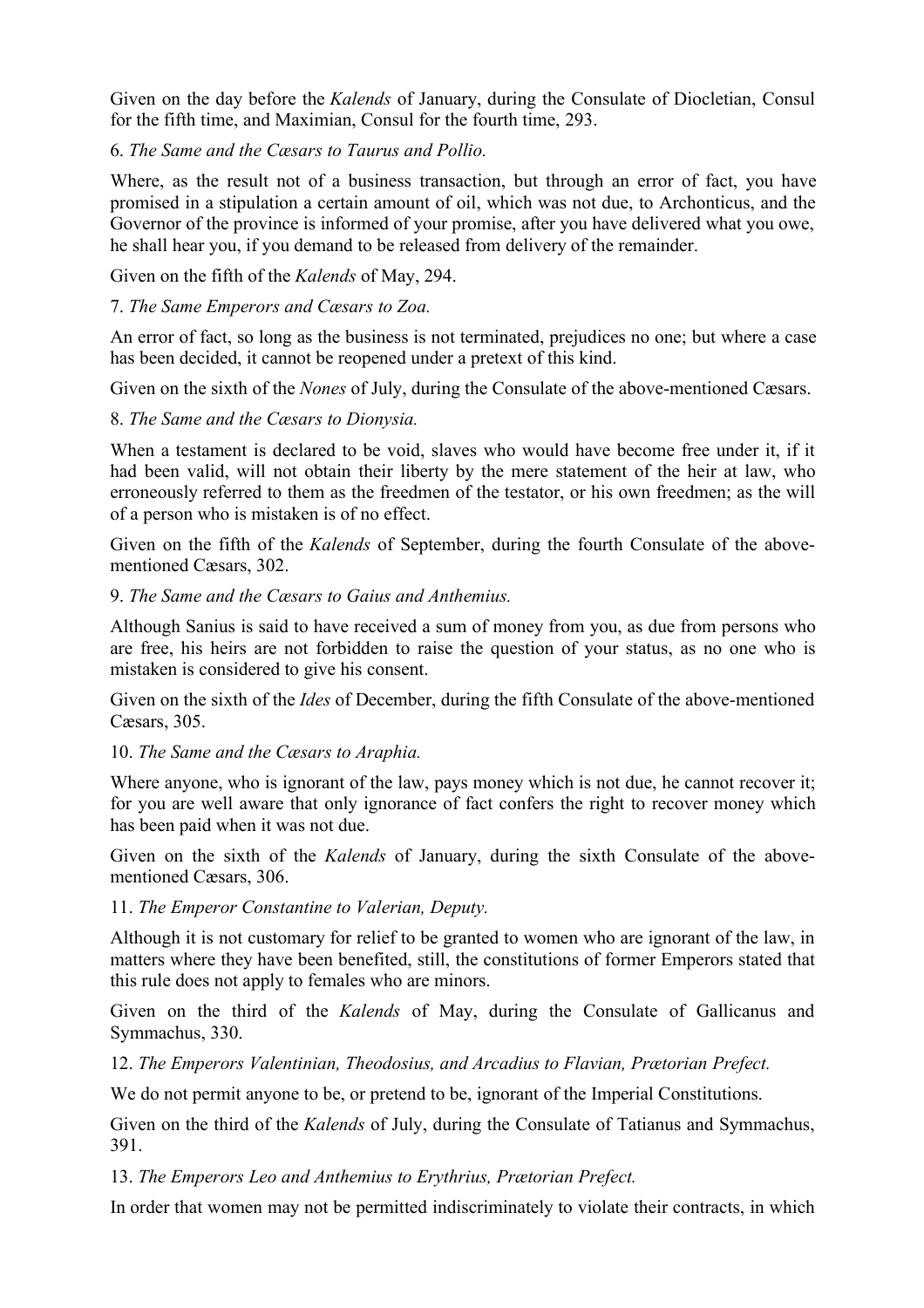Given on the day before the *Kalends* of January, during the Consulate of Diocletian, Consul for the fifth time, and Maximian, Consul for the fourth time, 293.

# 6. *The Same and the Cæsars to Taurus and Pollio.*

Where, as the result not of a business transaction, but through an error of fact, you have promised in a stipulation a certain amount of oil, which was not due, to Archonticus, and the Governor of the province is informed of your promise, after you have delivered what you owe, he shall hear you, if you demand to be released from delivery of the remainder.

Given on the fifth of the *Kalends* of May, 294.

### 7. *The Same Emperors and Cæsars to Zoa.*

An error of fact, so long as the business is not terminated, prejudices no one; but where a case has been decided, it cannot be reopened under a pretext of this kind.

Given on the sixth of the *Nones* of July, during the Consulate of the above-mentioned Cæsars.

### 8. *The Same and the Cæsars to Dionysia.*

When a testament is declared to be void, slaves who would have become free under it, if it had been valid, will not obtain their liberty by the mere statement of the heir at law, who erroneously referred to them as the freedmen of the testator, or his own freedmen; as the will of a person who is mistaken is of no effect.

Given on the fifth of the *Kalends* of September, during the fourth Consulate of the abovementioned Cæsars, 302.

### 9. *The Same and the Cæsars to Gaius and Anthemius.*

Although Sanius is said to have received a sum of money from you, as due from persons who are free, his heirs are not forbidden to raise the question of your status, as no one who is mistaken is considered to give his consent.

Given on the sixth of the *Ides* of December, during the fifth Consulate of the above-mentioned Cæsars, 305.

### 10. *The Same and the Cæsars to Araphia.*

Where anyone, who is ignorant of the law, pays money which is not due, he cannot recover it; for you are well aware that only ignorance of fact confers the right to recover money which has been paid when it was not due.

Given on the sixth of the *Kalends* of January, during the sixth Consulate of the abovementioned Cæsars, 306.

### 11. *The Emperor Constantine to Valerian, Deputy.*

Although it is not customary for relief to be granted to women who are ignorant of the law, in matters where they have been benefited, still, the constitutions of former Emperors stated that this rule does not apply to females who are minors.

Given on the third of the *Kalends* of May, during the Consulate of Gallicanus and Symmachus, 330.

12. *The Emperors Valentinian, Theodosius, and Arcadius to Flavian, Prætorian Prefect.*

We do not permit anyone to be, or pretend to be, ignorant of the Imperial Constitutions.

Given on the third of the *Kalends* of July, during the Consulate of Tatianus and Symmachus, 391.

13. *The Emperors Leo and Anthemius to Erythrius, Prætorian Prefect.*

In order that women may not be permitted indiscriminately to violate their contracts, in which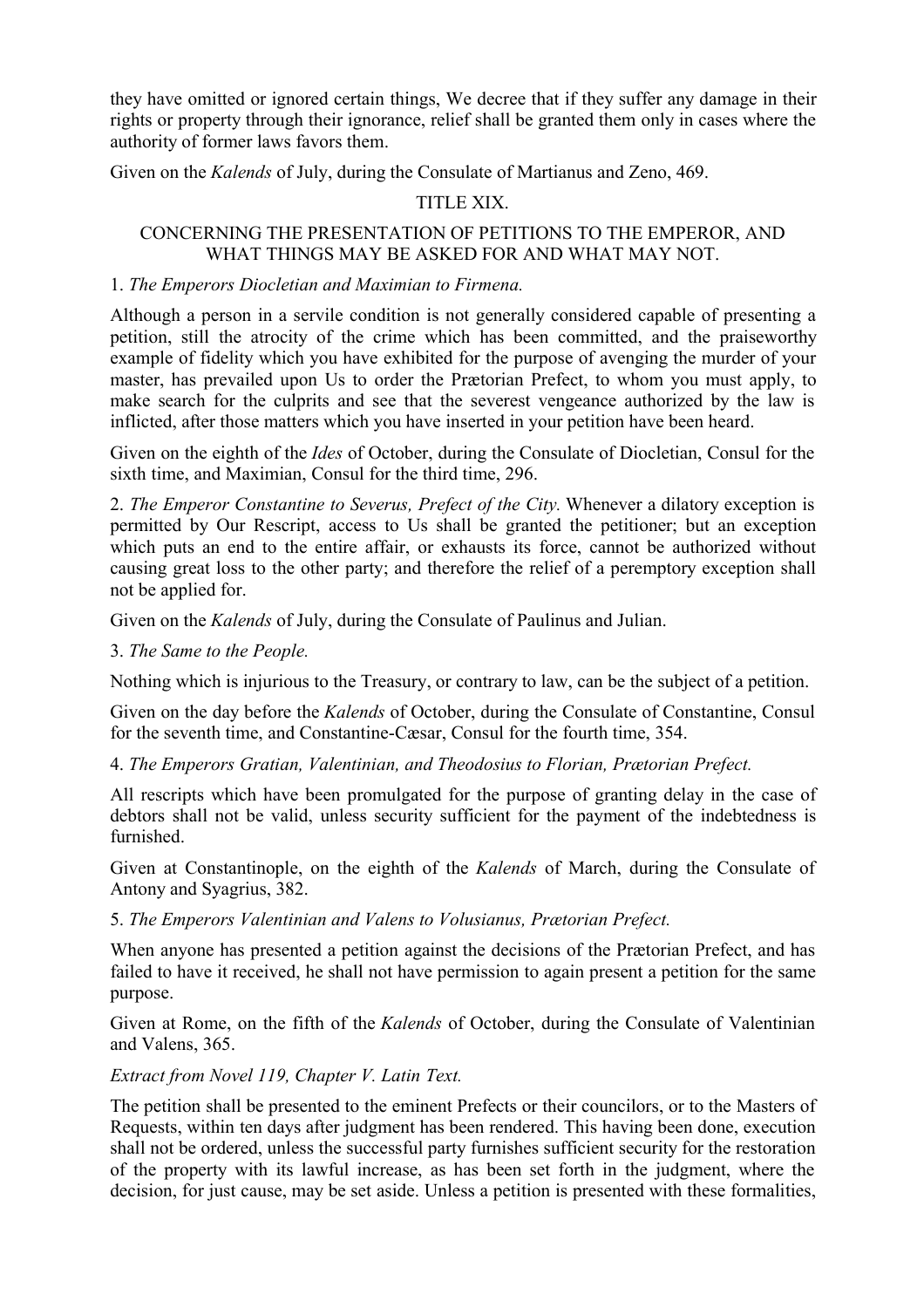they have omitted or ignored certain things, We decree that if they suffer any damage in their rights or property through their ignorance, relief shall be granted them only in cases where the authority of former laws favors them.

Given on the *Kalends* of July, during the Consulate of Martianus and Zeno, 469.

# TITLE XIX.

# CONCERNING THE PRESENTATION OF PETITIONS TO THE EMPEROR, AND WHAT THINGS MAY BE ASKED FOR AND WHAT MAY NOT.

# 1. *The Emperors Diocletian and Maximian to Firmena.*

Although a person in a servile condition is not generally considered capable of presenting a petition, still the atrocity of the crime which has been committed, and the praiseworthy example of fidelity which you have exhibited for the purpose of avenging the murder of your master, has prevailed upon Us to order the Prætorian Prefect, to whom you must apply, to make search for the culprits and see that the severest vengeance authorized by the law is inflicted, after those matters which you have inserted in your petition have been heard.

Given on the eighth of the *Ides* of October, during the Consulate of Diocletian, Consul for the sixth time, and Maximian, Consul for the third time, 296.

2. *The Emperor Constantine to Severus, Prefect of the City.* Whenever a dilatory exception is permitted by Our Rescript, access to Us shall be granted the petitioner; but an exception which puts an end to the entire affair, or exhausts its force, cannot be authorized without causing great loss to the other party; and therefore the relief of a peremptory exception shall not be applied for.

Given on the *Kalends* of July, during the Consulate of Paulinus and Julian.

# 3. *The Same to the People.*

Nothing which is injurious to the Treasury, or contrary to law, can be the subject of a petition.

Given on the day before the *Kalends* of October, during the Consulate of Constantine, Consul for the seventh time, and Constantine-Cæsar, Consul for the fourth time, 354.

### 4. *The Emperors Gratian, Valentinian, and Theodosius to Florian, Prætorian Prefect.*

All rescripts which have been promulgated for the purpose of granting delay in the case of debtors shall not be valid, unless security sufficient for the payment of the indebtedness is furnished.

Given at Constantinople, on the eighth of the *Kalends* of March, during the Consulate of Antony and Syagrius, 382.

5. *The Emperors Valentinian and Valens to Volusianus, Prætorian Prefect.*

When anyone has presented a petition against the decisions of the Prætorian Prefect, and has failed to have it received, he shall not have permission to again present a petition for the same purpose.

Given at Rome, on the fifth of the *Kalends* of October, during the Consulate of Valentinian and Valens, 365.

### *Extract from Novel 119, Chapter V. Latin Text.*

The petition shall be presented to the eminent Prefects or their councilors, or to the Masters of Requests, within ten days after judgment has been rendered. This having been done, execution shall not be ordered, unless the successful party furnishes sufficient security for the restoration of the property with its lawful increase, as has been set forth in the judgment, where the decision, for just cause, may be set aside. Unless a petition is presented with these formalities,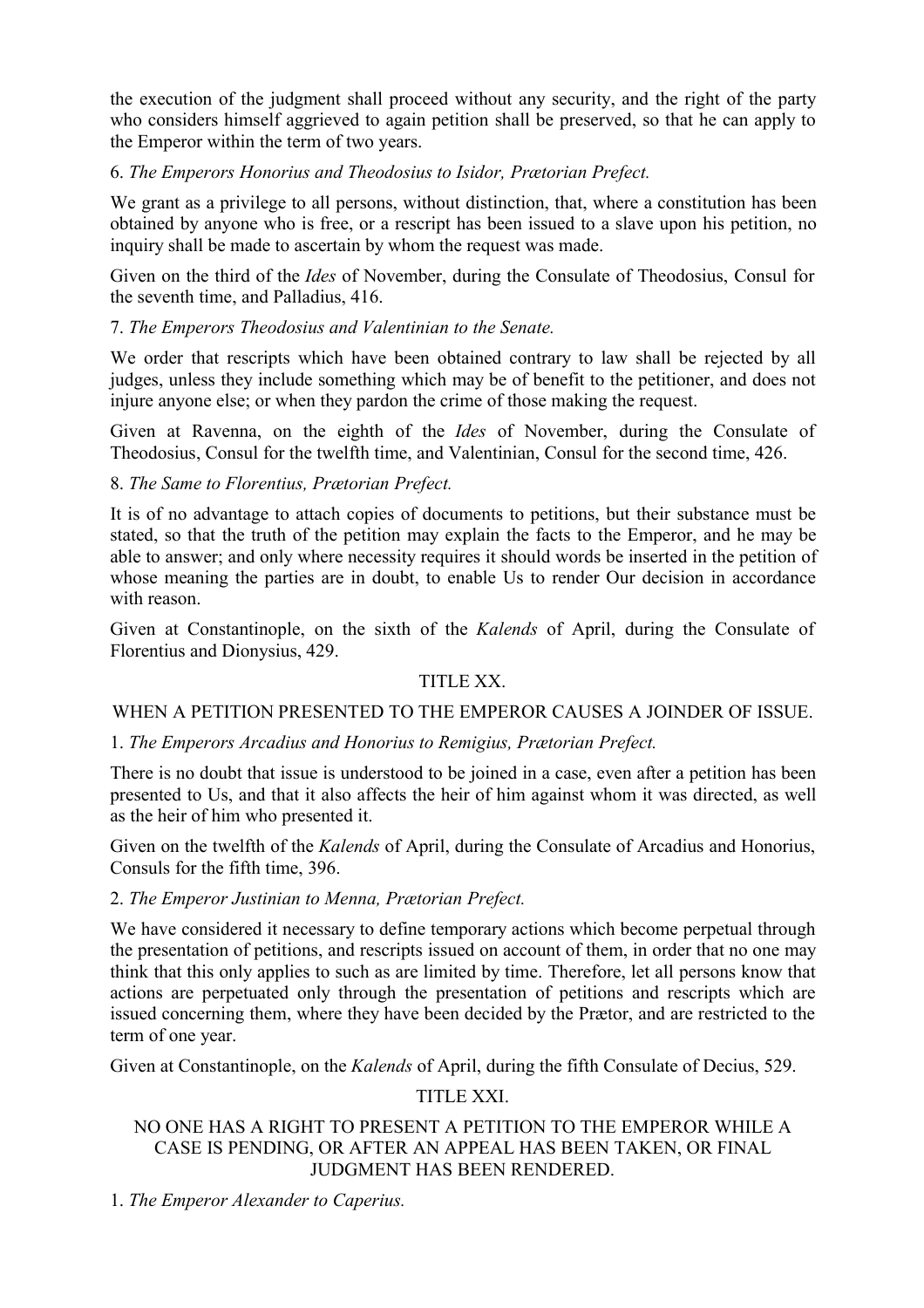the execution of the judgment shall proceed without any security, and the right of the party who considers himself aggrieved to again petition shall be preserved, so that he can apply to the Emperor within the term of two years.

# 6. *The Emperors Honorius and Theodosius to Isidor, Prætorian Prefect.*

We grant as a privilege to all persons, without distinction, that, where a constitution has been obtained by anyone who is free, or a rescript has been issued to a slave upon his petition, no inquiry shall be made to ascertain by whom the request was made.

Given on the third of the *Ides* of November, during the Consulate of Theodosius, Consul for the seventh time, and Palladius, 416.

# 7. *The Emperors Theodosius and Valentinian to the Senate.*

We order that rescripts which have been obtained contrary to law shall be rejected by all judges, unless they include something which may be of benefit to the petitioner, and does not injure anyone else; or when they pardon the crime of those making the request.

Given at Ravenna, on the eighth of the *Ides* of November, during the Consulate of Theodosius, Consul for the twelfth time, and Valentinian, Consul for the second time, 426.

8. *The Same to Florentius, Prætorian Prefect.*

It is of no advantage to attach copies of documents to petitions, but their substance must be stated, so that the truth of the petition may explain the facts to the Emperor, and he may be able to answer; and only where necessity requires it should words be inserted in the petition of whose meaning the parties are in doubt, to enable Us to render Our decision in accordance with reason.

Given at Constantinople, on the sixth of the *Kalends* of April, during the Consulate of Florentius and Dionysius, 429.

# TITLE XX.

# WHEN A PETITION PRESENTED TO THE EMPEROR CAUSES A JOINDER OF ISSUE.

# 1. *The Emperors Arcadius and Honorius to Remigius, Prætorian Prefect.*

There is no doubt that issue is understood to be joined in a case, even after a petition has been presented to Us, and that it also affects the heir of him against whom it was directed, as well as the heir of him who presented it.

Given on the twelfth of the *Kalends* of April, during the Consulate of Arcadius and Honorius, Consuls for the fifth time, 396.

# 2. *The Emperor Justinian to Menna, Prætorian Prefect.*

We have considered it necessary to define temporary actions which become perpetual through the presentation of petitions, and rescripts issued on account of them, in order that no one may think that this only applies to such as are limited by time. Therefore, let all persons know that actions are perpetuated only through the presentation of petitions and rescripts which are issued concerning them, where they have been decided by the Prætor, and are restricted to the term of one year.

Given at Constantinople, on the *Kalends* of April, during the fifth Consulate of Decius, 529.

# TITLE XXI.

# NO ONE HAS A RIGHT TO PRESENT A PETITION TO THE EMPEROR WHILE A CASE IS PENDING, OR AFTER AN APPEAL HAS BEEN TAKEN, OR FINAL JUDGMENT HAS BEEN RENDERED.

1. *The Emperor Alexander to Caperius.*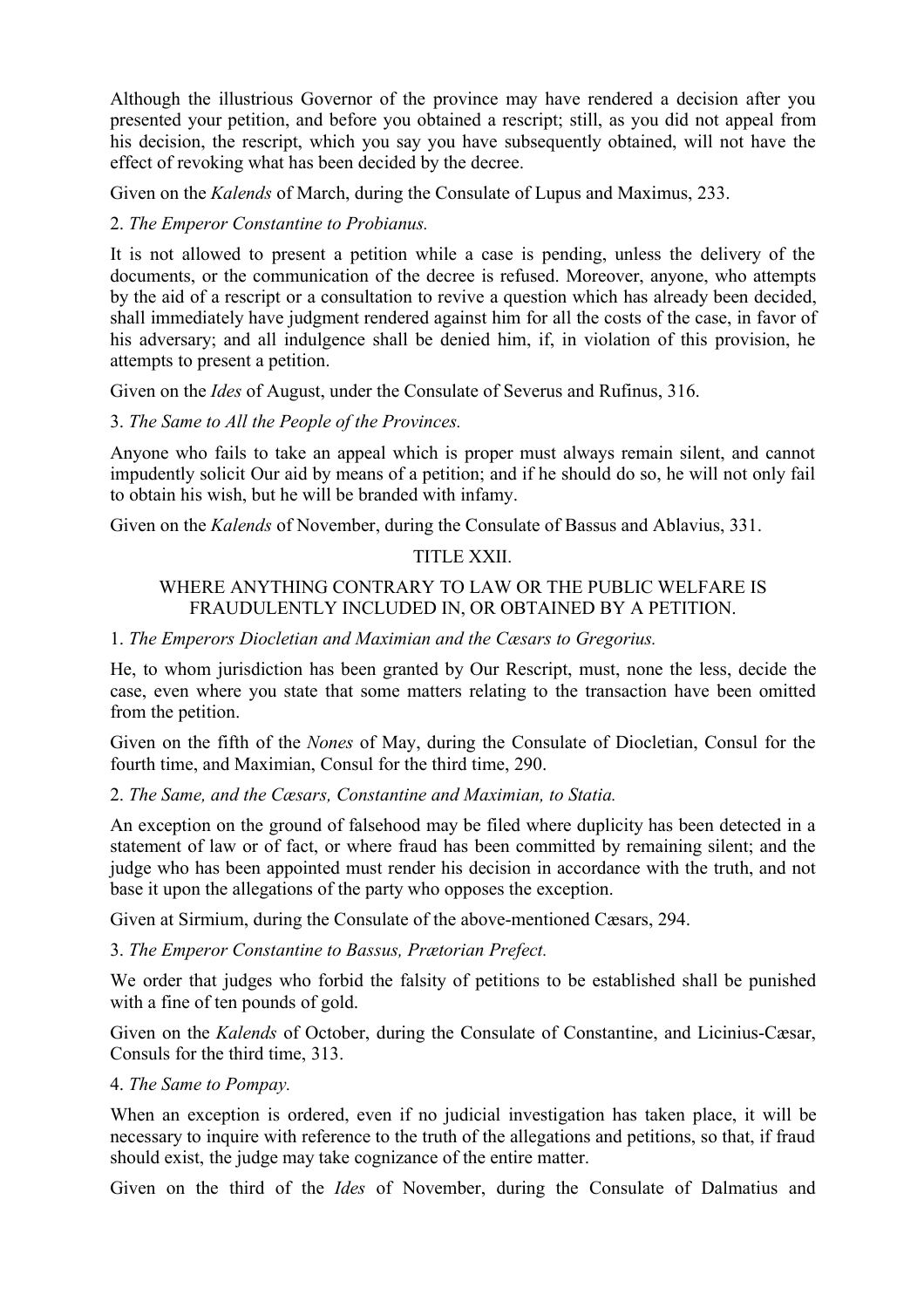Although the illustrious Governor of the province may have rendered a decision after you presented your petition, and before you obtained a rescript; still, as you did not appeal from his decision, the rescript, which you say you have subsequently obtained, will not have the effect of revoking what has been decided by the decree.

Given on the *Kalends* of March, during the Consulate of Lupus and Maximus, 233.

# 2. *The Emperor Constantine to Probianus.*

It is not allowed to present a petition while a case is pending, unless the delivery of the documents, or the communication of the decree is refused. Moreover, anyone, who attempts by the aid of a rescript or a consultation to revive a question which has already been decided, shall immediately have judgment rendered against him for all the costs of the case, in favor of his adversary; and all indulgence shall be denied him, if, in violation of this provision, he attempts to present a petition.

Given on the *Ides* of August, under the Consulate of Severus and Rufinus, 316.

### 3. *The Same to All the People of the Provinces.*

Anyone who fails to take an appeal which is proper must always remain silent, and cannot impudently solicit Our aid by means of a petition; and if he should do so, he will not only fail to obtain his wish, but he will be branded with infamy.

Given on the *Kalends* of November, during the Consulate of Bassus and Ablavius, 331.

# TITLE XXII.

### WHERE ANYTHING CONTRARY TO LAW OR THE PUBLIC WELFARE IS FRAUDULENTLY INCLUDED IN, OR OBTAINED BY A PETITION.

### 1. *The Emperors Diocletian and Maximian and the Cæsars to Gregorius.*

He, to whom jurisdiction has been granted by Our Rescript, must, none the less, decide the case, even where you state that some matters relating to the transaction have been omitted from the petition.

Given on the fifth of the *Nones* of May, during the Consulate of Diocletian, Consul for the fourth time, and Maximian, Consul for the third time, 290.

### 2. *The Same, and the Cæsars, Constantine and Maximian, to Statia.*

An exception on the ground of falsehood may be filed where duplicity has been detected in a statement of law or of fact, or where fraud has been committed by remaining silent; and the judge who has been appointed must render his decision in accordance with the truth, and not base it upon the allegations of the party who opposes the exception.

Given at Sirmium, during the Consulate of the above-mentioned Cæsars, 294.

3. *The Emperor Constantine to Bassus, Prætorian Prefect.*

We order that judges who forbid the falsity of petitions to be established shall be punished with a fine of ten pounds of gold.

Given on the *Kalends* of October, during the Consulate of Constantine, and Licinius-Cæsar, Consuls for the third time, 313.

### 4. *The Same to Pompay.*

When an exception is ordered, even if no judicial investigation has taken place, it will be necessary to inquire with reference to the truth of the allegations and petitions, so that, if fraud should exist, the judge may take cognizance of the entire matter.

Given on the third of the *Ides* of November, during the Consulate of Dalmatius and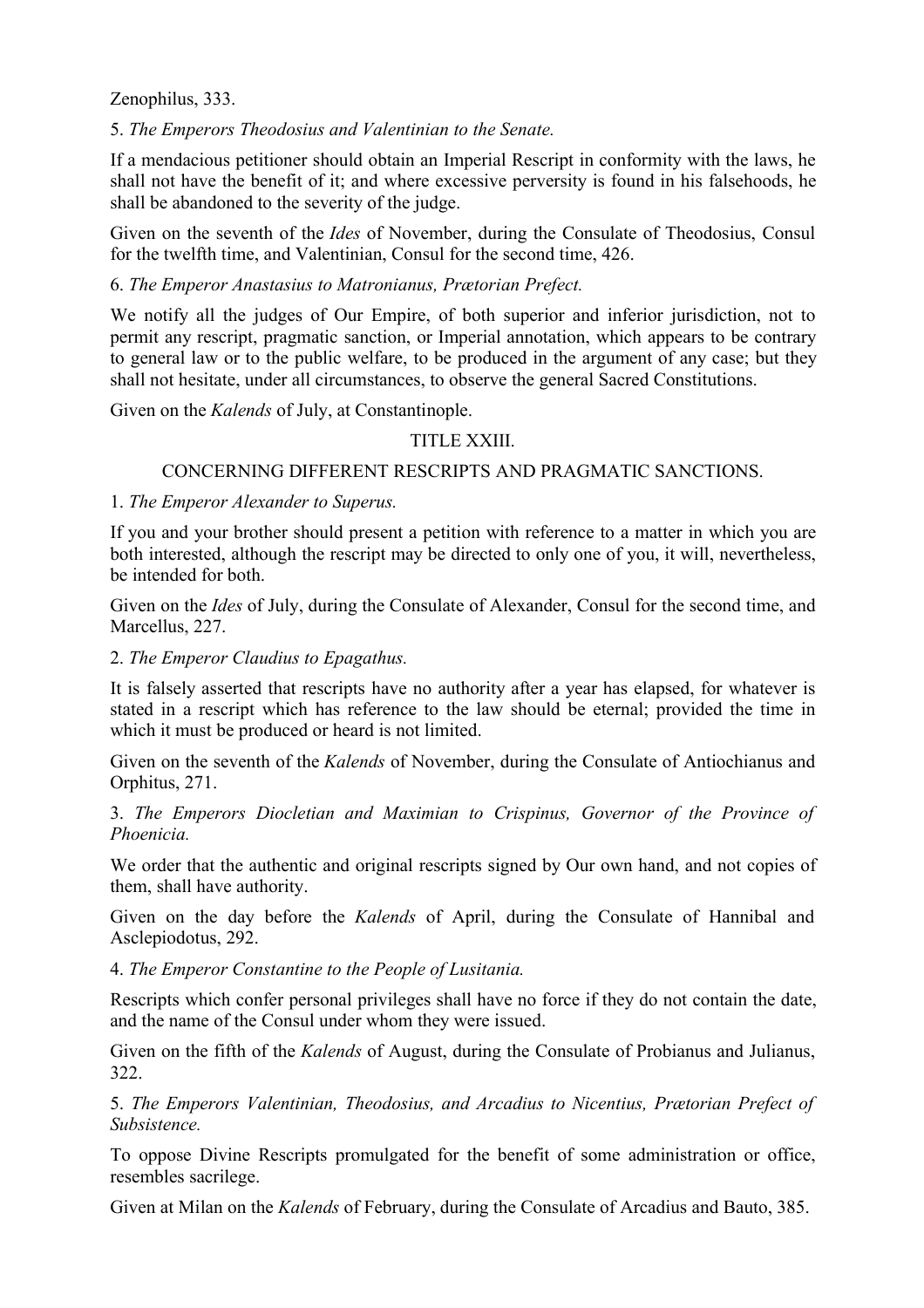### Zenophilus, 333.

### 5. *The Emperors Theodosius and Valentinian to the Senate.*

If a mendacious petitioner should obtain an Imperial Rescript in conformity with the laws, he shall not have the benefit of it; and where excessive perversity is found in his falsehoods, he shall be abandoned to the severity of the judge.

Given on the seventh of the *Ides* of November, during the Consulate of Theodosius, Consul for the twelfth time, and Valentinian, Consul for the second time, 426.

### 6. *The Emperor Anastasius to Matronianus, Prætorian Prefect.*

We notify all the judges of Our Empire, of both superior and inferior jurisdiction, not to permit any rescript, pragmatic sanction, or Imperial annotation, which appears to be contrary to general law or to the public welfare, to be produced in the argument of any case; but they shall not hesitate, under all circumstances, to observe the general Sacred Constitutions.

Given on the *Kalends* of July, at Constantinople.

# TITLE XXIII.

# CONCERNING DIFFERENT RESCRIPTS AND PRAGMATIC SANCTIONS.

### 1. *The Emperor Alexander to Superus.*

If you and your brother should present a petition with reference to a matter in which you are both interested, although the rescript may be directed to only one of you, it will, nevertheless, be intended for both.

Given on the *Ides* of July, during the Consulate of Alexander, Consul for the second time, and Marcellus, 227.

# 2. *The Emperor Claudius to Epagathus.*

It is falsely asserted that rescripts have no authority after a year has elapsed, for whatever is stated in a rescript which has reference to the law should be eternal; provided the time in which it must be produced or heard is not limited.

Given on the seventh of the *Kalends* of November, during the Consulate of Antiochianus and Orphitus, 271.

3. *The Emperors Diocletian and Maximian to Crispinus, Governor of the Province of Phoenicia.*

We order that the authentic and original rescripts signed by Our own hand, and not copies of them, shall have authority.

Given on the day before the *Kalends* of April, during the Consulate of Hannibal and Asclepiodotus, 292.

4. *The Emperor Constantine to the People of Lusitania.*

Rescripts which confer personal privileges shall have no force if they do not contain the date, and the name of the Consul under whom they were issued.

Given on the fifth of the *Kalends* of August, during the Consulate of Probianus and Julianus, 322.

5. *The Emperors Valentinian, Theodosius, and Arcadius to Nicentius, Prætorian Prefect of Subsistence.*

To oppose Divine Rescripts promulgated for the benefit of some administration or office, resembles sacrilege.

Given at Milan on the *Kalends* of February, during the Consulate of Arcadius and Bauto, 385.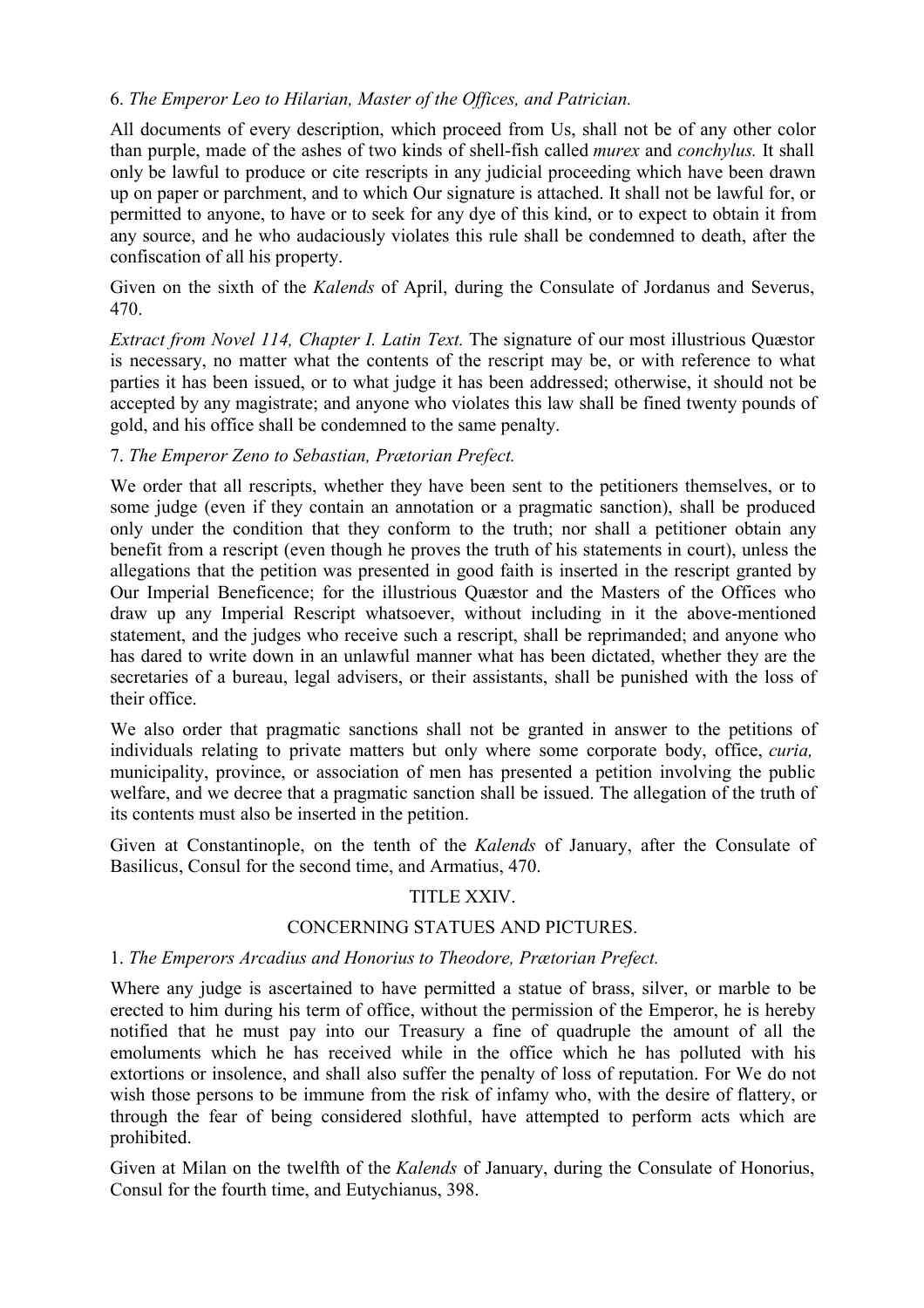# 6. *The Emperor Leo to Hilarian, Master of the Offices, and Patrician.*

All documents of every description, which proceed from Us, shall not be of any other color than purple, made of the ashes of two kinds of shell-fish called *murex* and *conchylus.* It shall only be lawful to produce or cite rescripts in any judicial proceeding which have been drawn up on paper or parchment, and to which Our signature is attached. It shall not be lawful for, or permitted to anyone, to have or to seek for any dye of this kind, or to expect to obtain it from any source, and he who audaciously violates this rule shall be condemned to death, after the confiscation of all his property.

Given on the sixth of the *Kalends* of April, during the Consulate of Jordanus and Severus, 470.

*Extract from Novel 114, Chapter I. Latin Text.* The signature of our most illustrious Quæstor is necessary, no matter what the contents of the rescript may be, or with reference to what parties it has been issued, or to what judge it has been addressed; otherwise, it should not be accepted by any magistrate; and anyone who violates this law shall be fined twenty pounds of gold, and his office shall be condemned to the same penalty.

### 7. *The Emperor Zeno to Sebastian, Prætorian Prefect.*

We order that all rescripts, whether they have been sent to the petitioners themselves, or to some judge (even if they contain an annotation or a pragmatic sanction), shall be produced only under the condition that they conform to the truth; nor shall a petitioner obtain any benefit from a rescript (even though he proves the truth of his statements in court), unless the allegations that the petition was presented in good faith is inserted in the rescript granted by Our Imperial Beneficence; for the illustrious Quæstor and the Masters of the Offices who draw up any Imperial Rescript whatsoever, without including in it the above-mentioned statement, and the judges who receive such a rescript, shall be reprimanded; and anyone who has dared to write down in an unlawful manner what has been dictated, whether they are the secretaries of a bureau, legal advisers, or their assistants, shall be punished with the loss of their office.

We also order that pragmatic sanctions shall not be granted in answer to the petitions of individuals relating to private matters but only where some corporate body, office, *curia,* municipality, province, or association of men has presented a petition involving the public welfare, and we decree that a pragmatic sanction shall be issued. The allegation of the truth of its contents must also be inserted in the petition.

Given at Constantinople, on the tenth of the *Kalends* of January, after the Consulate of Basilicus, Consul for the second time, and Armatius, 470.

### TITLE XXIV.

### CONCERNING STATUES AND PICTURES.

### 1. *The Emperors Arcadius and Honorius to Theodore, Prætorian Prefect.*

Where any judge is ascertained to have permitted a statue of brass, silver, or marble to be erected to him during his term of office, without the permission of the Emperor, he is hereby notified that he must pay into our Treasury a fine of quadruple the amount of all the emoluments which he has received while in the office which he has polluted with his extortions or insolence, and shall also suffer the penalty of loss of reputation. For We do not wish those persons to be immune from the risk of infamy who, with the desire of flattery, or through the fear of being considered slothful, have attempted to perform acts which are prohibited.

Given at Milan on the twelfth of the *Kalends* of January, during the Consulate of Honorius, Consul for the fourth time, and Eutychianus, 398.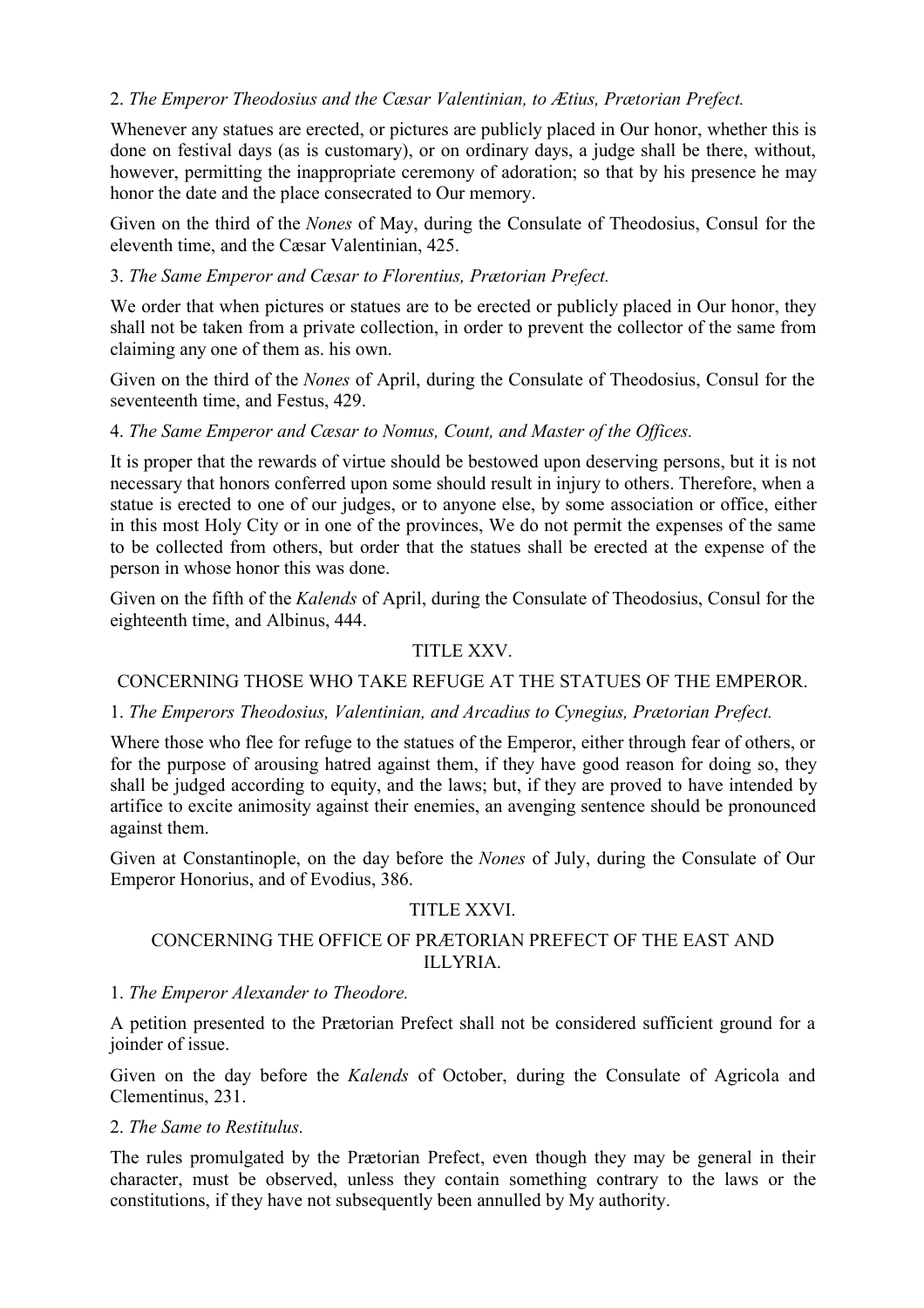# 2. *The Emperor Theodosius and the Cæsar Valentinian, to Ætius, Prætorian Prefect.*

Whenever any statues are erected, or pictures are publicly placed in Our honor, whether this is done on festival days (as is customary), or on ordinary days, a judge shall be there, without, however, permitting the inappropriate ceremony of adoration; so that by his presence he may honor the date and the place consecrated to Our memory.

Given on the third of the *Nones* of May, during the Consulate of Theodosius, Consul for the eleventh time, and the Cæsar Valentinian, 425.

### 3. *The Same Emperor and Cæsar to Florentius, Prætorian Prefect.*

We order that when pictures or statues are to be erected or publicly placed in Our honor, they shall not be taken from a private collection, in order to prevent the collector of the same from claiming any one of them as. his own.

Given on the third of the *Nones* of April, during the Consulate of Theodosius, Consul for the seventeenth time, and Festus, 429.

### 4. *The Same Emperor and Cæsar to Nomus, Count, and Master of the Offices.*

It is proper that the rewards of virtue should be bestowed upon deserving persons, but it is not necessary that honors conferred upon some should result in injury to others. Therefore, when a statue is erected to one of our judges, or to anyone else, by some association or office, either in this most Holy City or in one of the provinces, We do not permit the expenses of the same to be collected from others, but order that the statues shall be erected at the expense of the person in whose honor this was done.

Given on the fifth of the *Kalends* of April, during the Consulate of Theodosius, Consul for the eighteenth time, and Albinus, 444.

# TITLE XXV.

### CONCERNING THOSE WHO TAKE REFUGE AT THE STATUES OF THE EMPEROR.

### 1. *The Emperors Theodosius, Valentinian, and Arcadius to Cynegius, Prætorian Prefect.*

Where those who flee for refuge to the statues of the Emperor, either through fear of others, or for the purpose of arousing hatred against them, if they have good reason for doing so, they shall be judged according to equity, and the laws; but, if they are proved to have intended by artifice to excite animosity against their enemies, an avenging sentence should be pronounced against them.

Given at Constantinople, on the day before the *Nones* of July, during the Consulate of Our Emperor Honorius, and of Evodius, 386.

### TITLE XXVI.

### CONCERNING THE OFFICE OF PRÆTORIAN PREFECT OF THE EAST AND ILLYRIA.

### 1. *The Emperor Alexander to Theodore.*

A petition presented to the Prætorian Prefect shall not be considered sufficient ground for a joinder of issue.

Given on the day before the *Kalends* of October, during the Consulate of Agricola and Clementinus, 231.

### 2. *The Same to Restitulus.*

The rules promulgated by the Prætorian Prefect, even though they may be general in their character, must be observed, unless they contain something contrary to the laws or the constitutions, if they have not subsequently been annulled by My authority.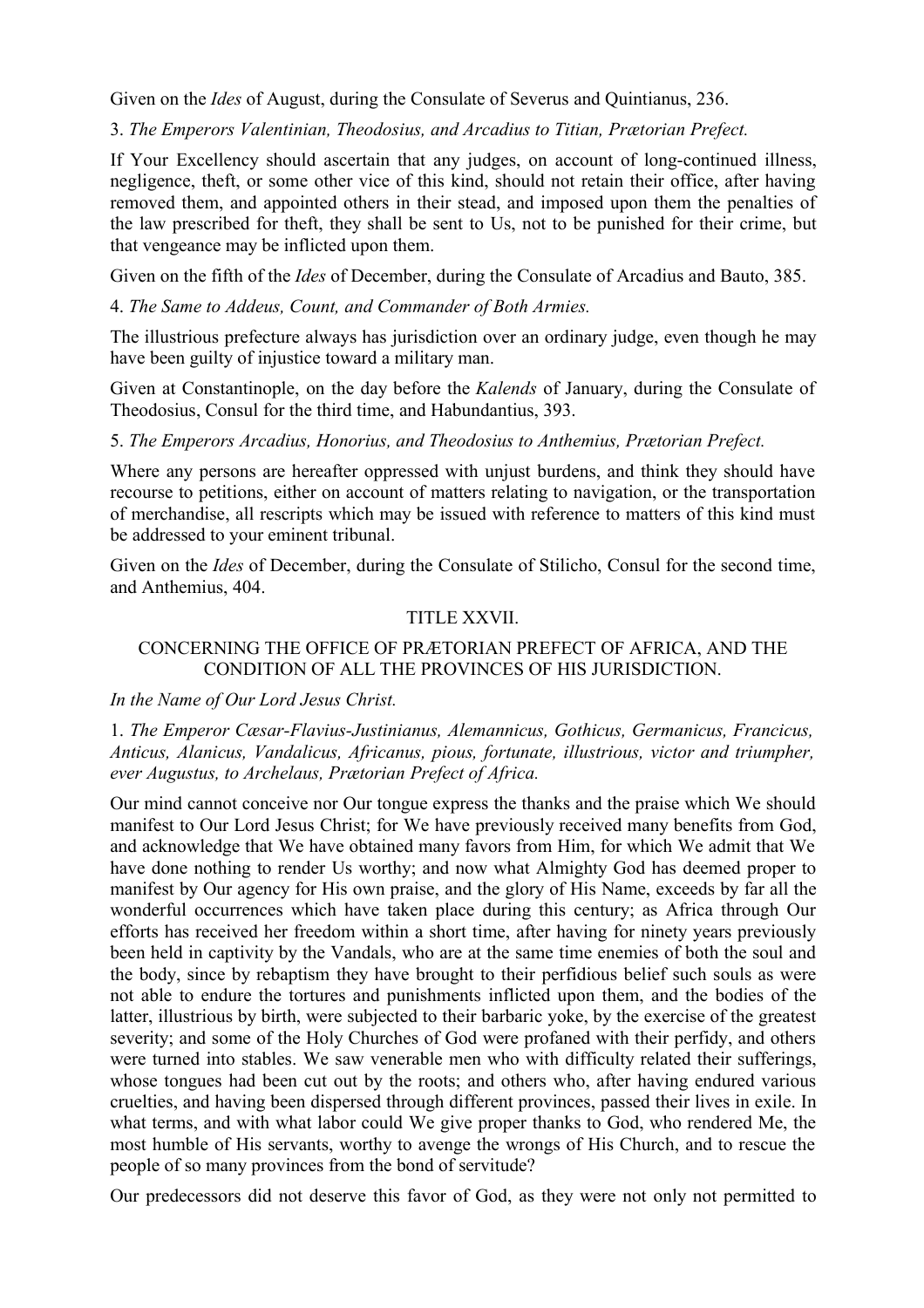Given on the *Ides* of August, during the Consulate of Severus and Quintianus, 236.

3. *The Emperors Valentinian, Theodosius, and Arcadius to Titian, Prætorian Prefect.*

If Your Excellency should ascertain that any judges, on account of long-continued illness, negligence, theft, or some other vice of this kind, should not retain their office, after having removed them, and appointed others in their stead, and imposed upon them the penalties of the law prescribed for theft, they shall be sent to Us, not to be punished for their crime, but that vengeance may be inflicted upon them.

Given on the fifth of the *Ides* of December, during the Consulate of Arcadius and Bauto, 385.

4. *The Same to Addeus, Count, and Commander of Both Armies.*

The illustrious prefecture always has jurisdiction over an ordinary judge, even though he may have been guilty of injustice toward a military man.

Given at Constantinople, on the day before the *Kalends* of January, during the Consulate of Theodosius, Consul for the third time, and Habundantius, 393.

5. *The Emperors Arcadius, Honorius, and Theodosius to Anthemius, Prætorian Prefect.*

Where any persons are hereafter oppressed with unjust burdens, and think they should have recourse to petitions, either on account of matters relating to navigation, or the transportation of merchandise, all rescripts which may be issued with reference to matters of this kind must be addressed to your eminent tribunal.

Given on the *Ides* of December, during the Consulate of Stilicho, Consul for the second time, and Anthemius, 404.

### TITLE XXVII.

### CONCERNING THE OFFICE OF PRÆTORIAN PREFECT OF AFRICA, AND THE CONDITION OF ALL THE PROVINCES OF HIS JURISDICTION.

### *In the Name of Our Lord Jesus Christ.*

1. *The Emperor Cæsar-Flavius-Justinianus, Alemannicus, Gothicus, Germanicus, Francicus, Anticus, Alanicus, Vandalicus, Africanus, pious, fortunate, illustrious, victor and triumpher, ever Augustus, to Archelaus, Prætorian Prefect of Africa.*

Our mind cannot conceive nor Our tongue express the thanks and the praise which We should manifest to Our Lord Jesus Christ; for We have previously received many benefits from God, and acknowledge that We have obtained many favors from Him, for which We admit that We have done nothing to render Us worthy; and now what Almighty God has deemed proper to manifest by Our agency for His own praise, and the glory of His Name, exceeds by far all the wonderful occurrences which have taken place during this century; as Africa through Our efforts has received her freedom within a short time, after having for ninety years previously been held in captivity by the Vandals, who are at the same time enemies of both the soul and the body, since by rebaptism they have brought to their perfidious belief such souls as were not able to endure the tortures and punishments inflicted upon them, and the bodies of the latter, illustrious by birth, were subjected to their barbaric yoke, by the exercise of the greatest severity; and some of the Holy Churches of God were profaned with their perfidy, and others were turned into stables. We saw venerable men who with difficulty related their sufferings, whose tongues had been cut out by the roots; and others who, after having endured various cruelties, and having been dispersed through different provinces, passed their lives in exile. In what terms, and with what labor could We give proper thanks to God, who rendered Me, the most humble of His servants, worthy to avenge the wrongs of His Church, and to rescue the people of so many provinces from the bond of servitude?

Our predecessors did not deserve this favor of God, as they were not only not permitted to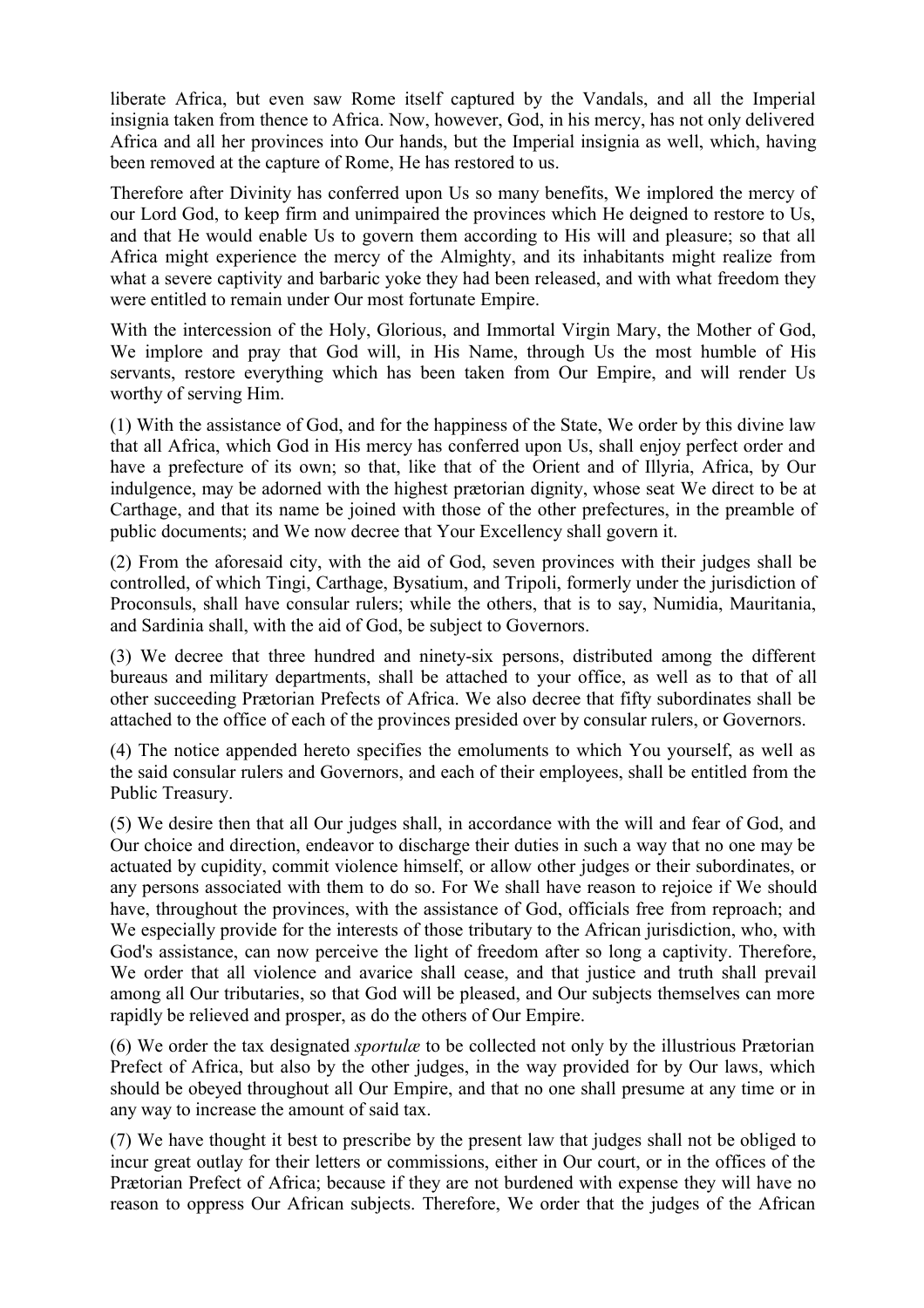liberate Africa, but even saw Rome itself captured by the Vandals, and all the Imperial insignia taken from thence to Africa. Now, however, God, in his mercy, has not only delivered Africa and all her provinces into Our hands, but the Imperial insignia as well, which, having been removed at the capture of Rome, He has restored to us.

Therefore after Divinity has conferred upon Us so many benefits, We implored the mercy of our Lord God, to keep firm and unimpaired the provinces which He deigned to restore to Us, and that He would enable Us to govern them according to His will and pleasure; so that all Africa might experience the mercy of the Almighty, and its inhabitants might realize from what a severe captivity and barbaric yoke they had been released, and with what freedom they were entitled to remain under Our most fortunate Empire.

With the intercession of the Holy, Glorious, and Immortal Virgin Mary, the Mother of God, We implore and pray that God will, in His Name, through Us the most humble of His servants, restore everything which has been taken from Our Empire, and will render Us worthy of serving Him.

(1) With the assistance of God, and for the happiness of the State, We order by this divine law that all Africa, which God in His mercy has conferred upon Us, shall enjoy perfect order and have a prefecture of its own; so that, like that of the Orient and of Illyria, Africa, by Our indulgence, may be adorned with the highest prætorian dignity, whose seat We direct to be at Carthage, and that its name be joined with those of the other prefectures, in the preamble of public documents; and We now decree that Your Excellency shall govern it.

(2) From the aforesaid city, with the aid of God, seven provinces with their judges shall be controlled, of which Tingi, Carthage, Bysatium, and Tripoli, formerly under the jurisdiction of Proconsuls, shall have consular rulers; while the others, that is to say, Numidia, Mauritania, and Sardinia shall, with the aid of God, be subject to Governors.

(3) We decree that three hundred and ninety-six persons, distributed among the different bureaus and military departments, shall be attached to your office, as well as to that of all other succeeding Prætorian Prefects of Africa. We also decree that fifty subordinates shall be attached to the office of each of the provinces presided over by consular rulers, or Governors.

(4) The notice appended hereto specifies the emoluments to which You yourself, as well as the said consular rulers and Governors, and each of their employees, shall be entitled from the Public Treasury.

(5) We desire then that all Our judges shall, in accordance with the will and fear of God, and Our choice and direction, endeavor to discharge their duties in such a way that no one may be actuated by cupidity, commit violence himself, or allow other judges or their subordinates, or any persons associated with them to do so. For We shall have reason to rejoice if We should have, throughout the provinces, with the assistance of God, officials free from reproach; and We especially provide for the interests of those tributary to the African jurisdiction, who, with God's assistance, can now perceive the light of freedom after so long a captivity. Therefore, We order that all violence and avarice shall cease, and that justice and truth shall prevail among all Our tributaries, so that God will be pleased, and Our subjects themselves can more rapidly be relieved and prosper, as do the others of Our Empire.

(6) We order the tax designated *sportulæ* to be collected not only by the illustrious Prætorian Prefect of Africa, but also by the other judges, in the way provided for by Our laws, which should be obeyed throughout all Our Empire, and that no one shall presume at any time or in any way to increase the amount of said tax.

(7) We have thought it best to prescribe by the present law that judges shall not be obliged to incur great outlay for their letters or commissions, either in Our court, or in the offices of the Prætorian Prefect of Africa; because if they are not burdened with expense they will have no reason to oppress Our African subjects. Therefore, We order that the judges of the African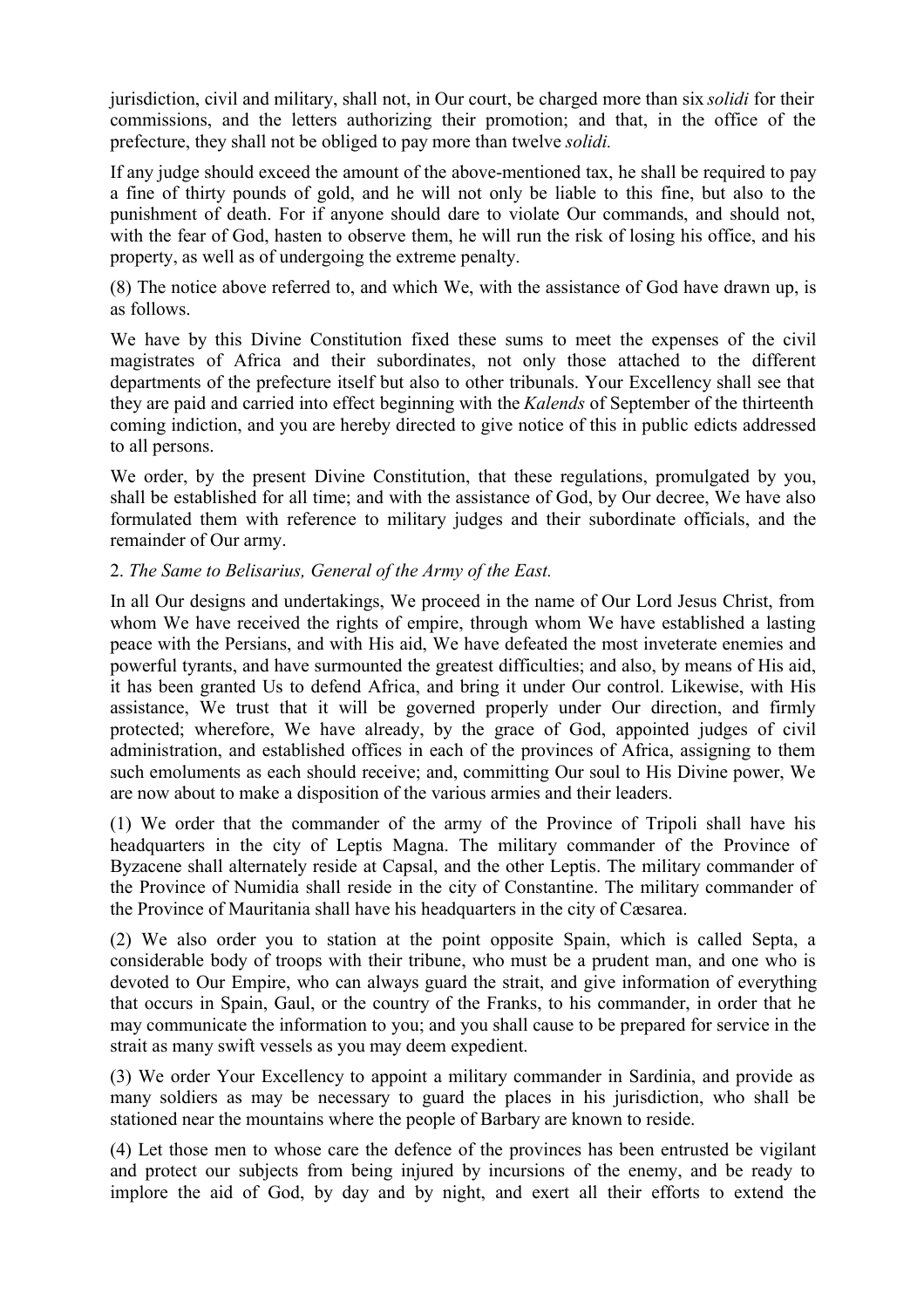jurisdiction, civil and military, shall not, in Our court, be charged more than six *solidi* for their commissions, and the letters authorizing their promotion; and that, in the office of the prefecture, they shall not be obliged to pay more than twelve *solidi.*

If any judge should exceed the amount of the above-mentioned tax, he shall be required to pay a fine of thirty pounds of gold, and he will not only be liable to this fine, but also to the punishment of death. For if anyone should dare to violate Our commands, and should not, with the fear of God, hasten to observe them, he will run the risk of losing his office, and his property, as well as of undergoing the extreme penalty.

(8) The notice above referred to, and which We, with the assistance of God have drawn up, is as follows.

We have by this Divine Constitution fixed these sums to meet the expenses of the civil magistrates of Africa and their subordinates, not only those attached to the different departments of the prefecture itself but also to other tribunals. Your Excellency shall see that they are paid and carried into effect beginning with the *Kalends* of September of the thirteenth coming indiction, and you are hereby directed to give notice of this in public edicts addressed to all persons.

We order, by the present Divine Constitution, that these regulations, promulgated by you, shall be established for all time; and with the assistance of God, by Our decree, We have also formulated them with reference to military judges and their subordinate officials, and the remainder of Our army.

# 2. *The Same to Belisarius, General of the Army of the East.*

In all Our designs and undertakings, We proceed in the name of Our Lord Jesus Christ, from whom We have received the rights of empire, through whom We have established a lasting peace with the Persians, and with His aid, We have defeated the most inveterate enemies and powerful tyrants, and have surmounted the greatest difficulties; and also, by means of His aid, it has been granted Us to defend Africa, and bring it under Our control. Likewise, with His assistance, We trust that it will be governed properly under Our direction, and firmly protected; wherefore, We have already, by the grace of God, appointed judges of civil administration, and established offices in each of the provinces of Africa, assigning to them such emoluments as each should receive; and, committing Our soul to His Divine power, We are now about to make a disposition of the various armies and their leaders.

(1) We order that the commander of the army of the Province of Tripoli shall have his headquarters in the city of Leptis Magna. The military commander of the Province of Byzacene shall alternately reside at Capsal, and the other Leptis. The military commander of the Province of Numidia shall reside in the city of Constantine. The military commander of the Province of Mauritania shall have his headquarters in the city of Cæsarea.

(2) We also order you to station at the point opposite Spain, which is called Septa, a considerable body of troops with their tribune, who must be a prudent man, and one who is devoted to Our Empire, who can always guard the strait, and give information of everything that occurs in Spain, Gaul, or the country of the Franks, to his commander, in order that he may communicate the information to you; and you shall cause to be prepared for service in the strait as many swift vessels as you may deem expedient.

(3) We order Your Excellency to appoint a military commander in Sardinia, and provide as many soldiers as may be necessary to guard the places in his jurisdiction, who shall be stationed near the mountains where the people of Barbary are known to reside.

(4) Let those men to whose care the defence of the provinces has been entrusted be vigilant and protect our subjects from being injured by incursions of the enemy, and be ready to implore the aid of God, by day and by night, and exert all their efforts to extend the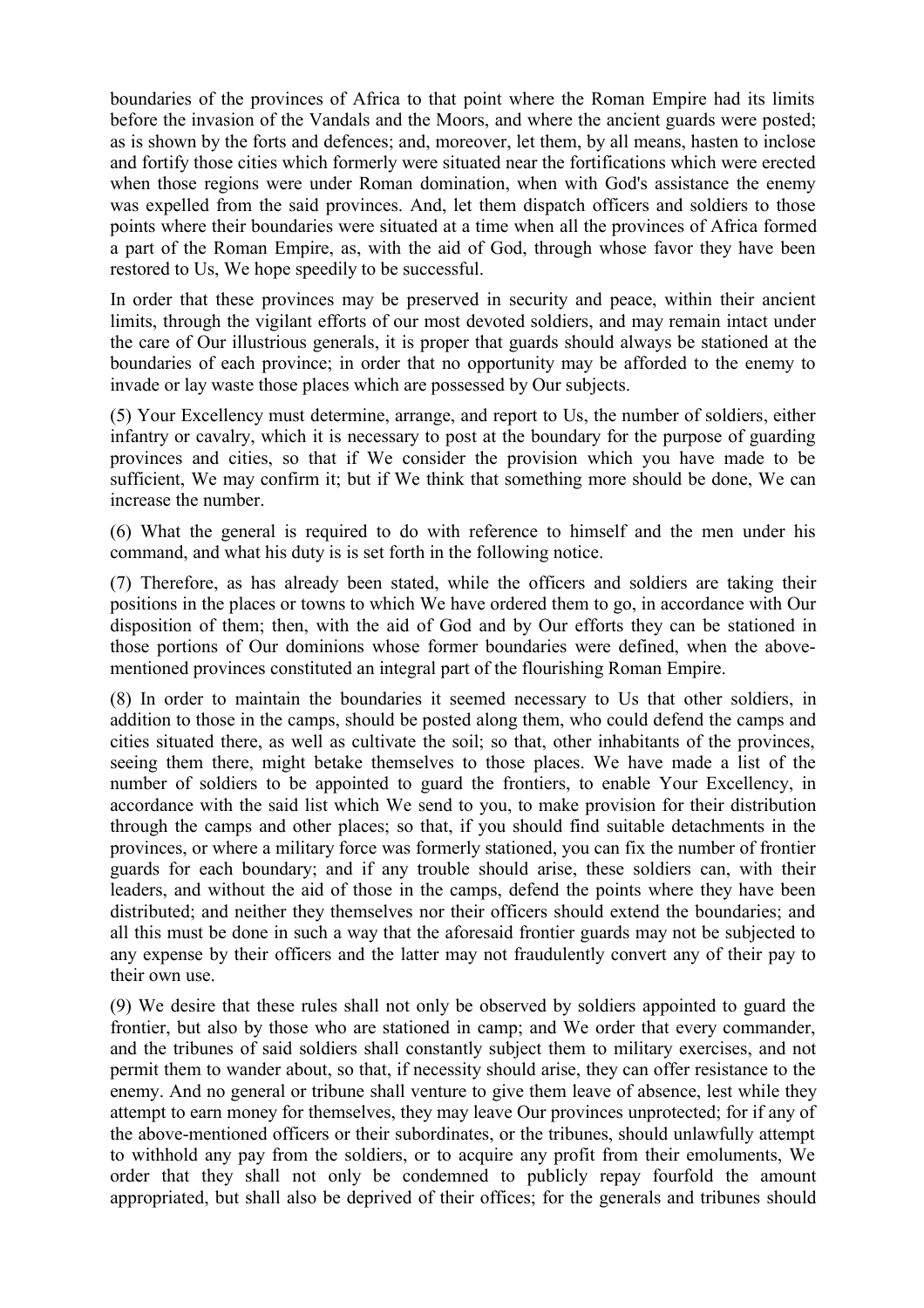boundaries of the provinces of Africa to that point where the Roman Empire had its limits before the invasion of the Vandals and the Moors, and where the ancient guards were posted; as is shown by the forts and defences; and, moreover, let them, by all means, hasten to inclose and fortify those cities which formerly were situated near the fortifications which were erected when those regions were under Roman domination, when with God's assistance the enemy was expelled from the said provinces. And, let them dispatch officers and soldiers to those points where their boundaries were situated at a time when all the provinces of Africa formed a part of the Roman Empire, as, with the aid of God, through whose favor they have been restored to Us, We hope speedily to be successful.

In order that these provinces may be preserved in security and peace, within their ancient limits, through the vigilant efforts of our most devoted soldiers, and may remain intact under the care of Our illustrious generals, it is proper that guards should always be stationed at the boundaries of each province; in order that no opportunity may be afforded to the enemy to invade or lay waste those places which are possessed by Our subjects.

(5) Your Excellency must determine, arrange, and report to Us, the number of soldiers, either infantry or cavalry, which it is necessary to post at the boundary for the purpose of guarding provinces and cities, so that if We consider the provision which you have made to be sufficient, We may confirm it; but if We think that something more should be done, We can increase the number.

(6) What the general is required to do with reference to himself and the men under his command, and what his duty is is set forth in the following notice.

(7) Therefore, as has already been stated, while the officers and soldiers are taking their positions in the places or towns to which We have ordered them to go, in accordance with Our disposition of them; then, with the aid of God and by Our efforts they can be stationed in those portions of Our dominions whose former boundaries were defined, when the abovementioned provinces constituted an integral part of the flourishing Roman Empire.

(8) In order to maintain the boundaries it seemed necessary to Us that other soldiers, in addition to those in the camps, should be posted along them, who could defend the camps and cities situated there, as well as cultivate the soil; so that, other inhabitants of the provinces, seeing them there, might betake themselves to those places. We have made a list of the number of soldiers to be appointed to guard the frontiers, to enable Your Excellency, in accordance with the said list which We send to you, to make provision for their distribution through the camps and other places; so that, if you should find suitable detachments in the provinces, or where a military force was formerly stationed, you can fix the number of frontier guards for each boundary; and if any trouble should arise, these soldiers can, with their leaders, and without the aid of those in the camps, defend the points where they have been distributed; and neither they themselves nor their officers should extend the boundaries; and all this must be done in such a way that the aforesaid frontier guards may not be subjected to any expense by their officers and the latter may not fraudulently convert any of their pay to their own use.

(9) We desire that these rules shall not only be observed by soldiers appointed to guard the frontier, but also by those who are stationed in camp; and We order that every commander, and the tribunes of said soldiers shall constantly subject them to military exercises, and not permit them to wander about, so that, if necessity should arise, they can offer resistance to the enemy. And no general or tribune shall venture to give them leave of absence, lest while they attempt to earn money for themselves, they may leave Our provinces unprotected; for if any of the above-mentioned officers or their subordinates, or the tribunes, should unlawfully attempt to withhold any pay from the soldiers, or to acquire any profit from their emoluments, We order that they shall not only be condemned to publicly repay fourfold the amount appropriated, but shall also be deprived of their offices; for the generals and tribunes should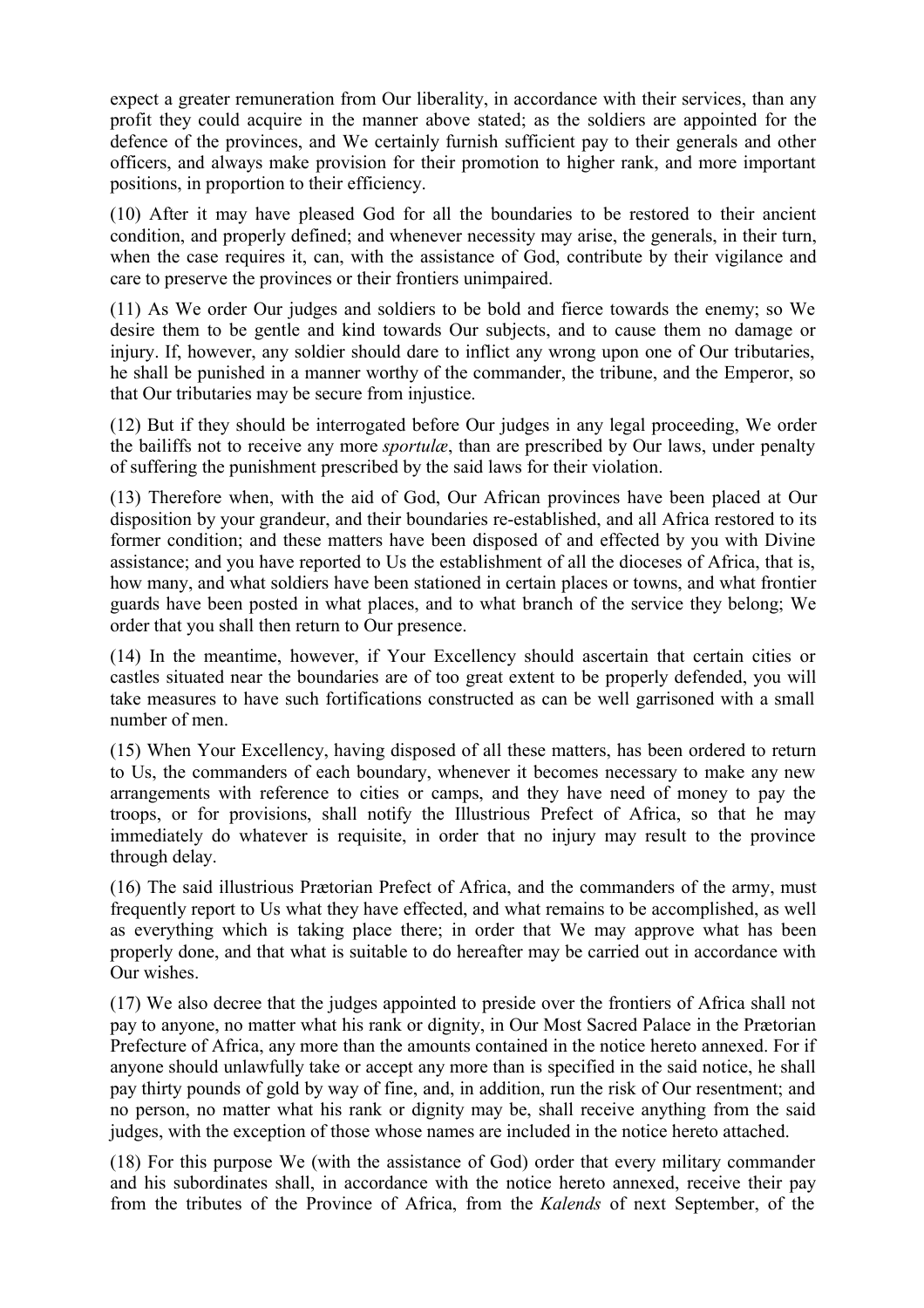expect a greater remuneration from Our liberality, in accordance with their services, than any profit they could acquire in the manner above stated; as the soldiers are appointed for the defence of the provinces, and We certainly furnish sufficient pay to their generals and other officers, and always make provision for their promotion to higher rank, and more important positions, in proportion to their efficiency.

(10) After it may have pleased God for all the boundaries to be restored to their ancient condition, and properly defined; and whenever necessity may arise, the generals, in their turn, when the case requires it, can, with the assistance of God, contribute by their vigilance and care to preserve the provinces or their frontiers unimpaired.

(11) As We order Our judges and soldiers to be bold and fierce towards the enemy; so We desire them to be gentle and kind towards Our subjects, and to cause them no damage or injury. If, however, any soldier should dare to inflict any wrong upon one of Our tributaries, he shall be punished in a manner worthy of the commander, the tribune, and the Emperor, so that Our tributaries may be secure from injustice.

(12) But if they should be interrogated before Our judges in any legal proceeding, We order the bailiffs not to receive any more *sportulæ*, than are prescribed by Our laws, under penalty of suffering the punishment prescribed by the said laws for their violation.

(13) Therefore when, with the aid of God, Our African provinces have been placed at Our disposition by your grandeur, and their boundaries re-established, and all Africa restored to its former condition; and these matters have been disposed of and effected by you with Divine assistance; and you have reported to Us the establishment of all the dioceses of Africa, that is, how many, and what soldiers have been stationed in certain places or towns, and what frontier guards have been posted in what places, and to what branch of the service they belong; We order that you shall then return to Our presence.

(14) In the meantime, however, if Your Excellency should ascertain that certain cities or castles situated near the boundaries are of too great extent to be properly defended, you will take measures to have such fortifications constructed as can be well garrisoned with a small number of men.

(15) When Your Excellency, having disposed of all these matters, has been ordered to return to Us, the commanders of each boundary, whenever it becomes necessary to make any new arrangements with reference to cities or camps, and they have need of money to pay the troops, or for provisions, shall notify the Illustrious Prefect of Africa, so that he may immediately do whatever is requisite, in order that no injury may result to the province through delay.

(16) The said illustrious Prætorian Prefect of Africa, and the commanders of the army, must frequently report to Us what they have effected, and what remains to be accomplished, as well as everything which is taking place there; in order that We may approve what has been properly done, and that what is suitable to do hereafter may be carried out in accordance with Our wishes.

(17) We also decree that the judges appointed to preside over the frontiers of Africa shall not pay to anyone, no matter what his rank or dignity, in Our Most Sacred Palace in the Prætorian Prefecture of Africa, any more than the amounts contained in the notice hereto annexed. For if anyone should unlawfully take or accept any more than is specified in the said notice, he shall pay thirty pounds of gold by way of fine, and, in addition, run the risk of Our resentment; and no person, no matter what his rank or dignity may be, shall receive anything from the said judges, with the exception of those whose names are included in the notice hereto attached.

(18) For this purpose We (with the assistance of God) order that every military commander and his subordinates shall, in accordance with the notice hereto annexed, receive their pay from the tributes of the Province of Africa, from the *Kalends* of next September, of the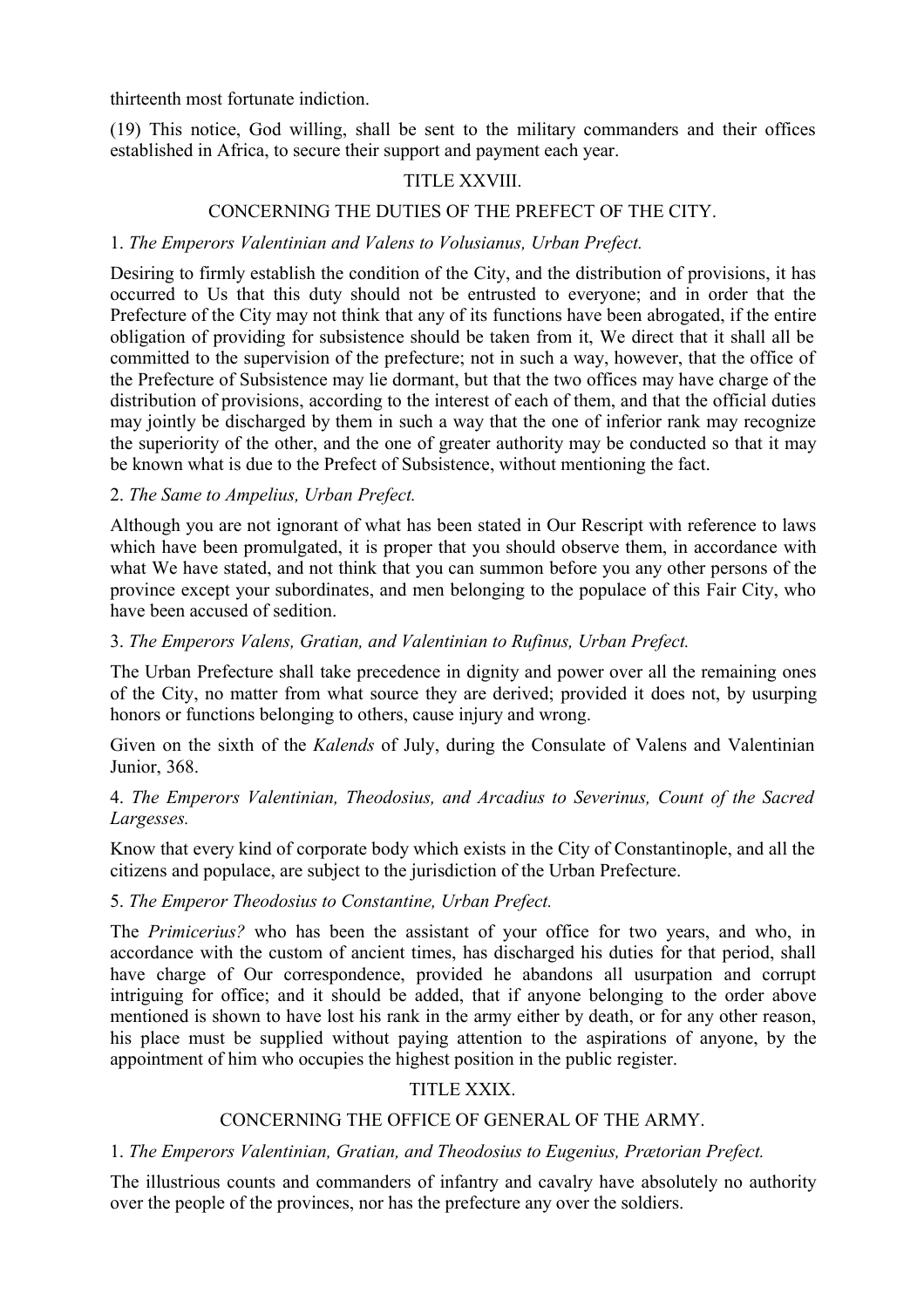thirteenth most fortunate indiction.

(19) This notice, God willing, shall be sent to the military commanders and their offices established in Africa, to secure their support and payment each year.

# TITLE XXVIII.

# CONCERNING THE DUTIES OF THE PREFECT OF THE CITY.

### 1. *The Emperors Valentinian and Valens to Volusianus, Urban Prefect.*

Desiring to firmly establish the condition of the City, and the distribution of provisions, it has occurred to Us that this duty should not be entrusted to everyone; and in order that the Prefecture of the City may not think that any of its functions have been abrogated, if the entire obligation of providing for subsistence should be taken from it, We direct that it shall all be committed to the supervision of the prefecture; not in such a way, however, that the office of the Prefecture of Subsistence may lie dormant, but that the two offices may have charge of the distribution of provisions, according to the interest of each of them, and that the official duties may jointly be discharged by them in such a way that the one of inferior rank may recognize the superiority of the other, and the one of greater authority may be conducted so that it may be known what is due to the Prefect of Subsistence, without mentioning the fact.

### 2. *The Same to Ampelius, Urban Prefect.*

Although you are not ignorant of what has been stated in Our Rescript with reference to laws which have been promulgated, it is proper that you should observe them, in accordance with what We have stated, and not think that you can summon before you any other persons of the province except your subordinates, and men belonging to the populace of this Fair City, who have been accused of sedition.

### 3. *The Emperors Valens, Gratian, and Valentinian to Rufinus, Urban Prefect.*

The Urban Prefecture shall take precedence in dignity and power over all the remaining ones of the City, no matter from what source they are derived; provided it does not, by usurping honors or functions belonging to others, cause injury and wrong.

Given on the sixth of the *Kalends* of July, during the Consulate of Valens and Valentinian Junior, 368.

### 4. *The Emperors Valentinian, Theodosius, and Arcadius to Severinus, Count of the Sacred Largesses.*

Know that every kind of corporate body which exists in the City of Constantinople, and all the citizens and populace, are subject to the jurisdiction of the Urban Prefecture.

### 5. *The Emperor Theodosius to Constantine, Urban Prefect.*

The *Primicerius?* who has been the assistant of your office for two years, and who, in accordance with the custom of ancient times, has discharged his duties for that period, shall have charge of Our correspondence, provided he abandons all usurpation and corrupt intriguing for office; and it should be added, that if anyone belonging to the order above mentioned is shown to have lost his rank in the army either by death, or for any other reason, his place must be supplied without paying attention to the aspirations of anyone, by the appointment of him who occupies the highest position in the public register.

# TITLE XXIX.

# CONCERNING THE OFFICE OF GENERAL OF THE ARMY.

# 1. *The Emperors Valentinian, Gratian, and Theodosius to Eugenius, Prætorian Prefect.*

The illustrious counts and commanders of infantry and cavalry have absolutely no authority over the people of the provinces, nor has the prefecture any over the soldiers.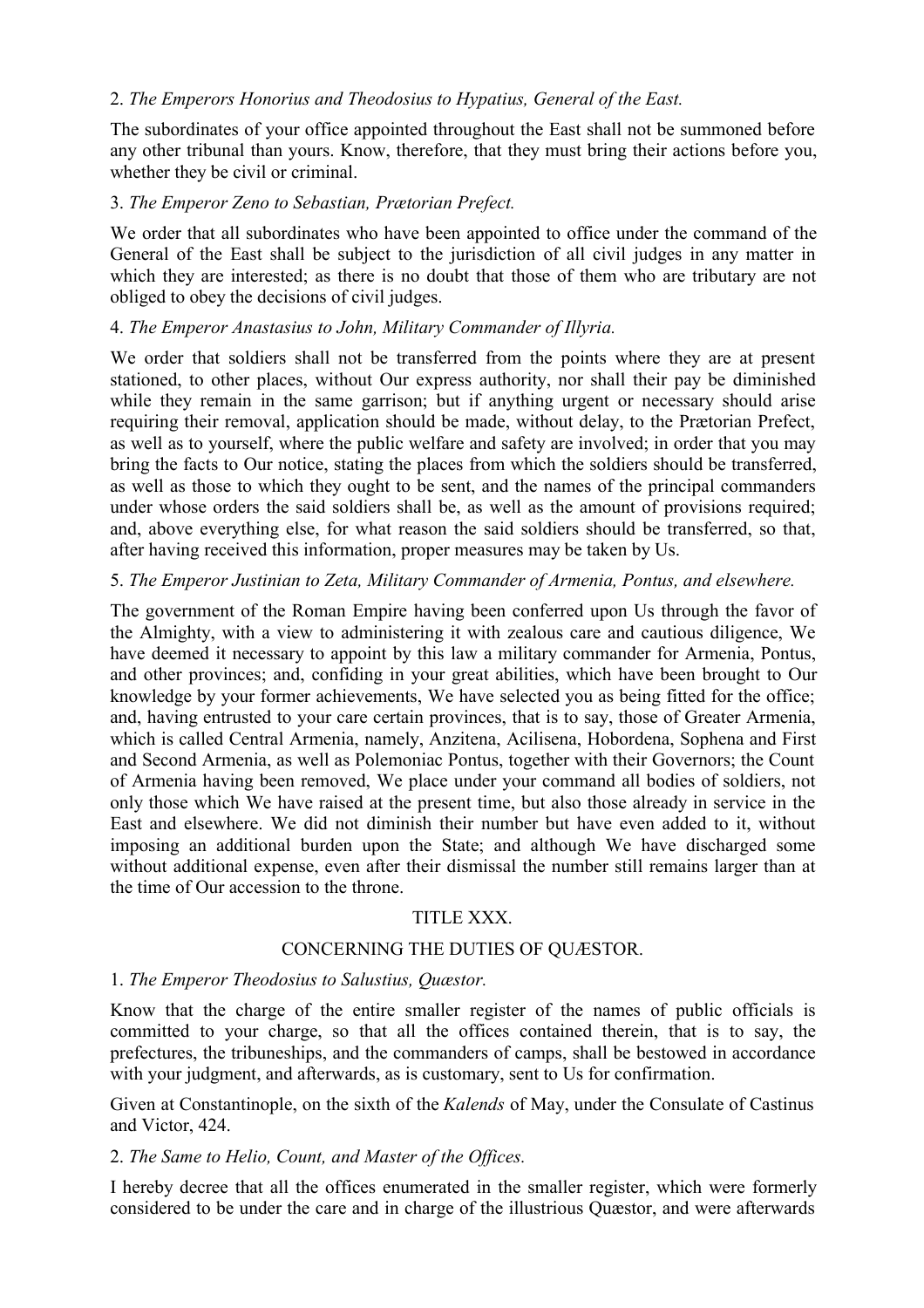# 2. *The Emperors Honorius and Theodosius to Hypatius, General of the East.*

The subordinates of your office appointed throughout the East shall not be summoned before any other tribunal than yours. Know, therefore, that they must bring their actions before you, whether they be civil or criminal.

### 3. *The Emperor Zeno to Sebastian, Prætorian Prefect.*

We order that all subordinates who have been appointed to office under the command of the General of the East shall be subject to the jurisdiction of all civil judges in any matter in which they are interested; as there is no doubt that those of them who are tributary are not obliged to obey the decisions of civil judges.

### 4. *The Emperor Anastasius to John, Military Commander of Illyria.*

We order that soldiers shall not be transferred from the points where they are at present stationed, to other places, without Our express authority, nor shall their pay be diminished while they remain in the same garrison; but if anything urgent or necessary should arise requiring their removal, application should be made, without delay, to the Prætorian Prefect, as well as to yourself, where the public welfare and safety are involved; in order that you may bring the facts to Our notice, stating the places from which the soldiers should be transferred, as well as those to which they ought to be sent, and the names of the principal commanders under whose orders the said soldiers shall be, as well as the amount of provisions required; and, above everything else, for what reason the said soldiers should be transferred, so that, after having received this information, proper measures may be taken by Us.

### 5. *The Emperor Justinian to Zeta, Military Commander of Armenia, Pontus, and elsewhere.*

The government of the Roman Empire having been conferred upon Us through the favor of the Almighty, with a view to administering it with zealous care and cautious diligence, We have deemed it necessary to appoint by this law a military commander for Armenia, Pontus, and other provinces; and, confiding in your great abilities, which have been brought to Our knowledge by your former achievements, We have selected you as being fitted for the office; and, having entrusted to your care certain provinces, that is to say, those of Greater Armenia, which is called Central Armenia, namely, Anzitena, Acilisena, Hobordena, Sophena and First and Second Armenia, as well as Polemoniac Pontus, together with their Governors; the Count of Armenia having been removed, We place under your command all bodies of soldiers, not only those which We have raised at the present time, but also those already in service in the East and elsewhere. We did not diminish their number but have even added to it, without imposing an additional burden upon the State; and although We have discharged some without additional expense, even after their dismissal the number still remains larger than at the time of Our accession to the throne.

# TITLE XXX.

# CONCERNING THE DUTIES OF QUÆSTOR.

### 1. *The Emperor Theodosius to Salustius, Quæstor.*

Know that the charge of the entire smaller register of the names of public officials is committed to your charge, so that all the offices contained therein, that is to say, the prefectures, the tribuneships, and the commanders of camps, shall be bestowed in accordance with your judgment, and afterwards, as is customary, sent to Us for confirmation.

Given at Constantinople, on the sixth of the *Kalends* of May, under the Consulate of Castinus and Victor, 424.

### 2. *The Same to Helio, Count, and Master of the Offices.*

I hereby decree that all the offices enumerated in the smaller register, which were formerly considered to be under the care and in charge of the illustrious Quæstor, and were afterwards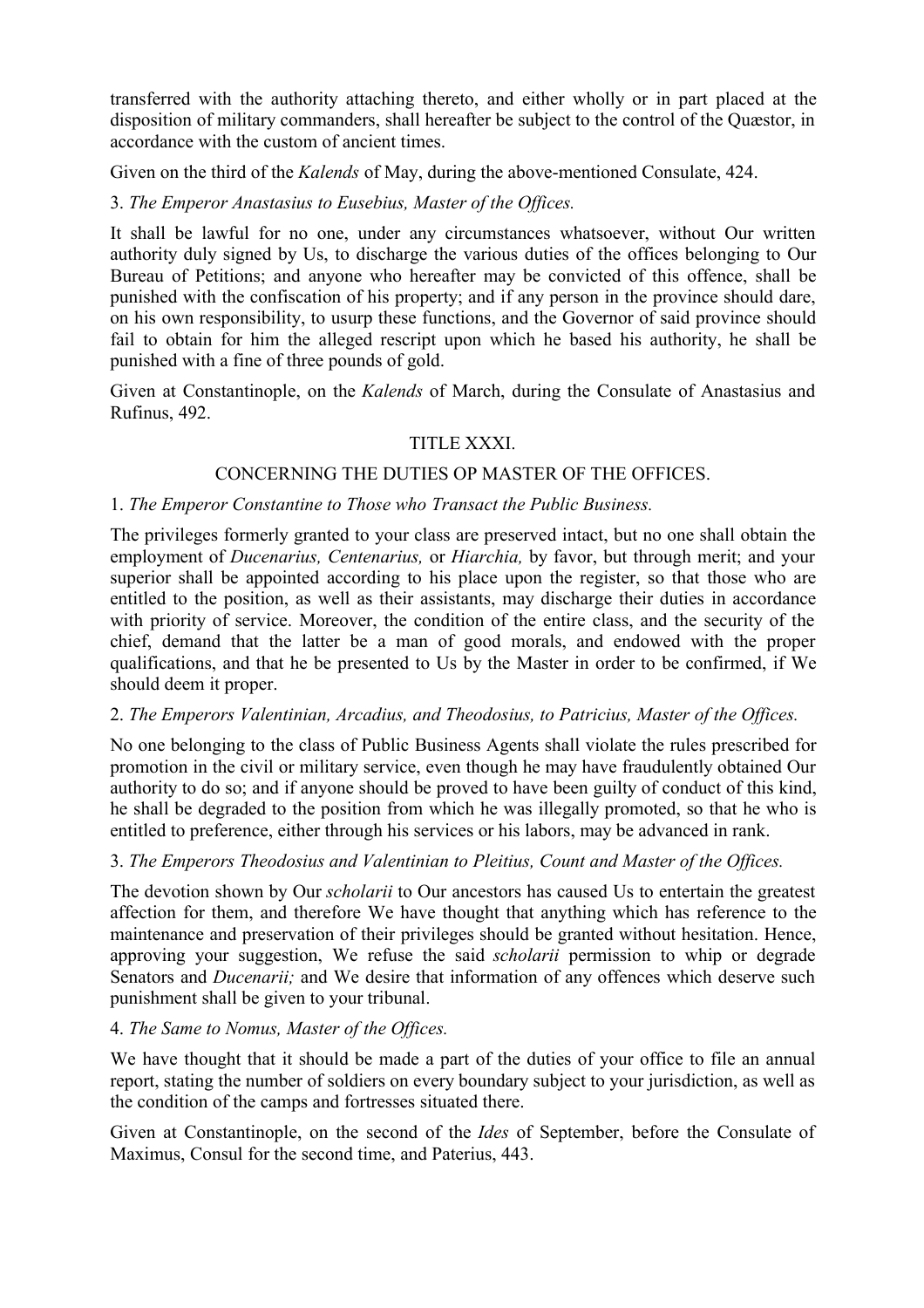transferred with the authority attaching thereto, and either wholly or in part placed at the disposition of military commanders, shall hereafter be subject to the control of the Quæstor, in accordance with the custom of ancient times.

Given on the third of the *Kalends* of May, during the above-mentioned Consulate, 424.

3. *The Emperor Anastasius to Eusebius, Master of the Offices.*

It shall be lawful for no one, under any circumstances whatsoever, without Our written authority duly signed by Us, to discharge the various duties of the offices belonging to Our Bureau of Petitions; and anyone who hereafter may be convicted of this offence, shall be punished with the confiscation of his property; and if any person in the province should dare, on his own responsibility, to usurp these functions, and the Governor of said province should fail to obtain for him the alleged rescript upon which he based his authority, he shall be punished with a fine of three pounds of gold.

Given at Constantinople, on the *Kalends* of March, during the Consulate of Anastasius and Rufinus, 492.

# TITLE XXXI.

# CONCERNING THE DUTIES OP MASTER OF THE OFFICES.

### 1. *The Emperor Constantine to Those who Transact the Public Business.*

The privileges formerly granted to your class are preserved intact, but no one shall obtain the employment of *Ducenarius, Centenarius,* or *Hiarchia,* by favor, but through merit; and your superior shall be appointed according to his place upon the register, so that those who are entitled to the position, as well as their assistants, may discharge their duties in accordance with priority of service. Moreover, the condition of the entire class, and the security of the chief, demand that the latter be a man of good morals, and endowed with the proper qualifications, and that he be presented to Us by the Master in order to be confirmed, if We should deem it proper.

### 2. *The Emperors Valentinian, Arcadius, and Theodosius, to Patricius, Master of the Offices.*

No one belonging to the class of Public Business Agents shall violate the rules prescribed for promotion in the civil or military service, even though he may have fraudulently obtained Our authority to do so; and if anyone should be proved to have been guilty of conduct of this kind, he shall be degraded to the position from which he was illegally promoted, so that he who is entitled to preference, either through his services or his labors, may be advanced in rank.

### 3. *The Emperors Theodosius and Valentinian to Pleitius, Count and Master of the Offices.*

The devotion shown by Our *scholarii* to Our ancestors has caused Us to entertain the greatest affection for them, and therefore We have thought that anything which has reference to the maintenance and preservation of their privileges should be granted without hesitation. Hence, approving your suggestion, We refuse the said *scholarii* permission to whip or degrade Senators and *Ducenarii;* and We desire that information of any offences which deserve such punishment shall be given to your tribunal.

### 4. *The Same to Nomus, Master of the Offices.*

We have thought that it should be made a part of the duties of your office to file an annual report, stating the number of soldiers on every boundary subject to your jurisdiction, as well as the condition of the camps and fortresses situated there.

Given at Constantinople, on the second of the *Ides* of September, before the Consulate of Maximus, Consul for the second time, and Paterius, 443.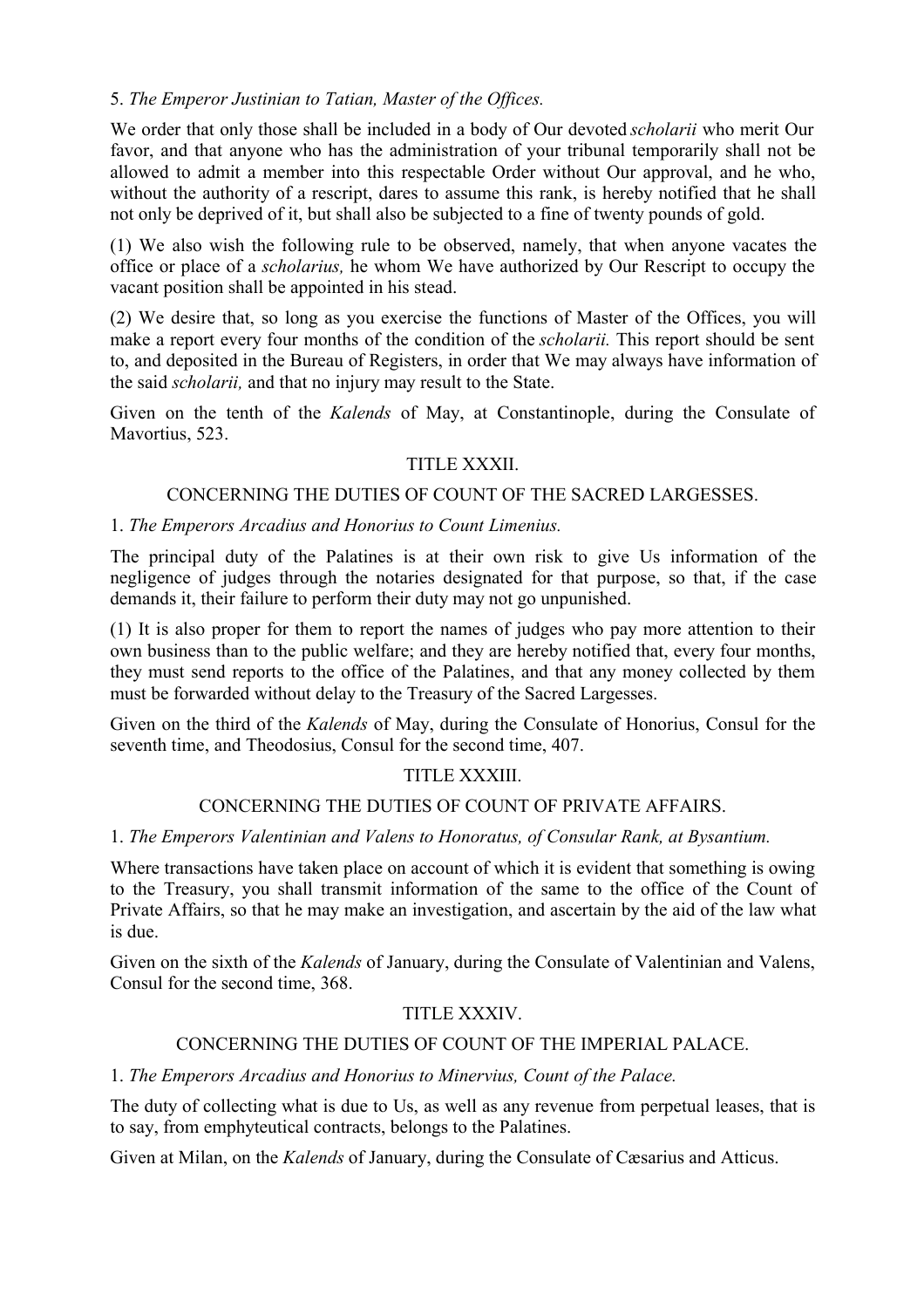# 5. *The Emperor Justinian to Tatian, Master of the Offices.*

We order that only those shall be included in a body of Our devoted *scholarii* who merit Our favor, and that anyone who has the administration of your tribunal temporarily shall not be allowed to admit a member into this respectable Order without Our approval, and he who, without the authority of a rescript, dares to assume this rank, is hereby notified that he shall not only be deprived of it, but shall also be subjected to a fine of twenty pounds of gold.

(1) We also wish the following rule to be observed, namely, that when anyone vacates the office or place of a *scholarius,* he whom We have authorized by Our Rescript to occupy the vacant position shall be appointed in his stead.

(2) We desire that, so long as you exercise the functions of Master of the Offices, you will make a report every four months of the condition of the *scholarii.* This report should be sent to, and deposited in the Bureau of Registers, in order that We may always have information of the said *scholarii,* and that no injury may result to the State.

Given on the tenth of the *Kalends* of May, at Constantinople, during the Consulate of Mavortius, 523.

### TITLE XXXII.

### CONCERNING THE DUTIES OF COUNT OF THE SACRED LARGESSES.

### 1. *The Emperors Arcadius and Honorius to Count Limenius.*

The principal duty of the Palatines is at their own risk to give Us information of the negligence of judges through the notaries designated for that purpose, so that, if the case demands it, their failure to perform their duty may not go unpunished.

(1) It is also proper for them to report the names of judges who pay more attention to their own business than to the public welfare; and they are hereby notified that, every four months, they must send reports to the office of the Palatines, and that any money collected by them must be forwarded without delay to the Treasury of the Sacred Largesses.

Given on the third of the *Kalends* of May, during the Consulate of Honorius, Consul for the seventh time, and Theodosius, Consul for the second time, 407.

### TITLE XXXIII.

### CONCERNING THE DUTIES OF COUNT OF PRIVATE AFFAIRS.

### 1. *The Emperors Valentinian and Valens to Honoratus, of Consular Rank, at Bysantium.*

Where transactions have taken place on account of which it is evident that something is owing to the Treasury, you shall transmit information of the same to the office of the Count of Private Affairs, so that he may make an investigation, and ascertain by the aid of the law what is due.

Given on the sixth of the *Kalends* of January, during the Consulate of Valentinian and Valens, Consul for the second time, 368.

### TITLE XXXIV.

### CONCERNING THE DUTIES OF COUNT OF THE IMPERIAL PALACE.

### 1. *The Emperors Arcadius and Honorius to Minervius, Count of the Palace.*

The duty of collecting what is due to Us, as well as any revenue from perpetual leases, that is to say, from emphyteutical contracts, belongs to the Palatines.

Given at Milan, on the *Kalends* of January, during the Consulate of Cæsarius and Atticus.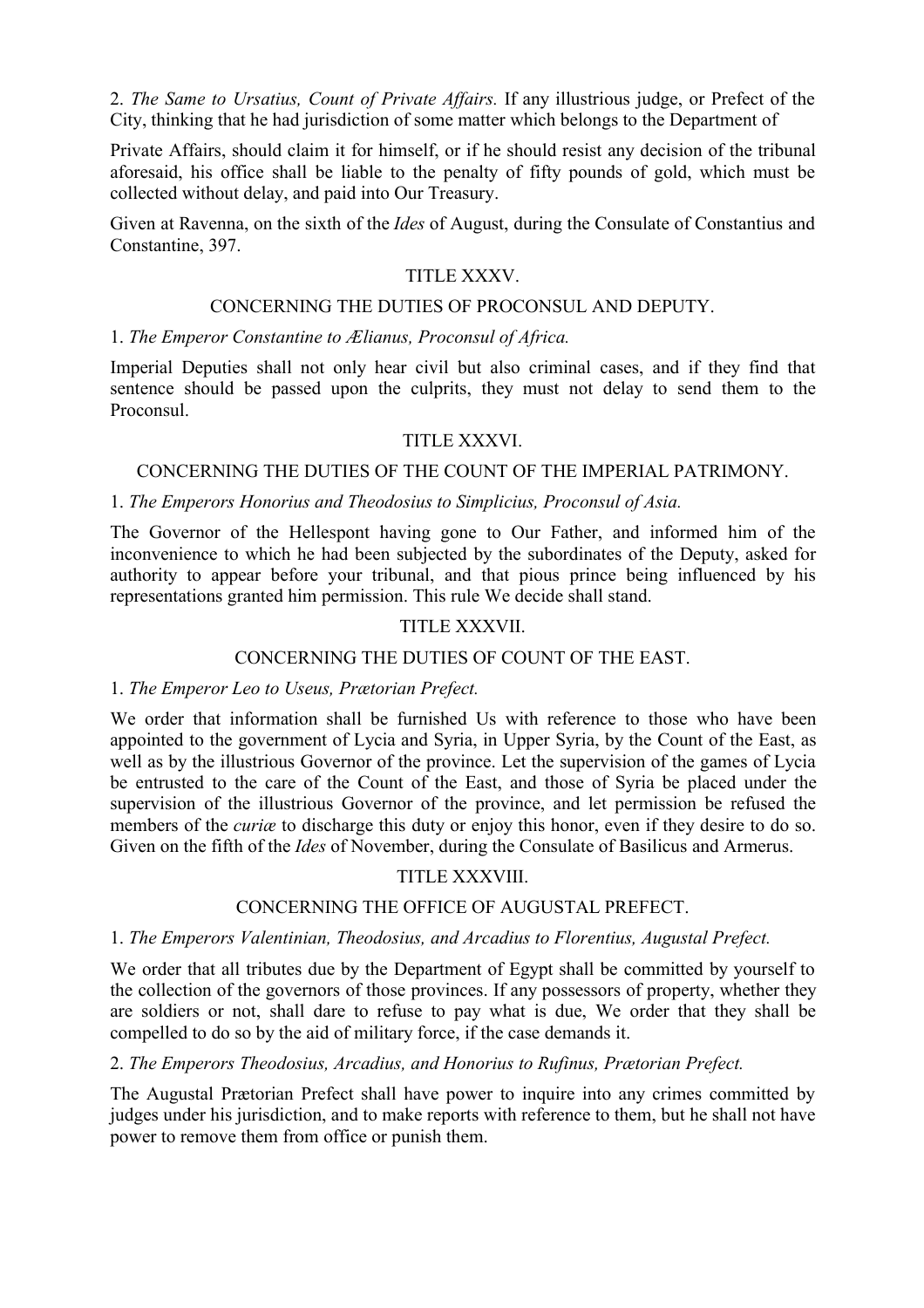2. *The Same to Ursatius, Count of Private Affairs.* If any illustrious judge, or Prefect of the City, thinking that he had jurisdiction of some matter which belongs to the Department of

Private Affairs, should claim it for himself, or if he should resist any decision of the tribunal aforesaid, his office shall be liable to the penalty of fifty pounds of gold, which must be collected without delay, and paid into Our Treasury.

Given at Ravenna, on the sixth of the *Ides* of August, during the Consulate of Constantius and Constantine, 397.

### TITLE XXXV.

#### CONCERNING THE DUTIES OF PROCONSUL AND DEPUTY.

#### 1. *The Emperor Constantine to Ælianus, Proconsul of Africa.*

Imperial Deputies shall not only hear civil but also criminal cases, and if they find that sentence should be passed upon the culprits, they must not delay to send them to the Proconsul.

### TITLE XXXVI.

### CONCERNING THE DUTIES OF THE COUNT OF THE IMPERIAL PATRIMONY.

### 1. *The Emperors Honorius and Theodosius to Simplicius, Proconsul of Asia.*

The Governor of the Hellespont having gone to Our Father, and informed him of the inconvenience to which he had been subjected by the subordinates of the Deputy, asked for authority to appear before your tribunal, and that pious prince being influenced by his representations granted him permission. This rule We decide shall stand.

### TITLE XXXVII.

### CONCERNING THE DUTIES OF COUNT OF THE EAST.

### 1. *The Emperor Leo to Useus, Prætorian Prefect.*

We order that information shall be furnished Us with reference to those who have been appointed to the government of Lycia and Syria, in Upper Syria, by the Count of the East, as well as by the illustrious Governor of the province. Let the supervision of the games of Lycia be entrusted to the care of the Count of the East, and those of Syria be placed under the supervision of the illustrious Governor of the province, and let permission be refused the members of the *curiæ* to discharge this duty or enjoy this honor, even if they desire to do so. Given on the fifth of the *Ides* of November, during the Consulate of Basilicus and Armerus.

### TITLE XXXVIII.

### CONCERNING THE OFFICE OF AUGUSTAL PREFECT.

### 1. *The Emperors Valentinian, Theodosius, and Arcadius to Florentius, Augustal Prefect.*

We order that all tributes due by the Department of Egypt shall be committed by yourself to the collection of the governors of those provinces. If any possessors of property, whether they are soldiers or not, shall dare to refuse to pay what is due, We order that they shall be compelled to do so by the aid of military force, if the case demands it.

### 2. *The Emperors Theodosius, Arcadius, and Honorius to Rufinus, Prætorian Prefect.*

The Augustal Prætorian Prefect shall have power to inquire into any crimes committed by judges under his jurisdiction, and to make reports with reference to them, but he shall not have power to remove them from office or punish them.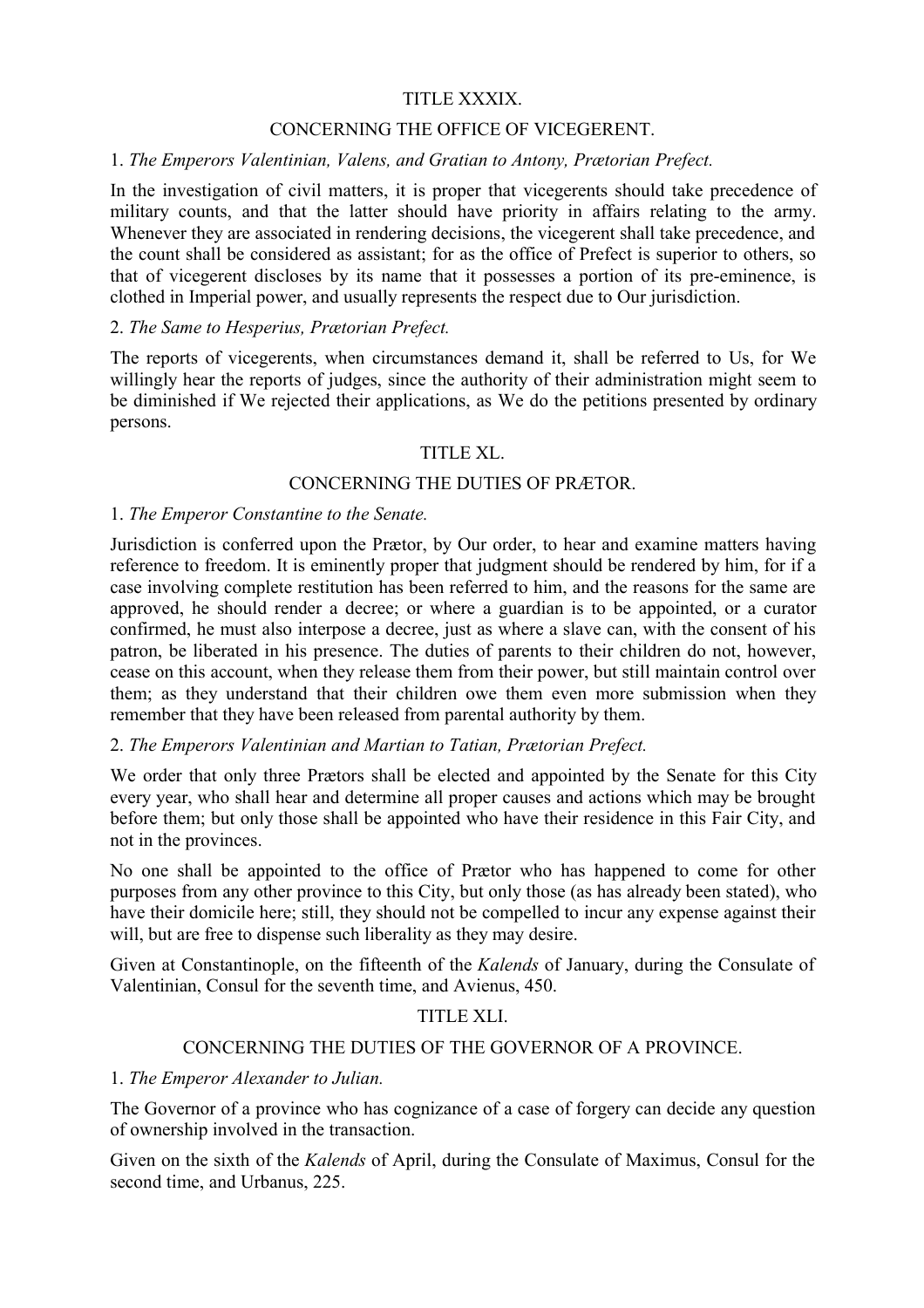### TITLE XXXIX.

#### CONCERNING THE OFFICE OF VICEGERENT.

#### 1. *The Emperors Valentinian, Valens, and Gratian to Antony, Prætorian Prefect.*

In the investigation of civil matters, it is proper that vicegerents should take precedence of military counts, and that the latter should have priority in affairs relating to the army. Whenever they are associated in rendering decisions, the vicegerent shall take precedence, and the count shall be considered as assistant; for as the office of Prefect is superior to others, so that of vicegerent discloses by its name that it possesses a portion of its pre-eminence, is clothed in Imperial power, and usually represents the respect due to Our jurisdiction.

#### 2. *The Same to Hesperius, Prætorian Prefect.*

The reports of vicegerents, when circumstances demand it, shall be referred to Us, for We willingly hear the reports of judges, since the authority of their administration might seem to be diminished if We rejected their applications, as We do the petitions presented by ordinary persons.

### TITLE XL.

#### CONCERNING THE DUTIES OF PRÆTOR.

#### 1. *The Emperor Constantine to the Senate.*

Jurisdiction is conferred upon the Prætor, by Our order, to hear and examine matters having reference to freedom. It is eminently proper that judgment should be rendered by him, for if a case involving complete restitution has been referred to him, and the reasons for the same are approved, he should render a decree; or where a guardian is to be appointed, or a curator confirmed, he must also interpose a decree, just as where a slave can, with the consent of his patron, be liberated in his presence. The duties of parents to their children do not, however, cease on this account, when they release them from their power, but still maintain control over them; as they understand that their children owe them even more submission when they remember that they have been released from parental authority by them.

### 2. *The Emperors Valentinian and Martian to Tatian, Prætorian Prefect.*

We order that only three Prætors shall be elected and appointed by the Senate for this City every year, who shall hear and determine all proper causes and actions which may be brought before them; but only those shall be appointed who have their residence in this Fair City, and not in the provinces.

No one shall be appointed to the office of Prætor who has happened to come for other purposes from any other province to this City, but only those (as has already been stated), who have their domicile here; still, they should not be compelled to incur any expense against their will, but are free to dispense such liberality as they may desire.

Given at Constantinople, on the fifteenth of the *Kalends* of January, during the Consulate of Valentinian, Consul for the seventh time, and Avienus, 450.

### TITLE XLI.

### CONCERNING THE DUTIES OF THE GOVERNOR OF A PROVINCE.

### 1. *The Emperor Alexander to Julian.*

The Governor of a province who has cognizance of a case of forgery can decide any question of ownership involved in the transaction.

Given on the sixth of the *Kalends* of April, during the Consulate of Maximus, Consul for the second time, and Urbanus, 225.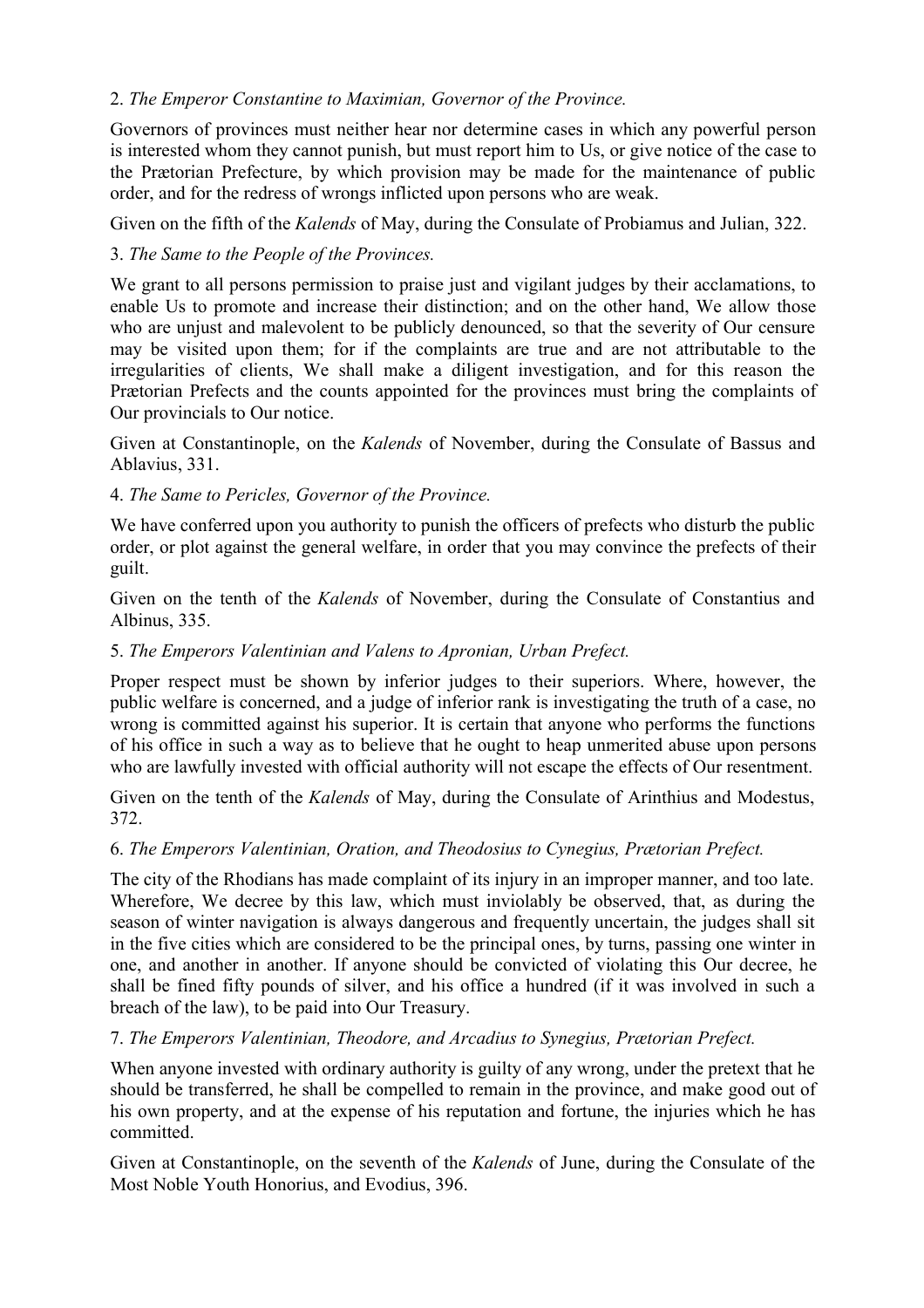# 2. *The Emperor Constantine to Maximian, Governor of the Province.*

Governors of provinces must neither hear nor determine cases in which any powerful person is interested whom they cannot punish, but must report him to Us, or give notice of the case to the Prætorian Prefecture, by which provision may be made for the maintenance of public order, and for the redress of wrongs inflicted upon persons who are weak.

Given on the fifth of the *Kalends* of May, during the Consulate of Probiamus and Julian, 322.

# 3. *The Same to the People of the Provinces.*

We grant to all persons permission to praise just and vigilant judges by their acclamations, to enable Us to promote and increase their distinction; and on the other hand, We allow those who are unjust and malevolent to be publicly denounced, so that the severity of Our censure may be visited upon them; for if the complaints are true and are not attributable to the irregularities of clients, We shall make a diligent investigation, and for this reason the Prætorian Prefects and the counts appointed for the provinces must bring the complaints of Our provincials to Our notice.

Given at Constantinople, on the *Kalends* of November, during the Consulate of Bassus and Ablavius, 331.

### 4. *The Same to Pericles, Governor of the Province.*

We have conferred upon you authority to punish the officers of prefects who disturb the public order, or plot against the general welfare, in order that you may convince the prefects of their guilt.

Given on the tenth of the *Kalends* of November, during the Consulate of Constantius and Albinus, 335.

# 5. *The Emperors Valentinian and Valens to Apronian, Urban Prefect.*

Proper respect must be shown by inferior judges to their superiors. Where, however, the public welfare is concerned, and a judge of inferior rank is investigating the truth of a case, no wrong is committed against his superior. It is certain that anyone who performs the functions of his office in such a way as to believe that he ought to heap unmerited abuse upon persons who are lawfully invested with official authority will not escape the effects of Our resentment.

Given on the tenth of the *Kalends* of May, during the Consulate of Arinthius and Modestus, 372.

# 6. *The Emperors Valentinian, Oration, and Theodosius to Cynegius, Prætorian Prefect.*

The city of the Rhodians has made complaint of its injury in an improper manner, and too late. Wherefore, We decree by this law, which must inviolably be observed, that, as during the season of winter navigation is always dangerous and frequently uncertain, the judges shall sit in the five cities which are considered to be the principal ones, by turns, passing one winter in one, and another in another. If anyone should be convicted of violating this Our decree, he shall be fined fifty pounds of silver, and his office a hundred (if it was involved in such a breach of the law), to be paid into Our Treasury.

### 7. *The Emperors Valentinian, Theodore, and Arcadius to Synegius, Prætorian Prefect.*

When anyone invested with ordinary authority is guilty of any wrong, under the pretext that he should be transferred, he shall be compelled to remain in the province, and make good out of his own property, and at the expense of his reputation and fortune, the injuries which he has committed.

Given at Constantinople, on the seventh of the *Kalends* of June, during the Consulate of the Most Noble Youth Honorius, and Evodius, 396.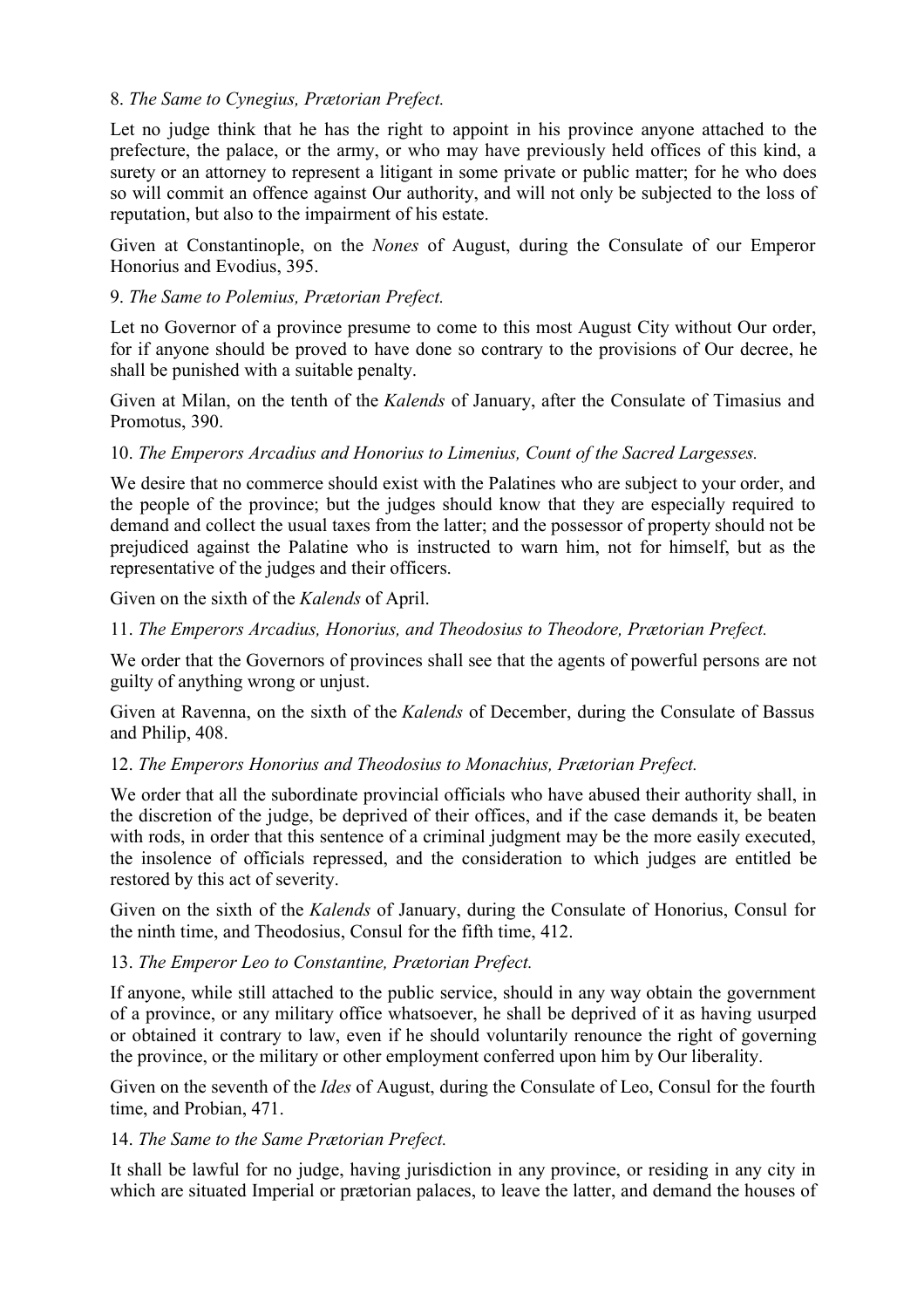### 8. *The Same to Cynegius, Prætorian Prefect.*

Let no judge think that he has the right to appoint in his province anyone attached to the prefecture, the palace, or the army, or who may have previously held offices of this kind, a surety or an attorney to represent a litigant in some private or public matter; for he who does so will commit an offence against Our authority, and will not only be subjected to the loss of reputation, but also to the impairment of his estate.

Given at Constantinople, on the *Nones* of August, during the Consulate of our Emperor Honorius and Evodius, 395.

# 9. *The Same to Polemius, Prætorian Prefect.*

Let no Governor of a province presume to come to this most August City without Our order, for if anyone should be proved to have done so contrary to the provisions of Our decree, he shall be punished with a suitable penalty.

Given at Milan, on the tenth of the *Kalends* of January, after the Consulate of Timasius and Promotus, 390.

### 10. *The Emperors Arcadius and Honorius to Limenius, Count of the Sacred Largesses.*

We desire that no commerce should exist with the Palatines who are subject to your order, and the people of the province; but the judges should know that they are especially required to demand and collect the usual taxes from the latter; and the possessor of property should not be prejudiced against the Palatine who is instructed to warn him, not for himself, but as the representative of the judges and their officers.

Given on the sixth of the *Kalends* of April.

11. *The Emperors Arcadius, Honorius, and Theodosius to Theodore, Prætorian Prefect.*

We order that the Governors of provinces shall see that the agents of powerful persons are not guilty of anything wrong or unjust.

Given at Ravenna, on the sixth of the *Kalends* of December, during the Consulate of Bassus and Philip, 408.

# 12. *The Emperors Honorius and Theodosius to Monachius, Prætorian Prefect.*

We order that all the subordinate provincial officials who have abused their authority shall, in the discretion of the judge, be deprived of their offices, and if the case demands it, be beaten with rods, in order that this sentence of a criminal judgment may be the more easily executed, the insolence of officials repressed, and the consideration to which judges are entitled be restored by this act of severity.

Given on the sixth of the *Kalends* of January, during the Consulate of Honorius, Consul for the ninth time, and Theodosius, Consul for the fifth time, 412.

### 13. *The Emperor Leo to Constantine, Prætorian Prefect.*

If anyone, while still attached to the public service, should in any way obtain the government of a province, or any military office whatsoever, he shall be deprived of it as having usurped or obtained it contrary to law, even if he should voluntarily renounce the right of governing the province, or the military or other employment conferred upon him by Our liberality.

Given on the seventh of the *Ides* of August, during the Consulate of Leo, Consul for the fourth time, and Probian, 471.

### 14. *The Same to the Same Prætorian Prefect.*

It shall be lawful for no judge, having jurisdiction in any province, or residing in any city in which are situated Imperial or prætorian palaces, to leave the latter, and demand the houses of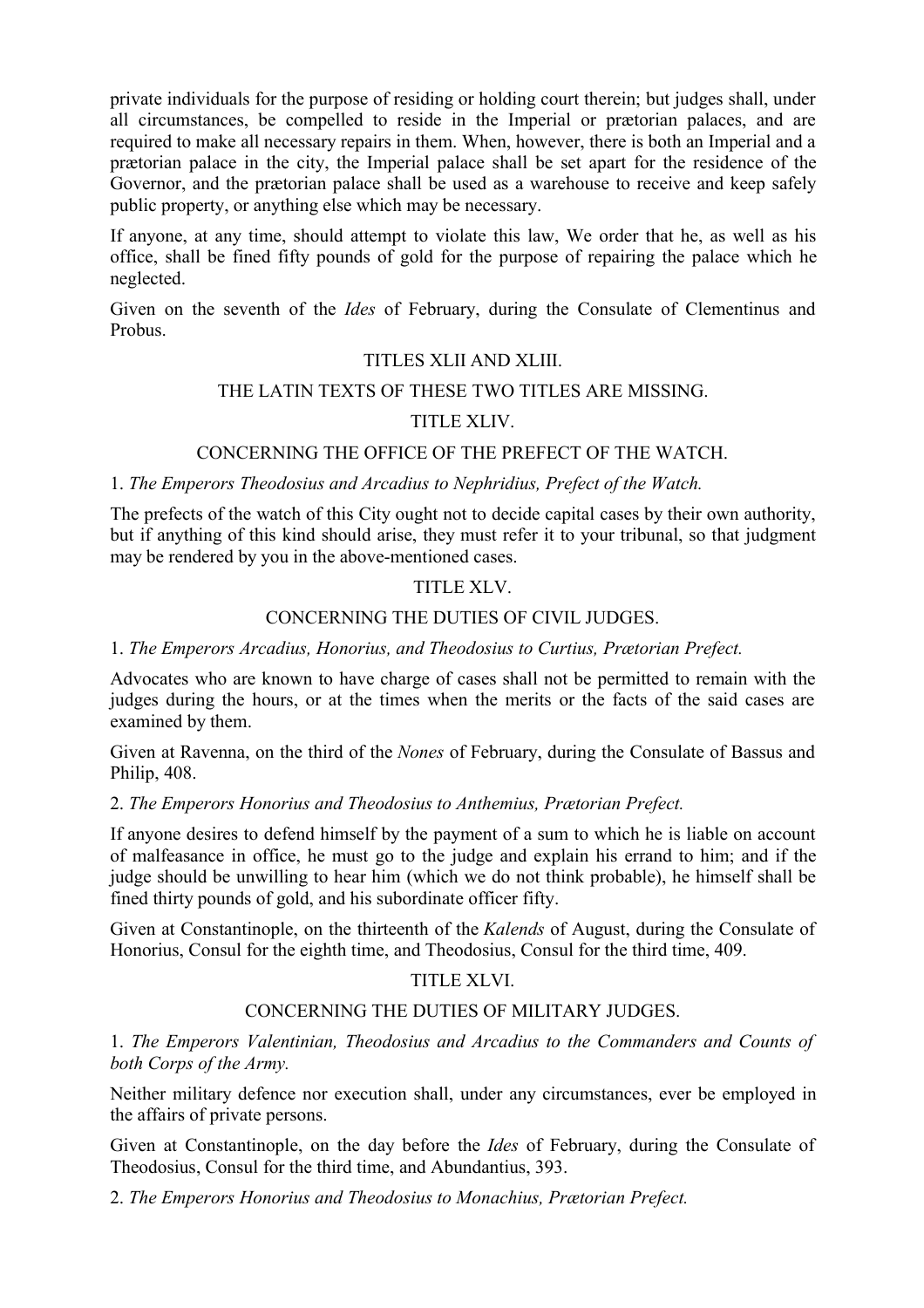private individuals for the purpose of residing or holding court therein; but judges shall, under all circumstances, be compelled to reside in the Imperial or prætorian palaces, and are required to make all necessary repairs in them. When, however, there is both an Imperial and a prætorian palace in the city, the Imperial palace shall be set apart for the residence of the Governor, and the prætorian palace shall be used as a warehouse to receive and keep safely public property, or anything else which may be necessary.

If anyone, at any time, should attempt to violate this law, We order that he, as well as his office, shall be fined fifty pounds of gold for the purpose of repairing the palace which he neglected.

Given on the seventh of the *Ides* of February, during the Consulate of Clementinus and Probus.

### TITLES XLII AND XLIII.

### THE LATIN TEXTS OF THESE TWO TITLES ARE MISSING.

### TITLE XLIV.

### CONCERNING THE OFFICE OF THE PREFECT OF THE WATCH.

#### 1. *The Emperors Theodosius and Arcadius to Nephridius, Prefect of the Watch.*

The prefects of the watch of this City ought not to decide capital cases by their own authority, but if anything of this kind should arise, they must refer it to your tribunal, so that judgment may be rendered by you in the above-mentioned cases.

### TITLE XLV.

### CONCERNING THE DUTIES OF CIVIL JUDGES.

#### 1. *The Emperors Arcadius, Honorius, and Theodosius to Curtius, Prætorian Prefect.*

Advocates who are known to have charge of cases shall not be permitted to remain with the judges during the hours, or at the times when the merits or the facts of the said cases are examined by them.

Given at Ravenna, on the third of the *Nones* of February, during the Consulate of Bassus and Philip, 408.

#### 2. *The Emperors Honorius and Theodosius to Anthemius, Prætorian Prefect.*

If anyone desires to defend himself by the payment of a sum to which he is liable on account of malfeasance in office, he must go to the judge and explain his errand to him; and if the judge should be unwilling to hear him (which we do not think probable), he himself shall be fined thirty pounds of gold, and his subordinate officer fifty.

Given at Constantinople, on the thirteenth of the *Kalends* of August, during the Consulate of Honorius, Consul for the eighth time, and Theodosius, Consul for the third time, 409.

### TITLE XLVI.

# CONCERNING THE DUTIES OF MILITARY JUDGES.

1. *The Emperors Valentinian, Theodosius and Arcadius to the Commanders and Counts of both Corps of the Army.*

Neither military defence nor execution shall, under any circumstances, ever be employed in the affairs of private persons.

Given at Constantinople, on the day before the *Ides* of February, during the Consulate of Theodosius, Consul for the third time, and Abundantius, 393.

2. *The Emperors Honorius and Theodosius to Monachius, Prætorian Prefect.*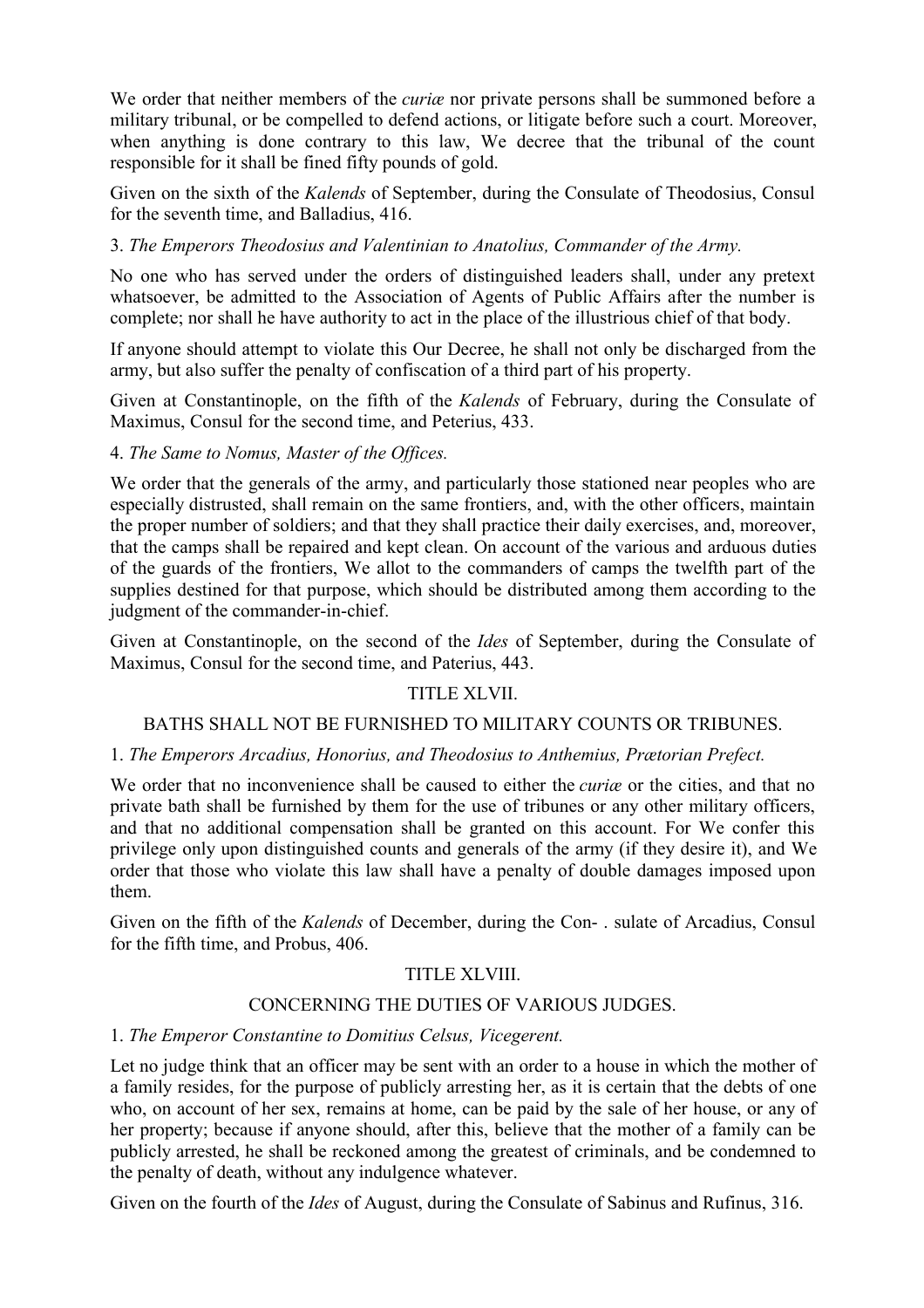We order that neither members of the *curiæ* nor private persons shall be summoned before a military tribunal, or be compelled to defend actions, or litigate before such a court. Moreover, when anything is done contrary to this law, We decree that the tribunal of the count responsible for it shall be fined fifty pounds of gold.

Given on the sixth of the *Kalends* of September, during the Consulate of Theodosius, Consul for the seventh time, and Balladius, 416.

# 3. *The Emperors Theodosius and Valentinian to Anatolius, Commander of the Army.*

No one who has served under the orders of distinguished leaders shall, under any pretext whatsoever, be admitted to the Association of Agents of Public Affairs after the number is complete; nor shall he have authority to act in the place of the illustrious chief of that body.

If anyone should attempt to violate this Our Decree, he shall not only be discharged from the army, but also suffer the penalty of confiscation of a third part of his property.

Given at Constantinople, on the fifth of the *Kalends* of February, during the Consulate of Maximus, Consul for the second time, and Peterius, 433.

# 4. *The Same to Nomus, Master of the Offices.*

We order that the generals of the army, and particularly those stationed near peoples who are especially distrusted, shall remain on the same frontiers, and, with the other officers, maintain the proper number of soldiers; and that they shall practice their daily exercises, and, moreover, that the camps shall be repaired and kept clean. On account of the various and arduous duties of the guards of the frontiers, We allot to the commanders of camps the twelfth part of the supplies destined for that purpose, which should be distributed among them according to the judgment of the commander-in-chief.

Given at Constantinople, on the second of the *Ides* of September, during the Consulate of Maximus, Consul for the second time, and Paterius, 443.

# TITLE XLVII.

# BATHS SHALL NOT BE FURNISHED TO MILITARY COUNTS OR TRIBUNES.

### 1. *The Emperors Arcadius, Honorius, and Theodosius to Anthemius, Prætorian Prefect.*

We order that no inconvenience shall be caused to either the *curiæ* or the cities, and that no private bath shall be furnished by them for the use of tribunes or any other military officers, and that no additional compensation shall be granted on this account. For We confer this privilege only upon distinguished counts and generals of the army (if they desire it), and We order that those who violate this law shall have a penalty of double damages imposed upon them.

Given on the fifth of the *Kalends* of December, during the Con- . sulate of Arcadius, Consul for the fifth time, and Probus, 406.

### TITLE XLVIII.

# CONCERNING THE DUTIES OF VARIOUS JUDGES.

### 1. *The Emperor Constantine to Domitius Celsus, Vicegerent.*

Let no judge think that an officer may be sent with an order to a house in which the mother of a family resides, for the purpose of publicly arresting her, as it is certain that the debts of one who, on account of her sex, remains at home, can be paid by the sale of her house, or any of her property; because if anyone should, after this, believe that the mother of a family can be publicly arrested, he shall be reckoned among the greatest of criminals, and be condemned to the penalty of death, without any indulgence whatever.

Given on the fourth of the *Ides* of August, during the Consulate of Sabinus and Rufinus, 316.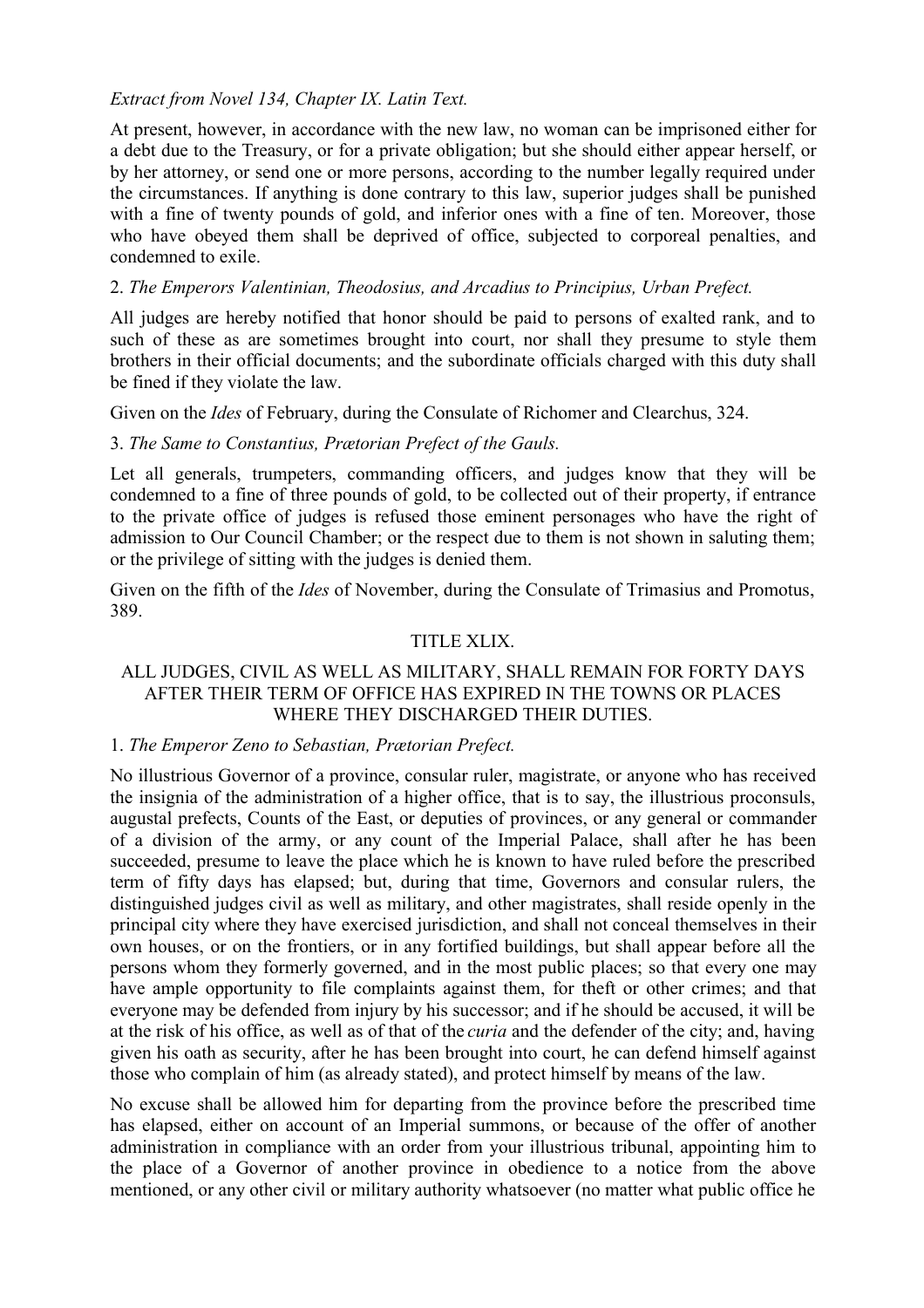# *Extract from Novel 134, Chapter IX. Latin Text.*

At present, however, in accordance with the new law, no woman can be imprisoned either for a debt due to the Treasury, or for a private obligation; but she should either appear herself, or by her attorney, or send one or more persons, according to the number legally required under the circumstances. If anything is done contrary to this law, superior judges shall be punished with a fine of twenty pounds of gold, and inferior ones with a fine of ten. Moreover, those who have obeyed them shall be deprived of office, subjected to corporeal penalties, and condemned to exile.

### 2. *The Emperors Valentinian, Theodosius, and Arcadius to Principius, Urban Prefect.*

All judges are hereby notified that honor should be paid to persons of exalted rank, and to such of these as are sometimes brought into court, nor shall they presume to style them brothers in their official documents; and the subordinate officials charged with this duty shall be fined if they violate the law.

Given on the *Ides* of February, during the Consulate of Richomer and Clearchus, 324.

### 3. *The Same to Constantius, Prætorian Prefect of the Gauls.*

Let all generals, trumpeters, commanding officers, and judges know that they will be condemned to a fine of three pounds of gold, to be collected out of their property, if entrance to the private office of judges is refused those eminent personages who have the right of admission to Our Council Chamber; or the respect due to them is not shown in saluting them; or the privilege of sitting with the judges is denied them.

Given on the fifth of the *Ides* of November, during the Consulate of Trimasius and Promotus, 389.

### TITLE XLIX.

### ALL JUDGES, CIVIL AS WELL AS MILITARY, SHALL REMAIN FOR FORTY DAYS AFTER THEIR TERM OF OFFICE HAS EXPIRED IN THE TOWNS OR PLACES WHERE THEY DISCHARGED THEIR DUTIES.

### 1. *The Emperor Zeno to Sebastian, Prætorian Prefect.*

No illustrious Governor of a province, consular ruler, magistrate, or anyone who has received the insignia of the administration of a higher office, that is to say, the illustrious proconsuls, augustal prefects, Counts of the East, or deputies of provinces, or any general or commander of a division of the army, or any count of the Imperial Palace, shall after he has been succeeded, presume to leave the place which he is known to have ruled before the prescribed term of fifty days has elapsed; but, during that time, Governors and consular rulers, the distinguished judges civil as well as military, and other magistrates, shall reside openly in the principal city where they have exercised jurisdiction, and shall not conceal themselves in their own houses, or on the frontiers, or in any fortified buildings, but shall appear before all the persons whom they formerly governed, and in the most public places; so that every one may have ample opportunity to file complaints against them, for theft or other crimes; and that everyone may be defended from injury by his successor; and if he should be accused, it will be at the risk of his office, as well as of that of the *curia* and the defender of the city; and, having given his oath as security, after he has been brought into court, he can defend himself against those who complain of him (as already stated), and protect himself by means of the law.

No excuse shall be allowed him for departing from the province before the prescribed time has elapsed, either on account of an Imperial summons, or because of the offer of another administration in compliance with an order from your illustrious tribunal, appointing him to the place of a Governor of another province in obedience to a notice from the above mentioned, or any other civil or military authority whatsoever (no matter what public office he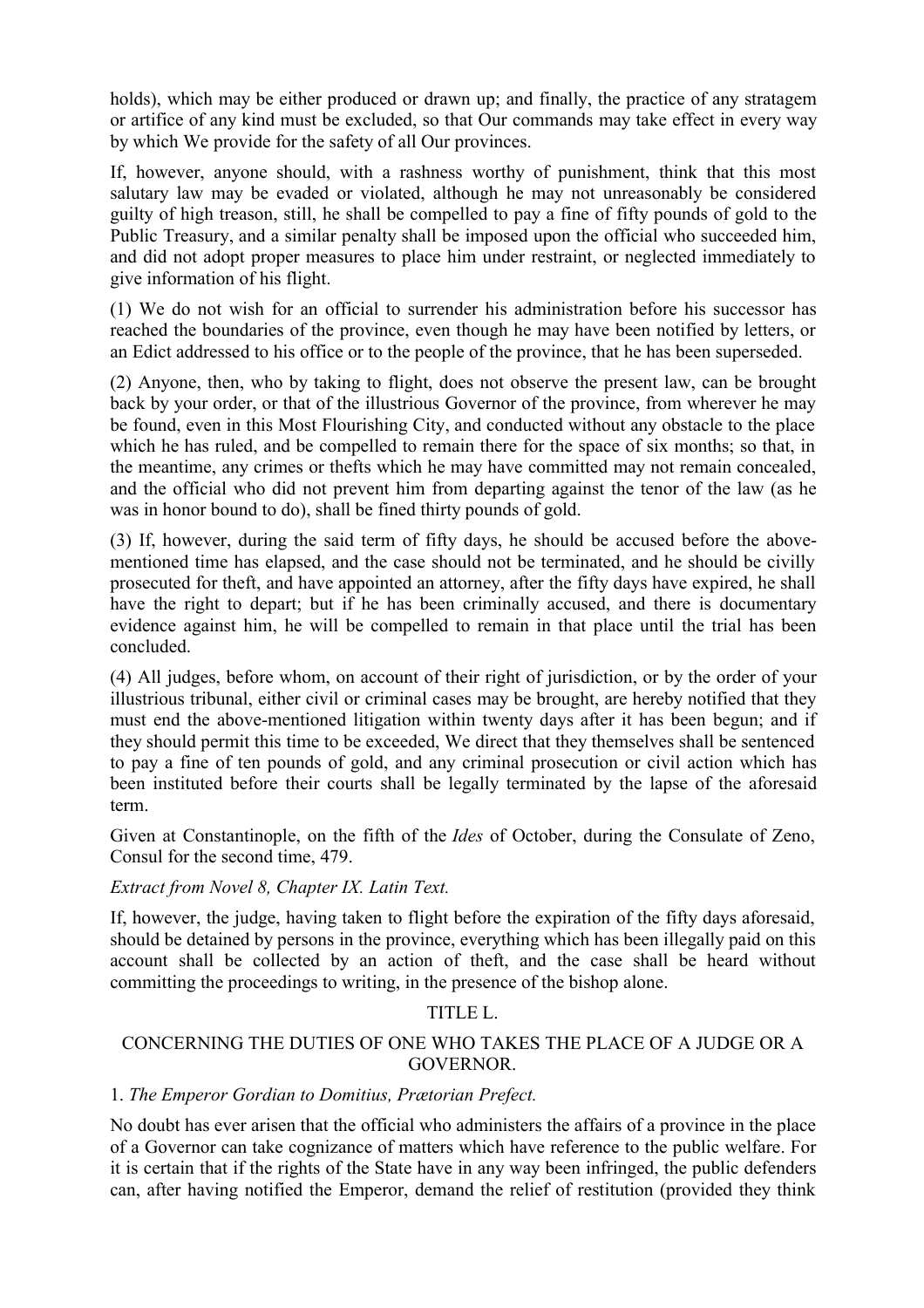holds), which may be either produced or drawn up; and finally, the practice of any stratagem or artifice of any kind must be excluded, so that Our commands may take effect in every way by which We provide for the safety of all Our provinces.

If, however, anyone should, with a rashness worthy of punishment, think that this most salutary law may be evaded or violated, although he may not unreasonably be considered guilty of high treason, still, he shall be compelled to pay a fine of fifty pounds of gold to the Public Treasury, and a similar penalty shall be imposed upon the official who succeeded him, and did not adopt proper measures to place him under restraint, or neglected immediately to give information of his flight.

(1) We do not wish for an official to surrender his administration before his successor has reached the boundaries of the province, even though he may have been notified by letters, or an Edict addressed to his office or to the people of the province, that he has been superseded.

(2) Anyone, then, who by taking to flight, does not observe the present law, can be brought back by your order, or that of the illustrious Governor of the province, from wherever he may be found, even in this Most Flourishing City, and conducted without any obstacle to the place which he has ruled, and be compelled to remain there for the space of six months; so that, in the meantime, any crimes or thefts which he may have committed may not remain concealed, and the official who did not prevent him from departing against the tenor of the law (as he was in honor bound to do), shall be fined thirty pounds of gold.

(3) If, however, during the said term of fifty days, he should be accused before the abovementioned time has elapsed, and the case should not be terminated, and he should be civilly prosecuted for theft, and have appointed an attorney, after the fifty days have expired, he shall have the right to depart; but if he has been criminally accused, and there is documentary evidence against him, he will be compelled to remain in that place until the trial has been concluded.

(4) All judges, before whom, on account of their right of jurisdiction, or by the order of your illustrious tribunal, either civil or criminal cases may be brought, are hereby notified that they must end the above-mentioned litigation within twenty days after it has been begun; and if they should permit this time to be exceeded, We direct that they themselves shall be sentenced to pay a fine of ten pounds of gold, and any criminal prosecution or civil action which has been instituted before their courts shall be legally terminated by the lapse of the aforesaid term.

Given at Constantinople, on the fifth of the *Ides* of October, during the Consulate of Zeno, Consul for the second time, 479.

# *Extract from Novel 8, Chapter IX. Latin Text.*

If, however, the judge, having taken to flight before the expiration of the fifty days aforesaid, should be detained by persons in the province, everything which has been illegally paid on this account shall be collected by an action of theft, and the case shall be heard without committing the proceedings to writing, in the presence of the bishop alone.

# TITLE L.

# CONCERNING THE DUTIES OF ONE WHO TAKES THE PLACE OF A JUDGE OR A GOVERNOR.

### 1. *The Emperor Gordian to Domitius, Prætorian Prefect.*

No doubt has ever arisen that the official who administers the affairs of a province in the place of a Governor can take cognizance of matters which have reference to the public welfare. For it is certain that if the rights of the State have in any way been infringed, the public defenders can, after having notified the Emperor, demand the relief of restitution (provided they think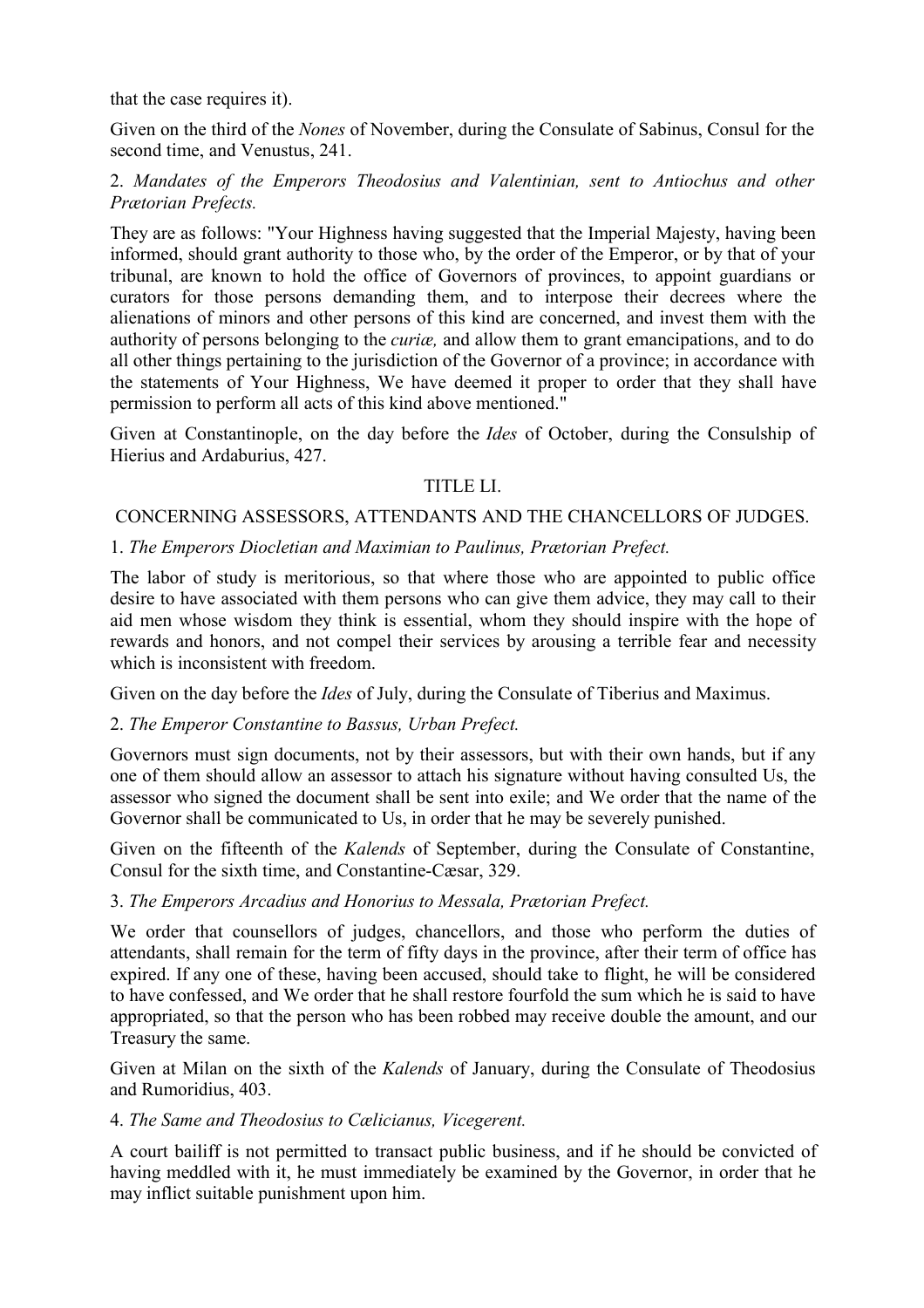that the case requires it).

Given on the third of the *Nones* of November, during the Consulate of Sabinus, Consul for the second time, and Venustus, 241.

# 2. *Mandates of the Emperors Theodosius and Valentinian, sent to Antiochus and other Prætorian Prefects.*

They are as follows: "Your Highness having suggested that the Imperial Majesty, having been informed, should grant authority to those who, by the order of the Emperor, or by that of your tribunal, are known to hold the office of Governors of provinces, to appoint guardians or curators for those persons demanding them, and to interpose their decrees where the alienations of minors and other persons of this kind are concerned, and invest them with the authority of persons belonging to the *curiæ,* and allow them to grant emancipations, and to do all other things pertaining to the jurisdiction of the Governor of a province; in accordance with the statements of Your Highness, We have deemed it proper to order that they shall have permission to perform all acts of this kind above mentioned."

Given at Constantinople, on the day before the *Ides* of October, during the Consulship of Hierius and Ardaburius, 427.

# TITLE LI.

### CONCERNING ASSESSORS, ATTENDANTS AND THE CHANCELLORS OF JUDGES.

# 1. *The Emperors Diocletian and Maximian to Paulinus, Prætorian Prefect.*

The labor of study is meritorious, so that where those who are appointed to public office desire to have associated with them persons who can give them advice, they may call to their aid men whose wisdom they think is essential, whom they should inspire with the hope of rewards and honors, and not compel their services by arousing a terrible fear and necessity which is inconsistent with freedom.

Given on the day before the *Ides* of July, during the Consulate of Tiberius and Maximus.

# 2. *The Emperor Constantine to Bassus, Urban Prefect.*

Governors must sign documents, not by their assessors, but with their own hands, but if any one of them should allow an assessor to attach his signature without having consulted Us, the assessor who signed the document shall be sent into exile; and We order that the name of the Governor shall be communicated to Us, in order that he may be severely punished.

Given on the fifteenth of the *Kalends* of September, during the Consulate of Constantine, Consul for the sixth time, and Constantine-Cæsar, 329.

### 3. *The Emperors Arcadius and Honorius to Messala, Prætorian Prefect.*

We order that counsellors of judges, chancellors, and those who perform the duties of attendants, shall remain for the term of fifty days in the province, after their term of office has expired. If any one of these, having been accused, should take to flight, he will be considered to have confessed, and We order that he shall restore fourfold the sum which he is said to have appropriated, so that the person who has been robbed may receive double the amount, and our Treasury the same.

Given at Milan on the sixth of the *Kalends* of January, during the Consulate of Theodosius and Rumoridius, 403.

### 4. *The Same and Theodosius to Cælicianus, Vicegerent.*

A court bailiff is not permitted to transact public business, and if he should be convicted of having meddled with it, he must immediately be examined by the Governor, in order that he may inflict suitable punishment upon him.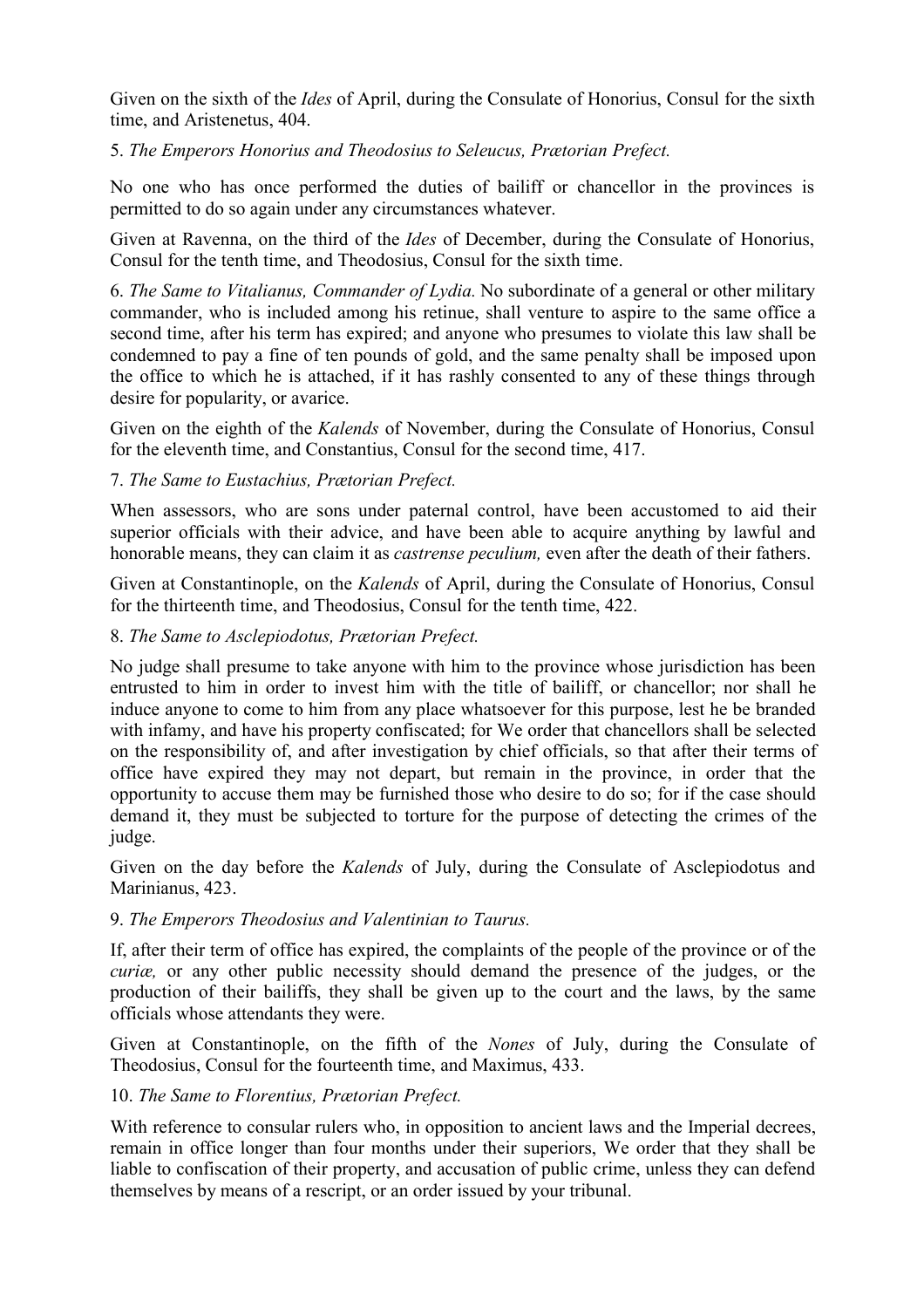Given on the sixth of the *Ides* of April, during the Consulate of Honorius, Consul for the sixth time, and Aristenetus, 404.

### 5. *The Emperors Honorius and Theodosius to Seleucus, Prætorian Prefect.*

No one who has once performed the duties of bailiff or chancellor in the provinces is permitted to do so again under any circumstances whatever.

Given at Ravenna, on the third of the *Ides* of December, during the Consulate of Honorius, Consul for the tenth time, and Theodosius, Consul for the sixth time.

6. *The Same to Vitalianus, Commander of Lydia.* No subordinate of a general or other military commander, who is included among his retinue, shall venture to aspire to the same office a second time, after his term has expired; and anyone who presumes to violate this law shall be condemned to pay a fine of ten pounds of gold, and the same penalty shall be imposed upon the office to which he is attached, if it has rashly consented to any of these things through desire for popularity, or avarice.

Given on the eighth of the *Kalends* of November, during the Consulate of Honorius, Consul for the eleventh time, and Constantius, Consul for the second time, 417.

### 7. *The Same to Eustachius, Prætorian Prefect.*

When assessors, who are sons under paternal control, have been accustomed to aid their superior officials with their advice, and have been able to acquire anything by lawful and honorable means, they can claim it as *castrense peculium,* even after the death of their fathers.

Given at Constantinople, on the *Kalends* of April, during the Consulate of Honorius, Consul for the thirteenth time, and Theodosius, Consul for the tenth time, 422.

### 8. *The Same to Asclepiodotus, Prætorian Prefect.*

No judge shall presume to take anyone with him to the province whose jurisdiction has been entrusted to him in order to invest him with the title of bailiff, or chancellor; nor shall he induce anyone to come to him from any place whatsoever for this purpose, lest he be branded with infamy, and have his property confiscated; for We order that chancellors shall be selected on the responsibility of, and after investigation by chief officials, so that after their terms of office have expired they may not depart, but remain in the province, in order that the opportunity to accuse them may be furnished those who desire to do so; for if the case should demand it, they must be subjected to torture for the purpose of detecting the crimes of the judge.

Given on the day before the *Kalends* of July, during the Consulate of Asclepiodotus and Marinianus, 423.

### 9. *The Emperors Theodosius and Valentinian to Taurus.*

If, after their term of office has expired, the complaints of the people of the province or of the *curiæ,* or any other public necessity should demand the presence of the judges, or the production of their bailiffs, they shall be given up to the court and the laws, by the same officials whose attendants they were.

Given at Constantinople, on the fifth of the *Nones* of July, during the Consulate of Theodosius, Consul for the fourteenth time, and Maximus, 433.

### 10. *The Same to Florentius, Prætorian Prefect.*

With reference to consular rulers who, in opposition to ancient laws and the Imperial decrees, remain in office longer than four months under their superiors, We order that they shall be liable to confiscation of their property, and accusation of public crime, unless they can defend themselves by means of a rescript, or an order issued by your tribunal.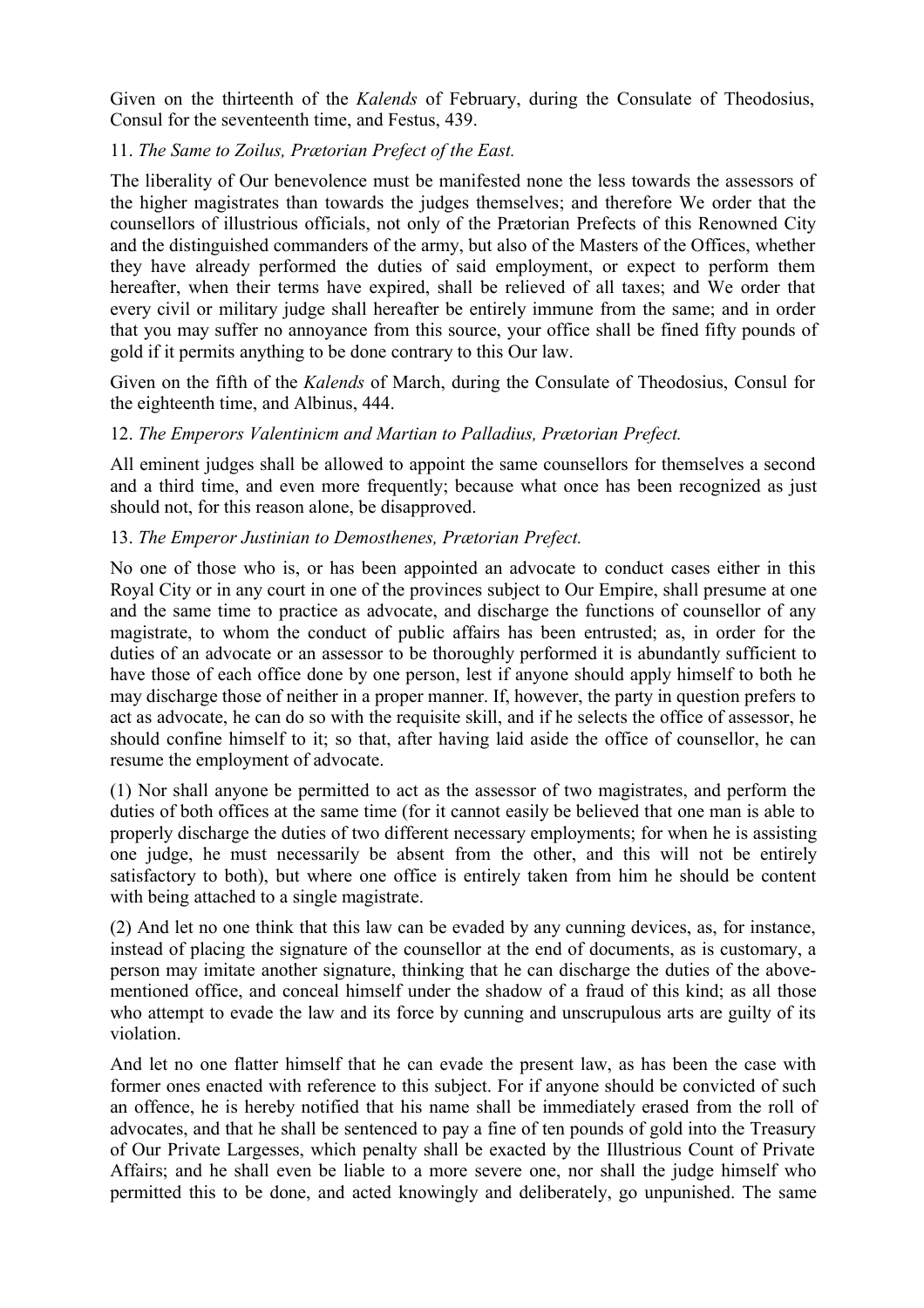Given on the thirteenth of the *Kalends* of February, during the Consulate of Theodosius, Consul for the seventeenth time, and Festus, 439.

# 11. *The Same to Zoilus, Prætorian Prefect of the East.*

The liberality of Our benevolence must be manifested none the less towards the assessors of the higher magistrates than towards the judges themselves; and therefore We order that the counsellors of illustrious officials, not only of the Prætorian Prefects of this Renowned City and the distinguished commanders of the army, but also of the Masters of the Offices, whether they have already performed the duties of said employment, or expect to perform them hereafter, when their terms have expired, shall be relieved of all taxes; and We order that every civil or military judge shall hereafter be entirely immune from the same; and in order that you may suffer no annoyance from this source, your office shall be fined fifty pounds of gold if it permits anything to be done contrary to this Our law.

Given on the fifth of the *Kalends* of March, during the Consulate of Theodosius, Consul for the eighteenth time, and Albinus, 444.

### 12. *The Emperors Valentinicm and Martian to Palladius, Prætorian Prefect.*

All eminent judges shall be allowed to appoint the same counsellors for themselves a second and a third time, and even more frequently; because what once has been recognized as just should not, for this reason alone, be disapproved.

### 13. *The Emperor Justinian to Demosthenes, Prætorian Prefect.*

No one of those who is, or has been appointed an advocate to conduct cases either in this Royal City or in any court in one of the provinces subject to Our Empire, shall presume at one and the same time to practice as advocate, and discharge the functions of counsellor of any magistrate, to whom the conduct of public affairs has been entrusted; as, in order for the duties of an advocate or an assessor to be thoroughly performed it is abundantly sufficient to have those of each office done by one person, lest if anyone should apply himself to both he may discharge those of neither in a proper manner. If, however, the party in question prefers to act as advocate, he can do so with the requisite skill, and if he selects the office of assessor, he should confine himself to it; so that, after having laid aside the office of counsellor, he can resume the employment of advocate.

(1) Nor shall anyone be permitted to act as the assessor of two magistrates, and perform the duties of both offices at the same time (for it cannot easily be believed that one man is able to properly discharge the duties of two different necessary employments; for when he is assisting one judge, he must necessarily be absent from the other, and this will not be entirely satisfactory to both), but where one office is entirely taken from him he should be content with being attached to a single magistrate.

(2) And let no one think that this law can be evaded by any cunning devices, as, for instance, instead of placing the signature of the counsellor at the end of documents, as is customary, a person may imitate another signature, thinking that he can discharge the duties of the abovementioned office, and conceal himself under the shadow of a fraud of this kind; as all those who attempt to evade the law and its force by cunning and unscrupulous arts are guilty of its violation.

And let no one flatter himself that he can evade the present law, as has been the case with former ones enacted with reference to this subject. For if anyone should be convicted of such an offence, he is hereby notified that his name shall be immediately erased from the roll of advocates, and that he shall be sentenced to pay a fine of ten pounds of gold into the Treasury of Our Private Largesses, which penalty shall be exacted by the Illustrious Count of Private Affairs; and he shall even be liable to a more severe one, nor shall the judge himself who permitted this to be done, and acted knowingly and deliberately, go unpunished. The same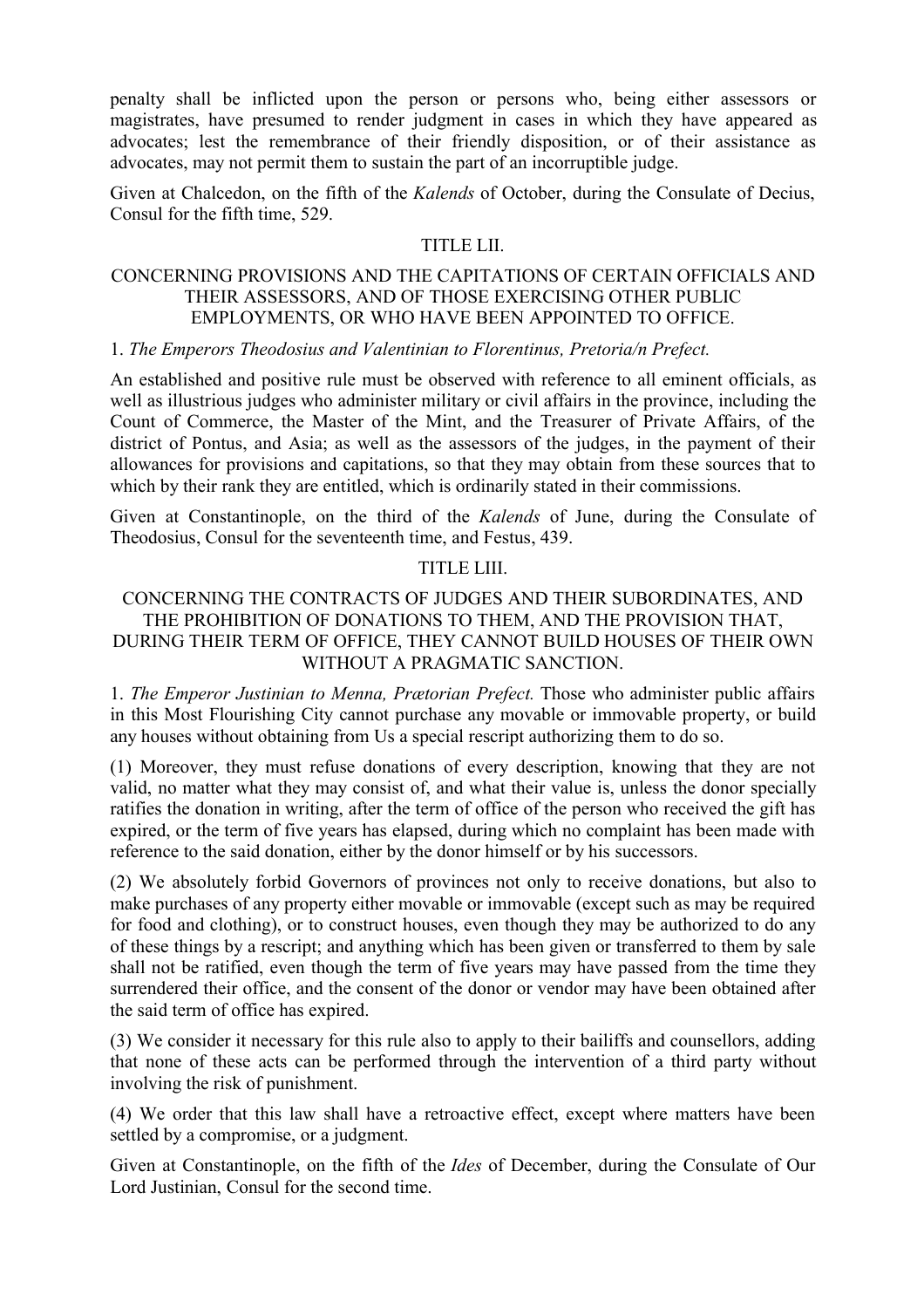penalty shall be inflicted upon the person or persons who, being either assessors or magistrates, have presumed to render judgment in cases in which they have appeared as advocates; lest the remembrance of their friendly disposition, or of their assistance as advocates, may not permit them to sustain the part of an incorruptible judge.

Given at Chalcedon, on the fifth of the *Kalends* of October, during the Consulate of Decius, Consul for the fifth time, 529.

### TITLE LII.

### CONCERNING PROVISIONS AND THE CAPITATIONS OF CERTAIN OFFICIALS AND THEIR ASSESSORS, AND OF THOSE EXERCISING OTHER PUBLIC EMPLOYMENTS, OR WHO HAVE BEEN APPOINTED TO OFFICE.

### 1. *The Emperors Theodosius and Valentinian to Florentinus, Pretoria/n Prefect.*

An established and positive rule must be observed with reference to all eminent officials, as well as illustrious judges who administer military or civil affairs in the province, including the Count of Commerce, the Master of the Mint, and the Treasurer of Private Affairs, of the district of Pontus, and Asia; as well as the assessors of the judges, in the payment of their allowances for provisions and capitations, so that they may obtain from these sources that to which by their rank they are entitled, which is ordinarily stated in their commissions.

Given at Constantinople, on the third of the *Kalends* of June, during the Consulate of Theodosius, Consul for the seventeenth time, and Festus, 439.

### TITLE LIII.

# CONCERNING THE CONTRACTS OF JUDGES AND THEIR SUBORDINATES, AND THE PROHIBITION OF DONATIONS TO THEM, AND THE PROVISION THAT, DURING THEIR TERM OF OFFICE, THEY CANNOT BUILD HOUSES OF THEIR OWN WITHOUT A PRAGMATIC SANCTION.

1. *The Emperor Justinian to Menna, Prætorian Prefect.* Those who administer public affairs in this Most Flourishing City cannot purchase any movable or immovable property, or build any houses without obtaining from Us a special rescript authorizing them to do so.

(1) Moreover, they must refuse donations of every description, knowing that they are not valid, no matter what they may consist of, and what their value is, unless the donor specially ratifies the donation in writing, after the term of office of the person who received the gift has expired, or the term of five years has elapsed, during which no complaint has been made with reference to the said donation, either by the donor himself or by his successors.

(2) We absolutely forbid Governors of provinces not only to receive donations, but also to make purchases of any property either movable or immovable (except such as may be required for food and clothing), or to construct houses, even though they may be authorized to do any of these things by a rescript; and anything which has been given or transferred to them by sale shall not be ratified, even though the term of five years may have passed from the time they surrendered their office, and the consent of the donor or vendor may have been obtained after the said term of office has expired.

(3) We consider it necessary for this rule also to apply to their bailiffs and counsellors, adding that none of these acts can be performed through the intervention of a third party without involving the risk of punishment.

(4) We order that this law shall have a retroactive effect, except where matters have been settled by a compromise, or a judgment.

Given at Constantinople, on the fifth of the *Ides* of December, during the Consulate of Our Lord Justinian, Consul for the second time.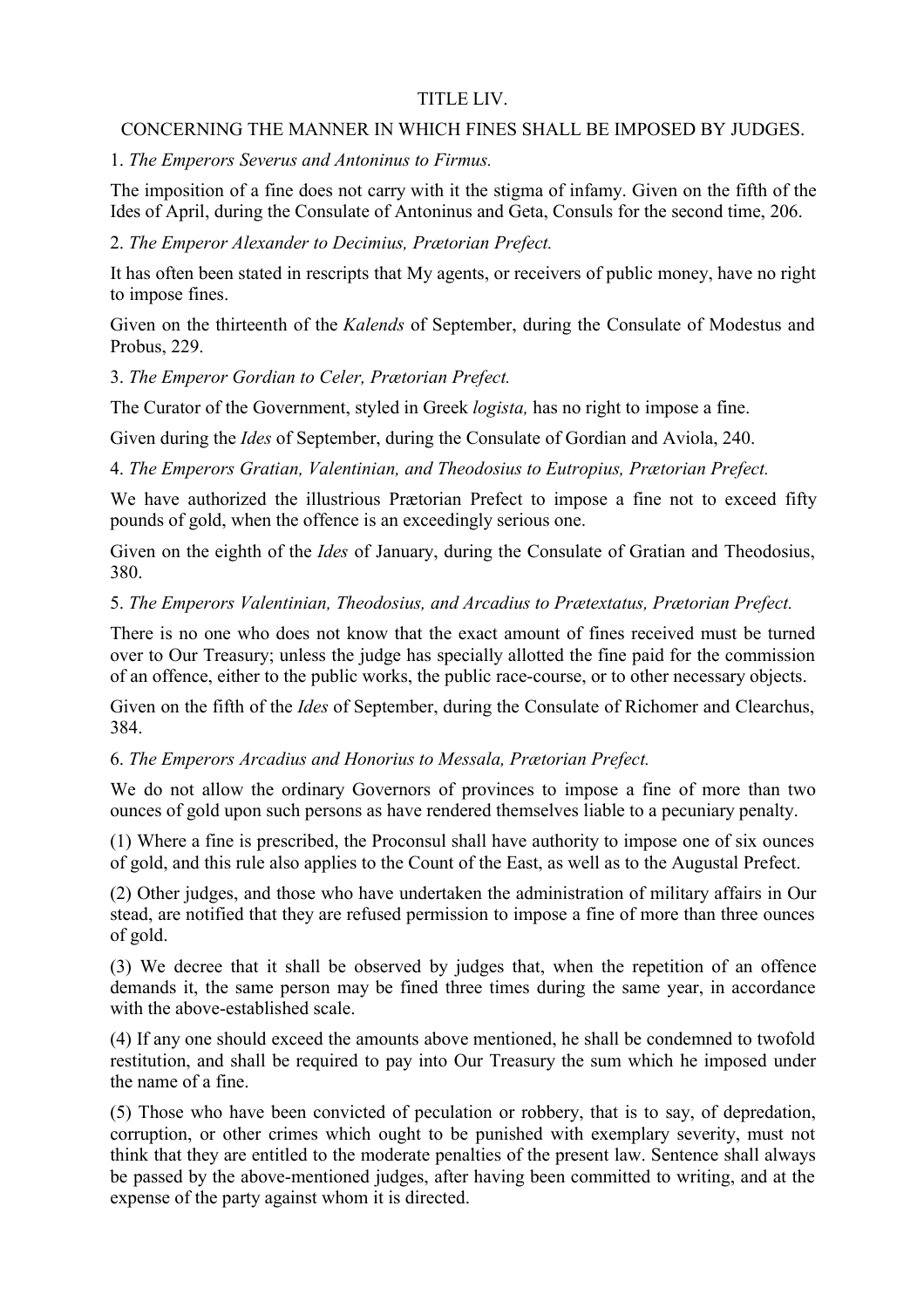# TITLE LIV.

## CONCERNING THE MANNER IN WHICH FINES SHALL BE IMPOSED BY JUDGES.

1. *The Emperors Severus and Antoninus to Firmus.*

The imposition of a fine does not carry with it the stigma of infamy. Given on the fifth of the Ides of April, during the Consulate of Antoninus and Geta, Consuls for the second time, 206.

2. *The Emperor Alexander to Decimius, Prætorian Prefect.*

It has often been stated in rescripts that My agents, or receivers of public money, have no right to impose fines.

Given on the thirteenth of the *Kalends* of September, during the Consulate of Modestus and Probus, 229.

3. *The Emperor Gordian to Celer, Prætorian Prefect.*

The Curator of the Government, styled in Greek *logista,* has no right to impose a fine.

Given during the *Ides* of September, during the Consulate of Gordian and Aviola, 240.

4. *The Emperors Gratian, Valentinian, and Theodosius to Eutropius, Prætorian Prefect.*

We have authorized the illustrious Prætorian Prefect to impose a fine not to exceed fifty pounds of gold, when the offence is an exceedingly serious one.

Given on the eighth of the *Ides* of January, during the Consulate of Gratian and Theodosius, 380.

## 5. *The Emperors Valentinian, Theodosius, and Arcadius to Prætextatus, Prætorian Prefect.*

There is no one who does not know that the exact amount of fines received must be turned over to Our Treasury; unless the judge has specially allotted the fine paid for the commission of an offence, either to the public works, the public race-course, or to other necessary objects.

Given on the fifth of the *Ides* of September, during the Consulate of Richomer and Clearchus, 384.

### 6. *The Emperors Arcadius and Honorius to Messala, Prætorian Prefect.*

We do not allow the ordinary Governors of provinces to impose a fine of more than two ounces of gold upon such persons as have rendered themselves liable to a pecuniary penalty.

(1) Where a fine is prescribed, the Proconsul shall have authority to impose one of six ounces of gold, and this rule also applies to the Count of the East, as well as to the Augustal Prefect.

(2) Other judges, and those who have undertaken the administration of military affairs in Our stead, are notified that they are refused permission to impose a fine of more than three ounces of gold.

(3) We decree that it shall be observed by judges that, when the repetition of an offence demands it, the same person may be fined three times during the same year, in accordance with the above-established scale.

(4) If any one should exceed the amounts above mentioned, he shall be condemned to twofold restitution, and shall be required to pay into Our Treasury the sum which he imposed under the name of a fine.

(5) Those who have been convicted of peculation or robbery, that is to say, of depredation, corruption, or other crimes which ought to be punished with exemplary severity, must not think that they are entitled to the moderate penalties of the present law. Sentence shall always be passed by the above-mentioned judges, after having been committed to writing, and at the expense of the party against whom it is directed.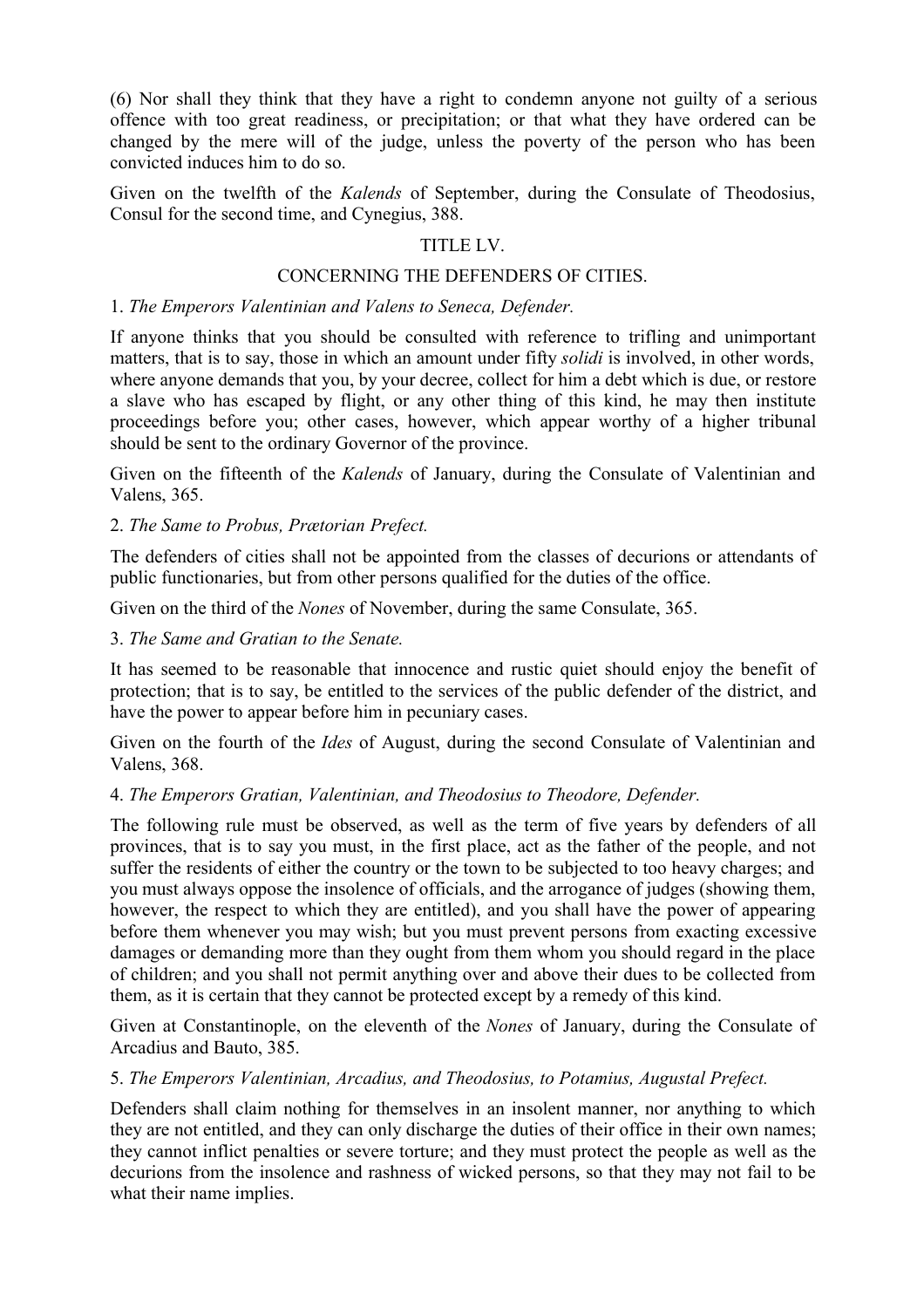(6) Nor shall they think that they have a right to condemn anyone not guilty of a serious offence with too great readiness, or precipitation; or that what they have ordered can be changed by the mere will of the judge, unless the poverty of the person who has been convicted induces him to do so.

Given on the twelfth of the *Kalends* of September, during the Consulate of Theodosius, Consul for the second time, and Cynegius, 388.

### TITLE LV.

### CONCERNING THE DEFENDERS OF CITIES.

#### 1. *The Emperors Valentinian and Valens to Seneca, Defender.*

If anyone thinks that you should be consulted with reference to trifling and unimportant matters, that is to say, those in which an amount under fifty *solidi* is involved, in other words, where anyone demands that you, by your decree, collect for him a debt which is due, or restore a slave who has escaped by flight, or any other thing of this kind, he may then institute proceedings before you; other cases, however, which appear worthy of a higher tribunal should be sent to the ordinary Governor of the province.

Given on the fifteenth of the *Kalends* of January, during the Consulate of Valentinian and Valens, 365.

### 2. *The Same to Probus, Prætorian Prefect.*

The defenders of cities shall not be appointed from the classes of decurions or attendants of public functionaries, but from other persons qualified for the duties of the office.

Given on the third of the *Nones* of November, during the same Consulate, 365.

### 3. *The Same and Gratian to the Senate.*

It has seemed to be reasonable that innocence and rustic quiet should enjoy the benefit of protection; that is to say, be entitled to the services of the public defender of the district, and have the power to appear before him in pecuniary cases.

Given on the fourth of the *Ides* of August, during the second Consulate of Valentinian and Valens, 368.

### 4. *The Emperors Gratian, Valentinian, and Theodosius to Theodore, Defender.*

The following rule must be observed, as well as the term of five years by defenders of all provinces, that is to say you must, in the first place, act as the father of the people, and not suffer the residents of either the country or the town to be subjected to too heavy charges; and you must always oppose the insolence of officials, and the arrogance of judges (showing them, however, the respect to which they are entitled), and you shall have the power of appearing before them whenever you may wish; but you must prevent persons from exacting excessive damages or demanding more than they ought from them whom you should regard in the place of children; and you shall not permit anything over and above their dues to be collected from them, as it is certain that they cannot be protected except by a remedy of this kind.

Given at Constantinople, on the eleventh of the *Nones* of January, during the Consulate of Arcadius and Bauto, 385.

### 5. *The Emperors Valentinian, Arcadius, and Theodosius, to Potamius, Augustal Prefect.*

Defenders shall claim nothing for themselves in an insolent manner, nor anything to which they are not entitled, and they can only discharge the duties of their office in their own names; they cannot inflict penalties or severe torture; and they must protect the people as well as the decurions from the insolence and rashness of wicked persons, so that they may not fail to be what their name implies.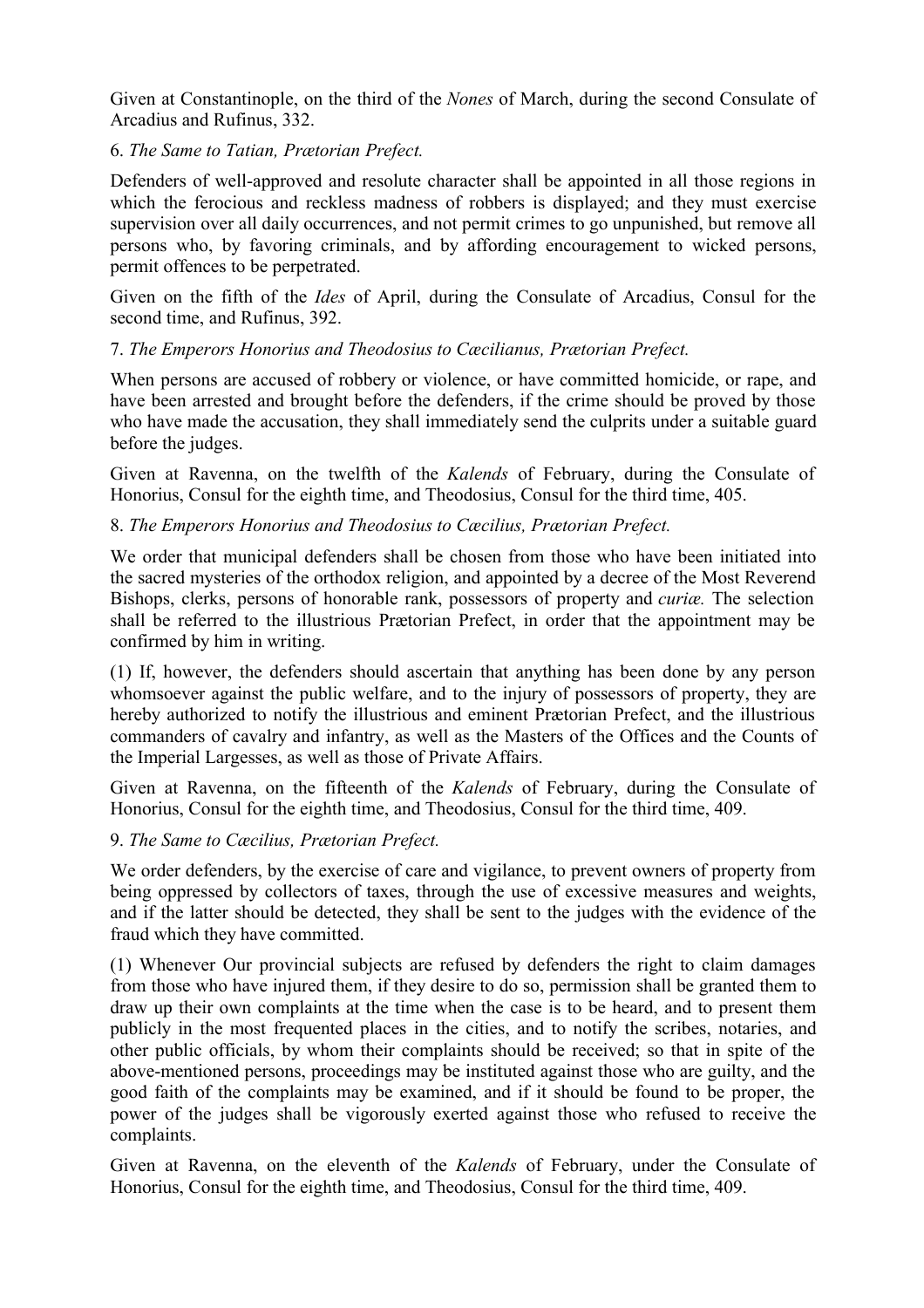Given at Constantinople, on the third of the *Nones* of March, during the second Consulate of Arcadius and Rufinus, 332.

## 6. *The Same to Tatian, Prætorian Prefect.*

Defenders of well-approved and resolute character shall be appointed in all those regions in which the ferocious and reckless madness of robbers is displayed; and they must exercise supervision over all daily occurrences, and not permit crimes to go unpunished, but remove all persons who, by favoring criminals, and by affording encouragement to wicked persons, permit offences to be perpetrated.

Given on the fifth of the *Ides* of April, during the Consulate of Arcadius, Consul for the second time, and Rufinus, 392.

## 7. *The Emperors Honorius and Theodosius to Cæcilianus, Prætorian Prefect.*

When persons are accused of robbery or violence, or have committed homicide, or rape, and have been arrested and brought before the defenders, if the crime should be proved by those who have made the accusation, they shall immediately send the culprits under a suitable guard before the judges.

Given at Ravenna, on the twelfth of the *Kalends* of February, during the Consulate of Honorius, Consul for the eighth time, and Theodosius, Consul for the third time, 405.

## 8. *The Emperors Honorius and Theodosius to Cæcilius, Prætorian Prefect.*

We order that municipal defenders shall be chosen from those who have been initiated into the sacred mysteries of the orthodox religion, and appointed by a decree of the Most Reverend Bishops, clerks, persons of honorable rank, possessors of property and *curiæ.* The selection shall be referred to the illustrious Prætorian Prefect, in order that the appointment may be confirmed by him in writing.

(1) If, however, the defenders should ascertain that anything has been done by any person whomsoever against the public welfare, and to the injury of possessors of property, they are hereby authorized to notify the illustrious and eminent Prætorian Prefect, and the illustrious commanders of cavalry and infantry, as well as the Masters of the Offices and the Counts of the Imperial Largesses, as well as those of Private Affairs.

Given at Ravenna, on the fifteenth of the *Kalends* of February, during the Consulate of Honorius, Consul for the eighth time, and Theodosius, Consul for the third time, 409.

### 9. *The Same to Cæcilius, Prætorian Prefect.*

We order defenders, by the exercise of care and vigilance, to prevent owners of property from being oppressed by collectors of taxes, through the use of excessive measures and weights, and if the latter should be detected, they shall be sent to the judges with the evidence of the fraud which they have committed.

(1) Whenever Our provincial subjects are refused by defenders the right to claim damages from those who have injured them, if they desire to do so, permission shall be granted them to draw up their own complaints at the time when the case is to be heard, and to present them publicly in the most frequented places in the cities, and to notify the scribes, notaries, and other public officials, by whom their complaints should be received; so that in spite of the above-mentioned persons, proceedings may be instituted against those who are guilty, and the good faith of the complaints may be examined, and if it should be found to be proper, the power of the judges shall be vigorously exerted against those who refused to receive the complaints.

Given at Ravenna, on the eleventh of the *Kalends* of February, under the Consulate of Honorius, Consul for the eighth time, and Theodosius, Consul for the third time, 409.